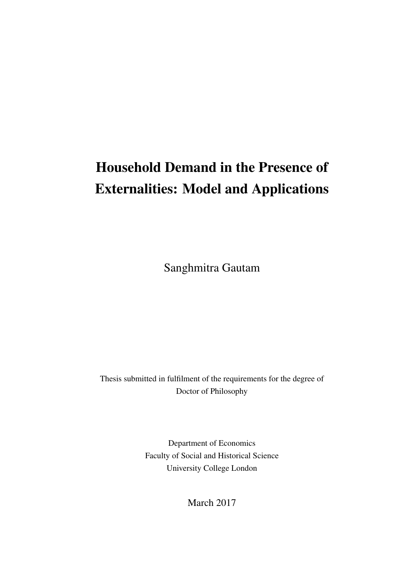# Household Demand in the Presence of Externalities: Model and Applications

Sanghmitra Gautam

Thesis submitted in fulfilment of the requirements for the degree of Doctor of Philosophy

> Department of Economics Faculty of Social and Historical Science University College London

> > March 2017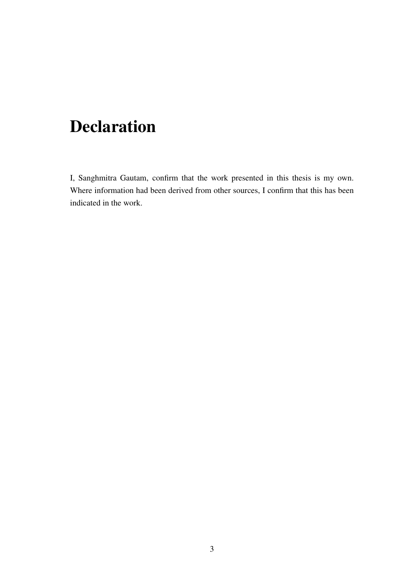## Declaration

I, Sanghmitra Gautam, confirm that the work presented in this thesis is my own. Where information had been derived from other sources, I confirm that this has been indicated in the work.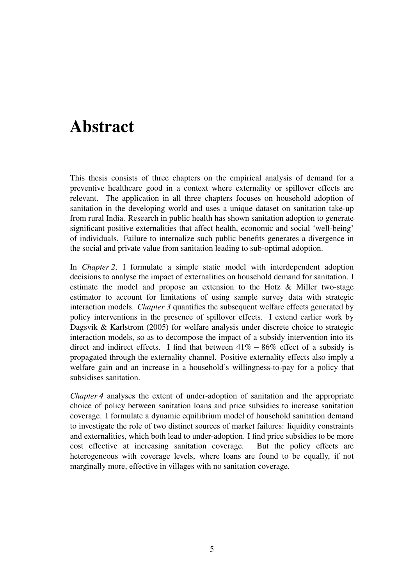### <span id="page-4-0"></span>Abstract

This thesis consists of three chapters on the empirical analysis of demand for a preventive healthcare good in a context where externality or spillover effects are relevant. The application in all three chapters focuses on household adoption of sanitation in the developing world and uses a unique dataset on sanitation take-up from rural India. Research in public health has shown sanitation adoption to generate significant positive externalities that affect health, economic and social 'well-being' of individuals. Failure to internalize such public benefits generates a divergence in the social and private value from sanitation leading to sub-optimal adoption.

In *Chapter 2*, I formulate a simple static model with interdependent adoption decisions to analyse the impact of externalities on household demand for sanitation. I estimate the model and propose an extension to the Hotz & Miller two-stage estimator to account for limitations of using sample survey data with strategic interaction models. *Chapter 3* quantifies the subsequent welfare effects generated by policy interventions in the presence of spillover effects. I extend earlier work by Dagsvik & Karlstrom (2005) for welfare analysis under discrete choice to strategic interaction models, so as to decompose the impact of a subsidy intervention into its direct and indirect effects. I find that between  $41\% - 86\%$  effect of a subsidy is propagated through the externality channel. Positive externality effects also imply a welfare gain and an increase in a household's willingness-to-pay for a policy that subsidises sanitation.

*Chapter 4* analyses the extent of under-adoption of sanitation and the appropriate choice of policy between sanitation loans and price subsidies to increase sanitation coverage. I formulate a dynamic equilibrium model of household sanitation demand to investigate the role of two distinct sources of market failures: liquidity constraints and externalities, which both lead to under-adoption. I find price subsidies to be more cost effective at increasing sanitation coverage. But the policy effects are heterogeneous with coverage levels, where loans are found to be equally, if not marginally more, effective in villages with no sanitation coverage.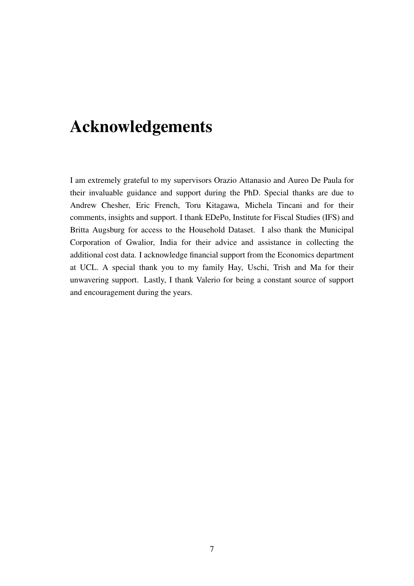### <span id="page-6-0"></span>Acknowledgements

I am extremely grateful to my supervisors Orazio Attanasio and Aureo De Paula for their invaluable guidance and support during the PhD. Special thanks are due to Andrew Chesher, Eric French, Toru Kitagawa, Michela Tincani and for their comments, insights and support. I thank EDePo, Institute for Fiscal Studies (IFS) and Britta Augsburg for access to the Household Dataset. I also thank the Municipal Corporation of Gwalior, India for their advice and assistance in collecting the additional cost data. I acknowledge financial support from the Economics department at UCL. A special thank you to my family Hay, Uschi, Trish and Ma for their unwavering support. Lastly, I thank Valerio for being a constant source of support and encouragement during the years.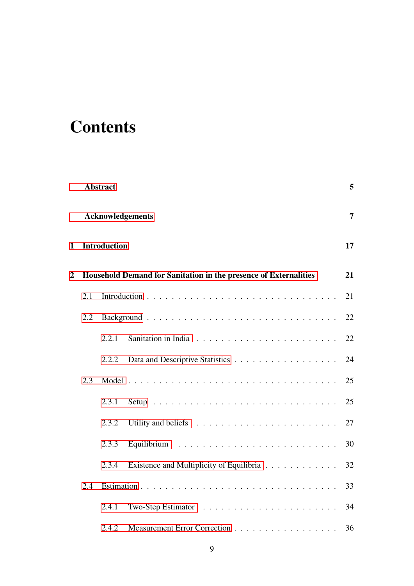# **Contents**

|                |     | <b>Abstract</b>     |                                                                        | 5  |
|----------------|-----|---------------------|------------------------------------------------------------------------|----|
|                |     |                     | <b>Acknowledgements</b>                                                | 7  |
| 1              |     | <b>Introduction</b> |                                                                        | 17 |
| $\overline{2}$ |     |                     | Household Demand for Sanitation in the presence of Externalities       | 21 |
|                | 2.1 |                     |                                                                        | 21 |
|                | 2.2 |                     |                                                                        | 22 |
|                |     | 2.2.1               |                                                                        | 22 |
|                |     | 2.2.2               |                                                                        | 24 |
|                | 2.3 |                     |                                                                        | 25 |
|                |     | 2.3.1               |                                                                        | 25 |
|                |     | 2.3.2               | Utility and beliefs $\ldots \ldots \ldots \ldots \ldots \ldots \ldots$ | 27 |
|                |     | 2.3.3               |                                                                        | 30 |
|                |     | 2.3.4               | Existence and Multiplicity of Equilibria                               | 32 |
|                | 2.4 |                     |                                                                        | 33 |
|                |     | 2.4.1               | Two-Step Estimator $\dots \dots \dots \dots \dots \dots \dots \dots$   | 34 |
|                |     | 2.4.2               | Measurement Error Correction                                           | 36 |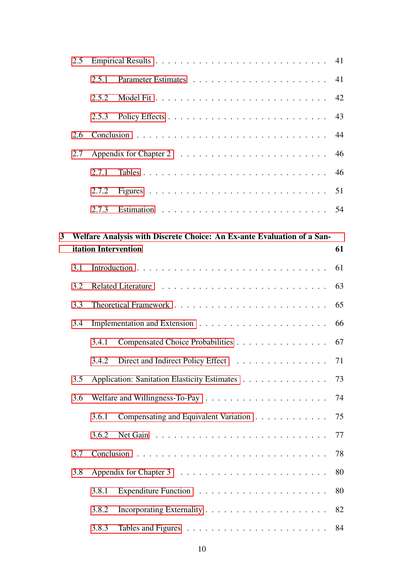|   | 2.5 |       |                                                                        | 41 |
|---|-----|-------|------------------------------------------------------------------------|----|
|   |     | 2.5.1 |                                                                        | 41 |
|   |     | 2.5.2 |                                                                        | 42 |
|   |     | 2.5.3 |                                                                        | 43 |
|   | 2.6 |       |                                                                        | 44 |
|   | 2.7 |       |                                                                        | 46 |
|   |     | 2.7.1 |                                                                        | 46 |
|   |     | 2.7.2 |                                                                        | 51 |
|   |     | 2.7.3 |                                                                        | 54 |
| 3 |     |       | Welfare Analysis with Discrete Choice: An Ex-ante Evaluation of a San- |    |
|   |     |       | <b>itation Intervention</b>                                            | 61 |
|   | 3.1 |       |                                                                        | 61 |
|   | 3.2 |       |                                                                        | 63 |
|   | 3.3 |       |                                                                        | 65 |
|   | 3.4 |       |                                                                        | 66 |
|   |     | 3.4.1 | Compensated Choice Probabilities                                       | 67 |
|   |     | 3.4.2 | Direct and Indirect Policy Effect 71                                   |    |
|   | 3.5 |       | Application: Sanitation Elasticity Estimates                           | 73 |
|   | 3.6 |       |                                                                        | 74 |
|   |     | 3.6.1 | Compensating and Equivalent Variation                                  | 75 |
|   |     | 3.6.2 |                                                                        | 77 |
|   | 3.7 |       |                                                                        | 78 |
|   | 3.8 |       |                                                                        | 80 |
|   |     | 3.8.1 |                                                                        | 80 |
|   |     | 3.8.2 |                                                                        | 82 |
|   |     | 3.8.3 |                                                                        | 84 |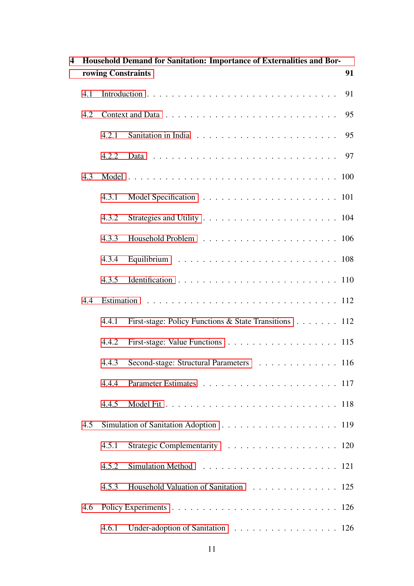| 4 |     |                    | Household Demand for Sanitation: Importance of Externalities and Bor- |    |
|---|-----|--------------------|-----------------------------------------------------------------------|----|
|   |     | rowing Constraints |                                                                       | 91 |
|   | 4.1 |                    |                                                                       | 91 |
|   | 4.2 |                    |                                                                       | 95 |
|   |     | 4.2.1              |                                                                       | 95 |
|   |     | 4.2.2              |                                                                       |    |
|   | 4.3 |                    |                                                                       |    |
|   |     | 4.3.1              |                                                                       |    |
|   |     | 4.3.2              |                                                                       |    |
|   |     | 4.3.3              |                                                                       |    |
|   |     | 4.3.4              |                                                                       |    |
|   |     | 4.3.5              |                                                                       |    |
|   | 4.4 |                    |                                                                       |    |
|   |     | 4.4.1              | First-stage: Policy Functions & State Transitions 112                 |    |
|   |     | 4.4.2              | First-stage: Value Functions 115                                      |    |
|   |     | 4.4.3              | Second-stage: Structural Parameters 116                               |    |
|   |     | 4.4.4              |                                                                       |    |
|   |     | 4.4.5              |                                                                       |    |
|   | 4.5 |                    |                                                                       |    |
|   |     | 4.5.1              | Strategic Complementarity 120                                         |    |
|   |     | 4.5.2              |                                                                       |    |
|   |     | 4.5.3              | Household Valuation of Sanitation 125                                 |    |
|   | 4.6 |                    |                                                                       |    |
|   |     | 4.6.1              | Under-adoption of Sanitation 126                                      |    |
|   |     |                    |                                                                       |    |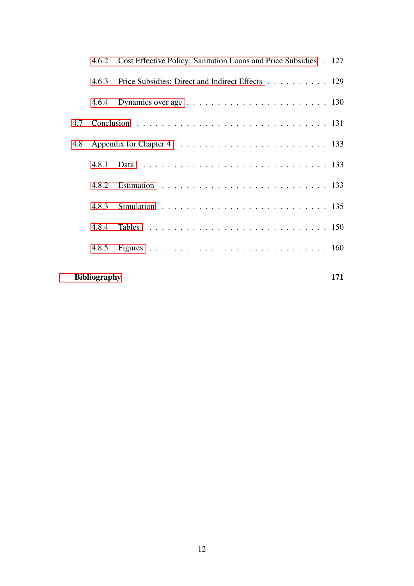|     |                     | 4.6.2 Cost Effective Policy: Sanitation Loans and Price Subsidies . 127 |     |
|-----|---------------------|-------------------------------------------------------------------------|-----|
|     | 4.6.3               | Price Subsidies: Direct and Indirect Effects 129                        |     |
|     |                     |                                                                         |     |
|     |                     |                                                                         |     |
| 4.8 |                     |                                                                         |     |
|     | 4.8.1               |                                                                         |     |
|     |                     |                                                                         |     |
|     |                     |                                                                         |     |
|     | 4.8.4               |                                                                         |     |
|     |                     |                                                                         |     |
|     | <b>Bibliography</b> |                                                                         | 171 |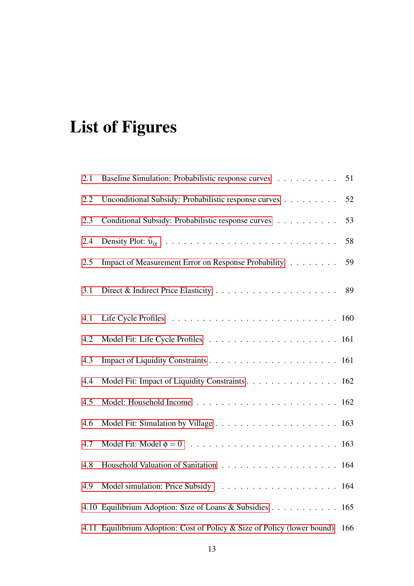# List of Figures

| 2.1 | Baseline Simulation: Probabilistic response curves                           | 51 |
|-----|------------------------------------------------------------------------------|----|
| 2.2 | Unconditional Subsidy: Probabilistic response curves                         | 52 |
| 2.3 | Conditional Subsidy: Probabilistic response curves                           | 53 |
| 2.4 |                                                                              | 58 |
| 2.5 | Impact of Measurement Error on Response Probability                          | 59 |
| 3.1 |                                                                              | 89 |
| 4.1 |                                                                              |    |
| 4.2 |                                                                              |    |
| 4.3 |                                                                              |    |
| 4.4 | Model Fit: Impact of Liquidity Constraints 162                               |    |
| 4.5 |                                                                              |    |
| 4.6 |                                                                              |    |
| 4.7 |                                                                              |    |
| 4.8 |                                                                              |    |
| 4.9 |                                                                              |    |
|     | 4.10 Equilibrium Adoption: Size of Loans & Subsidies 165                     |    |
|     | 4.11 Equilibrium Adoption: Cost of Policy & Size of Policy (lower bound) 166 |    |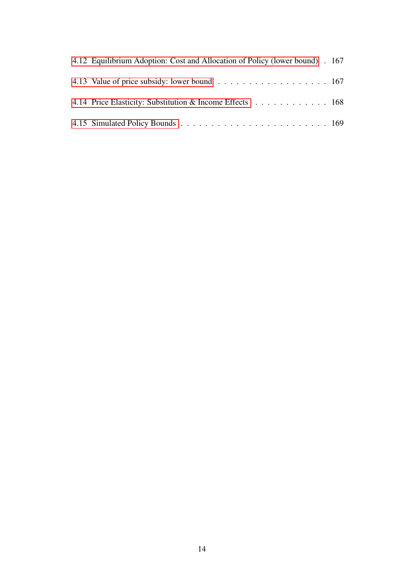| 4.12 Equilibrium Adoption: Cost and Allocation of Policy (lower bound). 167 |  |
|-----------------------------------------------------------------------------|--|
|                                                                             |  |
| 4.14 Price Elasticity: Substitution & Income Effects 168                    |  |
|                                                                             |  |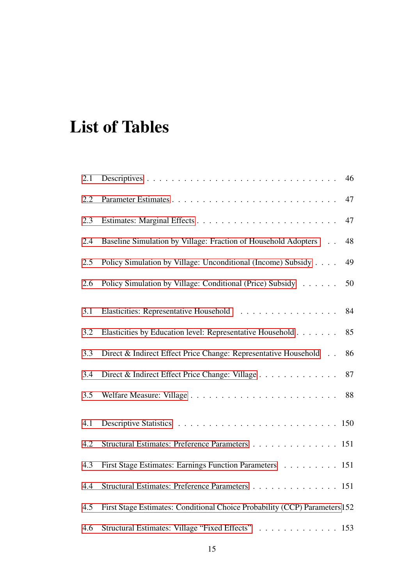# List of Tables

| 2.1 | 46                                                                         |  |
|-----|----------------------------------------------------------------------------|--|
| 2.2 | 47                                                                         |  |
| 2.3 | 47                                                                         |  |
| 2.4 | Baseline Simulation by Village: Fraction of Household Adopters<br>48       |  |
| 2.5 | 49<br>Policy Simulation by Village: Unconditional (Income) Subsidy         |  |
| 2.6 | Policy Simulation by Village: Conditional (Price) Subsidy<br>50            |  |
| 3.1 | Elasticities: Representative Household<br>84                               |  |
| 3.2 | Elasticities by Education level: Representative Household<br>85            |  |
| 3.3 | Direct & Indirect Effect Price Change: Representative Household<br>86      |  |
| 3.4 | Direct & Indirect Effect Price Change: Village<br>87                       |  |
| 3.5 | 88                                                                         |  |
| 4.1 |                                                                            |  |
| 4.2 | Structural Estimates: Preference Parameters 151                            |  |
| 4.3 | First Stage Estimates: Earnings Function Parameters 151                    |  |
| 4.4 | Structural Estimates: Preference Parameters 151                            |  |
| 4.5 | First Stage Estimates: Conditional Choice Probability (CCP) Parameters 152 |  |
| 4.6 | Structural Estimates: Village "Fixed Effects" 153                          |  |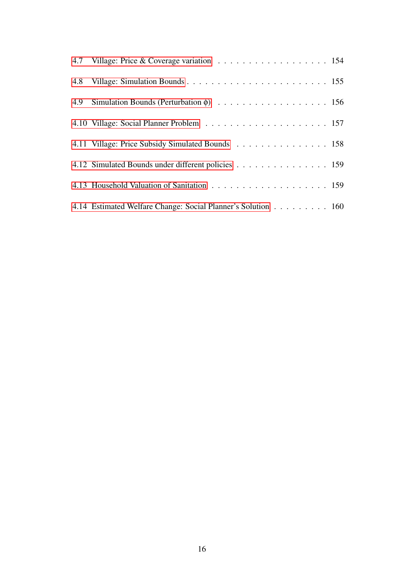| 4.7 Village: Price & Coverage variation 154                  |
|--------------------------------------------------------------|
|                                                              |
|                                                              |
|                                                              |
| 4.11 Village: Price Subsidy Simulated Bounds 158             |
| 4.12 Simulated Bounds under different policies 159           |
|                                                              |
| 4.14 Estimated Welfare Change: Social Planner's Solution 160 |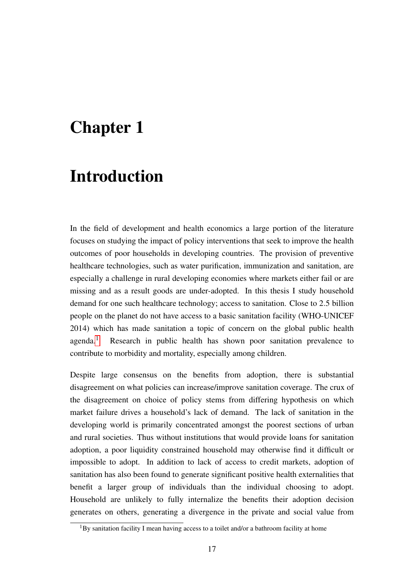### <span id="page-16-0"></span>Chapter 1

### Introduction

In the field of development and health economics a large portion of the literature focuses on studying the impact of policy interventions that seek to improve the health outcomes of poor households in developing countries. The provision of preventive healthcare technologies, such as water purification, immunization and sanitation, are especially a challenge in rural developing economies where markets either fail or are missing and as a result goods are under-adopted. In this thesis I study household demand for one such healthcare technology; access to sanitation. Close to 2.5 billion people on the planet do not have access to a basic sanitation facility (WHO-UNICEF 2014) which has made sanitation a topic of concern on the global public health agenda.[1](#page-16-1) Research in public health has shown poor sanitation prevalence to contribute to morbidity and mortality, especially among children.

Despite large consensus on the benefits from adoption, there is substantial disagreement on what policies can increase/improve sanitation coverage. The crux of the disagreement on choice of policy stems from differing hypothesis on which market failure drives a household's lack of demand. The lack of sanitation in the developing world is primarily concentrated amongst the poorest sections of urban and rural societies. Thus without institutions that would provide loans for sanitation adoption, a poor liquidity constrained household may otherwise find it difficult or impossible to adopt. In addition to lack of access to credit markets, adoption of sanitation has also been found to generate significant positive health externalities that benefit a larger group of individuals than the individual choosing to adopt. Household are unlikely to fully internalize the benefits their adoption decision generates on others, generating a divergence in the private and social value from

<span id="page-16-1"></span> ${}^{1}$ By sanitation facility I mean having access to a toilet and/or a bathroom facility at home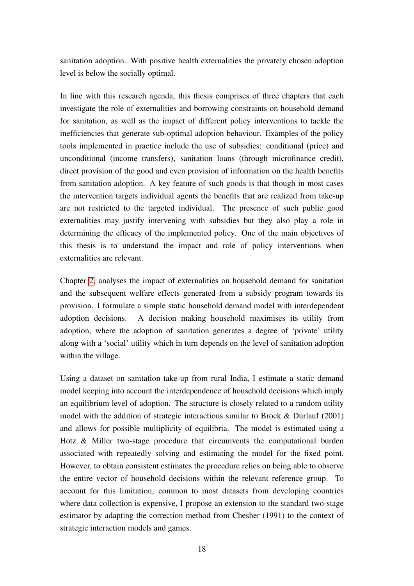sanitation adoption. With positive health externalities the privately chosen adoption level is below the socially optimal.

In line with this research agenda, this thesis comprises of three chapters that each investigate the role of externalities and borrowing constraints on household demand for sanitation, as well as the impact of different policy interventions to tackle the inefficiencies that generate sub-optimal adoption behaviour. Examples of the policy tools implemented in practice include the use of subsidies: conditional (price) and unconditional (income transfers), sanitation loans (through microfinance credit), direct provision of the good and even provision of information on the health benefits from sanitation adoption. A key feature of such goods is that though in most cases the intervention targets individual agents the benefits that are realized from take-up are not restricted to the targeted individual. The presence of such public good externalities may justify intervening with subsidies but they also play a role in determining the efficacy of the implemented policy. One of the main objectives of this thesis is to understand the impact and role of policy interventions when externalities are relevant.

Chapter [2,](#page-20-0) analyses the impact of externalities on household demand for sanitation and the subsequent welfare effects generated from a subsidy program towards its provision. I formulate a simple static household demand model with interdependent adoption decisions. A decision making household maximises its utility from adoption, where the adoption of sanitation generates a degree of 'private' utility along with a 'social' utility which in turn depends on the level of sanitation adoption within the village.

Using a dataset on sanitation take-up from rural India, I estimate a static demand model keeping into account the interdependence of household decisions which imply an equilibrium level of adoption. The structure is closely related to a random utility model with the addition of strategic interactions similar to Brock & Durlauf (2001) and allows for possible multiplicity of equilibria. The model is estimated using a Hotz & Miller two-stage procedure that circumvents the computational burden associated with repeatedly solving and estimating the model for the fixed point. However, to obtain consistent estimates the procedure relies on being able to observe the entire vector of household decisions within the relevant reference group. To account for this limitation, common to most datasets from developing countries where data collection is expensive, I propose an extension to the standard two-stage estimator by adapting the correction method from Chesher (1991) to the context of strategic interaction models and games.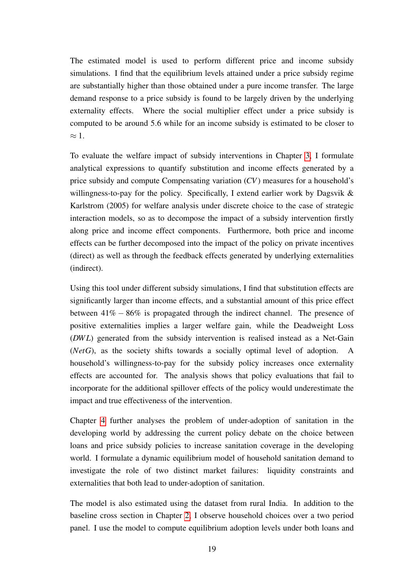The estimated model is used to perform different price and income subsidy simulations. I find that the equilibrium levels attained under a price subsidy regime are substantially higher than those obtained under a pure income transfer. The large demand response to a price subsidy is found to be largely driven by the underlying externality effects. Where the social multiplier effect under a price subsidy is computed to be around 5.6 while for an income subsidy is estimated to be closer to  $\approx$  1.

To evaluate the welfare impact of subsidy interventions in Chapter [3,](#page-60-0) I formulate analytical expressions to quantify substitution and income effects generated by a price subsidy and compute Compensating variation (*CV*) measures for a household's willingness-to-pay for the policy. Specifically, I extend earlier work by Dagsvik & Karlstrom (2005) for welfare analysis under discrete choice to the case of strategic interaction models, so as to decompose the impact of a subsidy intervention firstly along price and income effect components. Furthermore, both price and income effects can be further decomposed into the impact of the policy on private incentives (direct) as well as through the feedback effects generated by underlying externalities (indirect).

Using this tool under different subsidy simulations, I find that substitution effects are significantly larger than income effects, and a substantial amount of this price effect between  $41\% - 86\%$  is propagated through the indirect channel. The presence of positive externalities implies a larger welfare gain, while the Deadweight Loss (*DW L*) generated from the subsidy intervention is realised instead as a Net-Gain (*NetG*), as the society shifts towards a socially optimal level of adoption. A household's willingness-to-pay for the subsidy policy increases once externality effects are accounted for. The analysis shows that policy evaluations that fail to incorporate for the additional spillover effects of the policy would underestimate the impact and true effectiveness of the intervention.

Chapter [4](#page-90-0) further analyses the problem of under-adoption of sanitation in the developing world by addressing the current policy debate on the choice between loans and price subsidy policies to increase sanitation coverage in the developing world. I formulate a dynamic equilibrium model of household sanitation demand to investigate the role of two distinct market failures: liquidity constraints and externalities that both lead to under-adoption of sanitation.

The model is also estimated using the dataset from rural India. In addition to the baseline cross section in Chapter [2,](#page-20-0) I observe household choices over a two period panel. I use the model to compute equilibrium adoption levels under both loans and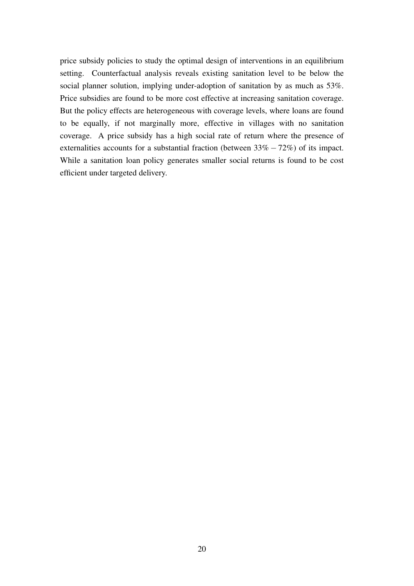price subsidy policies to study the optimal design of interventions in an equilibrium setting. Counterfactual analysis reveals existing sanitation level to be below the social planner solution, implying under-adoption of sanitation by as much as 53%. Price subsidies are found to be more cost effective at increasing sanitation coverage. But the policy effects are heterogeneous with coverage levels, where loans are found to be equally, if not marginally more, effective in villages with no sanitation coverage. A price subsidy has a high social rate of return where the presence of externalities accounts for a substantial fraction (between  $33\% - 72\%$ ) of its impact. While a sanitation loan policy generates smaller social returns is found to be cost efficient under targeted delivery.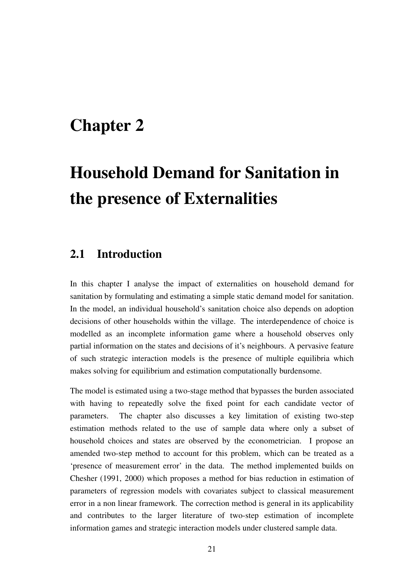### <span id="page-20-0"></span>Chapter 2

# Household Demand for Sanitation in the presence of Externalities

### <span id="page-20-1"></span>2.1 Introduction

In this chapter I analyse the impact of externalities on household demand for sanitation by formulating and estimating a simple static demand model for sanitation. In the model, an individual household's sanitation choice also depends on adoption decisions of other households within the village. The interdependence of choice is modelled as an incomplete information game where a household observes only partial information on the states and decisions of it's neighbours. A pervasive feature of such strategic interaction models is the presence of multiple equilibria which makes solving for equilibrium and estimation computationally burdensome.

The model is estimated using a two-stage method that bypasses the burden associated with having to repeatedly solve the fixed point for each candidate vector of parameters. The chapter also discusses a key limitation of existing two-step estimation methods related to the use of sample data where only a subset of household choices and states are observed by the econometrician. I propose an amended two-step method to account for this problem, which can be treated as a 'presence of measurement error' in the data. The method implemented builds on Chesher (1991, 2000) which proposes a method for bias reduction in estimation of parameters of regression models with covariates subject to classical measurement error in a non linear framework. The correction method is general in its applicability and contributes to the larger literature of two-step estimation of incomplete information games and strategic interaction models under clustered sample data.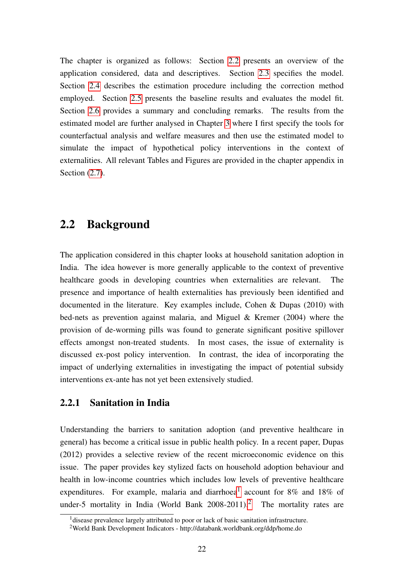The chapter is organized as follows: Section [2.2](#page-21-0) presents an overview of the application considered, data and descriptives. Section [2.3](#page-24-0) specifies the model. Section [2.4](#page-32-0) describes the estimation procedure including the correction method employed. Section [2.5](#page-40-0) presents the baseline results and evaluates the model fit. Section [2.6](#page-43-0) provides a summary and concluding remarks. The results from the estimated model are further analysed in Chapter [3](#page-60-0) where I first specify the tools for counterfactual analysis and welfare measures and then use the estimated model to simulate the impact of hypothetical policy interventions in the context of externalities. All relevant Tables and Figures are provided in the chapter appendix in Section  $(2.7)$ .

#### <span id="page-21-0"></span>2.2 Background

The application considered in this chapter looks at household sanitation adoption in India. The idea however is more generally applicable to the context of preventive healthcare goods in developing countries when externalities are relevant. The presence and importance of health externalities has previously been identified and documented in the literature. Key examples include, Cohen & Dupas (2010) with bed-nets as prevention against malaria, and Miguel & Kremer (2004) where the provision of de-worming pills was found to generate significant positive spillover effects amongst non-treated students. In most cases, the issue of externality is discussed ex-post policy intervention. In contrast, the idea of incorporating the impact of underlying externalities in investigating the impact of potential subsidy interventions ex-ante has not yet been extensively studied.

#### <span id="page-21-1"></span>2.2.1 Sanitation in India

Understanding the barriers to sanitation adoption (and preventive healthcare in general) has become a critical issue in public health policy. In a recent paper, Dupas (2012) provides a selective review of the recent microeconomic evidence on this issue. The paper provides key stylized facts on household adoption behaviour and health in low-income countries which includes low levels of preventive healthcare expenditures. For example, malaria and diarrhoea<sup>[1](#page-21-2)</sup> account for 8% and 18% of under-5 mortality in India (World Bank  $2008-2011$  $2008-2011$ ).<sup>2</sup> The mortality rates are

<span id="page-21-2"></span><sup>&</sup>lt;sup>1</sup> disease prevalence largely attributed to poor or lack of basic sanitation infrastructure.

<span id="page-21-3"></span><sup>2</sup>World Bank Development Indicators - http://databank.worldbank.org/ddp/home.do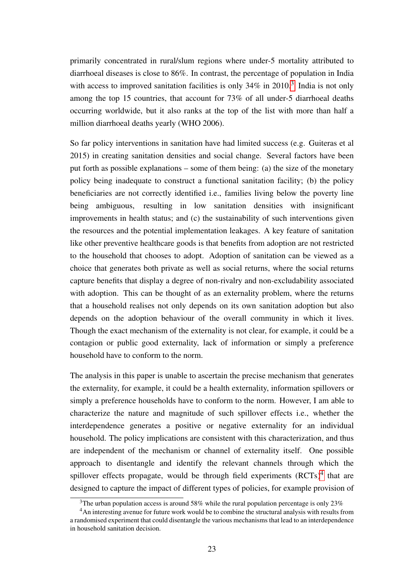primarily concentrated in rural/slum regions where under-5 mortality attributed to diarrhoeal diseases is close to 86%. In contrast, the percentage of population in India with access to improved sanitation facilities is only  $34\%$  $34\%$  in  $2010$ .<sup>3</sup> India is not only among the top 15 countries, that account for 73% of all under-5 diarrhoeal deaths occurring worldwide, but it also ranks at the top of the list with more than half a million diarrhoeal deaths yearly (WHO 2006).

So far policy interventions in sanitation have had limited success (e.g. Guiteras et al 2015) in creating sanitation densities and social change. Several factors have been put forth as possible explanations – some of them being: (a) the size of the monetary policy being inadequate to construct a functional sanitation facility; (b) the policy beneficiaries are not correctly identified i.e., families living below the poverty line being ambiguous, resulting in low sanitation densities with insignificant improvements in health status; and (c) the sustainability of such interventions given the resources and the potential implementation leakages. A key feature of sanitation like other preventive healthcare goods is that benefits from adoption are not restricted to the household that chooses to adopt. Adoption of sanitation can be viewed as a choice that generates both private as well as social returns, where the social returns capture benefits that display a degree of non-rivalry and non-excludability associated with adoption. This can be thought of as an externality problem, where the returns that a household realises not only depends on its own sanitation adoption but also depends on the adoption behaviour of the overall community in which it lives. Though the exact mechanism of the externality is not clear, for example, it could be a contagion or public good externality, lack of information or simply a preference household have to conform to the norm.

The analysis in this paper is unable to ascertain the precise mechanism that generates the externality, for example, it could be a health externality, information spillovers or simply a preference households have to conform to the norm. However, I am able to characterize the nature and magnitude of such spillover effects i.e., whether the interdependence generates a positive or negative externality for an individual household. The policy implications are consistent with this characterization, and thus are independent of the mechanism or channel of externality itself. One possible approach to disentangle and identify the relevant channels through which the spillover effects propagate, would be through field experiments  $(RCTs)^4$  $(RCTs)^4$  that are designed to capture the impact of different types of policies, for example provision of

<span id="page-22-1"></span><span id="page-22-0"></span><sup>&</sup>lt;sup>3</sup>The urban population access is around 58% while the rural population percentage is only 23%

<sup>&</sup>lt;sup>4</sup>An interesting avenue for future work would be to combine the structural analysis with results from a randomised experiment that could disentangle the various mechanisms that lead to an interdependence in household sanitation decision.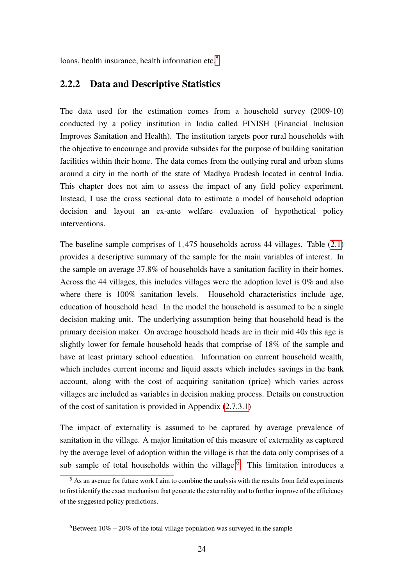<span id="page-23-0"></span>loans, health insurance, health information etc.<sup>[5](#page-23-1)</sup>

#### 2.2.2 Data and Descriptive Statistics

The data used for the estimation comes from a household survey (2009-10) conducted by a policy institution in India called FINISH (Financial Inclusion Improves Sanitation and Health). The institution targets poor rural households with the objective to encourage and provide subsides for the purpose of building sanitation facilities within their home. The data comes from the outlying rural and urban slums around a city in the north of the state of Madhya Pradesh located in central India. This chapter does not aim to assess the impact of any field policy experiment. Instead, I use the cross sectional data to estimate a model of household adoption decision and layout an ex-ante welfare evaluation of hypothetical policy interventions.

The baseline sample comprises of 1,475 households across 44 villages. Table [\(2.1\)](#page-45-2) provides a descriptive summary of the sample for the main variables of interest. In the sample on average 37.8% of households have a sanitation facility in their homes. Across the 44 villages, this includes villages were the adoption level is 0% and also where there is 100% sanitation levels. Household characteristics include age, education of household head. In the model the household is assumed to be a single decision making unit. The underlying assumption being that household head is the primary decision maker. On average household heads are in their mid 40*s* this age is slightly lower for female household heads that comprise of 18% of the sample and have at least primary school education. Information on current household wealth, which includes current income and liquid assets which includes savings in the bank account, along with the cost of acquiring sanitation (price) which varies across villages are included as variables in decision making process. Details on construction of the cost of sanitation is provided in Appendix [\(2.7.3.1\)](#page-53-1)

The impact of externality is assumed to be captured by average prevalence of sanitation in the village. A major limitation of this measure of externality as captured by the average level of adoption within the village is that the data only comprises of a sub sample of total households within the village.<sup>[6](#page-23-2)</sup> This limitation introduces a

<span id="page-23-1"></span> $<sup>5</sup>$  As an avenue for future work I aim to combine the analysis with the results from field experiments</sup> to first identify the exact mechanism that generate the externality and to further improve of the efficiency of the suggested policy predictions.

<span id="page-23-2"></span> $6B$ etween 10% − 20% of the total village population was surveyed in the sample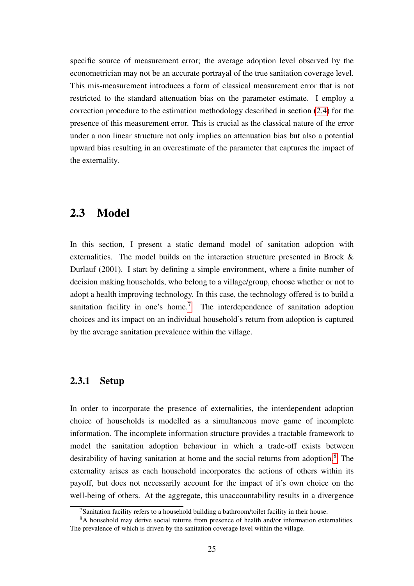specific source of measurement error; the average adoption level observed by the econometrician may not be an accurate portrayal of the true sanitation coverage level. This mis-measurement introduces a form of classical measurement error that is not restricted to the standard attenuation bias on the parameter estimate. I employ a correction procedure to the estimation methodology described in section [\(2.4\)](#page-32-0) for the presence of this measurement error. This is crucial as the classical nature of the error under a non linear structure not only implies an attenuation bias but also a potential upward bias resulting in an overestimate of the parameter that captures the impact of the externality.

#### <span id="page-24-0"></span>2.3 Model

In this section, I present a static demand model of sanitation adoption with externalities. The model builds on the interaction structure presented in Brock & Durlauf (2001). I start by defining a simple environment, where a finite number of decision making households, who belong to a village/group, choose whether or not to adopt a health improving technology. In this case, the technology offered is to build a sanitation facility in one's home.<sup>[7](#page-24-2)</sup> The interdependence of sanitation adoption choices and its impact on an individual household's return from adoption is captured by the average sanitation prevalence within the village.

#### <span id="page-24-1"></span>2.3.1 Setup

In order to incorporate the presence of externalities, the interdependent adoption choice of households is modelled as a simultaneous move game of incomplete information. The incomplete information structure provides a tractable framework to model the sanitation adoption behaviour in which a trade-off exists between desirability of having sanitation at home and the social returns from adoption.<sup>[8](#page-24-3)</sup> The externality arises as each household incorporates the actions of others within its payoff, but does not necessarily account for the impact of it's own choice on the well-being of others. At the aggregate, this unaccountability results in a divergence

<span id="page-24-3"></span><span id="page-24-2"></span><sup>&</sup>lt;sup>7</sup>Sanitation facility refers to a household building a bathroom/toilet facility in their house.

<sup>8</sup>A household may derive social returns from presence of health and/or information externalities. The prevalence of which is driven by the sanitation coverage level within the village.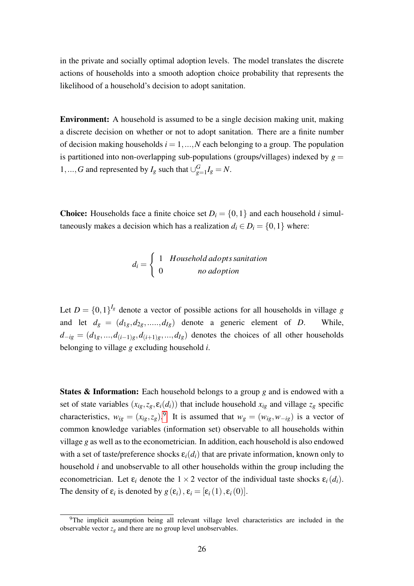in the private and socially optimal adoption levels. The model translates the discrete actions of households into a smooth adoption choice probability that represents the likelihood of a household's decision to adopt sanitation.

Environment: A household is assumed to be a single decision making unit, making a discrete decision on whether or not to adopt sanitation. There are a finite number of decision making households  $i = 1, ..., N$  each belonging to a group. The population is partitioned into non-overlapping sub-populations (groups/villages) indexed by  $g =$ 1,...,*G* and represented by  $I_g$  such that  $\bigcup_{g \in G} G$  $g_{=1}^{G} I_g = N.$ 

**Choice:** Households face a finite choice set  $D_i = \{0, 1\}$  and each household *i* simultaneously makes a decision which has a realization  $d_i \in D_i = \{0, 1\}$  where:

$$
d_i = \left\{ \begin{array}{ll} 1 & \text{Household adopts samitation} \\ 0 & \text{no adoption} \end{array} \right.
$$

Let  $D = \{0, 1\}^{I_g}$  denote a vector of possible actions for all households in village *g* and let  $d_g = (d_{1g}, d_{2g}, \dots, d_{lg})$  denote a generic element of *D*. While,  $d_{-ig} = (d_{1g},...,d_{(i-1)g},d_{(i+1)g},...,d_{Ig})$  denotes the choices of all other households belonging to village *g* excluding household *i*.

States & Information: Each household belongs to a group *g* and is endowed with a set of state variables  $(x_{ig}, z_g, \varepsilon_i(d_i))$  that include household  $x_{ig}$  and village  $z_g$  specific characteristics,  $w_{ig} = (x_{ig}, z_g)$ .<sup>[9](#page-25-0)</sup> It is assumed that  $w_g = (w_{ig}, w_{-ig})$  is a vector of common knowledge variables (information set) observable to all households within village *g* as well as to the econometrician. In addition, each household is also endowed with a set of taste/preference shocks  $\varepsilon_i(d_i)$  that are private information, known only to household *i* and unobservable to all other households within the group including the econometrician. Let  $\varepsilon_i$  denote the  $1 \times 2$  vector of the individual taste shocks  $\varepsilon_i(d_i)$ . The density of  $\varepsilon_i$  is denoted by  $g(\varepsilon_i)$ ,  $\varepsilon_i = [\varepsilon_i(1), \varepsilon_i(0)]$ .

<span id="page-25-0"></span> $9$ The implicit assumption being all relevant village level characteristics are included in the observable vector  $z_g$  and there are no group level unobservables.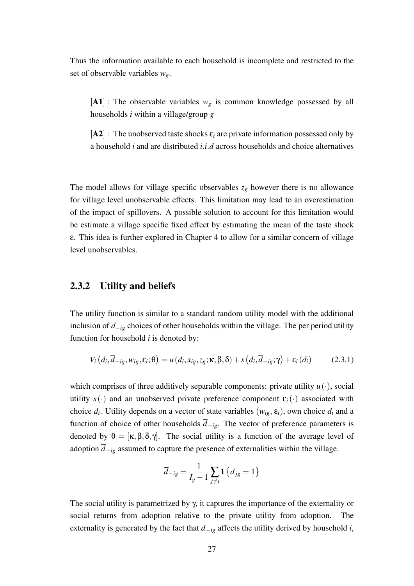Thus the information available to each household is incomplete and restricted to the set of observable variables *wg*.

 $[A1]$ : The observable variables  $w_g$  is common knowledge possessed by all households *i* within a village/group *g*

 $[A2]$ : The unobserved taste shocks  $\varepsilon_i$  are private information possessed only by a household *i* and are distributed *i*.*i*.*d* across households and choice alternatives

The model allows for village specific observables  $z_g$  however there is no allowance for village level unobservable effects. This limitation may lead to an overestimation of the impact of spillovers. A possible solution to account for this limitation would be estimate a village specific fixed effect by estimating the mean of the taste shock ε. This idea is further explored in Chapter 4 to allow for a similar concern of village level unobservables.

#### <span id="page-26-0"></span>2.3.2 Utility and beliefs

The utility function is similar to a standard random utility model with the additional inclusion of *d*−*ig* choices of other households within the village. The per period utility function for household *i* is denoted by:

$$
V_i(d_i, \overline{d}_{-ig}, w_{ig}, \varepsilon_i; \theta) = u(d_i, x_{ig}, z_g; \kappa, \beta, \delta) + s(d_i, \overline{d}_{-ig}; \gamma) + \varepsilon_i(d_i)
$$
(2.3.1)

which comprises of three additively separable components: private utility  $u(\cdot)$ , social utility  $s(\cdot)$  and an unobserved private preference component  $\varepsilon_i(\cdot)$  associated with choice  $d_i$ . Utility depends on a vector of state variables  $(w_{ig}, \varepsilon_i)$ , own choice  $d_i$  and a function of choice of other households  $\overline{d}_{-i\varrho}$ . The vector of preference parameters is denoted by  $\theta = [\kappa, \beta, \delta, \gamma]$ . The social utility is a function of the average level of adoption  $\overline{d}_{-ig}$  assumed to capture the presence of externalities within the village.

$$
\overline{d}_{-ig} = \frac{1}{I_g - 1} \sum_{j \neq i} \mathbf{1} \left\{ d_{jg} = 1 \right\}
$$

The social utility is parametrized by  $\gamma$ , it captures the importance of the externality or social returns from adoption relative to the private utility from adoption. The externality is generated by the fact that  $\overline{d}_{-ig}$  affects the utility derived by household *i*,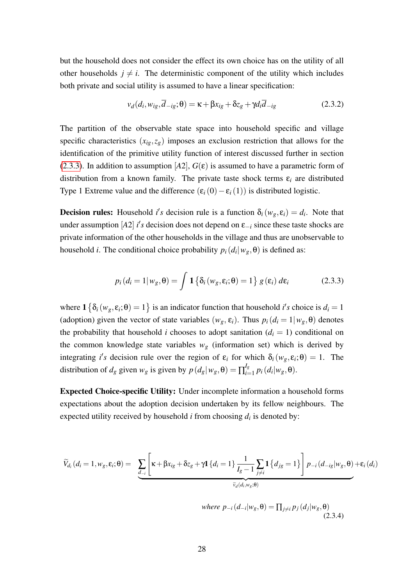but the household does not consider the effect its own choice has on the utility of all other households  $j \neq i$ . The deterministic component of the utility which includes both private and social utility is assumed to have a linear specification:

$$
v_d(d_i, w_{ig}, \overline{d}_{-ig}; \theta) = \kappa + \beta x_{ig} + \delta z_g + \gamma d_i \overline{d}_{-ig}
$$
(2.3.2)

The partition of the observable state space into household specific and village specific characteristics  $(x_{ig}, z_g)$  imposes an exclusion restriction that allows for the identification of the primitive utility function of interest discussed further in section [\(2.3.3\)](#page-29-0). In addition to assumption  $[A2]$ ,  $G(\varepsilon)$  is assumed to have a parametric form of distribution from a known family. The private taste shock terms  $\varepsilon_i$  are distributed Type 1 Extreme value and the difference  $(\varepsilon_i(0) - \varepsilon_i(1))$  is distributed logistic.

**Decision rules:** Household *i*'s decision rule is a function  $\delta_i(w_g, \varepsilon_i) = d_i$ . Note that under assumption [*A*2] *i's* decision does not depend on  $\varepsilon_{-i}$  since these taste shocks are private information of the other households in the village and thus are unobservable to household *i*. The conditional choice probability  $p_i(d_i|w_g, \theta)$  is defined as:

$$
p_i(d_i = 1 | w_g, \theta) = \int \mathbf{1} \left\{ \delta_i(w_g, \varepsilon_i; \theta) = 1 \right\} g(\varepsilon_i) d\varepsilon_i \tag{2.3.3}
$$

where  $1 \{ \delta_i(w_g, \varepsilon_i; \theta) = 1 \}$  is an indicator function that household *i's* choice is  $d_i = 1$ (adoption) given the vector of state variables  $(w_g, \varepsilon_i)$ . Thus  $p_i(d_i = 1 | w_g, \theta)$  denotes the probability that household *i* chooses to adopt sanitation  $(d<sub>i</sub> = 1)$  conditional on the common knowledge state variables  $w_g$  (information set) which is derived by integrating *i's* decision rule over the region of  $\varepsilon_i$  for which  $\delta_i(w_g, \varepsilon_i; \theta) = 1$ . The distribution of  $d_g$  given  $w_g$  is given by  $p(d_g|w_g, \theta) = \prod_{i=1}^{l_g}$  $\int_{i=1}^{I_g} p_i(d_i|w_g, \theta).$ 

Expected Choice-specific Utility: Under incomplete information a household forms expectations about the adoption decision undertaken by its fellow neighbours. The expected utility received by household *i* from choosing *d<sup>i</sup>* is denoted by:

<span id="page-27-0"></span>
$$
\widetilde{V}_{d_i}(d_i=1, w_g, \varepsilon_i; \theta) = \sum_{\underline{d}_{-i}} \left[ \kappa + \beta x_{ig} + \delta z_g + \gamma \mathbf{1} \{ d_i = 1 \} \frac{1}{I_g - 1} \sum_{j \neq i} \mathbf{1} \{ d_{jg} = 1 \} \right] p_{-i}(d_{-ig}|w_g, \theta) + \varepsilon_i(d_i)
$$

where 
$$
p_{-i}(d_{-i}|w_g, \theta) = \prod_{j \neq i} p_j(d_j|w_g, \theta)
$$
 (2.3.4)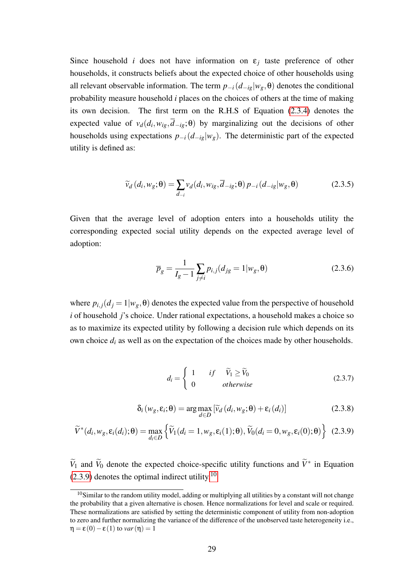Since household *i* does not have information on  $\varepsilon_j$  taste preference of other households, it constructs beliefs about the expected choice of other households using all relevant observable information. The term  $p_{-i}(d_{-i} | w_g, \theta)$  denotes the conditional probability measure household *i* places on the choices of others at the time of making its own decision. The first term on the R.H.S of Equation [\(2.3.4\)](#page-27-0) denotes the expected value of  $v_d(d_i, w_{ig}, d_{-ig}; \theta)$  by marginalizing out the decisions of other households using expectations  $p_{-i}(d_{-i} | w_g)$ . The deterministic part of the expected utility is defined as:

<span id="page-28-2"></span>
$$
\widetilde{v}_d(d_i, w_g; \boldsymbol{\theta}) = \sum_{d_{-i}} v_d(d_i, w_{ig}, \overline{d}_{-ig}; \boldsymbol{\theta}) p_{-i}(d_{-ig}|w_g, \boldsymbol{\theta})
$$
\n(2.3.5)

Given that the average level of adoption enters into a households utility the corresponding expected social utility depends on the expected average level of adoption:

$$
\overline{p}_g = \frac{1}{I_g - 1} \sum_{j \neq i} p_{i,j} (d_{jg} = 1 | w_g, \theta)
$$
 (2.3.6)

where  $p_{i,j}(d_j = 1 | w_g, \theta)$  denotes the expected value from the perspective of household *i* of household *j*'s choice. Under rational expectations, a household makes a choice so as to maximize its expected utility by following a decision rule which depends on its own choice *d<sup>i</sup>* as well as on the expectation of the choices made by other households.

$$
d_i = \begin{cases} 1 & if \quad \widetilde{V}_1 \ge \widetilde{V}_0 \\ 0 & otherwise \end{cases}
$$
 (2.3.7)

$$
\delta_i(w_g, \varepsilon_i; \theta) = \arg \max_{d \in D} \left[ \widetilde{v}_d(d_i, w_g; \theta) + \varepsilon_i(d_i) \right]
$$
 (2.3.8)

<span id="page-28-0"></span>
$$
\widetilde{V}^*(d_i, w_g, \varepsilon_i(d_i); \theta) = \max_{d_i \in D} \left\{ \widetilde{V}_1(d_i = 1, w_g, \varepsilon_i(1); \theta), \widetilde{V}_0(d_i = 0, w_g, \varepsilon_i(0); \theta) \right\} (2.3.9)
$$

 $\widetilde{V}_1$  and  $\widetilde{V}_0$  denote the expected choice-specific utility functions and  $\widetilde{V}^*$  in Equation  $(2.3.9)$  denotes the optimal indirect utility.<sup>[10](#page-28-1)</sup>

<span id="page-28-1"></span> $10$ Similar to the random utility model, adding or multiplying all utilities by a constant will not change the probability that a given alternative is chosen. Hence normalizations for level and scale or required. These normalizations are satisfied by setting the deterministic component of utility from non-adoption to zero and further normalizing the variance of the difference of the unobserved taste heterogeneity i.e.,  $\eta = \varepsilon(0) - \varepsilon(1)$  to *var* ( $\eta$ ) = 1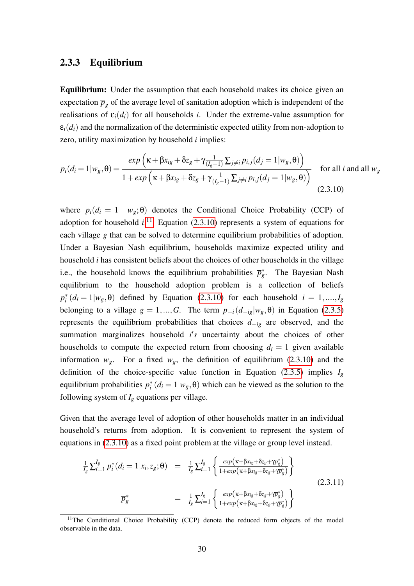#### <span id="page-29-0"></span>2.3.3 Equilibrium

Equilibrium: Under the assumption that each household makes its choice given an expectation  $\bar{p}_g$  of the average level of sanitation adoption which is independent of the realisations of  $\varepsilon_i(d_i)$  for all households *i*. Under the extreme-value assumption for  $\varepsilon_i(d_i)$  and the normalization of the deterministic expected utility from non-adoption to zero, utility maximization by household *i* implies:

<span id="page-29-2"></span>
$$
p_i(d_i = 1 | w_g, \theta) = \frac{\exp\left(\kappa + \beta x_{ig} + \delta z_g + \gamma \frac{1}{(I_g - 1)} \sum_{j \neq i} p_{i,j} (d_j = 1 | w_g, \theta)\right)}{1 + \exp\left(\kappa + \beta x_{ig} + \delta z_g + \gamma \frac{1}{(I_g - 1)} \sum_{j \neq i} p_{i,j} (d_j = 1 | w_g, \theta)\right)}
$$
 for all *i* and all  $w_g$   
(2.3.10)

where  $p_i(d_i = 1 \mid w_g; \theta)$  denotes the Conditional Choice Probability (CCP) of adoption for household  $i$ .<sup>[11](#page-29-1)</sup> Equation [\(2.3.10\)](#page-29-2) represents a system of equations for each village *g* that can be solved to determine equilibrium probabilities of adoption. Under a Bayesian Nash equilibrium, households maximize expected utility and household *i* has consistent beliefs about the choices of other households in the village i.e., the household knows the equilibrium probabilities  $\overline{p}_g^*$ . The Bayesian Nash equilibrium to the household adoption problem is a collection of beliefs  $p_i^*(d_i = 1 | w_g, \theta)$  defined by Equation [\(2.3.10\)](#page-29-2) for each household  $i = 1, ..., I_g$ belonging to a village  $g = 1, ..., G$ . The term  $p_{-i}(d_{-i} | w_g, \theta)$  in Equation [\(2.3.5\)](#page-28-2) represents the equilibrium probabilities that choices *d*−*ig* are observed, and the summation marginalizes household  $i's$  uncertainty about the choices of other households to compute the expected return from choosing  $d_i = 1$  given available information  $w_g$ . For a fixed  $w_g$ , the definition of equilibrium [\(2.3.10\)](#page-29-2) and the definition of the choice-specific value function in Equation [\(2.3.5\)](#page-28-2) implies  $I<sub>g</sub>$ equilibrium probabilities  $p_i^*(d_i = 1 | w_g, \theta)$  which can be viewed as the solution to the following system of  $I_g$  equations per village.

Given that the average level of adoption of other households matter in an individual household's returns from adoption. It is convenient to represent the system of equations in [\(2.3.10\)](#page-29-2) as a fixed point problem at the village or group level instead.

<span id="page-29-3"></span>
$$
\frac{1}{I_g} \sum_{i=1}^{I_g} p_i^* (d_i = 1 | x_i, z_g; \theta) = \frac{1}{I_g} \sum_{i=1}^{I_g} \left\{ \frac{exp(\kappa + \beta x_{ig} + \delta z_g + \gamma \overline{p}_g^*)}{1 + exp(\kappa + \beta x_{ig} + \delta z_g + \gamma \overline{p}_g^*)} \right\}
$$
\n
$$
\overline{p}_g^*
$$
\n
$$
= \frac{1}{I_g} \sum_{i=1}^{I_g} \left\{ \frac{exp(\kappa + \beta x_{ig} + \delta z_g + \gamma \overline{p}_g^*)}{1 + exp(\kappa + \beta x_{ig} + \delta z_g + \gamma \overline{p}_g^*)} \right\}
$$
\n(2.3.11)

<span id="page-29-1"></span><sup>&</sup>lt;sup>11</sup>The Conditional Choice Probability (CCP) denote the reduced form objects of the model observable in the data.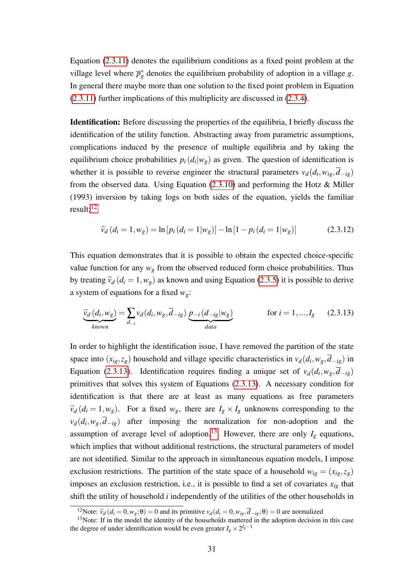Equation [\(2.3.11\)](#page-29-3) denotes the equilibrium conditions as a fixed point problem at the village level where  $\overline{p}_g^*$  denotes the equilibrium probability of adoption in a village *g*. In general there maybe more than one solution to the fixed point problem in Equation [\(2.3.11\)](#page-29-3) further implications of this multiplicity are discussed in [\(2.3.4\)](#page-31-0).

Identification: Before discussing the properties of the equilibria, I briefly discuss the identification of the utility function. Abstracting away from parametric assumptions, complications induced by the presence of multiple equilibria and by taking the equilibrium choice probabilities  $p_i(d_i|w_g)$  as given. The question of identification is whether it is possible to reverse engineer the structural parameters  $v_d(d_i, w_{ig}, d_{-ig})$ from the observed data. Using Equation [\(2.3.10\)](#page-29-2) and performing the Hotz & Miller (1993) inversion by taking logs on both sides of the equation, yields the familiar result:[12](#page-30-0)

$$
\widetilde{v}_d(d_i = 1, w_g) = \ln [p_i(d_i = 1|w_g)] - \ln [1 - p_i(d_i = 1|w_g)] \tag{2.3.12}
$$

This equation demonstrates that it is possible to obtain the expected choice-specific value function for any  $w_g$  from the observed reduced form choice probabilities. Thus by treating  $\tilde{v}_d$  ( $d_i = 1, w_g$ ) as known and using Equation [\(2.3.5\)](#page-28-2) it is possible to derive a system of equations for a fixed *wg*:

<span id="page-30-1"></span>
$$
\underbrace{\widetilde{v}_d(d_i, w_g)}_{known} = \sum_{d_{-i}} v_d(d_i, w_g, \overline{d}_{-ig}) \underbrace{p_{-i}(d_{-ig}|w_g)}_{data} \qquad \text{for } i = 1, ..., I_g \qquad (2.3.13)
$$

In order to highlight the identification issue, I have removed the partition of the state space into  $(x_{ig}, z_g)$  household and village specific characteristics in  $v_d(d_i, w_g, d_{-ig})$  in Equation [\(2.3.13\)](#page-30-1). Identification requires finding a unique set of  $v_d(d_i, w_g, d_{-ig})$ primitives that solves this system of Equations [\(2.3.13\)](#page-30-1). A necessary condition for identification is that there are at least as many equations as free parameters  $\widetilde{v}_d$  (*d*<sub>*i*</sub> = 1,*w*<sub>*g*</sub>). For a fixed *w*<sub>*g*</sub>, there are  $I_g \times I_g$  unknowns corresponding to the  $v_d(d_i, w_g, d_{-ig})$  after imposing the normalization for non-adoption and the assumption of average level of adoption.<sup>[13](#page-30-2)</sup> However, there are only  $I_g$  equations, which implies that without additional restrictions, the structural parameters of model are not identified. Similar to the approach in simultaneous equation models, I impose exclusion restrictions. The partition of the state space of a household  $w_{ig} = (x_{ig}, z_g)$ imposes an exclusion restriction, i.e., it is possible to find a set of covariates  $x_{ig}$  that shift the utility of household *i* independently of the utilities of the other households in

<span id="page-30-2"></span><span id="page-30-0"></span><sup>&</sup>lt;sup>12</sup>Note:  $\tilde{v}_d$  ( $d_i = 0, w_g$ ; $\theta$ ) = 0 and its primitive  $v_d$  ( $d_i = 0, w_{ig}, \overline{d}_{-ig}$ ; $\theta$ ) = 0 are normalized

<sup>&</sup>lt;sup>13</sup>Note: If in the model the identity of the households mattered in the adoption decision in this case the degree of under identification would be even greater  $I_g \times 2^{I_g-1}$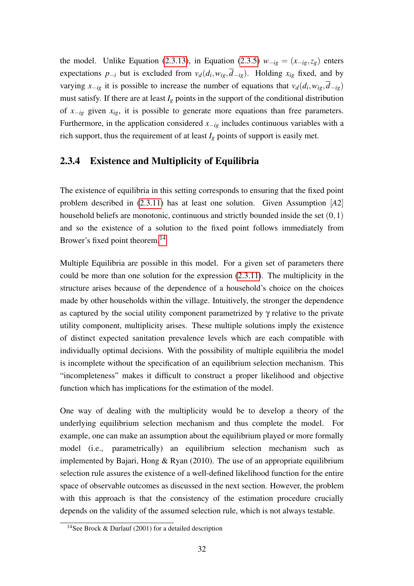the model. Unlike Equation [\(2.3.13\)](#page-30-1), in Equation [\(2.3.5\)](#page-28-2)  $w_{-ig} = (x_{-ig}, z_g)$  enters expectations  $p_{-i}$  but is excluded from  $v_d(d_i, w_{ig}, d_{-ig})$ . Holding  $x_{ig}$  fixed, and by varying  $x_{-ig}$  it is possible to increase the number of equations that  $v_d(d_i, w_{ig}, d_{-ig})$ must satisfy. If there are at least  $I_g$  points in the support of the conditional distribution of *x*−*ig* given *xig*, it is possible to generate more equations than free parameters. Furthermore, in the application considered  $x_{-ig}$  includes continuous variables with a rich support, thus the requirement of at least  $I_g$  points of support is easily met.

#### <span id="page-31-0"></span>2.3.4 Existence and Multiplicity of Equilibria

The existence of equilibria in this setting corresponds to ensuring that the fixed point problem described in [\(2.3.11\)](#page-29-3) has at least one solution. Given Assumption [*A*2] household beliefs are monotonic, continuous and strictly bounded inside the set  $(0,1)$ and so the existence of a solution to the fixed point follows immediately from Brower's fixed point theorem.<sup>[14](#page-31-1)</sup>

Multiple Equilibria are possible in this model. For a given set of parameters there could be more than one solution for the expression [\(2.3.11\)](#page-29-3). The multiplicity in the structure arises because of the dependence of a household's choice on the choices made by other households within the village. Intuitively, the stronger the dependence as captured by the social utility component parametrized by γ relative to the private utility component, multiplicity arises. These multiple solutions imply the existence of distinct expected sanitation prevalence levels which are each compatible with individually optimal decisions. With the possibility of multiple equilibria the model is incomplete without the specification of an equilibrium selection mechanism. This "incompleteness" makes it difficult to construct a proper likelihood and objective function which has implications for the estimation of the model.

One way of dealing with the multiplicity would be to develop a theory of the underlying equilibrium selection mechanism and thus complete the model. For example, one can make an assumption about the equilibrium played or more formally model (i.e., parametrically) an equilibrium selection mechanism such as implemented by Bajari, Hong  $&$  Ryan (2010). The use of an appropriate equilibrium selection rule assures the existence of a well-defined likelihood function for the entire space of observable outcomes as discussed in the next section. However, the problem with this approach is that the consistency of the estimation procedure crucially depends on the validity of the assumed selection rule, which is not always testable.

<span id="page-31-1"></span><sup>&</sup>lt;sup>14</sup>See Brock & Durlauf (2001) for a detailed description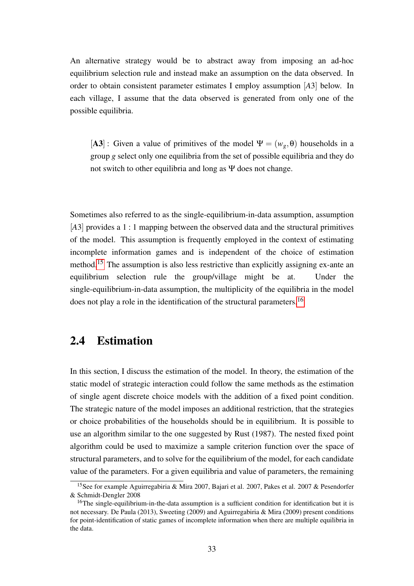An alternative strategy would be to abstract away from imposing an ad-hoc equilibrium selection rule and instead make an assumption on the data observed. In order to obtain consistent parameter estimates I employ assumption [*A*3] below. In each village, I assume that the data observed is generated from only one of the possible equilibria.

[A3]: Given a value of primitives of the model  $\Psi = (w_g, \theta)$  households in a group *g* select only one equilibria from the set of possible equilibria and they do not switch to other equilibria and long as Ψ does not change.

Sometimes also referred to as the single-equilibrium-in-data assumption, assumption [A3] provides a 1 : 1 mapping between the observed data and the structural primitives of the model. This assumption is frequently employed in the context of estimating incomplete information games and is independent of the choice of estimation method.[15](#page-32-1) The assumption is also less restrictive than explicitly assigning ex-ante an equilibrium selection rule the group/village might be at. Under the single-equilibrium-in-data assumption, the multiplicity of the equilibria in the model does not play a role in the identification of the structural parameters.<sup>[16](#page-32-2)</sup>

### <span id="page-32-0"></span>2.4 Estimation

In this section, I discuss the estimation of the model. In theory, the estimation of the static model of strategic interaction could follow the same methods as the estimation of single agent discrete choice models with the addition of a fixed point condition. The strategic nature of the model imposes an additional restriction, that the strategies or choice probabilities of the households should be in equilibrium. It is possible to use an algorithm similar to the one suggested by Rust (1987). The nested fixed point algorithm could be used to maximize a sample criterion function over the space of structural parameters, and to solve for the equilibrium of the model, for each candidate value of the parameters. For a given equilibria and value of parameters, the remaining

<span id="page-32-1"></span><sup>15</sup>See for example Aguirregabiria & Mira 2007, Bajari et al. 2007, Pakes et al. 2007 & Pesendorfer & Schmidt-Dengler 2008

<span id="page-32-2"></span><sup>&</sup>lt;sup>16</sup>The single-equilibrium-in-the-data assumption is a sufficient condition for identification but it is not necessary. De Paula (2013), Sweeting (2009) and Aguirregabiria & Mira (2009) present conditions for point-identification of static games of incomplete information when there are multiple equilibria in the data.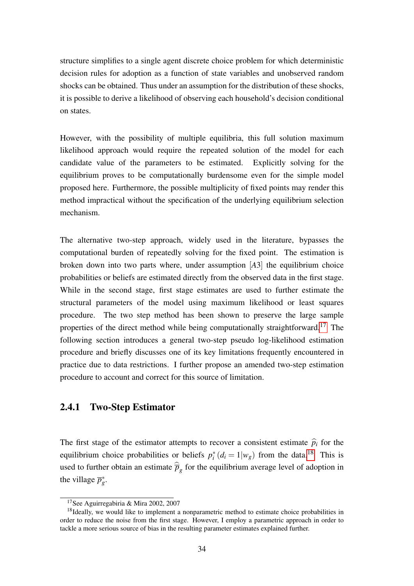structure simplifies to a single agent discrete choice problem for which deterministic decision rules for adoption as a function of state variables and unobserved random shocks can be obtained. Thus under an assumption for the distribution of these shocks, it is possible to derive a likelihood of observing each household's decision conditional on states.

However, with the possibility of multiple equilibria, this full solution maximum likelihood approach would require the repeated solution of the model for each candidate value of the parameters to be estimated. Explicitly solving for the equilibrium proves to be computationally burdensome even for the simple model proposed here. Furthermore, the possible multiplicity of fixed points may render this method impractical without the specification of the underlying equilibrium selection mechanism.

The alternative two-step approach, widely used in the literature, bypasses the computational burden of repeatedly solving for the fixed point. The estimation is broken down into two parts where, under assumption [*A*3] the equilibrium choice probabilities or beliefs are estimated directly from the observed data in the first stage. While in the second stage, first stage estimates are used to further estimate the structural parameters of the model using maximum likelihood or least squares procedure. The two step method has been shown to preserve the large sample properties of the direct method while being computationally straightforward.[17](#page-33-1) The following section introduces a general two-step pseudo log-likelihood estimation procedure and briefly discusses one of its key limitations frequently encountered in practice due to data restrictions. I further propose an amended two-step estimation procedure to account and correct for this source of limitation.

#### <span id="page-33-0"></span>2.4.1 Two-Step Estimator

The first stage of the estimator attempts to recover a consistent estimate  $\hat{p}_i$  for the equilibrium choice probabilities or beliefs  $p_i^*(d_i = 1|w_g)$  from the data.<sup>[18](#page-33-2)</sup> This is used to further obtain an estimate  $\overline{p}_g$  for the equilibrium average level of adoption in the village  $\overline{p}_g^*$ .

<span id="page-33-2"></span><span id="page-33-1"></span><sup>17</sup>See Aguirregabiria & Mira 2002, 2007

 $18$ Ideally, we would like to implement a nonparametric method to estimate choice probabilities in order to reduce the noise from the first stage. However, I employ a parametric approach in order to tackle a more serious source of bias in the resulting parameter estimates explained further.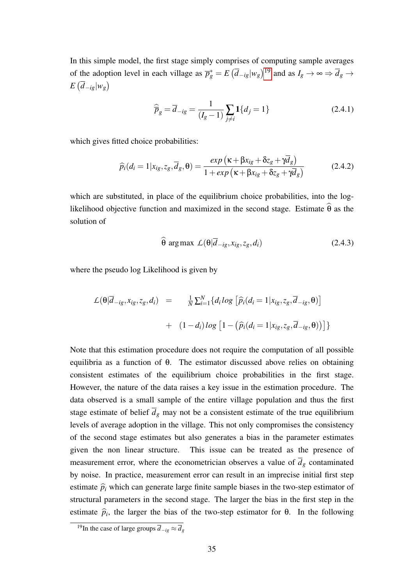In this simple model, the first stage simply comprises of computing sample averages of the adoption level in each village as  $\overline{p}_g^* = E(\overline{d}_{-ig}|w_g)^{19}$  $\overline{p}_g^* = E(\overline{d}_{-ig}|w_g)^{19}$  $\overline{p}_g^* = E(\overline{d}_{-ig}|w_g)^{19}$  and as  $I_g \to \infty \Rightarrow \overline{d}_g \to$  $E\left(\overline{d}_{-ig}|w_{g}\right)$ 

$$
\widehat{\overline{p}}_g = \overline{d}_{-ig} = \frac{1}{(I_g - 1)} \sum_{j \neq i} \mathbf{1} \{ d_j = 1 \}
$$
\n(2.4.1)

which gives fitted choice probabilities:

<span id="page-34-1"></span>
$$
\widehat{p}_i(d_i=1|x_{ig},z_g,\overline{d}_g,\theta)=\frac{\exp\left(\kappa+\beta x_{ig}+\delta z_g+\gamma \overline{d}_g\right)}{1+\exp\left(\kappa+\beta x_{ig}+\delta z_g+\gamma \overline{d}_g\right)}
$$
(2.4.2)

which are substituted, in place of the equilibrium choice probabilities, into the loglikelihood objective function and maximized in the second stage. Estimate  $\hat{\theta}$  as the solution of

$$
\widehat{\theta} \arg \max \ \mathcal{L}(\theta | \overline{d}_{-ig}, x_{ig}, z_g, d_i) \tag{2.4.3}
$$

where the pseudo log Likelihood is given by

$$
\mathcal{L}(\theta|\overline{d}_{-ig}, x_{ig}, z_g, d_i) = \frac{1}{N} \sum_{i=1}^{N} \{d_i \log \left[ \widehat{p}_i(d_i = 1 | x_{ig}, z_g, \overline{d}_{-ig}, \theta) \right] + (1 - d_i) \log \left[ 1 - (\widehat{p}_i(d_i = 1 | x_{ig}, z_g, \overline{d}_{-ig}, \theta)) \right] \}
$$

Note that this estimation procedure does not require the computation of all possible equilibria as a function of θ. The estimator discussed above relies on obtaining consistent estimates of the equilibrium choice probabilities in the first stage. However, the nature of the data raises a key issue in the estimation procedure. The data observed is a small sample of the entire village population and thus the first stage estimate of belief  $\overline{d}_g$  may not be a consistent estimate of the true equilibrium levels of average adoption in the village. This not only compromises the consistency of the second stage estimates but also generates a bias in the parameter estimates given the non linear structure. This issue can be treated as the presence of measurement error, where the econometrician observes a value of  $\overline{d}_g$  contaminated by noise. In practice, measurement error can result in an imprecise initial first step estimate  $\hat{p}_i$  which can generate large finite sample biases in the two-step estimator of structural parameters in the second stage. The larger the bias in the first step in the estimate  $\hat{p}_i$ , the larger the bias of the two-step estimator for  $\theta$ . In the following

<span id="page-34-0"></span><sup>&</sup>lt;sup>19</sup>In the case of large groups  $\overline{d}_{-ig} \approx \overline{d}_g$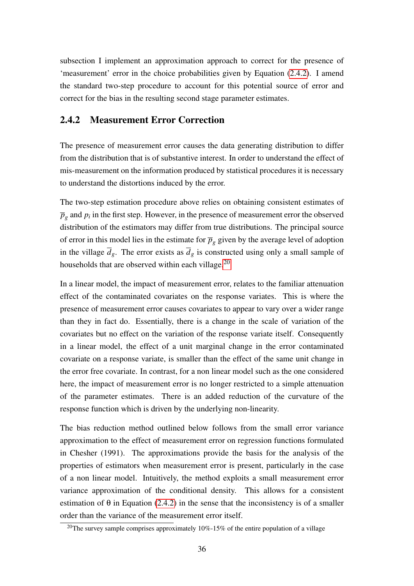subsection I implement an approximation approach to correct for the presence of 'measurement' error in the choice probabilities given by Equation [\(2.4.2\)](#page-34-1). I amend the standard two-step procedure to account for this potential source of error and correct for the bias in the resulting second stage parameter estimates.

#### <span id="page-35-0"></span>2.4.2 Measurement Error Correction

The presence of measurement error causes the data generating distribution to differ from the distribution that is of substantive interest. In order to understand the effect of mis-measurement on the information produced by statistical procedures it is necessary to understand the distortions induced by the error.

The two-step estimation procedure above relies on obtaining consistent estimates of  $\overline{p}_g$  and  $p_i$  in the first step. However, in the presence of measurement error the observed distribution of the estimators may differ from true distributions. The principal source of error in this model lies in the estimate for  $\overline{p}_g$  given by the average level of adoption in the village  $\overline{d}_g$ . The error exists as  $\overline{d}_g$  is constructed using only a small sample of households that are observed within each village.<sup>[20](#page-35-1)</sup>

In a linear model, the impact of measurement error, relates to the familiar attenuation effect of the contaminated covariates on the response variates. This is where the presence of measurement error causes covariates to appear to vary over a wider range than they in fact do. Essentially, there is a change in the scale of variation of the covariates but no effect on the variation of the response variate itself. Consequently in a linear model, the effect of a unit marginal change in the error contaminated covariate on a response variate, is smaller than the effect of the same unit change in the error free covariate. In contrast, for a non linear model such as the one considered here, the impact of measurement error is no longer restricted to a simple attenuation of the parameter estimates. There is an added reduction of the curvature of the response function which is driven by the underlying non-linearity.

The bias reduction method outlined below follows from the small error variance approximation to the effect of measurement error on regression functions formulated in Chesher (1991). The approximations provide the basis for the analysis of the properties of estimators when measurement error is present, particularly in the case of a non linear model. Intuitively, the method exploits a small measurement error variance approximation of the conditional density. This allows for a consistent estimation of  $\theta$  in Equation [\(2.4.2\)](#page-34-1) in the sense that the inconsistency is of a smaller order than the variance of the measurement error itself.

<span id="page-35-1"></span><sup>&</sup>lt;sup>20</sup>The survey sample comprises approximately  $10\%$ -15% of the entire population of a village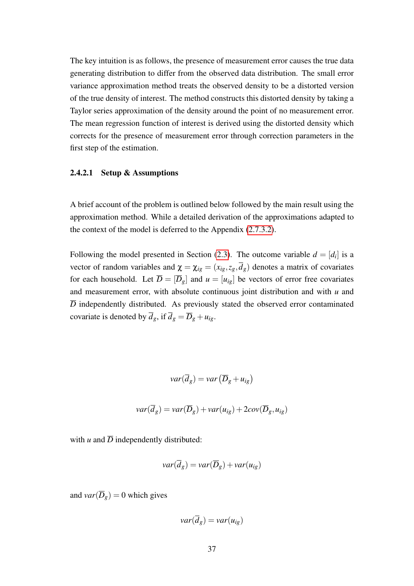The key intuition is as follows, the presence of measurement error causes the true data generating distribution to differ from the observed data distribution. The small error variance approximation method treats the observed density to be a distorted version of the true density of interest. The method constructs this distorted density by taking a Taylor series approximation of the density around the point of no measurement error. The mean regression function of interest is derived using the distorted density which corrects for the presence of measurement error through correction parameters in the first step of the estimation.

#### 2.4.2.1 Setup & Assumptions

A brief account of the problem is outlined below followed by the main result using the approximation method. While a detailed derivation of the approximations adapted to the context of the model is deferred to the Appendix [\(2.7.3.2\)](#page-53-0).

Following the model presented in Section [\(2.3\)](#page-24-0). The outcome variable  $d = [d_i]$  is a vector of random variables and  $\chi = \chi_{ig} = (x_{ig}, z_g, \overline{d}_g)$  denotes a matrix of covariates for each household. Let  $\overline{D} = [\overline{D}_g]$  and  $u = [u_{ig}]$  be vectors of error free covariates and measurement error, with absolute continuous joint distribution and with *u* and *D* independently distributed. As previously stated the observed error contaminated covariate is denoted by  $\overline{d}_g$ , if  $\overline{d}_g = \overline{D}_g + u_{ig}$ .

$$
var(\overline{d}_g) = var(\overline{D}_g + u_{ig})
$$

$$
var(\overline{d}_g) = var(\overline{D}_g) + var(u_{ig}) + 2cov(\overline{D}_g, u_{ig})
$$

with  $u$  and  $\overline{D}$  independently distributed:

$$
var(\overline{d}_g) = var(\overline{D}_g) + var(u_{ig})
$$

and  $var(\overline{D}_g) = 0$  which gives

$$
var(\overline{d}_g) = var(u_{ig})
$$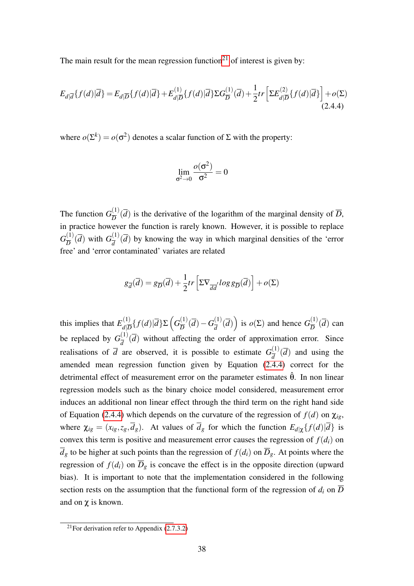The main result for the mean regression function<sup>[21](#page-37-0)</sup> of interest is given by:

<span id="page-37-1"></span>
$$
E_{d|\overline{d}}\{f(d)|\overline{d}\} = E_{d|\overline{D}}\{f(d)|\overline{d}\} + E_{d|\overline{D}}^{(1)}\{f(d)|\overline{d}\}\Sigma G_{\overline{D}}^{(1)}(\overline{d}) + \frac{1}{2}tr\left[\Sigma E_{d|\overline{D}}^{(2)}\{f(d)|\overline{d}\}\right] + o(\Sigma)
$$
\n(2.4.4)

where  $o(\Sigma^k) = o(\sigma^2)$  denotes a scalar function of  $\Sigma$  with the property:

$$
\lim_{\sigma^2 \to 0} \frac{o(\sigma^2)}{\sigma^2} = 0
$$

The function  $G_{\overline{D}}^{(1)}$  $\frac{d^{(1)}}{D}(d)$  is the derivative of the logarithm of the marginal density of  $\overline{D}$ , in practice however the function is rarely known. However, it is possible to replace  $G_{\overline{D}}^{(1)}$  $\frac{(1)}{D}(\overline{d})$  with  $G_{\overline{d}}^{(1)}$  $\frac{d^{(1)}}{d^{(1)}}(d)$  by knowing the way in which marginal densities of the 'error free' and 'error contaminated' variates are related

$$
g_{\overline{d}}(\overline{d}) = g_{\overline{D}}(\overline{d}) + \frac{1}{2} tr \left[ \Sigma \nabla_{\overline{d}d} log g_{\overline{D}}(\overline{d}) \right] + o(\Sigma)
$$

this implies that  $E_{\mathcal{A}|\overline{T}}^{(1)}$  $\frac{d}{d|\overline{D}}\{f(d)|\overline{d}\}\Sigma\left(G_{\overline{D}}^{(1)}\right)$  $\frac{D}{D}(\overline{d})-G_{\overline{d}}^{(1)}$  $\frac{d^{(1)}}{d}(\overline{d})$  is  $o(\Sigma)$  and hence  $G_{\overline{D}}^{(1)}$  $\frac{D^{(1)}}{D}(d)$  can be replaced by  $G_{\overline{d}}^{(1)}$  $\frac{d^{(1)}}{d^{(1)}}(d)$  without affecting the order of approximation error. Since realisations of  $\overline{d}$  are observed, it is possible to estimate  $G_{\overline{d}}^{(1)}$  $\frac{d^{(1)}}{d}(d)$  and using the amended mean regression function given by Equation [\(2.4.4\)](#page-37-1) correct for the detrimental effect of measurement error on the parameter estimates  $\hat{\theta}$ . In non linear regression models such as the binary choice model considered, measurement error induces an additional non linear effect through the third term on the right hand side of Equation [\(2.4.4\)](#page-37-1) which depends on the curvature of the regression of  $f(d)$  on  $\chi_{i\varrho}$ , where  $\chi_{ig} = (x_{ig}, z_g, \overline{d}_g)$ . At values of  $\overline{d}_g$  for which the function  $E_{d|\chi}\{f(d)|\overline{d}\}\$ is convex this term is positive and measurement error causes the regression of  $f(d_i)$  on  $\overline{d}_g$  to be higher at such points than the regression of  $f(d_i)$  on  $\overline{D}_g$ . At points where the regression of  $f(d_i)$  on  $\overline{D}_g$  is concave the effect is in the opposite direction (upward bias). It is important to note that the implementation considered in the following section rests on the assumption that the functional form of the regression of  $d_i$  on  $\overline{D}$ and on  $\chi$  is known.

<span id="page-37-0"></span><sup>&</sup>lt;sup>21</sup>For derivation refer to Appendix  $(2.7.3.2)$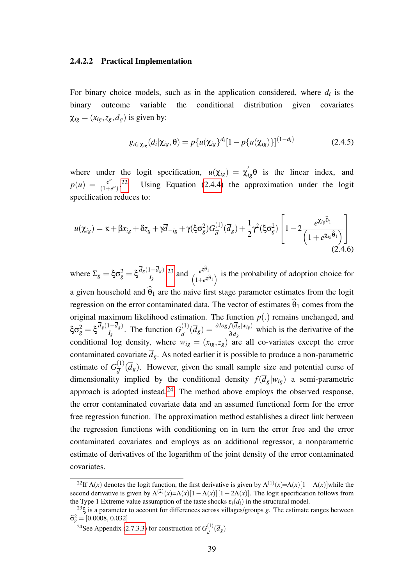#### 2.4.2.2 Practical Implementation

For binary choice models, such as in the application considered, where  $d_i$  is the binary outcome variable the conditional distribution given covariates  $\chi_{i\varrho} = (x_{i\varrho}, z_{\varrho}, \overline{d}_{\varrho})$  is given by:

$$
g_{d_i|\chi_{ig}}(d_i|\chi_{ig},\theta) = p\{u(\chi_{ig})^{d_i}[1 - p\{u(\chi_{ig})\}]^{(1 - d_i)}
$$
(2.4.5)

where under the logit specification,  $u(\chi_{ig}) = \chi'_{ig} \theta$  is the linear index, and  $p(u) = \frac{e^u}{(1+e^u)}$  $\frac{e^{u}}{(1+e^{u})}$ .<sup>[22](#page-38-0)</sup> Using Equation [\(2.4.4\)](#page-37-1) the approximation under the logit specification reduces to:

<span id="page-38-3"></span>
$$
u(\chi_{ig}) = \kappa + \beta x_{ig} + \delta z_g + \gamma \overline{d}_{-ig} + \gamma (\xi \sigma_g^2) G_{\overline{d}}^{(1)}(\overline{d}_g) + \frac{1}{2} \gamma^2 (\xi \sigma_g^2) \left[ 1 - 2 \frac{e^{\chi_{ig}\widehat{\theta}_1}}{\left( 1 + e^{\chi_{ig}\widehat{\theta}_1} \right)} \right]
$$
(2.4.6)

 $\text{where } Σ_g = ξ \sigma_g^2 = ξ \frac{d_g(1-d_g)}{I_g}$  $\frac{1-d_g}{I_g}$  [23](#page-38-1) and  $\frac{e^{\chi\theta_1}}{(1+e^{\chi\theta_1})}$  $\frac{e^{i\lambda+1}}{(1+e^{i\theta_1})}$  is the probability of adoption choice for a given household and  $\hat{\theta}_1$  are the naive first stage parameter estimates from the logit regression on the error contaminated data. The vector of estimates  $\hat{\theta}_1$  comes from the original maximum likelihood estimation. The function  $p(.)$  remains unchanged, and ξ $\sigma_g^2 = \xi \frac{\overline{d}_g(1-\overline{d}_g)}{I_g}$  $\frac{I(-d_g)}{I_g}$ . The function  $G_{\overline{d}}^{(1)}$  $\frac{d^{(1)}}{d}(\overline{d}_g) = \frac{\partial \log f(\overline{d}_g|w_{ig})}{\partial \overline{d}_g}$  which is the derivative of the conditional log density, where  $w_{ig} = (x_{ig}, z_g)$  are all co-variates except the error contaminated covariate  $\overline{d}_g$ . As noted earlier it is possible to produce a non-parametric estimate of  $G_{\overline{A}}^{(1)}$  $\frac{d^{(1)}}{d^{(1)}}(d_g)$ . However, given the small sample size and potential curse of dimensionality implied by the conditional density  $f(\overline{d}_g|w_{ig})$  a semi-parametric approach is adopted instead.<sup>[24](#page-38-2)</sup> The method above employs the observed response, the error contaminated covariate data and an assumed functional form for the error free regression function. The approximation method establishes a direct link between the regression functions with conditioning on in turn the error free and the error contaminated covariates and employs as an additional regressor, a nonparametric estimate of derivatives of the logarithm of the joint density of the error contaminated covariates.

<span id="page-38-0"></span><sup>&</sup>lt;sup>22</sup>If  $\Lambda(x)$  denotes the logit function, the first derivative is given by  $\Lambda^{(1)}(x) = \Lambda(x)[1 - \Lambda(x)]$  while the second derivative is given by  $\Lambda^{(2)}(x) = \Lambda(x)[1 - \Lambda(x)][1 - 2\Lambda(x)]$ . The logit specification follows from the Type 1 Extreme value assumption of the taste shocks  $\varepsilon_i(d_i)$  in the structural model.

<span id="page-38-1"></span><sup>&</sup>lt;sup>23</sup>ξ is a parameter to account for differences across villages/groups *g*. The estimate ranges between  $\hat{\sigma}_{g}^{2} = [0.0008, 0.032]$ 

<span id="page-38-2"></span><sup>&</sup>lt;sup>24</sup>See Appendix [\(2.7.3.3\)](#page-56-0) for construction of  $G_{\overline{A}}^{(1)}$  $\frac{d^{(1)}}{d}(\overline{d}_g)$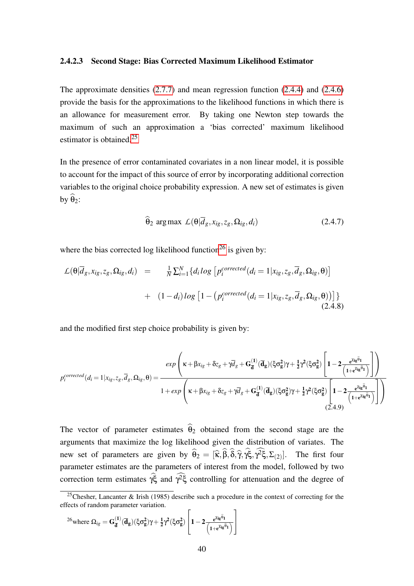#### 2.4.2.3 Second Stage: Bias Corrected Maximum Likelihood Estimator

The approximate densities [\(2.7.7\)](#page-55-0) and mean regression function [\(2.4.4\)](#page-37-1) and [\(2.4.6\)](#page-38-3) provide the basis for the approximations to the likelihood functions in which there is an allowance for measurement error. By taking one Newton step towards the maximum of such an approximation a 'bias corrected' maximum likelihood estimator is obtained.<sup>[25](#page-39-0)</sup>

In the presence of error contaminated covariates in a non linear model, it is possible to account for the impact of this source of error by incorporating additional correction variables to the original choice probability expression. A new set of estimates is given by  $\hat{\theta}_2$ :

$$
\hat{\theta}_2 \arg \max \ \mathcal{L}(\theta | \overline{d}_g, x_{ig}, z_g, \Omega_{ig}, d_i) \tag{2.4.7}
$$

where the bias corrected log likelihood function<sup>[26](#page-39-1)</sup> is given by:

$$
\mathcal{L}(\theta|\overline{d}_g, x_{ig}, z_g, \Omega_{ig}, d_i) = \frac{1}{N} \sum_{i=1}^N \{d_i \log \left[ p_i^{corrected}(d_i = 1 | x_{ig}, z_g, \overline{d}_g, \Omega_{ig}, \theta) \right] + (1 - d_i) \log \left[ 1 - \left( p_i^{corrected}(d_i = 1 | x_{ig}, z_g, \overline{d}_g, \Omega_{ig}, \theta) \right) \right] \}
$$
\n(2.4.8)

and the modified first step choice probability is given by:

$$
p_i^{corrected}(d_i = 1 | x_{ig}, z_g, \overline{d}_g, \Omega_{ig}, \theta) = \frac{exp\left(\kappa + \beta x_{ig} + \delta z_g + \gamma \overline{d}_g + G_{\overline{d}}^{(1)}(\overline{d}_g)(\xi \sigma_g^2)\gamma + \frac{1}{2}\gamma^2(\xi \sigma_g^2)\left[1 - 2\frac{e^{x_{ig}\widehat{\theta}_1}}{(1 + e^{x_{ig}\widehat{\theta}_1})}\right]\right)}{1 + exp\left(\kappa + \beta x_{ig} + \delta z_g + \gamma \overline{d}_g + G_{\overline{d}}^{(1)}(\overline{d}_g)(\xi \sigma_g^2)\gamma + \frac{1}{2}\gamma^2(\xi \sigma_g^2)\left[1 - 2\frac{e^{x_{ig}\widehat{\theta}_1}}{(1 + e^{x_{ig}\widehat{\theta}_1})}\right]\right)}
$$
(2.4.9)

The vector of parameter estimates  $\hat{\theta}_2$  obtained from the second stage are the arguments that maximize the log likelihood given the distribution of variates. The new set of parameters are given by  $\hat{\theta}_2 = [\hat{\kappa}, \beta, \delta, \hat{\gamma}, \gamma \xi, \gamma^2 \xi, \Sigma_{(2)}]$ . The first four parameter estimates are the parameters of interest from the model, followed by two correction term estimates  $\hat{\gamma} \xi$  and  $\hat{\gamma}^2 \xi$  controlling for attenuation and the degree of

<span id="page-39-1"></span>
$$
^{26}\text{where }\Omega_{ig}=G_{\overline{d}}^{(1)}(\overline{d}_{g})(\xi\sigma_{g}^{2})\gamma+\tfrac{1}{2}\gamma^{2}(\xi\sigma_{g}^{2})\left[1-2\tfrac{\varepsilon^{\chi_{ig}\widehat{\theta}_{1}}}{\left(1+\varepsilon^{\chi_{ig}\widehat{\theta}_{1}}\right)}\right]
$$

<span id="page-39-0"></span><sup>&</sup>lt;sup>25</sup>Chesher, Lancanter & Irish (1985) describe such a procedure in the context of correcting for the effects of random parameter variation.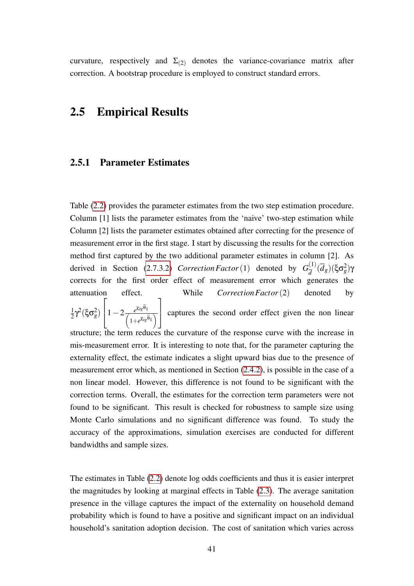curvature, respectively and  $\Sigma_{(2)}$  denotes the variance-covariance matrix after correction. A bootstrap procedure is employed to construct standard errors.

# 2.5 Empirical Results

#### 2.5.1 Parameter Estimates

Table [\(2.2\)](#page-46-0) provides the parameter estimates from the two step estimation procedure. Column [1] lists the parameter estimates from the 'naive' two-step estimation while Column [2] lists the parameter estimates obtained after correcting for the presence of measurement error in the first stage. I start by discussing the results for the correction method first captured by the two additional parameter estimates in column [2]. As derived in Section [\(2.7.3.2\)](#page-53-0) *Correction Factor* (1) denoted by  $G_{\overline{A}}^{(1)}$  $\frac{d^{(1)}}{d}(\overline{d}_g)(\xi \sigma_g^2)$ γ corrects for the first order effect of measurement error which generates the attenuation effect. While *CorrectionFactor*(2) denoted by 1  $\frac{1}{2}$ γ<sup>2</sup>(ξσ<sup>2</sup><sub>g</sub>)  $\sqrt{ }$  $\left|1-2\frac{e^{\chi_{ig}\theta_1}}{\int_{1+e^{\chi_{ig}\theta_1}}} \right|$  $\left(1+e^{\chi_{ig}\hat{\theta}_1}\right)$ 1 captures the second order effect given the non linear structure; the term reduces the curvature of the response curve with the increase in mis-measurement error. It is interesting to note that, for the parameter capturing the externality effect, the estimate indicates a slight upward bias due to the presence of measurement error which, as mentioned in Section [\(2.4.2\)](#page-35-0), is possible in the case of a non linear model. However, this difference is not found to be significant with the correction terms. Overall, the estimates for the correction term parameters were not found to be significant. This result is checked for robustness to sample size using Monte Carlo simulations and no significant difference was found. To study the accuracy of the approximations, simulation exercises are conducted for different bandwidths and sample sizes.

The estimates in Table [\(2.2\)](#page-46-0) denote log odds coefficients and thus it is easier interpret the magnitudes by looking at marginal effects in Table [\(2.3\)](#page-46-1). The average sanitation presence in the village captures the impact of the externality on household demand probability which is found to have a positive and significant impact on an individual household's sanitation adoption decision. The cost of sanitation which varies across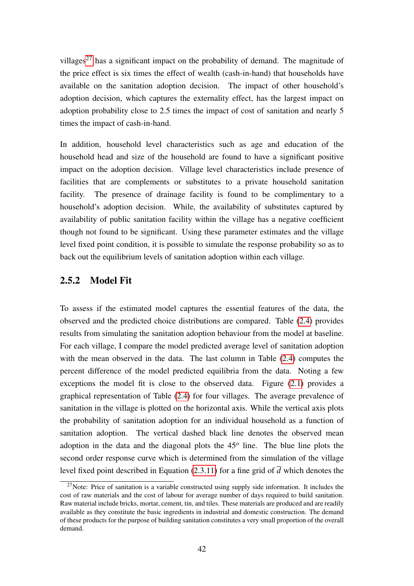villages<sup>[27](#page-41-0)</sup> has a significant impact on the probability of demand. The magnitude of the price effect is six times the effect of wealth (cash-in-hand) that households have available on the sanitation adoption decision. The impact of other household's adoption decision, which captures the externality effect, has the largest impact on adoption probability close to 2.5 times the impact of cost of sanitation and nearly 5 times the impact of cash-in-hand.

In addition, household level characteristics such as age and education of the household head and size of the household are found to have a significant positive impact on the adoption decision. Village level characteristics include presence of facilities that are complements or substitutes to a private household sanitation facility. The presence of drainage facility is found to be complimentary to a household's adoption decision. While, the availability of substitutes captured by availability of public sanitation facility within the village has a negative coefficient though not found to be significant. Using these parameter estimates and the village level fixed point condition, it is possible to simulate the response probability so as to back out the equilibrium levels of sanitation adoption within each village.

# 2.5.2 Model Fit

To assess if the estimated model captures the essential features of the data, the observed and the predicted choice distributions are compared. Table [\(2.4\)](#page-47-0) provides results from simulating the sanitation adoption behaviour from the model at baseline. For each village, I compare the model predicted average level of sanitation adoption with the mean observed in the data. The last column in Table [\(2.4\)](#page-47-0) computes the percent difference of the model predicted equilibria from the data. Noting a few exceptions the model fit is close to the observed data. Figure [\(2.1\)](#page-50-0) provides a graphical representation of Table [\(2.4\)](#page-47-0) for four villages. The average prevalence of sanitation in the village is plotted on the horizontal axis. While the vertical axis plots the probability of sanitation adoption for an individual household as a function of sanitation adoption. The vertical dashed black line denotes the observed mean adoption in the data and the diagonal plots the 45*<sup>o</sup>* line. The blue line plots the second order response curve which is determined from the simulation of the village level fixed point described in Equation [\(2.3.11\)](#page-29-0) for a fine grid of  $\overline{d}$  which denotes the

<span id="page-41-0"></span> $27$ Note: Price of sanitation is a variable constructed using supply side information. It includes the cost of raw materials and the cost of labour for average number of days required to build sanitation. Raw material include bricks, mortar, cement, tin, and tiles. These materials are produced and are readily available as they constitute the basic ingredients in industrial and domestic construction. The demand of these products for the purpose of building sanitation constitutes a very small proportion of the overall demand.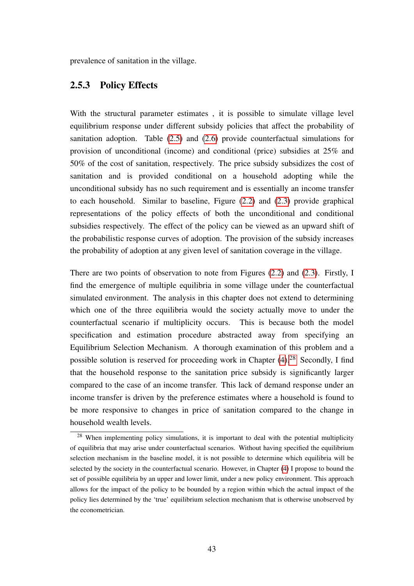<span id="page-42-1"></span>prevalence of sanitation in the village.

# 2.5.3 Policy Effects

With the structural parameter estimates, it is possible to simulate village level equilibrium response under different subsidy policies that affect the probability of sanitation adoption. Table [\(2.5\)](#page-48-0) and [\(2.6\)](#page-49-0) provide counterfactual simulations for provision of unconditional (income) and conditional (price) subsidies at 25% and 50% of the cost of sanitation, respectively. The price subsidy subsidizes the cost of sanitation and is provided conditional on a household adopting while the unconditional subsidy has no such requirement and is essentially an income transfer to each household. Similar to baseline, Figure [\(2.2\)](#page-51-0) and [\(2.3\)](#page-52-0) provide graphical representations of the policy effects of both the unconditional and conditional subsidies respectively. The effect of the policy can be viewed as an upward shift of the probabilistic response curves of adoption. The provision of the subsidy increases the probability of adoption at any given level of sanitation coverage in the village.

There are two points of observation to note from Figures [\(2.2\)](#page-51-0) and [\(2.3\)](#page-52-0). Firstly, I find the emergence of multiple equilibria in some village under the counterfactual simulated environment. The analysis in this chapter does not extend to determining which one of the three equilibria would the society actually move to under the counterfactual scenario if multiplicity occurs. This is because both the model specification and estimation procedure abstracted away from specifying an Equilibrium Selection Mechanism. A thorough examination of this problem and a possible solution is reserved for proceeding work in Chapter  $(4)$ .<sup>[28](#page-42-0)</sup> Secondly, I find that the household response to the sanitation price subsidy is significantly larger compared to the case of an income transfer. This lack of demand response under an income transfer is driven by the preference estimates where a household is found to be more responsive to changes in price of sanitation compared to the change in household wealth levels.

<span id="page-42-0"></span><sup>&</sup>lt;sup>28</sup> When implementing policy simulations, it is important to deal with the potential multiplicity of equilibria that may arise under counterfactual scenarios. Without having specified the equilibrium selection mechanism in the baseline model, it is not possible to determine which equilibria will be selected by the society in the counterfactual scenario. However, in Chapter [\(4\)](#page-90-0) I propose to bound the set of possible equilibria by an upper and lower limit, under a new policy environment. This approach allows for the impact of the policy to be bounded by a region within which the actual impact of the policy lies determined by the 'true' equilibrium selection mechanism that is otherwise unobserved by the econometrician.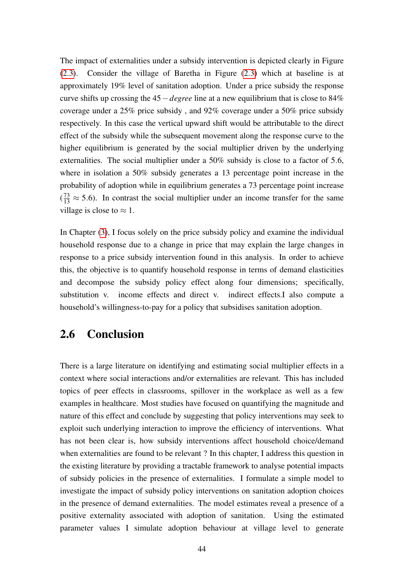The impact of externalities under a subsidy intervention is depicted clearly in Figure [\(2.3\)](#page-52-0). Consider the village of Baretha in Figure [\(2.3\)](#page-52-0) which at baseline is at approximately 19% level of sanitation adoption. Under a price subsidy the response curve shifts up crossing the 45−*degree* line at a new equilibrium that is close to 84% coverage under a 25% price subsidy , and 92% coverage under a 50% price subsidy respectively. In this case the vertical upward shift would be attributable to the direct effect of the subsidy while the subsequent movement along the response curve to the higher equilibrium is generated by the social multiplier driven by the underlying externalities. The social multiplier under a 50% subsidy is close to a factor of 5.6, where in isolation a 50% subsidy generates a 13 percentage point increase in the probability of adoption while in equilibrium generates a 73 percentage point increase  $(\frac{73}{13} \approx 5.6)$ . In contrast the social multiplier under an income transfer for the same village is close to  $\approx 1$ .

In Chapter [\(3\)](#page-60-0), I focus solely on the price subsidy policy and examine the individual household response due to a change in price that may explain the large changes in response to a price subsidy intervention found in this analysis. In order to achieve this, the objective is to quantify household response in terms of demand elasticities and decompose the subsidy policy effect along four dimensions; specifically, substitution v. income effects and direct v. indirect effects.I also compute a household's willingness-to-pay for a policy that subsidises sanitation adoption.

# 2.6 Conclusion

There is a large literature on identifying and estimating social multiplier effects in a context where social interactions and/or externalities are relevant. This has included topics of peer effects in classrooms, spillover in the workplace as well as a few examples in healthcare. Most studies have focused on quantifying the magnitude and nature of this effect and conclude by suggesting that policy interventions may seek to exploit such underlying interaction to improve the efficiency of interventions. What has not been clear is, how subsidy interventions affect household choice/demand when externalities are found to be relevant ? In this chapter, I address this question in the existing literature by providing a tractable framework to analyse potential impacts of subsidy policies in the presence of externalities. I formulate a simple model to investigate the impact of subsidy policy interventions on sanitation adoption choices in the presence of demand externalities. The model estimates reveal a presence of a positive externality associated with adoption of sanitation. Using the estimated parameter values I simulate adoption behaviour at village level to generate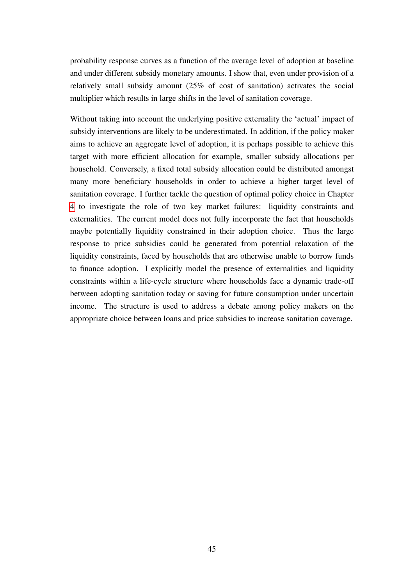probability response curves as a function of the average level of adoption at baseline and under different subsidy monetary amounts. I show that, even under provision of a relatively small subsidy amount (25% of cost of sanitation) activates the social multiplier which results in large shifts in the level of sanitation coverage.

Without taking into account the underlying positive externality the 'actual' impact of subsidy interventions are likely to be underestimated. In addition, if the policy maker aims to achieve an aggregate level of adoption, it is perhaps possible to achieve this target with more efficient allocation for example, smaller subsidy allocations per household. Conversely, a fixed total subsidy allocation could be distributed amongst many more beneficiary households in order to achieve a higher target level of sanitation coverage. I further tackle the question of optimal policy choice in Chapter [4](#page-90-0) to investigate the role of two key market failures: liquidity constraints and externalities. The current model does not fully incorporate the fact that households maybe potentially liquidity constrained in their adoption choice. Thus the large response to price subsidies could be generated from potential relaxation of the liquidity constraints, faced by households that are otherwise unable to borrow funds to finance adoption. I explicitly model the presence of externalities and liquidity constraints within a life-cycle structure where households face a dynamic trade-off between adopting sanitation today or saving for future consumption under uncertain income. The structure is used to address a debate among policy makers on the appropriate choice between loans and price subsidies to increase sanitation coverage.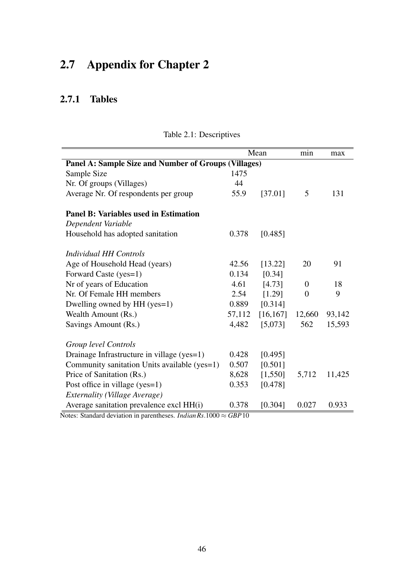# 2.7 Appendix for Chapter 2

# 2.7.1 Tables

|                                                      | Mean   |           | min            | max    |  |  |  |  |  |
|------------------------------------------------------|--------|-----------|----------------|--------|--|--|--|--|--|
| Panel A: Sample Size and Number of Groups (Villages) |        |           |                |        |  |  |  |  |  |
| Sample Size                                          | 1475   |           |                |        |  |  |  |  |  |
| Nr. Of groups (Villages)                             | 44     |           |                |        |  |  |  |  |  |
| Average Nr. Of respondents per group                 | 55.9   | [37.01]   | 5              | 131    |  |  |  |  |  |
| <b>Panel B: Variables used in Estimation</b>         |        |           |                |        |  |  |  |  |  |
| Dependent Variable                                   |        |           |                |        |  |  |  |  |  |
| Household has adopted sanitation                     | 0.378  | [0.485]   |                |        |  |  |  |  |  |
| Individual HH Controls                               |        |           |                |        |  |  |  |  |  |
| Age of Household Head (years)                        | 42.56  | [13.22]   | 20             | 91     |  |  |  |  |  |
| Forward Caste (yes=1)                                | 0.134  | [0.34]    |                |        |  |  |  |  |  |
| Nr of years of Education                             | 4.61   | [4.73]    | $\overline{0}$ | 18     |  |  |  |  |  |
| Nr. Of Female HH members                             | 2.54   | [1.29]    | $\overline{0}$ | 9      |  |  |  |  |  |
| Dwelling owned by HH (yes=1)                         | 0.889  | [0.314]   |                |        |  |  |  |  |  |
| Wealth Amount (Rs.)                                  | 57,112 | [16, 167] | 12,660         | 93,142 |  |  |  |  |  |
| Savings Amount (Rs.)                                 | 4,482  | [5,073]   | 562            | 15,593 |  |  |  |  |  |
| Group level Controls                                 |        |           |                |        |  |  |  |  |  |
| Drainage Infrastructure in village (yes=1)           | 0.428  | [0.495]   |                |        |  |  |  |  |  |
| Community sanitation Units available (yes=1)         | 0.507  | [0.501]   |                |        |  |  |  |  |  |
| Price of Sanitation (Rs.)                            | 8,628  | [1,550]   | 5,712          | 11,425 |  |  |  |  |  |
| Post office in village (yes=1)                       | 0.353  | [0.478]   |                |        |  |  |  |  |  |
| Externality (Village Average)                        |        |           |                |        |  |  |  |  |  |
| Average sanitation prevalence excl HH(i)             | 0.378  | [0.304]   | 0.027          | 0.933  |  |  |  |  |  |

Table 2.1: Descriptives

 $\sqrt{\frac{1}{\text{Notes: Standard deviation in parentheses.} IndianRs.1000 \approx GBP10}}$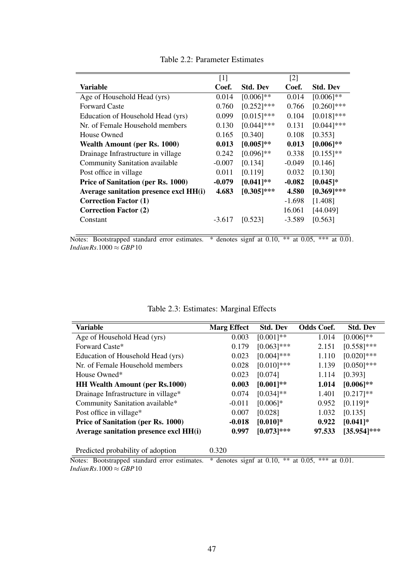<span id="page-46-0"></span>

|                                        | $[1]$    |                 | $[2]$    |                 |
|----------------------------------------|----------|-----------------|----------|-----------------|
| Variable                               | Coef.    | <b>Std. Dev</b> | Coef.    | <b>Std. Dev</b> |
| Age of Household Head (yrs)            | 0.014    | $[0.006]$ **    | 0.014    | $[0.006]$ **    |
| <b>Forward Caste</b>                   | 0.760    | $[0.252]$ ***   | 0.766    | $[0.260]$ ***   |
| Education of Household Head (yrs)      | 0.099    | $[0.015]$ ***   | 0.104    | $[0.018]$ ***   |
| Nr. of Female Household members        | 0.130    | $[0.044]$ ***   | 0.131    | $[0.044]$ ***   |
| House Owned                            | 0.165    | [0.340]         | 0.108    | [0.353]         |
| <b>Wealth Amount (per Rs. 1000)</b>    | 0.013    | $[0.005]$ **    | 0.013    | $[0.006]$ **    |
| Drainage Infrastructure in village     | 0.242    | $[0.096]$ **    | 0.338    | $[0.155]$ **    |
| <b>Community Sanitation available</b>  | $-0.007$ | [0.134]         | $-0.049$ | [0.146]         |
| Post office in village                 | 0.011    | [0.119]         | 0.032    | [0.130]         |
| Price of Sanitation (per Rs. 1000)     | $-0.079$ | $[0.041]$ **    | $-0.082$ | $[0.045]$ *     |
| Average sanitation presence excl HH(i) | 4.683    | $[0.305]$ ***   | 4.580    | $[0.369]$ ***   |
| <b>Correction Factor (1)</b>           |          |                 | $-1.698$ | [1.408]         |
| <b>Correction Factor (2)</b>           |          |                 | 16.061   | [44.049]        |
| Constant                               | $-3.617$ | [0.523]         | $-3.589$ | [0.563]         |
|                                        |          |                 |          |                 |

Table 2.2: Parameter Estimates

Notes: Bootstrapped standard error estimates. \* denotes signf at 0.10, \*\* at 0.05, \*\*\* at 0.01. *IndianRs*.1000  $\approx$  *GBP* 10

|  | Table 2.3: Estimates: Marginal Effects |  |  |
|--|----------------------------------------|--|--|
|--|----------------------------------------|--|--|

<span id="page-46-1"></span>

| <b>Variable</b>                        | <b>Marg Effect</b> | <b>Std. Dev</b> | <b>Odds Coef.</b> | <b>Std. Dev</b> |
|----------------------------------------|--------------------|-----------------|-------------------|-----------------|
| Age of Household Head (yrs)            | 0.003              | $[0.001]**$     | 1.014             | $[0.006]$ **    |
| Forward Caste*                         | 0.179              | $[0.063]$ ***   | 2.151             | $[0.558]$ ***   |
| Education of Household Head (yrs)      | 0.023              | $[0.004]$ ***   | 1.110             | $[0.020]$ ***   |
| Nr. of Female Household members        | 0.028              | $[0.010]***$    | 1.139             | $[0.050]$ ***   |
| House Owned*                           | 0.023              | [0.074]         | 1.114             | [0.393]         |
| <b>HH Wealth Amount (per Rs.1000)</b>  | 0.003              | $[0.001]**$     | 1.014             | $[0.006]$ **    |
| Drainage Infrastructure in village*    | 0.074              | $[0.034]$ **    | 1.401             | $[0.217]**$     |
| Community Sanitation available*        | $-0.011$           | $[0.006]$ *     | 0.952             | $[0.119]$ *     |
| Post office in village*                | 0.007              | [0.028]         | 1.032             | [0.135]         |
| Price of Sanitation (per Rs. 1000)     | $-0.018$           | $[0.010]$ *     | 0.922             | $[0.041]$ *     |
| Average sanitation presence excl HH(i) | 0.997              | $[0.073]$ ***   | 97.533            | [35.954]***     |
| Predicted probability of adoption      | 0.320              |                 |                   |                 |

Notes: Bootstrapped standard error estimates. \* denotes signf at 0.10, \*\* at 0.05, \*\*\* at 0.01. *IndianRs*.1000  $\approx$  *GBP* 10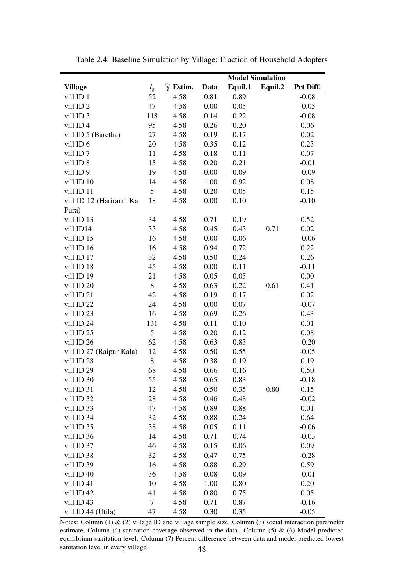|                          |                  | <b>Model Simulation</b>   |              |              |         |                 |
|--------------------------|------------------|---------------------------|--------------|--------------|---------|-----------------|
| <b>Village</b>           | $I_{g}$          | $\widehat{\gamma}$ Estim. | Data         | Equil.1      | Equil.2 | Pct Diff.       |
| vill ID 1                | 52               | 4.58                      | 0.81         | 0.89         |         | $-0.08$         |
| vill ID <sub>2</sub>     | 47               | 4.58                      | 0.00         | 0.05         |         | $-0.05$         |
| vill ID 3                | 118              | 4.58                      | 0.14         | 0.22         |         | $-0.08$         |
| vill ID 4                | 95               | 4.58                      | 0.26         | 0.20         |         | 0.06            |
| vill ID 5 (Baretha)      | 27               | 4.58                      | 0.19         | 0.17         |         | 0.02            |
| vill ID 6                | 20               | 4.58                      | 0.35         | 0.12         |         | 0.23            |
| vill ID <sub>7</sub>     | 11               | 4.58                      | 0.18         | 0.11         |         | 0.07            |
| vill ID 8                | 15               | 4.58                      | 0.20         | 0.21         |         | $-0.01$         |
| vill ID 9                | 19               | 4.58                      | 0.00         | 0.09         |         | $-0.09$         |
| vill ID 10               | 14               | 4.58                      | 1.00         | 0.92         |         | 0.08            |
| vill ID 11               | 5                | 4.58                      | 0.20         | 0.05         |         | 0.15            |
| vill ID 12 (Harirarm Ka  | 18               | 4.58                      | 0.00         | 0.10         |         | $-0.10$         |
| Pura)                    |                  |                           |              |              |         |                 |
| vill ID 13               | 34               | 4.58                      | 0.71         | 0.19         |         | 0.52            |
| vill ID14                | 33               | 4.58                      | 0.45         | 0.43         | 0.71    | 0.02            |
| vill ID 15               | 16               | 4.58                      | 0.00         | 0.06         |         | $-0.06$         |
| vill ID 16               | 16               | 4.58                      | 0.94         | 0.72         |         | 0.22            |
| vill ID 17               | 32               | 4.58                      | 0.50         | 0.24         |         | 0.26            |
| vill ID 18               | 45               | 4.58                      | 0.00         | 0.11         |         | $-0.11$         |
| vill ID 19               | 21               | 4.58                      | 0.05         | 0.05         |         | 0.00            |
| vill ID 20               | $8\,$            | 4.58                      | 0.63         | 0.22         | 0.61    | 0.41            |
| vill ID 21               | 42               | 4.58                      | 0.19         | 0.17         |         | 0.02            |
| vill ID 22               | 24               | 4.58                      | 0.00         | 0.07         |         | $-0.07$         |
| vill ID 23               | 16               | 4.58                      | 0.69         | 0.26         |         | 0.43            |
| vill ID 24               | 131              | 4.58                      | 0.11         | 0.10         |         | 0.01            |
| vill ID 25               | 5                | 4.58                      | 0.20         | 0.12         |         | 0.08            |
| vill ID 26               | 62               | 4.58                      | 0.63         | 0.83         |         | $-0.20$         |
| vill ID 27 (Raipur Kala) | 12               | 4.58                      | 0.50         | 0.55         |         | $-0.05$         |
| vill ID 28               | 8                | 4.58                      | 0.38         | 0.19         |         | 0.19            |
| vill ID 29               | 68               | 4.58                      | 0.66         | 0.16         |         | 0.50            |
| vill ID 30               | 55               | 4.58                      | 0.65         | 0.83         |         | $-0.18$         |
| vill ID 31<br>vill ID 32 | 12<br>28         | 4.58<br>4.58              | 0.50         | 0.35         | 0.80    | 0.15            |
| vill ID 33               | 47               | 4.58                      | 0.46<br>0.89 | 0.48<br>0.88 |         | $-0.02$<br>0.01 |
| vill ID 34               | 32               | 4.58                      | 0.88         | 0.24         |         | 0.64            |
| vill ID 35               | 38               | 4.58                      | 0.05         | 0.11         |         | $-0.06$         |
| vill ID 36               | 14               | 4.58                      | 0.71         | 0.74         |         | $-0.03$         |
| vill ID 37               | 46               | 4.58                      | 0.15         | 0.06         |         | 0.09            |
| vill ID 38               | 32               | 4.58                      | 0.47         | 0.75         |         | $-0.28$         |
| vill ID 39               | 16               | 4.58                      | 0.88         | 0.29         |         | 0.59            |
| vill ID 40               | 36               | 4.58                      | 0.08         | 0.09         |         | $-0.01$         |
| vill ID 41               | 10               | 4.58                      | 1.00         | 0.80         |         | 0.20            |
| vill ID 42               | 41               | 4.58                      | 0.80         | 0.75         |         | 0.05            |
| vill ID 43               | $\boldsymbol{7}$ | 4.58                      | 0.71         | 0.87         |         | $-0.16$         |
| vill ID 44 (Utila)       | 47               | 4.58                      | 0.30         | 0.35         |         | $-0.05$         |

<span id="page-47-0"></span>Table 2.4: Baseline Simulation by Village: Fraction of Household Adopters

 $\overline{\text{Notes: Column (1) & (2) village ID and village sample size, Column (3) social interaction parameter}}$ estimate, Column (4) sanitation coverage observed in the data. Column (5) & (6) Model predicted equilibrium sanitation level. Column (7) Percent difference between data and model predicted lowest sanitation level in every village. 48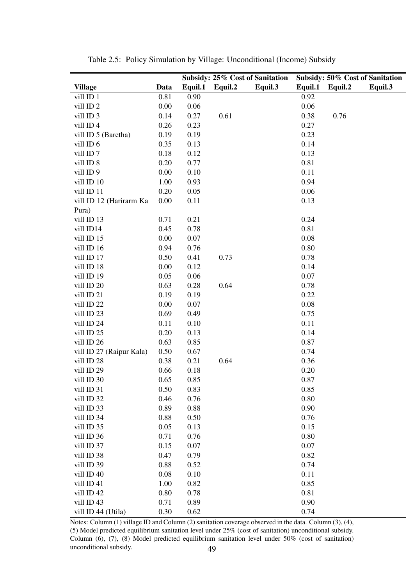|                          |      | Subsidy: 25% Cost of Sanitation |         | Subsidy: 50% Cost of Sanitation |         |         |         |
|--------------------------|------|---------------------------------|---------|---------------------------------|---------|---------|---------|
| <b>Village</b>           | Data | Equil.1                         | Equil.2 | Equil.3                         | Equil.1 | Equil.2 | Equil.3 |
| vill ID 1                | 0.81 | 0.90                            |         |                                 | 0.92    |         |         |
| vill ID <sub>2</sub>     | 0.00 | 0.06                            |         |                                 | 0.06    |         |         |
| vill ID 3                | 0.14 | 0.27                            | 0.61    |                                 | 0.38    | 0.76    |         |
| vill ID4                 | 0.26 | 0.23                            |         |                                 | 0.27    |         |         |
| vill ID 5 (Baretha)      | 0.19 | 0.19                            |         |                                 | 0.23    |         |         |
| vill ID 6                | 0.35 | 0.13                            |         |                                 | 0.14    |         |         |
| vill ID <sub>7</sub>     | 0.18 | 0.12                            |         |                                 | 0.13    |         |         |
| vill ID 8                | 0.20 | 0.77                            |         |                                 | 0.81    |         |         |
| vill ID <sub>9</sub>     | 0.00 | 0.10                            |         |                                 | 0.11    |         |         |
| vill ID 10               | 1.00 | 0.93                            |         |                                 | 0.94    |         |         |
| vill ID 11               | 0.20 | 0.05                            |         |                                 | 0.06    |         |         |
| vill ID 12 (Harirarm Ka  | 0.00 | 0.11                            |         |                                 | 0.13    |         |         |
| Pura)                    |      |                                 |         |                                 |         |         |         |
| vill ID 13               | 0.71 | 0.21                            |         |                                 | 0.24    |         |         |
| vill ID14                | 0.45 | 0.78                            |         |                                 | 0.81    |         |         |
| vill ID 15               | 0.00 | 0.07                            |         |                                 | 0.08    |         |         |
| vill ID 16               | 0.94 | 0.76                            |         |                                 | 0.80    |         |         |
| vill ID 17               | 0.50 | 0.41                            | 0.73    |                                 | 0.78    |         |         |
| vill ID 18               | 0.00 | 0.12                            |         |                                 | 0.14    |         |         |
| vill ID 19               | 0.05 | 0.06                            |         |                                 | 0.07    |         |         |
| vill ID 20               | 0.63 | 0.28                            | 0.64    |                                 | 0.78    |         |         |
| vill ID 21               | 0.19 | 0.19                            |         |                                 | 0.22    |         |         |
| vill ID 22               | 0.00 | 0.07                            |         |                                 | 0.08    |         |         |
| vill ID 23               | 0.69 | 0.49                            |         |                                 | 0.75    |         |         |
| vill ID 24               | 0.11 | 0.10                            |         |                                 | 0.11    |         |         |
| vill ID 25               | 0.20 | 0.13                            |         |                                 | 0.14    |         |         |
| vill ID 26               | 0.63 | 0.85                            |         |                                 | 0.87    |         |         |
| vill ID 27 (Raipur Kala) | 0.50 | 0.67                            |         |                                 | 0.74    |         |         |
| vill ID 28               | 0.38 | 0.21                            | 0.64    |                                 | 0.36    |         |         |
| vill ID 29               | 0.66 | 0.18                            |         |                                 | 0.20    |         |         |
| vill ID 30               | 0.65 | 0.85                            |         |                                 | 0.87    |         |         |
| vill ID 31               | 0.50 | 0.83                            |         |                                 | 0.85    |         |         |
| vill ID 32               | 0.46 | 0.76                            |         |                                 | 0.80    |         |         |
| vill ID 33               | 0.89 | 0.88                            |         |                                 | 0.90    |         |         |
| vill ID 34               | 0.88 | 0.50                            |         |                                 | 0.76    |         |         |
| vill ID 35               | 0.05 | 0.13                            |         |                                 | 0.15    |         |         |
| vill ID 36               | 0.71 | 0.76                            |         |                                 | 0.80    |         |         |
| vill ID 37               | 0.15 | 0.07                            |         |                                 | 0.07    |         |         |
| vill ID 38               | 0.47 | 0.79                            |         |                                 | 0.82    |         |         |
| vill ID 39               | 0.88 | 0.52                            |         |                                 | 0.74    |         |         |
| vill ID 40               | 0.08 | 0.10                            |         |                                 | 0.11    |         |         |
| vill ID 41               | 1.00 | 0.82                            |         |                                 | 0.85    |         |         |
| vill ID 42               | 0.80 | 0.78                            |         |                                 | 0.81    |         |         |
| vill ID 43               | 0.71 | 0.89                            |         |                                 | 0.90    |         |         |
| vill ID 44 (Utila)       | 0.30 | 0.62                            |         |                                 | 0.74    |         |         |

<span id="page-48-0"></span>Table 2.5: Policy Simulation by Village: Unconditional (Income) Subsidy

Notes: Column (1) village ID and Column (2) sanitation coverage observed in the data. Column (3), (4), (5) Model predicted equilibrium sanitation level under 25% (cost of sanitation) unconditional subsidy. Column (6), (7), (8) Model predicted equilibrium sanitation level under 50% (cost of sanitation) unconditional subsidy. 49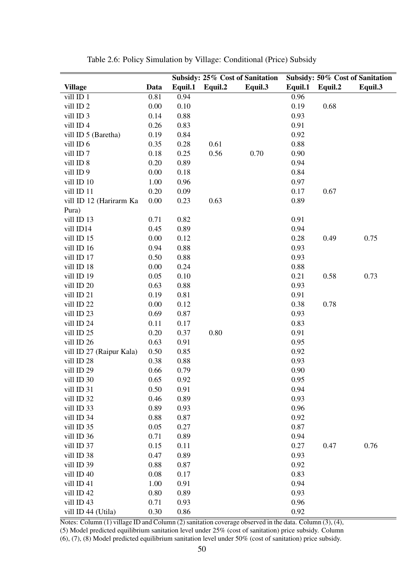<span id="page-49-0"></span>

|                          |      | Subsidy: 25% Cost of Sanitation |         | Subsidy: 50% Cost of Sanitation |         |         |         |
|--------------------------|------|---------------------------------|---------|---------------------------------|---------|---------|---------|
| <b>Village</b>           | Data | Equil.1                         | Equil.2 | Equil.3                         | Equil.1 | Equil.2 | Equil.3 |
| vill ID 1                | 0.81 | 0.94                            |         |                                 | 0.96    |         |         |
| vill ID <sub>2</sub>     | 0.00 | 0.10                            |         |                                 | 0.19    | 0.68    |         |
| vill ID 3                | 0.14 | 0.88                            |         |                                 | 0.93    |         |         |
| vill ID 4                | 0.26 | 0.83                            |         |                                 | 0.91    |         |         |
| vill ID 5 (Baretha)      | 0.19 | 0.84                            |         |                                 | 0.92    |         |         |
| vill ID 6                | 0.35 | 0.28                            | 0.61    |                                 | 0.88    |         |         |
| vill ID <sub>7</sub>     | 0.18 | 0.25                            | 0.56    | 0.70                            | 0.90    |         |         |
| vill ID 8                | 0.20 | 0.89                            |         |                                 | 0.94    |         |         |
| vill ID 9                | 0.00 | 0.18                            |         |                                 | 0.84    |         |         |
| vill ID 10               | 1.00 | 0.96                            |         |                                 | 0.97    |         |         |
| vill ID 11               | 0.20 | 0.09                            |         |                                 | 0.17    | 0.67    |         |
| vill ID 12 (Harirarm Ka  | 0.00 | 0.23                            | 0.63    |                                 | 0.89    |         |         |
| Pura)                    |      |                                 |         |                                 |         |         |         |
| vill ID 13               | 0.71 | 0.82                            |         |                                 | 0.91    |         |         |
| vill ID14                | 0.45 | 0.89                            |         |                                 | 0.94    |         |         |
| vill ID 15               | 0.00 | 0.12                            |         |                                 | 0.28    | 0.49    | 0.75    |
| vill ID 16               | 0.94 | 0.88                            |         |                                 | 0.93    |         |         |
| vill ID 17               | 0.50 | 0.88                            |         |                                 | 0.93    |         |         |
| vill ID 18               | 0.00 | 0.24                            |         |                                 | 0.88    |         |         |
| vill ID 19               | 0.05 | 0.10                            |         |                                 | 0.21    | 0.58    | 0.73    |
| vill ID 20               | 0.63 | 0.88                            |         |                                 | 0.93    |         |         |
| vill ID 21               | 0.19 | 0.81                            |         |                                 | 0.91    |         |         |
| vill ID 22               | 0.00 | 0.12                            |         |                                 | 0.38    | 0.78    |         |
| vill ID 23               | 0.69 | 0.87                            |         |                                 | 0.93    |         |         |
| vill ID 24               | 0.11 | 0.17                            |         |                                 | 0.83    |         |         |
| vill ID 25               | 0.20 | 0.37                            | 0.80    |                                 | 0.91    |         |         |
| vill ID 26               | 0.63 | 0.91                            |         |                                 | 0.95    |         |         |
| vill ID 27 (Raipur Kala) | 0.50 | 0.85                            |         |                                 | 0.92    |         |         |
| vill ID 28               | 0.38 | 0.88                            |         |                                 | 0.93    |         |         |
| vill ID 29               | 0.66 | 0.79                            |         |                                 | 0.90    |         |         |
| vill ID 30               | 0.65 | 0.92                            |         |                                 | 0.95    |         |         |
| vill ID 31               | 0.50 | 0.91                            |         |                                 | 0.94    |         |         |
| vill ID 32               | 0.46 | 0.89                            |         |                                 | 0.93    |         |         |
| vill ID 33               | 0.89 | 0.93                            |         |                                 | 0.96    |         |         |
| vill ID 34               | 0.88 | 0.87                            |         |                                 | 0.92    |         |         |
| vill ID 35               | 0.05 | 0.27                            |         |                                 | 0.87    |         |         |
| vill ID 36               | 0.71 | 0.89                            |         |                                 | 0.94    |         |         |
| vill ID 37               | 0.15 | 0.11                            |         |                                 | 0.27    | 0.47    | 0.76    |
| vill ID 38               | 0.47 | 0.89                            |         |                                 | 0.93    |         |         |
| vill ID 39               | 0.88 | 0.87                            |         |                                 | 0.92    |         |         |
| vill ID 40               | 0.08 | 0.17                            |         |                                 | 0.83    |         |         |
| vill ID 41               | 1.00 | 0.91                            |         |                                 | 0.94    |         |         |
| vill ID 42               | 0.80 | 0.89                            |         |                                 | 0.93    |         |         |
| vill ID 43               | 0.71 | 0.93                            |         |                                 | 0.96    |         |         |
| vill ID 44 (Utila)       | 0.30 | 0.86                            |         |                                 | 0.92    |         |         |

Table 2.6: Policy Simulation by Village: Conditional (Price) Subsidy

 $\overline{\text{Notes: Column (1) village ID and Column (2) sanitation coverage observed in the data. Column (3), (4),}$ (5) Model predicted equilibrium sanitation level under 25% (cost of sanitation) price subsidy. Column (6), (7), (8) Model predicted equilibrium sanitation level under 50% (cost of sanitation) price subsidy.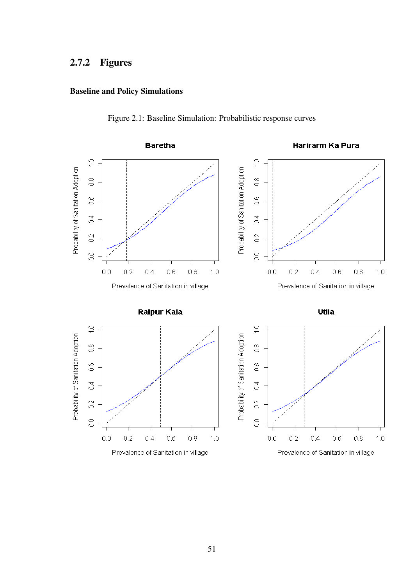# 2.7.2 Figures

# Baseline and Policy Simulations

<span id="page-50-0"></span>

Figure 2.1: Baseline Simulation: Probabilistic response curves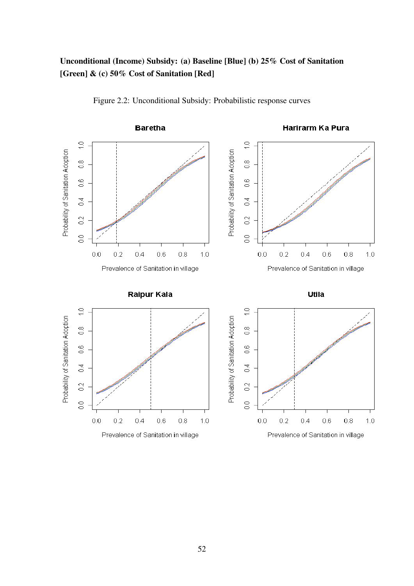# Unconditional (Income) Subsidy: (a) Baseline [Blue] (b) 25% Cost of Sanitation [Green] & (c) 50% Cost of Sanitation [Red]

<span id="page-51-0"></span>

Figure 2.2: Unconditional Subsidy: Probabilistic response curves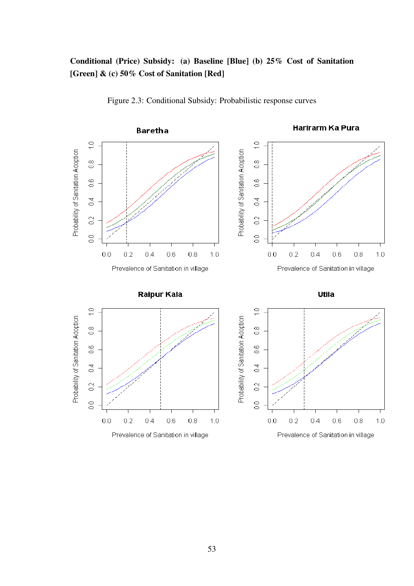# Conditional (Price) Subsidy: (a) Baseline [Blue] (b) 25% Cost of Sanitation [Green] & (c) 50% Cost of Sanitation [Red]

<span id="page-52-0"></span>

Figure 2.3: Conditional Subsidy: Probabilistic response curves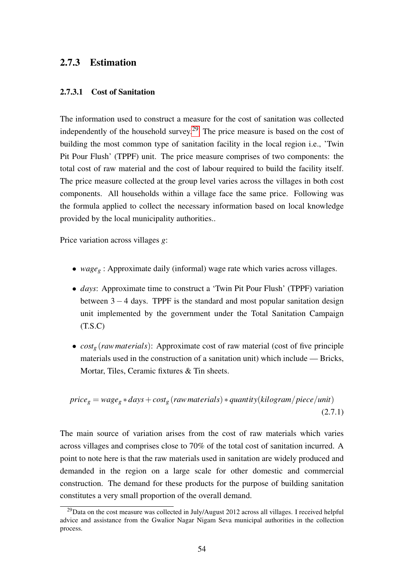# 2.7.3 Estimation

#### 2.7.3.1 Cost of Sanitation

The information used to construct a measure for the cost of sanitation was collected independently of the household survey.[29](#page-53-1) The price measure is based on the cost of building the most common type of sanitation facility in the local region i.e., 'Twin Pit Pour Flush' (TPPF) unit. The price measure comprises of two components: the total cost of raw material and the cost of labour required to build the facility itself. The price measure collected at the group level varies across the villages in both cost components. All households within a village face the same price. Following was the formula applied to collect the necessary information based on local knowledge provided by the local municipality authorities..

Price variation across villages *g*:

- *wage<sup>g</sup>* : Approximate daily (informal) wage rate which varies across villages.
- *days*: Approximate time to construct a 'Twin Pit Pour Flush' (TPPF) variation between  $3 - 4$  days. TPPF is the standard and most popular sanitation design unit implemented by the government under the Total Sanitation Campaign  $(T.S.C)$
- *cost<sup>g</sup>* (*rawmaterials*): Approximate cost of raw material (cost of five principle materials used in the construction of a sanitation unit) which include — Bricks, Mortar, Tiles, Ceramic fixtures & Tin sheets.

$$
price_g = wage_g * days + cost_g (raw materials) * quantity (kilogram/piece/unit)
$$
\n(2.7.1)

The main source of variation arises from the cost of raw materials which varies across villages and comprises close to 70% of the total cost of sanitation incurred. A point to note here is that the raw materials used in sanitation are widely produced and demanded in the region on a large scale for other domestic and commercial construction. The demand for these products for the purpose of building sanitation constitutes a very small proportion of the overall demand.

<span id="page-53-1"></span><span id="page-53-0"></span> $^{29}$ Data on the cost measure was collected in July/August 2012 across all villages. I received helpful advice and assistance from the Gwalior Nagar Nigam Seva municipal authorities in the collection process.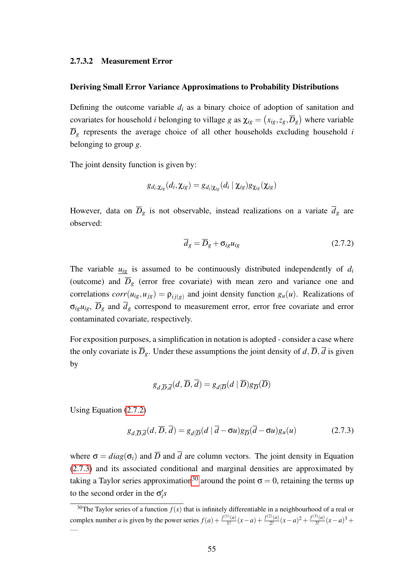#### 2.7.3.2 Measurement Error

#### Deriving Small Error Variance Approximations to Probability Distributions

Defining the outcome variable  $d_i$  as a binary choice of adoption of sanitation and covariates for household *i* belonging to village *g* as  $\chi_{ig} = (x_{ig}, z_g, \overline{D}_g)$  where variable  $\overline{D}_g$  represents the average choice of all other households excluding household *i* belonging to group *g*.

The joint density function is given by:

$$
g_{d_i, \boldsymbol{\chi}_{ig}}(d_i, \boldsymbol{\chi}_{ig}) = g_{d_i|\boldsymbol{\chi}_{ig}}(d_i\mid \boldsymbol{\chi}_{ig}) g_{\boldsymbol{\chi}_{ig}}(\boldsymbol{\chi}_{ig})
$$

However, data on  $\overline{D}_g$  is not observable, instead realizations on a variate  $\overline{d}_g$  are observed:

<span id="page-54-0"></span>
$$
\overline{d}_g = \overline{D}_g + \sigma_{ig} u_{ig} \tag{2.7.2}
$$

The variable  $u_{ig}$  is assumed to be continuously distributed independently of  $d_i$ (outcome) and  $\overline{D}_g$  (error free covariate) with mean zero and variance one and correlations  $corr(u_{ig}, u_{jg}) = \rho_{ij(g)}$  and joint density function  $g_u(u)$ . Realizations of  $\sigma_{ig}u_{ig}$ ,  $\overline{D}_g$  and  $\overline{d}_g$  correspond to measurement error, error free covariate and error contaminated covariate, respectively.

For exposition purposes, a simplification in notation is adopted - consider a case where the only covariate is  $\overline{D}_g$ . Under these assumptions the joint density of *d*,  $\overline{D}$ ,  $\overline{d}$  is given by

$$
g_{d,\overline{D},\overline{d}}(d,\overline{D},\overline{d}) = g_{d|\overline{D}}(d | \overline{D})g_{\overline{D}}(\overline{D})
$$

Using Equation [\(2.7.2\)](#page-54-0)

<span id="page-54-1"></span>
$$
g_{d,\overline{D},\overline{d}}(d,\overline{D},\overline{d}) = g_{d|\overline{D}}(d|\overline{d} - \sigma u)g_{\overline{D}}(\overline{d} - \sigma u)g_u(u)
$$
(2.7.3)

where  $\sigma = diag(\sigma_i)$  and  $\overline{D}$  and  $\overline{d}$  are column vectors. The joint density in Equation [\(2.7.3\)](#page-54-1) and its associated conditional and marginal densities are approximated by taking a Taylor series approximation<sup>[30](#page-54-2)</sup> around the point  $\sigma = 0$ , retaining the terms up to the second order in the  $\sigma_i$ 's

<span id="page-54-2"></span><sup>&</sup>lt;sup>30</sup>The Taylor series of a function  $f(x)$  that is infinitely differentiable in a neighbourhood of a real or complex number *a* is given by the power series  $f(a) + \frac{f^{(1)}(a)}{1!}(x-a) + \frac{f^{(2)}(a)}{2!}(x-a)^2 + \frac{f^{(3)}(a)}{3!}(x-a)^3 +$ ....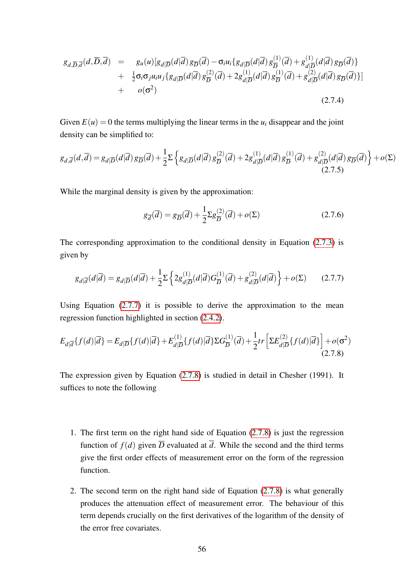$$
g_{d,\overline{D},\overline{d}}(d,\overline{D},\overline{d}) = g_{u}(u)[g_{d|\overline{D}}(d|\overline{d})g_{\overline{D}}(\overline{d}) - \sigma_{i}u_{i}\{g_{d|\overline{D}}(d|\overline{d})g_{\overline{D}}^{(1)}(\overline{d}) + g_{d|\overline{D}}^{(1)}(d|\overline{d})g_{\overline{D}}(\overline{d})\} + \frac{1}{2}\sigma_{i}\sigma_{j}u_{i}u_{j}\{g_{d|\overline{D}}(d|\overline{d})g_{\overline{D}}^{(2)}(\overline{d}) + 2g_{d|\overline{D}}^{(1)}(d|\overline{d})g_{\overline{D}}^{(1)}(\overline{d}) + g_{d|\overline{D}}^{(2)}(d|\overline{d})g_{\overline{D}}(\overline{d})\}] + o(\sigma^{2})
$$
\n(2.7.4)

Given  $E(u) = 0$  the terms multiplying the linear terms in the  $u_i$  disappear and the joint density can be simplified to:

$$
g_{d,\overline{d}}(d,\overline{d}) = g_{d|\overline{D}}(d|\overline{d}) g_{\overline{D}}(\overline{d}) + \frac{1}{2} \sum \left\{ g_{d|\overline{D}}(d|\overline{d}) g_{\overline{D}}^{(2)}(\overline{d}) + 2g_{d|\overline{D}}^{(1)}(d|\overline{d}) g_{\overline{D}}^{(1)}(\overline{d}) + g_{d|\overline{D}}^{(2)}(d|\overline{d}) g_{\overline{D}}(\overline{d}) \right\} + o(\Sigma)
$$
\n(2.7.5)

While the marginal density is given by the approximation:

$$
g_{\overline{d}}(\overline{d}) = g_{\overline{D}}(\overline{d}) + \frac{1}{2} \Sigma g_{\overline{D}}^{(2)}(\overline{d}) + o(\Sigma)
$$
 (2.7.6)

The corresponding approximation to the conditional density in Equation [\(2.7.3\)](#page-54-1) is given by

<span id="page-55-0"></span>
$$
g_{d|\overline{d}}(d|\overline{d}) = g_{d|\overline{D}}(d|\overline{d}) + \frac{1}{2} \Sigma \left\{ 2g_{d|\overline{D}}^{(1)}(d|\overline{d}) G_{\overline{D}}^{(1)}(\overline{d}) + g_{d|\overline{D}}^{(2)}(d|\overline{d}) \right\} + o(\Sigma)
$$
 (2.7.7)

Using Equation [\(2.7.7\)](#page-55-0) it is possible to derive the approximation to the mean regression function highlighted in section [\(2.4.2\)](#page-35-0).

<span id="page-55-1"></span>
$$
E_{d|\overline{d}}\{f(d)|\overline{d}\} = E_{d|\overline{D}}\{f(d)|\overline{d}\} + E_{d|\overline{D}}^{(1)}\{f(d)|\overline{d}\} \Sigma G_{\overline{D}}^{(1)}(\overline{d}) + \frac{1}{2}tr\left[\Sigma E_{d|\overline{D}}^{(2)}\{f(d)|\overline{d}\}\right] + o(\sigma^2)
$$
\n(2.7.8)

The expression given by Equation [\(2.7.8\)](#page-55-1) is studied in detail in Chesher (1991). It suffices to note the following

- 1. The first term on the right hand side of Equation [\(2.7.8\)](#page-55-1) is just the regression function of  $f(d)$  given  $\overline{D}$  evaluated at  $\overline{d}$ . While the second and the third terms give the first order effects of measurement error on the form of the regression function.
- 2. The second term on the right hand side of Equation [\(2.7.8\)](#page-55-1) is what generally produces the attenuation effect of measurement error. The behaviour of this term depends crucially on the first derivatives of the logarithm of the density of the error free covariates.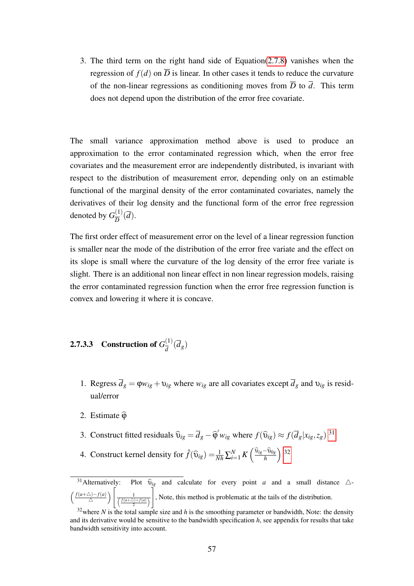3. The third term on the right hand side of Equation[\(2.7.8\)](#page-55-1) vanishes when the regression of  $f(d)$  on  $\overline{D}$  is linear. In other cases it tends to reduce the curvature of the non-linear regressions as conditioning moves from  $\overline{D}$  to  $\overline{d}$ . This term does not depend upon the distribution of the error free covariate.

The small variance approximation method above is used to produce an approximation to the error contaminated regression which, when the error free covariates and the measurement error are independently distributed, is invariant with respect to the distribution of measurement error, depending only on an estimable functional of the marginal density of the error contaminated covariates, namely the derivatives of their log density and the functional form of the error free regression denoted by  $G_{\overline{D}}^{(1)}$  $rac{(1)}{D}(d)$ .

The first order effect of measurement error on the level of a linear regression function is smaller near the mode of the distribution of the error free variate and the effect on its slope is small where the curvature of the log density of the error free variate is slight. There is an additional non linear effect in non linear regression models, raising the error contaminated regression function when the error free regression function is convex and lowering it where it is concave.

#### <span id="page-56-0"></span>**2.7.3.3** Construction of  $G_{\overline{J}}^{(1)}$  $\frac{d^{(1)}}{d}(d_g)$

- 1. Regress  $\overline{d}_g = \varphi w_{ig} + v_{ig}$  where  $w_{ig}$  are all covariates except  $\overline{d}_g$  and  $v_{ig}$  is residual/error
- 2. Estimate  $\hat{\omega}$
- 3. Construct fitted residuals  $\hat{v}_{ig} = \overline{d}_g \hat{\varphi}' w_{ig}$  where  $f(\hat{v}_{ig}) \approx f(\overline{d}_g | x_{ig}, z_g)$ <sup>[31](#page-56-1)</sup>
- 4. Construct kernel density for  $\hat{f}(\hat{\mathbf{v}}_{ig}) = \frac{1}{Nh} \sum_{i=1}^{N} K\left(\frac{\hat{\mathbf{v}}_{ig} \hat{\mathbf{v}}_{0g}}{h}\right)$  $32$

<span id="page-56-1"></span><sup>&</sup>lt;sup>31</sup>Alternatively: Plot  $\widehat{v}_{ig}$  and calculate for every point *a* and a small distance  $\triangle$ - $\int$ *f*(*a*+ $\triangle$ )−*f*(*a*)  $\Delta$ )  $\frac{1}{\sqrt{\frac{f(a+\Delta)+f(a)}{2}}}$ 1 , Note, this method is problematic at the tails of the distribution.

<span id="page-56-2"></span><sup>&</sup>lt;sup>32</sup>where *N* is the total sample size and *h* is the smoothing parameter or bandwidth, Note: the density and its derivative would be sensitive to the bandwidth specification *h*, see appendix for results that take bandwidth sensitivity into account.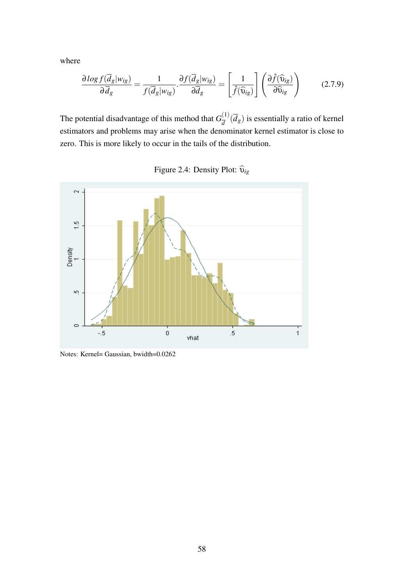where

$$
\frac{\partial \log f(\overline{d}_{g}|w_{ig})}{\partial \overline{d}_{g}} = \frac{1}{f(\overline{d}_{g}|w_{ig})} \cdot \frac{\partial f(\overline{d}_{g}|w_{ig})}{\partial \overline{d}_{g}} = \left[\frac{1}{\hat{f}(\widehat{\mathbf{u}}_{ig})}\right] \left(\frac{\partial \widehat{f}(\widehat{\mathbf{u}}_{ig})}{\partial \widehat{\mathbf{u}}_{ig}}\right)
$$
(2.7.9)

The potential disadvantage of this method that  $G_{\overline{A}}^{(1)}$  $\frac{d^{(1)}}{d^{(1)}}(d_g)$  is essentially a ratio of kernel estimators and problems may arise when the denominator kernel estimator is close to zero. This is more likely to occur in the tails of the distribution.



Figure 2.4: Density Plot:  $\widehat{\mathbf{v}}_{ig}$ 

Notes: Kernel= Gaussian, bwidth=0.0262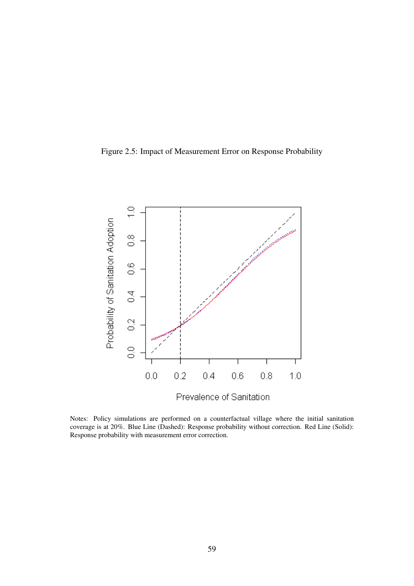Figure 2.5: Impact of Measurement Error on Response Probability



Notes: Policy simulations are performed on a counterfactual village where the initial sanitation coverage is at 20%. Blue Line (Dashed): Response probability without correction. Red Line (Solid): Response probability with measurement error correction.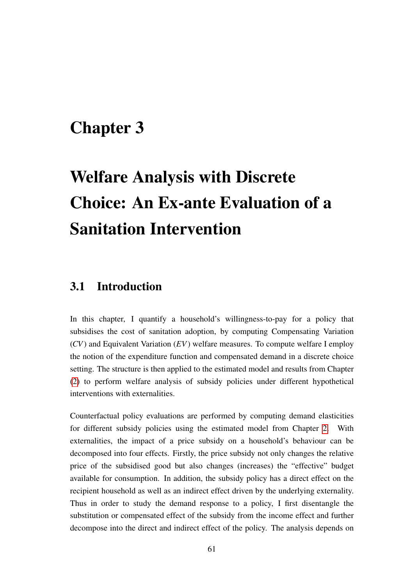# <span id="page-60-0"></span>Chapter 3

# Welfare Analysis with Discrete Choice: An Ex-ante Evaluation of a Sanitation Intervention

# 3.1 Introduction

In this chapter, I quantify a household's willingness-to-pay for a policy that subsidises the cost of sanitation adoption, by computing Compensating Variation (*CV*) and Equivalent Variation (*EV*) welfare measures. To compute welfare I employ the notion of the expenditure function and compensated demand in a discrete choice setting. The structure is then applied to the estimated model and results from Chapter [\(2\)](#page-20-0) to perform welfare analysis of subsidy policies under different hypothetical interventions with externalities.

Counterfactual policy evaluations are performed by computing demand elasticities for different subsidy policies using the estimated model from Chapter [2.](#page-20-0) With externalities, the impact of a price subsidy on a household's behaviour can be decomposed into four effects. Firstly, the price subsidy not only changes the relative price of the subsidised good but also changes (increases) the "effective" budget available for consumption. In addition, the subsidy policy has a direct effect on the recipient household as well as an indirect effect driven by the underlying externality. Thus in order to study the demand response to a policy, I first disentangle the substitution or compensated effect of the subsidy from the income effect and further decompose into the direct and indirect effect of the policy. The analysis depends on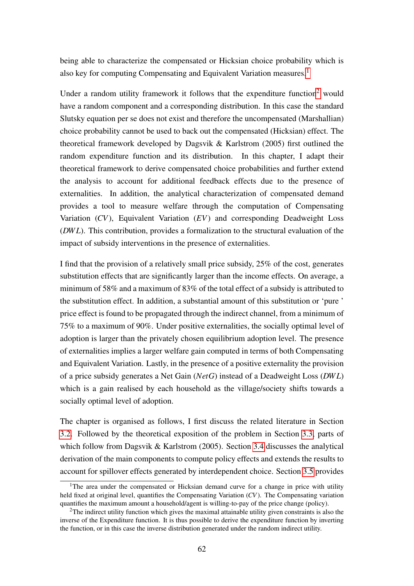being able to characterize the compensated or Hicksian choice probability which is also key for computing Compensating and Equivalent Variation measures.<sup>[1](#page-61-0)</sup>

Under a random utility framework it follows that the expenditure function<sup>[2](#page-61-1)</sup> would have a random component and a corresponding distribution. In this case the standard Slutsky equation per se does not exist and therefore the uncompensated (Marshallian) choice probability cannot be used to back out the compensated (Hicksian) effect. The theoretical framework developed by Dagsvik & Karlstrom (2005) first outlined the random expenditure function and its distribution. In this chapter, I adapt their theoretical framework to derive compensated choice probabilities and further extend the analysis to account for additional feedback effects due to the presence of externalities. In addition, the analytical characterization of compensated demand provides a tool to measure welfare through the computation of Compensating Variation (*CV*), Equivalent Variation (*EV*) and corresponding Deadweight Loss (*DW L*). This contribution, provides a formalization to the structural evaluation of the impact of subsidy interventions in the presence of externalities.

I find that the provision of a relatively small price subsidy, 25% of the cost, generates substitution effects that are significantly larger than the income effects. On average, a minimum of 58% and a maximum of 83% of the total effect of a subsidy is attributed to the substitution effect. In addition, a substantial amount of this substitution or 'pure ' price effect is found to be propagated through the indirect channel, from a minimum of 75% to a maximum of 90%. Under positive externalities, the socially optimal level of adoption is larger than the privately chosen equilibrium adoption level. The presence of externalities implies a larger welfare gain computed in terms of both Compensating and Equivalent Variation. Lastly, in the presence of a positive externality the provision of a price subsidy generates a Net Gain (*NetG*) instead of a Deadweight Loss (*DW L*) which is a gain realised by each household as the village/society shifts towards a socially optimal level of adoption.

The chapter is organised as follows, I first discuss the related literature in Section [3.2.](#page-62-0) Followed by the theoretical exposition of the problem in Section [3.3,](#page-64-0) parts of which follow from Dagsvik & Karlstrom (2005). Section [3.4](#page-65-0) discusses the analytical derivation of the main components to compute policy effects and extends the results to account for spillover effects generated by interdependent choice. Section [3.5](#page-72-0) provides

<span id="page-61-0"></span> $1$ <sup>1</sup>The area under the compensated or Hicksian demand curve for a change in price with utility held fixed at original level, quantifies the Compensating Variation (*CV*). The Compensating variation quantifies the maximum amount a household/agent is willing-to-pay of the price change (policy).

<span id="page-61-1"></span><sup>&</sup>lt;sup>2</sup>The indirect utility function which gives the maximal attainable utility given constraints is also the inverse of the Expenditure function. It is thus possible to derive the expenditure function by inverting the function, or in this case the inverse distribution generated under the random indirect utility.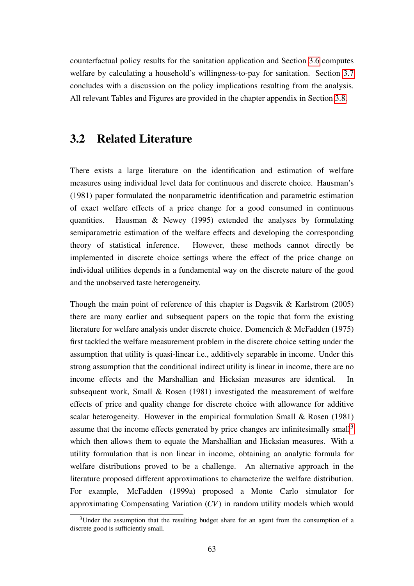counterfactual policy results for the sanitation application and Section [3.6](#page-73-0) computes welfare by calculating a household's willingness-to-pay for sanitation. Section [3.7](#page-77-0) concludes with a discussion on the policy implications resulting from the analysis. All relevant Tables and Figures are provided in the chapter appendix in Section [3.8.](#page-79-0)

# <span id="page-62-0"></span>3.2 Related Literature

There exists a large literature on the identification and estimation of welfare measures using individual level data for continuous and discrete choice. Hausman's (1981) paper formulated the nonparametric identification and parametric estimation of exact welfare effects of a price change for a good consumed in continuous quantities. Hausman & Newey (1995) extended the analyses by formulating semiparametric estimation of the welfare effects and developing the corresponding theory of statistical inference. However, these methods cannot directly be implemented in discrete choice settings where the effect of the price change on individual utilities depends in a fundamental way on the discrete nature of the good and the unobserved taste heterogeneity.

Though the main point of reference of this chapter is Dagsvik & Karlstrom (2005) there are many earlier and subsequent papers on the topic that form the existing literature for welfare analysis under discrete choice. Domencich & McFadden (1975) first tackled the welfare measurement problem in the discrete choice setting under the assumption that utility is quasi-linear i.e., additively separable in income. Under this strong assumption that the conditional indirect utility is linear in income, there are no income effects and the Marshallian and Hicksian measures are identical. In subsequent work, Small & Rosen (1981) investigated the measurement of welfare effects of price and quality change for discrete choice with allowance for additive scalar heterogeneity. However in the empirical formulation Small & Rosen (1981) assume that the income effects generated by price changes are infinitesimally small<sup>[3](#page-62-1)</sup> which then allows them to equate the Marshallian and Hicksian measures. With a utility formulation that is non linear in income, obtaining an analytic formula for welfare distributions proved to be a challenge. An alternative approach in the literature proposed different approximations to characterize the welfare distribution. For example, McFadden (1999a) proposed a Monte Carlo simulator for approximating Compensating Variation (*CV*) in random utility models which would

<span id="page-62-1"></span> $3$ Under the assumption that the resulting budget share for an agent from the consumption of a discrete good is sufficiently small.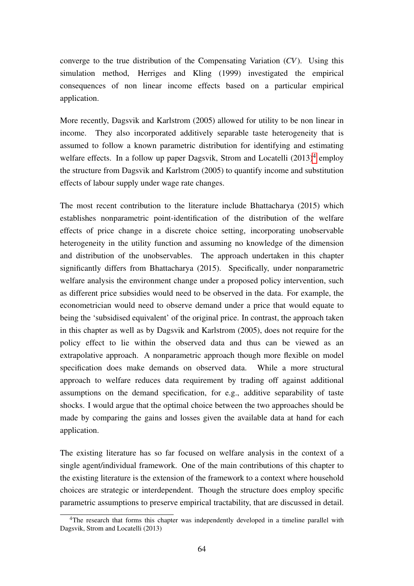converge to the true distribution of the Compensating Variation (*CV*). Using this simulation method, Herriges and Kling (1999) investigated the empirical consequences of non linear income effects based on a particular empirical application.

More recently, Dagsvik and Karlstrom (2005) allowed for utility to be non linear in income. They also incorporated additively separable taste heterogeneity that is assumed to follow a known parametric distribution for identifying and estimating welfare effects. In a follow up paper Dagsvik, Strom and Locatelli  $(2013)^4$  $(2013)^4$  employ the structure from Dagsvik and Karlstrom (2005) to quantify income and substitution effects of labour supply under wage rate changes.

The most recent contribution to the literature include Bhattacharya (2015) which establishes nonparametric point-identification of the distribution of the welfare effects of price change in a discrete choice setting, incorporating unobservable heterogeneity in the utility function and assuming no knowledge of the dimension and distribution of the unobservables. The approach undertaken in this chapter significantly differs from Bhattacharya (2015). Specifically, under nonparametric welfare analysis the environment change under a proposed policy intervention, such as different price subsidies would need to be observed in the data. For example, the econometrician would need to observe demand under a price that would equate to being the 'subsidised equivalent' of the original price. In contrast, the approach taken in this chapter as well as by Dagsvik and Karlstrom (2005), does not require for the policy effect to lie within the observed data and thus can be viewed as an extrapolative approach. A nonparametric approach though more flexible on model specification does make demands on observed data. While a more structural approach to welfare reduces data requirement by trading off against additional assumptions on the demand specification, for e.g., additive separability of taste shocks. I would argue that the optimal choice between the two approaches should be made by comparing the gains and losses given the available data at hand for each application.

The existing literature has so far focused on welfare analysis in the context of a single agent/individual framework. One of the main contributions of this chapter to the existing literature is the extension of the framework to a context where household choices are strategic or interdependent. Though the structure does employ specific parametric assumptions to preserve empirical tractability, that are discussed in detail.

<span id="page-63-0"></span><sup>&</sup>lt;sup>4</sup>The research that forms this chapter was independently developed in a timeline parallel with Dagsvik, Strom and Locatelli (2013)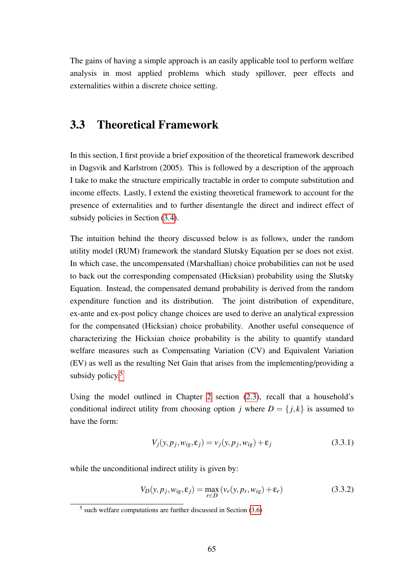The gains of having a simple approach is an easily applicable tool to perform welfare analysis in most applied problems which study spillover, peer effects and externalities within a discrete choice setting.

# <span id="page-64-0"></span>3.3 Theoretical Framework

In this section, I first provide a brief exposition of the theoretical framework described in Dagsvik and Karlstrom (2005). This is followed by a description of the approach I take to make the structure empirically tractable in order to compute substitution and income effects. Lastly, I extend the existing theoretical framework to account for the presence of externalities and to further disentangle the direct and indirect effect of subsidy policies in Section [\(3.4\)](#page-65-0).

The intuition behind the theory discussed below is as follows, under the random utility model (RUM) framework the standard Slutsky Equation per se does not exist. In which case, the uncompensated (Marshallian) choice probabilities can not be used to back out the corresponding compensated (Hicksian) probability using the Slutsky Equation. Instead, the compensated demand probability is derived from the random expenditure function and its distribution. The joint distribution of expenditure, ex-ante and ex-post policy change choices are used to derive an analytical expression for the compensated (Hicksian) choice probability. Another useful consequence of characterizing the Hicksian choice probability is the ability to quantify standard welfare measures such as Compensating Variation (CV) and Equivalent Variation (EV) as well as the resulting Net Gain that arises from the implementing/providing a subsidy policy. $5$ 

Using the model outlined in Chapter [2](#page-20-0) section [\(2.3\)](#page-24-0), recall that a household's conditional indirect utility from choosing option *j* where  $D = \{j, k\}$  is assumed to have the form:

<span id="page-64-2"></span>
$$
V_j(y, p_j, w_{ig}, \varepsilon_j) = v_j(y, p_j, w_{ig}) + \varepsilon_j
$$
\n(3.3.1)

while the unconditional indirect utility is given by:

<span id="page-64-3"></span>
$$
V_D(y, p_j, w_{ig}, \varepsilon_j) = \max_{r \in D} (v_r(y, p_r, w_{ig}) + \varepsilon_r)
$$
(3.3.2)

<span id="page-64-1"></span><sup>5</sup> such welfare computations are further discussed in Section [\(3.6\)](#page-73-0)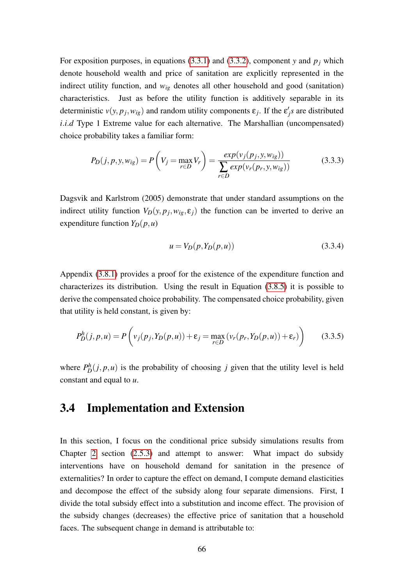For exposition purposes, in equations [\(3.3.1\)](#page-64-2) and [\(3.3.2\)](#page-64-3), component *y* and  $p_j$  which denote household wealth and price of sanitation are explicitly represented in the indirect utility function, and  $w_{ig}$  denotes all other household and good (sanitation) characteristics. Just as before the utility function is additively separable in its deterministic  $v(y, p_j, w_{ig})$  and random utility components  $\varepsilon_j$ . If the  $\varepsilon'_j s$  are distributed *i.i.d* Type 1 Extreme value for each alternative. The Marshallian (uncompensated) choice probability takes a familiar form:

<span id="page-65-2"></span>
$$
P_D(j, p, y, w_{ig}) = P\left(V_j = \max_{r \in D} V_r\right) = \frac{\exp(v_j(p_j, y, w_{ig}))}{\sum_{r \in D} \exp(v_r(p_r, y, w_{ig}))}
$$
(3.3.3)

Dagsvik and Karlstrom (2005) demonstrate that under standard assumptions on the indirect utility function  $V_D(y, p_j, w_{ig}, \varepsilon_j)$  the function can be inverted to derive an expenditure function  $Y_D(p, u)$ 

$$
u = V_D(p, Y_D(p, u))
$$
\n(3.3.4)

Appendix [\(3.8.1\)](#page-79-1) provides a proof for the existence of the expenditure function and characterizes its distribution. Using the result in Equation [\(3.8.5\)](#page-80-0) it is possible to derive the compensated choice probability. The compensated choice probability, given that utility is held constant, is given by:

<span id="page-65-1"></span>
$$
P_D^h(j, p, u) = P\left(v_j(p_j, Y_D(p, u)) + \varepsilon_j = \max_{r \in D} \left(v_r(p_r, Y_D(p, u)) + \varepsilon_r\right)\right) \tag{3.3.5}
$$

where  $P_D^h(j, p, u)$  is the probability of choosing *j* given that the utility level is held constant and equal to *u*.

# <span id="page-65-0"></span>3.4 Implementation and Extension

In this section, I focus on the conditional price subsidy simulations results from Chapter [2](#page-20-0) section [\(2.5.3\)](#page-42-1) and attempt to answer: What impact do subsidy interventions have on household demand for sanitation in the presence of externalities? In order to capture the effect on demand, I compute demand elasticities and decompose the effect of the subsidy along four separate dimensions. First, I divide the total subsidy effect into a substitution and income effect. The provision of the subsidy changes (decreases) the effective price of sanitation that a household faces. The subsequent change in demand is attributable to: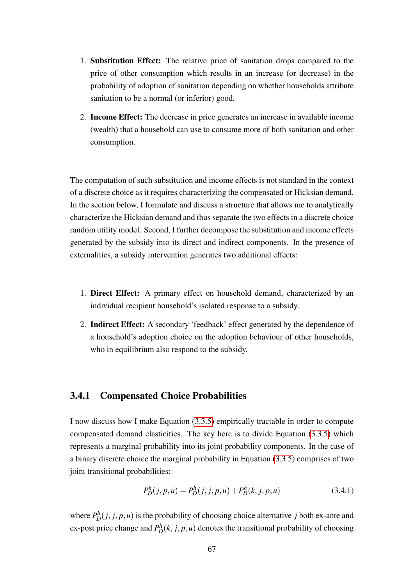- 1. Substitution Effect: The relative price of sanitation drops compared to the price of other consumption which results in an increase (or decrease) in the probability of adoption of sanitation depending on whether households attribute sanitation to be a normal (or inferior) good.
- 2. Income Effect: The decrease in price generates an increase in available income (wealth) that a household can use to consume more of both sanitation and other consumption.

The computation of such substitution and income effects is not standard in the context of a discrete choice as it requires characterizing the compensated or Hicksian demand. In the section below, I formulate and discuss a structure that allows me to analytically characterize the Hicksian demand and thus separate the two effects in a discrete choice random utility model. Second, I further decompose the substitution and income effects generated by the subsidy into its direct and indirect components. In the presence of externalities, a subsidy intervention generates two additional effects:

- 1. Direct Effect: A primary effect on household demand, characterized by an individual recipient household's isolated response to a subsidy.
- 2. Indirect Effect: A secondary 'feedback' effect generated by the dependence of a household's adoption choice on the adoption behaviour of other households, who in equilibrium also respond to the subsidy.

# 3.4.1 Compensated Choice Probabilities

I now discuss how I make Equation [\(3.3.5\)](#page-65-1) empirically tractable in order to compute compensated demand elasticities. The key here is to divide Equation [\(3.3.5\)](#page-65-1) which represents a marginal probability into its joint probability components. In the case of a binary discrete choice the marginal probability in Equation [\(3.3.5\)](#page-65-1) comprises of two joint transitional probabilities:

<span id="page-66-0"></span>
$$
P_D^h(j, p, u) = P_D^h(j, j, p, u) + P_D^h(k, j, p, u)
$$
\n(3.4.1)

where  $P_D^h(j, j, p, u)$  is the probability of choosing choice alternative *j* both ex-ante and ex-post price change and  $P_D^h(k, j, p, u)$  denotes the transitional probability of choosing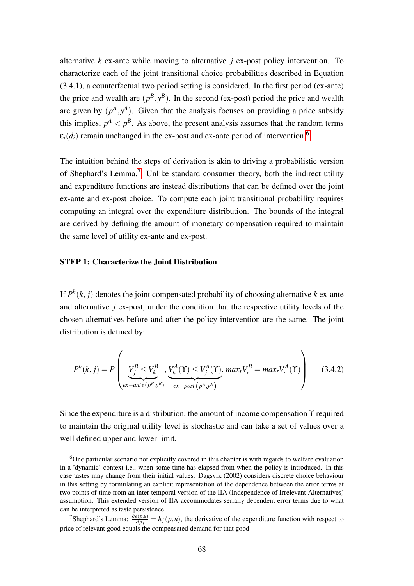alternative *k* ex-ante while moving to alternative *j* ex-post policy intervention. To characterize each of the joint transitional choice probabilities described in Equation [\(3.4.1\)](#page-66-0), a counterfactual two period setting is considered. In the first period (ex-ante) the price and wealth are  $(p^B, y^B)$ . In the second (ex-post) period the price and wealth are given by  $(p^A, y^A)$ . Given that the analysis focuses on providing a price subsidy this implies,  $p^A < p^B$ . As above, the present analysis assumes that the random terms  $\varepsilon_i(d_i)$  remain unchanged in the ex-post and ex-ante period of intervention.<sup>[6](#page-67-0)</sup>

The intuition behind the steps of derivation is akin to driving a probabilistic version of Shephard's Lemma.[7](#page-67-1) Unlike standard consumer theory, both the indirect utility and expenditure functions are instead distributions that can be defined over the joint ex-ante and ex-post choice. To compute each joint transitional probability requires computing an integral over the expenditure distribution. The bounds of the integral are derived by defining the amount of monetary compensation required to maintain the same level of utility ex-ante and ex-post.

#### STEP 1: Characterize the Joint Distribution

If  $P^h(k, j)$  denotes the joint compensated probability of choosing alternative *k* ex-ante and alternative *j* ex-post, under the condition that the respective utility levels of the chosen alternatives before and after the policy intervention are the same. The joint distribution is defined by:

<span id="page-67-2"></span>
$$
P^{h}(k,j) = P\left(\underbrace{V_{j}^{B} \leq V_{k}^{B}}_{ex-ante(p^{B}, y^{B})}, \underbrace{V_{k}^{A}(\Upsilon) \leq V_{j}^{A}(\Upsilon)}_{ex-post(p^{A}, y^{A})}, max_{r}V_{r}^{B} = max_{r}V_{r}^{A}(\Upsilon)\right)
$$
(3.4.2)

Since the expenditure is a distribution, the amount of income compensation  $\Upsilon$  required to maintain the original utility level is stochastic and can take a set of values over a well defined upper and lower limit.

<span id="page-67-0"></span><sup>&</sup>lt;sup>6</sup>One particular scenario not explicitly covered in this chapter is with regards to welfare evaluation in a 'dynamic' context i.e., when some time has elapsed from when the policy is introduced. In this case tastes may change from their initial values. Dagsvik (2002) considers discrete choice behaviour in this setting by formulating an explicit representation of the dependence between the error terms at two points of time from an inter temporal version of the IIA (Independence of Irrelevant Alternatives) assumption. This extended version of IIA accommodates serially dependent error terms due to what can be interpreted as taste persistence.

<span id="page-67-1"></span><sup>&</sup>lt;sup>7</sup>Shephard's Lemma:  $\frac{\partial e(p, u)}{\partial p_j} = h_j(p, u)$ , the derivative of the expenditure function with respect to price of relevant good equals the compensated demand for that good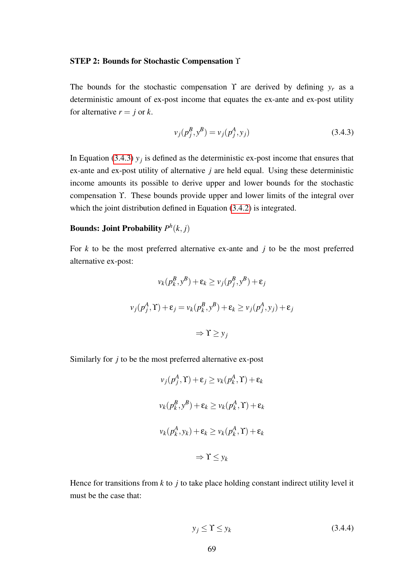#### STEP 2: Bounds for Stochastic Compensation Υ

The bounds for the stochastic compensation  $\Upsilon$  are derived by defining  $y_r$  as a deterministic amount of ex-post income that equates the ex-ante and ex-post utility for alternative  $r = j$  or  $k$ .

<span id="page-68-0"></span>
$$
v_j(p_j^B, y^B) = v_j(p_j^A, y_j)
$$
\n(3.4.3)

In Equation [\(3.4.3\)](#page-68-0)  $y_j$  is defined as the deterministic ex-post income that ensures that ex-ante and ex-post utility of alternative *j* are held equal. Using these deterministic income amounts its possible to derive upper and lower bounds for the stochastic compensation ϒ. These bounds provide upper and lower limits of the integral over which the joint distribution defined in Equation [\(3.4.2\)](#page-67-2) is integrated.

# Bounds: Joint Probability *P h* (*k*, *j*)

For *k* to be the most preferred alternative ex-ante and *j* to be the most preferred alternative ex-post:

$$
v_k(p_k^B, y^B) + \varepsilon_k \ge v_j(p_j^B, y^B) + \varepsilon_j
$$
  

$$
v_j(p_j^A, \Upsilon) + \varepsilon_j = v_k(p_k^B, y^B) + \varepsilon_k \ge v_j(p_j^A, y_j) + \varepsilon_j
$$
  

$$
\Rightarrow \Upsilon \ge y_j
$$

Similarly for *j* to be the most preferred alternative ex-post

$$
v_j(p_j^A, \Upsilon) + \varepsilon_j \ge v_k(p_k^A, \Upsilon) + \varepsilon_k
$$
  

$$
v_k(p_k^B, y^B) + \varepsilon_k \ge v_k(p_k^A, \Upsilon) + \varepsilon_k
$$
  

$$
v_k(p_k^A, y_k) + \varepsilon_k \ge v_k(p_k^A, \Upsilon) + \varepsilon_k
$$
  

$$
\Rightarrow \Upsilon \le y_k
$$

Hence for transitions from  $k$  to  $j$  to take place holding constant indirect utility level it must be the case that:

<span id="page-68-1"></span>
$$
y_j \le \Upsilon \le y_k \tag{3.4.4}
$$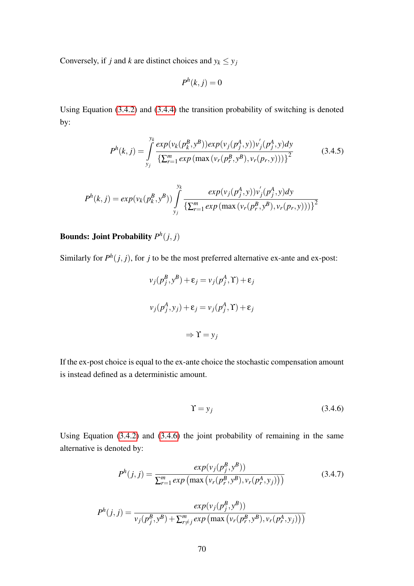Conversely, if *j* and *k* are distinct choices and  $y_k \leq y_j$ 

$$
P^h(k,j) = 0
$$

Using Equation [\(3.4.2\)](#page-67-2) and [\(3.4.4\)](#page-68-1) the transition probability of switching is denoted by:

$$
P^{h}(k, j) = \int_{y_{j}}^{y_{k}} \frac{exp(\nu_{k}(p_{k}^{B}, y^{B}))exp(\nu_{j}(p_{j}^{A}, y))\nu_{j}^{'}(p_{j}^{A}, y)dy}{\left\{\sum_{r=1}^{m} exp(\max(\nu_{r}(p_{r}^{B}, y^{B}), \nu_{r}(p_{r}, y)))\right\}^{2}}
$$
(3.4.5)

$$
P^{h}(k, j) = exp(v_{k}(p_{k}^{B}, y^{B})) \int_{y_{j}}^{y_{k}} \frac{exp(v_{j}(p_{j}^{A}, y))v_{j}^{'}(p_{j}^{A}, y)dy}{\left\{\sum_{r=1}^{m} exp(\max(v_{r}(p_{r}^{B}, y^{B}), v_{r}(p_{r}, y)))\right\}^{2}}
$$

# Bounds: Joint Probability *P h* (*j*, *j*)

Similarly for  $P^h(j, j)$ , for *j* to be the most preferred alternative ex-ante and ex-post:

$$
v_j(p_j^B, y^B) + \varepsilon_j = v_j(p_j^A, \Upsilon) + \varepsilon_j
$$
  

$$
v_j(p_j^A, y_j) + \varepsilon_j = v_j(p_j^A, \Upsilon) + \varepsilon_j
$$
  

$$
\Rightarrow \Upsilon = y_j
$$

If the ex-post choice is equal to the ex-ante choice the stochastic compensation amount is instead defined as a deterministic amount.

<span id="page-69-0"></span>
$$
\Upsilon = y_j \tag{3.4.6}
$$

Using Equation [\(3.4.2\)](#page-67-2) and [\(3.4.6\)](#page-69-0) the joint probability of remaining in the same alternative is denoted by:

$$
P^{h}(j,j) = \frac{exp(v_{j}(p_{j}^{B}, y^{B}))}{\sum_{r=1}^{m} exp(\max(v_{r}(p_{r}^{B}, y^{B}), v_{r}(p_{r}^{A}, y_{j})))}
$$
(3.4.7)

$$
P^{h}(j, j) = \frac{exp(v_{j}(p_{j}^{B}, y^{B}))}{v_{j}(p_{j}^{B}, y^{B}) + \sum_{r \neq j}^{m} exp(\max(v_{r}(p_{r}^{B}, y^{B}), v_{r}(p_{r}^{A}, y_{j})))}
$$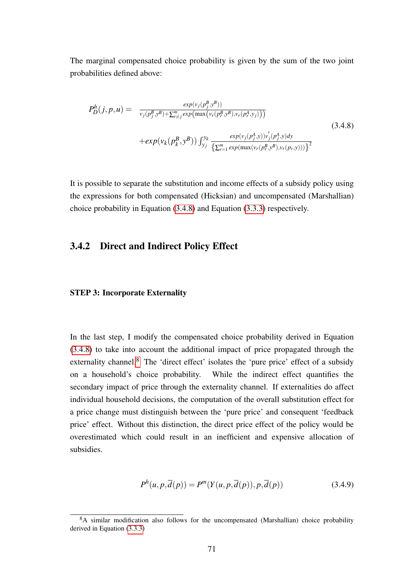The marginal compensated choice probability is given by the sum of the two joint probabilities defined above:

<span id="page-70-0"></span>
$$
P_D^h(j, p, u) = \frac{\exp(v_j(p_j^B, y^B))}{v_j(p_j^B, y^B) + \sum_{r \neq j}^m \exp(\max(v_r(p_r^B, y^B), v_r(p_r^A, y_j)))} + \exp(v_k(p_k^B, y^B)) \int_{y_j}^{y_k} \frac{\exp(v_j(p_j^A, y))v_j'(p_j^A, y)dy}{\{\sum_{r=1}^m \exp(\max(v_r(p_r^B, y^B), v_r(p_r, y)))\}^2}
$$
(3.4.8)

It is possible to separate the substitution and income effects of a subsidy policy using the expressions for both compensated (Hicksian) and uncompensated (Marshallian) choice probability in Equation [\(3.4.8\)](#page-70-0) and Equation [\(3.3.3\)](#page-65-2) respectively.

#### 3.4.2 Direct and Indirect Policy Effect

#### STEP 3: Incorporate Externality

In the last step, I modify the compensated choice probability derived in Equation [\(3.4.8\)](#page-70-0) to take into account the additional impact of price propagated through the externality channel.<sup>[8](#page-70-1)</sup> The 'direct effect' isolates the 'pure price' effect of a subsidy on a household's choice probability. While the indirect effect quantifies the secondary impact of price through the externality channel. If externalities do affect individual household decisions, the computation of the overall substitution effect for a price change must distinguish between the 'pure price' and consequent 'feedback price' effect. Without this distinction, the direct price effect of the policy would be overestimated which could result in an inefficient and expensive allocation of subsidies.

<span id="page-70-2"></span>
$$
P^{h}(u, p, \overline{d}(p)) = P^{m}(Y(u, p, \overline{d}(p)), p, \overline{d}(p))
$$
\n(3.4.9)

<span id="page-70-1"></span><sup>&</sup>lt;sup>8</sup>A similar modification also follows for the uncompensated (Marshallian) choice probability derived in Equation [\(3.3.3\)](#page-65-2)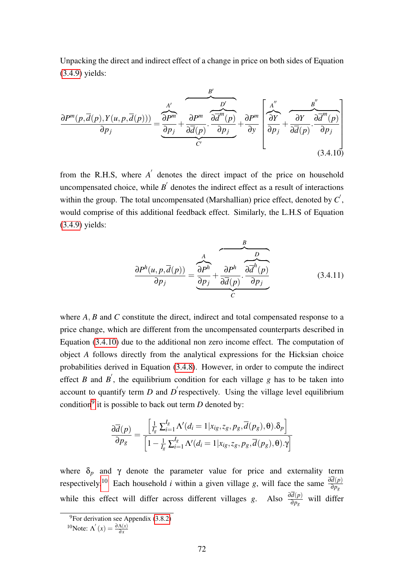Unpacking the direct and indirect effect of a change in price on both sides of Equation [\(3.4.9\)](#page-70-2) yields:

<span id="page-71-0"></span>
$$
\frac{\partial P^{m}(p,\overline{d}(p),Y(u,p,\overline{d}(p)))}{\partial p_{j}} = \underbrace{\frac{A'}{\partial p_{j}} + \frac{\partial P^{m}}{\partial \overline{d}(p)} \cdot \frac{\partial \overline{d}^{m}(p)}{\partial p_{j}}}_{C'} + \underbrace{\frac{A''}{\partial P^{m}} \left[ \frac{A''}{\partial Y} + \frac{\partial Y}{\partial \overline{d}(p)} \cdot \frac{B''}{\partial \overline{d}(p)} \cdot \frac{B''}{\partial p_{j}} \right]}_{(3.4.10)}
$$

from the R.H.S, where  $A'$  denotes the direct impact of the price on household uncompensated choice, while  $B'$  denotes the indirect effect as a result of interactions within the group. The total uncompensated (Marshallian) price effect, denoted by  $C$ <sup>'</sup>, would comprise of this additional feedback effect. Similarly, the L.H.S of Equation [\(3.4.9\)](#page-70-2) yields:

$$
\frac{\partial P^h(u, p, \overline{d}(p))}{\partial p_j} = \underbrace{\overbrace{\frac{\partial P^h}{\partial p_j}}^A + \overbrace{\frac{\partial P^h}{\partial \overline{d}(p)}}^B \cdot \overbrace{\frac{\partial \overline{d}^h(p)}{\partial p_j}}^B}_{C}
$$
(3.4.11)

where *A*, *B* and *C* constitute the direct, indirect and total compensated response to a price change, which are different from the uncompensated counterparts described in Equation [\(3.4.10\)](#page-71-0) due to the additional non zero income effect. The computation of object *A* follows directly from the analytical expressions for the Hicksian choice probabilities derived in Equation [\(3.4.8\)](#page-70-0). However, in order to compute the indirect effect *B* and *B*<sup> $'$ </sup>, the equilibrium condition for each village *g* has to be taken into account to quantify term  $D$  and  $D'$  respectively. Using the village level equilibrium condition[9](#page-71-1) it is possible to back out term *D* denoted by:

$$
\frac{\partial \overline{d}(p)}{\partial p_g} = \frac{\left[\frac{1}{I_g} \sum_{i=1}^{I_g} \Lambda'(d_i = 1 | x_{ig}, z_g, p_g, \overline{d}(p_g), \theta) . \delta_p \right]}{\left[1 - \frac{1}{I_g} \sum_{i=1}^{I_g} \Lambda'(d_i = 1 | x_{ig}, z_g, p_g, \overline{d}(p_g), \theta) . \gamma \right]}
$$

where  $\delta_p$  and  $\gamma$  denote the parameter value for price and externality term respectively.<sup>[10](#page-71-2)</sup> Each household *i* within a given village *g*, will face the same  $\frac{\partial d(p)}{\partial p_g}$ while this effect will differ across different villages *g*. Also  $\frac{\partial d(p)}{\partial p_g}$  will differ

<span id="page-71-2"></span><sup>10</sup>Note:  $Λ'(x) = \frac{\partial Λ(x)}{\partial x}$ 

<span id="page-71-1"></span> $9$ For derivation see Appendix [\(3.8.2\)](#page-81-0)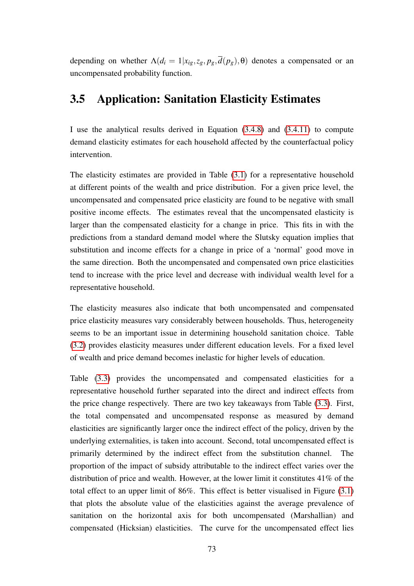depending on whether  $\Lambda(d_i = 1 | x_{ig}, z_g, p_g, \overline{d}(p_g), \theta)$  denotes a compensated or an uncompensated probability function.

## <span id="page-72-0"></span>3.5 Application: Sanitation Elasticity Estimates

I use the analytical results derived in Equation [\(3.4.8\)](#page-70-0) and [\(3.4.11\)](#page-71-0) to compute demand elasticity estimates for each household affected by the counterfactual policy intervention.

The elasticity estimates are provided in Table [\(3.1\)](#page-83-0) for a representative household at different points of the wealth and price distribution. For a given price level, the uncompensated and compensated price elasticity are found to be negative with small positive income effects. The estimates reveal that the uncompensated elasticity is larger than the compensated elasticity for a change in price. This fits in with the predictions from a standard demand model where the Slutsky equation implies that substitution and income effects for a change in price of a 'normal' good move in the same direction. Both the uncompensated and compensated own price elasticities tend to increase with the price level and decrease with individual wealth level for a representative household.

The elasticity measures also indicate that both uncompensated and compensated price elasticity measures vary considerably between households. Thus, heterogeneity seems to be an important issue in determining household sanitation choice. Table [\(3.2\)](#page-84-0) provides elasticity measures under different education levels. For a fixed level of wealth and price demand becomes inelastic for higher levels of education.

Table [\(3.3\)](#page-85-0) provides the uncompensated and compensated elasticities for a representative household further separated into the direct and indirect effects from the price change respectively. There are two key takeaways from Table [\(3.3\)](#page-85-0). First, the total compensated and uncompensated response as measured by demand elasticities are significantly larger once the indirect effect of the policy, driven by the underlying externalities, is taken into account. Second, total uncompensated effect is primarily determined by the indirect effect from the substitution channel. The proportion of the impact of subsidy attributable to the indirect effect varies over the distribution of price and wealth. However, at the lower limit it constitutes 41% of the total effect to an upper limit of 86%. This effect is better visualised in Figure [\(3.1\)](#page-88-0) that plots the absolute value of the elasticities against the average prevalence of sanitation on the horizontal axis for both uncompensated (Marshallian) and compensated (Hicksian) elasticities. The curve for the uncompensated effect lies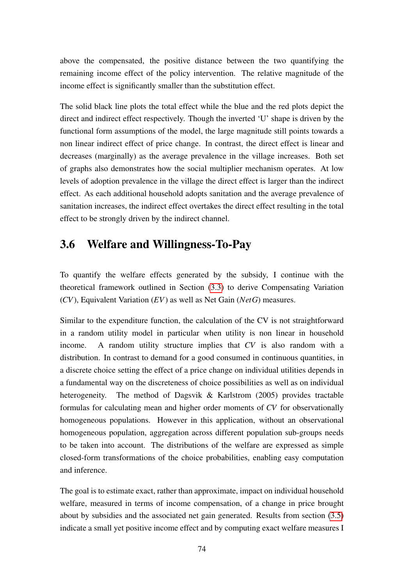above the compensated, the positive distance between the two quantifying the remaining income effect of the policy intervention. The relative magnitude of the income effect is significantly smaller than the substitution effect.

The solid black line plots the total effect while the blue and the red plots depict the direct and indirect effect respectively. Though the inverted 'U' shape is driven by the functional form assumptions of the model, the large magnitude still points towards a non linear indirect effect of price change. In contrast, the direct effect is linear and decreases (marginally) as the average prevalence in the village increases. Both set of graphs also demonstrates how the social multiplier mechanism operates. At low levels of adoption prevalence in the village the direct effect is larger than the indirect effect. As each additional household adopts sanitation and the average prevalence of sanitation increases, the indirect effect overtakes the direct effect resulting in the total effect to be strongly driven by the indirect channel.

## 3.6 Welfare and Willingness-To-Pay

To quantify the welfare effects generated by the subsidy, I continue with the theoretical framework outlined in Section [\(3.3\)](#page-64-0) to derive Compensating Variation (*CV*), Equivalent Variation (*EV*) as well as Net Gain (*NetG*) measures.

Similar to the expenditure function, the calculation of the CV is not straightforward in a random utility model in particular when utility is non linear in household income. A random utility structure implies that *CV* is also random with a distribution. In contrast to demand for a good consumed in continuous quantities, in a discrete choice setting the effect of a price change on individual utilities depends in a fundamental way on the discreteness of choice possibilities as well as on individual heterogeneity. The method of Dagsvik & Karlstrom (2005) provides tractable formulas for calculating mean and higher order moments of *CV* for observationally homogeneous populations. However in this application, without an observational homogeneous population, aggregation across different population sub-groups needs to be taken into account. The distributions of the welfare are expressed as simple closed-form transformations of the choice probabilities, enabling easy computation and inference.

The goal is to estimate exact, rather than approximate, impact on individual household welfare, measured in terms of income compensation, of a change in price brought about by subsidies and the associated net gain generated. Results from section [\(3.5\)](#page-72-0) indicate a small yet positive income effect and by computing exact welfare measures I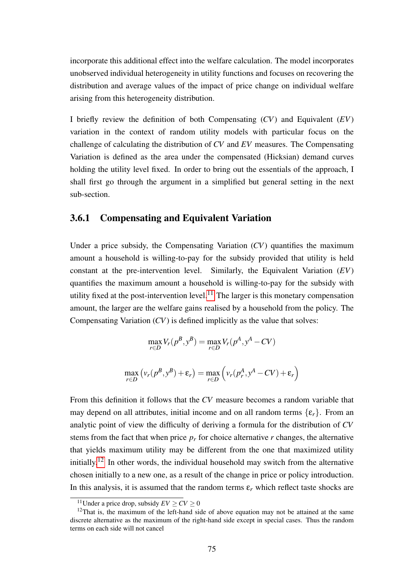incorporate this additional effect into the welfare calculation. The model incorporates unobserved individual heterogeneity in utility functions and focuses on recovering the distribution and average values of the impact of price change on individual welfare arising from this heterogeneity distribution.

I briefly review the definition of both Compensating (*CV*) and Equivalent (*EV*) variation in the context of random utility models with particular focus on the challenge of calculating the distribution of *CV* and *EV* measures. The Compensating Variation is defined as the area under the compensated (Hicksian) demand curves holding the utility level fixed. In order to bring out the essentials of the approach, I shall first go through the argument in a simplified but general setting in the next sub-section.

## 3.6.1 Compensating and Equivalent Variation

Under a price subsidy, the Compensating Variation (*CV*) quantifies the maximum amount a household is willing-to-pay for the subsidy provided that utility is held constant at the pre-intervention level. Similarly, the Equivalent Variation (*EV*) quantifies the maximum amount a household is willing-to-pay for the subsidy with utility fixed at the post-intervention level.<sup>[11](#page-74-0)</sup> The larger is this monetary compensation amount, the larger are the welfare gains realised by a household from the policy. The Compensating Variation (*CV*) is defined implicitly as the value that solves:

$$
\max_{r \in D} V_r(p^B, y^B) = \max_{r \in D} V_r(p^A, y^A - CV)
$$

$$
\max_{r \in D} (v_r(p^B, y^B) + \varepsilon_r) = \max_{r \in D} (v_r(p^A, y^A - CV) + \varepsilon_r)
$$

From this definition it follows that the *CV* measure becomes a random variable that may depend on all attributes, initial income and on all random terms  $\{\varepsilon_r\}$ . From an analytic point of view the difficulty of deriving a formula for the distribution of *CV* stems from the fact that when price  $p_r$  for choice alternative  $r$  changes, the alternative that yields maximum utility may be different from the one that maximized utility initially.[12](#page-74-1) In other words, the individual household may switch from the alternative chosen initially to a new one, as a result of the change in price or policy introduction. In this analysis, it is assumed that the random terms  $\varepsilon_r$  which reflect taste shocks are

<span id="page-74-1"></span><span id="page-74-0"></span><sup>&</sup>lt;sup>11</sup>Under a price drop, subsidy  $EV \ge CV \ge 0$ 

<sup>&</sup>lt;sup>12</sup>That is, the maximum of the left-hand side of above equation may not be attained at the same discrete alternative as the maximum of the right-hand side except in special cases. Thus the random terms on each side will not cancel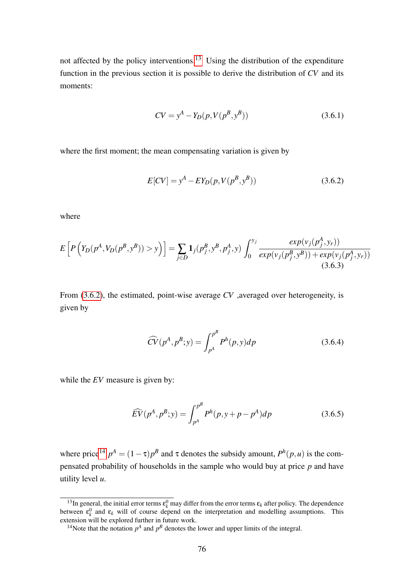not affected by the policy interventions.[13](#page-75-0) Using the distribution of the expenditure function in the previous section it is possible to derive the distribution of *CV* and its moments:

$$
CV = yA - YD(p, V(pB, yB))
$$
\n(3.6.1)

where the first moment; the mean compensating variation is given by

<span id="page-75-1"></span>
$$
E[CV] = y^{A} - EY_{D}(p, V(p^{B}, y^{B}))
$$
\n(3.6.2)

where

$$
E\left[P\left(Y_D(p^A, V_D(p^B, y^B)) > y\right)\right] = \sum_{j \in D} \mathbf{1}_j(p_j^B, y^B, p_j^A, y) \int_0^{y_j} \frac{\exp(v_j(p_j^A, y_r))}{\exp(v_j(p_j^B, y^B)) + \exp(v_j(p_j^A, y_r))} \tag{3.6.3}
$$

From [\(3.6.2\)](#page-75-1), the estimated, point-wise average *CV* ,averaged over heterogeneity, is given by

$$
\widehat{CV}(p^A, p^B; y) = \int_{p^A}^{p^B} P^h(p, y) dp \qquad (3.6.4)
$$

while the *EV* measure is given by:

$$
\widehat{EV}(p^A, p^B; y) = \int_{p^A}^{p^B} P^h(p, y + p - p^A) dp
$$
\n(3.6.5)

where price<sup>[14](#page-75-2)</sup>  $p^A = (1 - \tau)p^B$  and  $\tau$  denotes the subsidy amount,  $P^h(p, u)$  is the compensated probability of households in the sample who would buy at price *p* and have utility level *u*.

<span id="page-75-0"></span><sup>&</sup>lt;sup>13</sup>In general, the initial error terms  $\epsilon_k^0$  may differ from the error terms  $\epsilon_k$  after policy. The dependence between  $\varepsilon_k^0$  and  $\varepsilon_k$  will of course depend on the interpretation and modelling assumptions. This extension will be explored further in future work.

<span id="page-75-2"></span><sup>&</sup>lt;sup>14</sup>Note that the notation  $p^A$  and  $p^B$  denotes the lower and upper limits of the integral.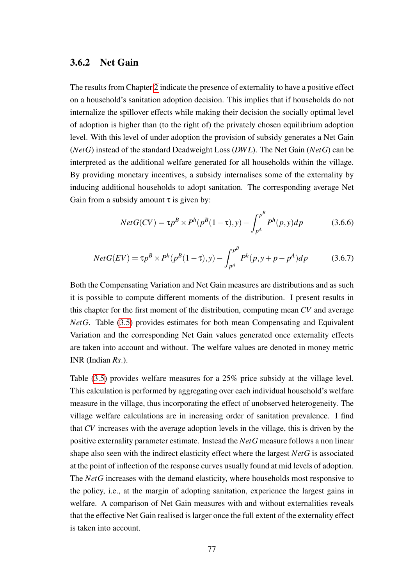#### 3.6.2 Net Gain

The results from Chapter [2](#page-20-0) indicate the presence of externality to have a positive effect on a household's sanitation adoption decision. This implies that if households do not internalize the spillover effects while making their decision the socially optimal level of adoption is higher than (to the right of) the privately chosen equilibrium adoption level. With this level of under adoption the provision of subsidy generates a Net Gain (*NetG*) instead of the standard Deadweight Loss (*DW L*). The Net Gain (*NetG*) can be interpreted as the additional welfare generated for all households within the village. By providing monetary incentives, a subsidy internalises some of the externality by inducing additional households to adopt sanitation. The corresponding average Net Gain from a subsidy amount  $\tau$  is given by:

$$
NetG(CV) = \tau p^B \times P^h(p^B(1-\tau), y) - \int_{p^A}^{p^B} P^h(p, y) dp
$$
 (3.6.6)

$$
NetG(EV) = \tau p^B \times P^h(p^B(1-\tau), y) - \int_{p^A}^{p^B} P^h(p, y + p - p^A) dp \tag{3.6.7}
$$

Both the Compensating Variation and Net Gain measures are distributions and as such it is possible to compute different moments of the distribution. I present results in this chapter for the first moment of the distribution, computing mean *CV* and average *NetG*. Table [\(3.5\)](#page-87-0) provides estimates for both mean Compensating and Equivalent Variation and the corresponding Net Gain values generated once externality effects are taken into account and without. The welfare values are denoted in money metric INR (Indian *Rs*.).

Table [\(3.5\)](#page-87-0) provides welfare measures for a 25% price subsidy at the village level. This calculation is performed by aggregating over each individual household's welfare measure in the village, thus incorporating the effect of unobserved heterogeneity. The village welfare calculations are in increasing order of sanitation prevalence. I find that *CV* increases with the average adoption levels in the village, this is driven by the positive externality parameter estimate. Instead the *NetG* measure follows a non linear shape also seen with the indirect elasticity effect where the largest *NetG* is associated at the point of inflection of the response curves usually found at mid levels of adoption. The *NetG* increases with the demand elasticity, where households most responsive to the policy, i.e., at the margin of adopting sanitation, experience the largest gains in welfare. A comparison of Net Gain measures with and without externalities reveals that the effective Net Gain realised is larger once the full extent of the externality effect is taken into account.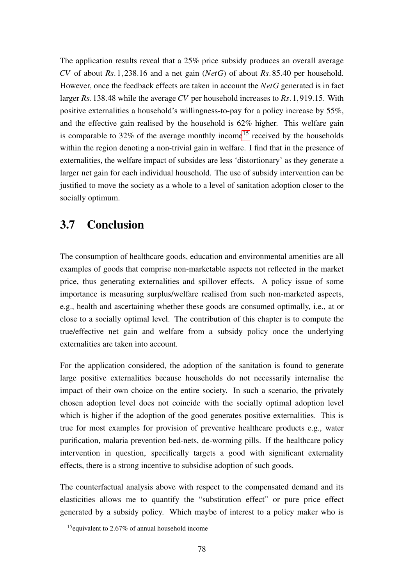The application results reveal that a 25% price subsidy produces an overall average *CV* of about *Rs*.1,238.16 and a net gain (*NetG*) of about *Rs*.85.40 per household. However, once the feedback effects are taken in account the *NetG* generated is in fact larger *Rs*.138.48 while the average *CV* per household increases to *Rs*.1,919.15. With positive externalities a household's willingness-to-pay for a policy increase by 55%, and the effective gain realised by the household is 62% higher. This welfare gain is comparable to  $32\%$  of the average monthly income<sup>[15](#page-77-0)</sup> received by the households within the region denoting a non-trivial gain in welfare. I find that in the presence of externalities, the welfare impact of subsides are less 'distortionary' as they generate a larger net gain for each individual household. The use of subsidy intervention can be justified to move the society as a whole to a level of sanitation adoption closer to the socially optimum.

## 3.7 Conclusion

The consumption of healthcare goods, education and environmental amenities are all examples of goods that comprise non-marketable aspects not reflected in the market price, thus generating externalities and spillover effects. A policy issue of some importance is measuring surplus/welfare realised from such non-marketed aspects, e.g., health and ascertaining whether these goods are consumed optimally, i.e., at or close to a socially optimal level. The contribution of this chapter is to compute the true/effective net gain and welfare from a subsidy policy once the underlying externalities are taken into account.

For the application considered, the adoption of the sanitation is found to generate large positive externalities because households do not necessarily internalise the impact of their own choice on the entire society. In such a scenario, the privately chosen adoption level does not coincide with the socially optimal adoption level which is higher if the adoption of the good generates positive externalities. This is true for most examples for provision of preventive healthcare products e.g., water purification, malaria prevention bed-nets, de-worming pills. If the healthcare policy intervention in question, specifically targets a good with significant externality effects, there is a strong incentive to subsidise adoption of such goods.

The counterfactual analysis above with respect to the compensated demand and its elasticities allows me to quantify the "substitution effect" or pure price effect generated by a subsidy policy. Which maybe of interest to a policy maker who is

<span id="page-77-0"></span><sup>15</sup>equivalent to 2.67% of annual household income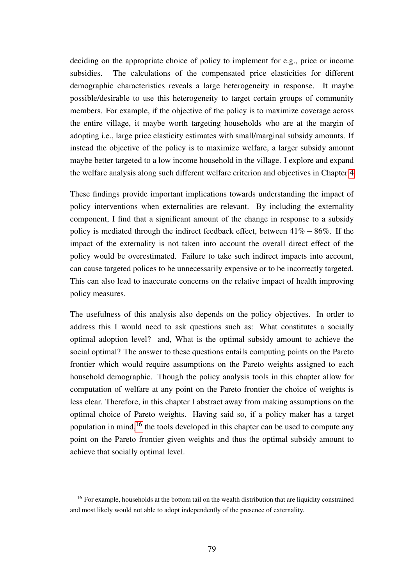deciding on the appropriate choice of policy to implement for e.g., price or income subsidies. The calculations of the compensated price elasticities for different demographic characteristics reveals a large heterogeneity in response. It maybe possible/desirable to use this heterogeneity to target certain groups of community members. For example, if the objective of the policy is to maximize coverage across the entire village, it maybe worth targeting households who are at the margin of adopting i.e., large price elasticity estimates with small/marginal subsidy amounts. If instead the objective of the policy is to maximize welfare, a larger subsidy amount maybe better targeted to a low income household in the village. I explore and expand the welfare analysis along such different welfare criterion and objectives in Chapter [4](#page-90-0)

These findings provide important implications towards understanding the impact of policy interventions when externalities are relevant. By including the externality component, I find that a significant amount of the change in response to a subsidy policy is mediated through the indirect feedback effect, between 41% − 86%. If the impact of the externality is not taken into account the overall direct effect of the policy would be overestimated. Failure to take such indirect impacts into account, can cause targeted polices to be unnecessarily expensive or to be incorrectly targeted. This can also lead to inaccurate concerns on the relative impact of health improving policy measures.

The usefulness of this analysis also depends on the policy objectives. In order to address this I would need to ask questions such as: What constitutes a socially optimal adoption level? and, What is the optimal subsidy amount to achieve the social optimal? The answer to these questions entails computing points on the Pareto frontier which would require assumptions on the Pareto weights assigned to each household demographic. Though the policy analysis tools in this chapter allow for computation of welfare at any point on the Pareto frontier the choice of weights is less clear. Therefore, in this chapter I abstract away from making assumptions on the optimal choice of Pareto weights. Having said so, if a policy maker has a target population in mind,<sup>[16](#page-78-0)</sup> the tools developed in this chapter can be used to compute any point on the Pareto frontier given weights and thus the optimal subsidy amount to achieve that socially optimal level.

<span id="page-78-0"></span><sup>&</sup>lt;sup>16</sup> For example, households at the bottom tail on the wealth distribution that are liquidity constrained and most likely would not able to adopt independently of the presence of externality.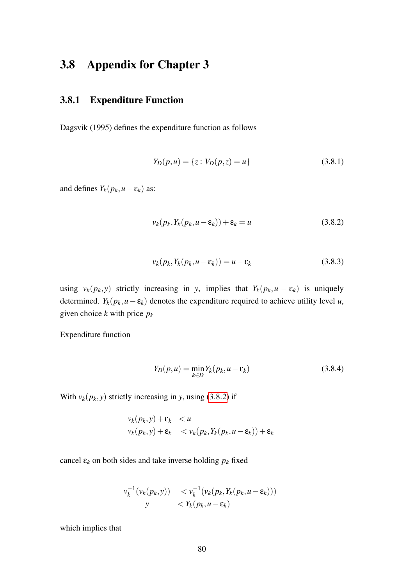## 3.8 Appendix for Chapter 3

## 3.8.1 Expenditure Function

Dagsvik (1995) defines the expenditure function as follows

$$
Y_D(p, u) = \{ z : V_D(p, z) = u \}
$$
\n(3.8.1)

and defines  $Y_k(p_k, u - \varepsilon_k)$  as:

<span id="page-79-0"></span>
$$
v_k(p_k, Y_k(p_k, u - \varepsilon_k)) + \varepsilon_k = u \tag{3.8.2}
$$

$$
v_k(p_k, Y_k(p_k, u - \varepsilon_k)) = u - \varepsilon_k \tag{3.8.3}
$$

using  $v_k(p_k, y)$  strictly increasing in *y*, implies that  $Y_k(p_k, u - \varepsilon_k)$  is uniquely determined.  $Y_k(p_k, u - \varepsilon_k)$  denotes the expenditure required to achieve utility level *u*, given choice *k* with price *p<sup>k</sup>*

Expenditure function

<span id="page-79-1"></span>
$$
Y_D(p, u) = \min_{k \in D} Y_k(p_k, u - \varepsilon_k)
$$
\n(3.8.4)

With  $v_k(p_k, y)$  strictly increasing in *y*, using [\(3](#page-79-0).8.2) if

$$
v_k(p_k, y) + \varepsilon_k < u
$$
  

$$
v_k(p_k, y) + \varepsilon_k < v_k(p_k, Y_k(p_k, u - \varepsilon_k)) + \varepsilon_k
$$

cancel  $\varepsilon_k$  on both sides and take inverse holding  $p_k$  fixed

$$
v_k^{-1}(v_k(p_k, y)) \le v_k^{-1}(v_k(p_k, Y_k(p_k, u - \varepsilon_k)))
$$
  
 
$$
y \le Y_k(p_k, u - \varepsilon_k)
$$

which implies that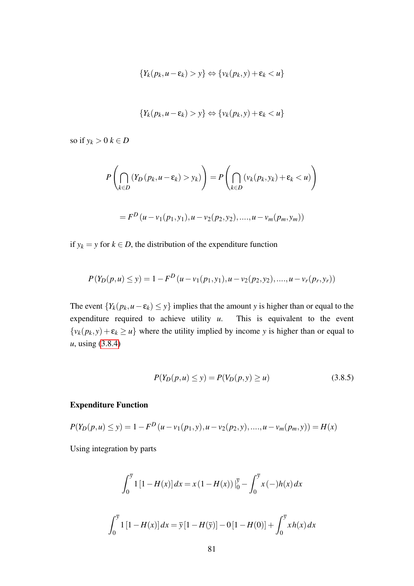$$
\{Y_k(p_k, u-\varepsilon_k) > y\} \Leftrightarrow \{v_k(p_k, y) + \varepsilon_k < u\}
$$

$$
\{Y_k(p_k, u-\varepsilon_k) > y\} \Leftrightarrow \{v_k(p_k, y) + \varepsilon_k < u\}
$$

so if  $y_k > 0$   $k \in D$ 

$$
P\left(\bigcap_{k\in D} (Y_D(p_k, u - \varepsilon_k) > y_k)\right) = P\left(\bigcap_{k\in D} (v_k(p_k, y_k) + \varepsilon_k < u)\right)
$$
\n
$$
= F^D(u - v_1(p_1, y_1), u - v_2(p_2, y_2), \dots, u - v_m(p_m, y_m))
$$

if  $y_k = y$  for  $k \in D$ , the distribution of the expenditure function

$$
P(Y_D(p, u) \le y) = 1 - F^D(u - v_1(p_1, y_1), u - v_2(p_2, y_2), \dots, u - v_r(p_r, y_r))
$$

The event  ${Y_k(p_k, u - \varepsilon_k) \leq y}$  implies that the amount *y* is higher than or equal to the expenditure required to achieve utility *u*. This is equivalent to the event  ${v_k(p_k, y) + \varepsilon_k \ge u}$  where the utility implied by income *y* is higher than or equal to *u*, using [\(3.8.4\)](#page-79-1)

$$
P(Y_D(p, u) \le y) = P(V_D(p, y) \ge u)
$$
\n(3.8.5)

#### Expenditure Function

$$
P(Y_D(p, u) \le y) = 1 - F^D(u - v_1(p_1, y), u - v_2(p_2, y), \dots, u - v_m(p_m, y)) = H(x)
$$

Using integration by parts

$$
\int_0^{\overline{y}} 1 [1 - H(x)] dx = x (1 - H(x)) \Big|_0^{\overline{y}} - \int_0^{\overline{y}} x (-)h(x) dx
$$
  

$$
\int_0^{\overline{y}} 1 [1 - H(x)] dx = \overline{y} [1 - H(\overline{y})] - 0 [1 - H(0)] + \int_0^{\overline{y}} x h(x) dx
$$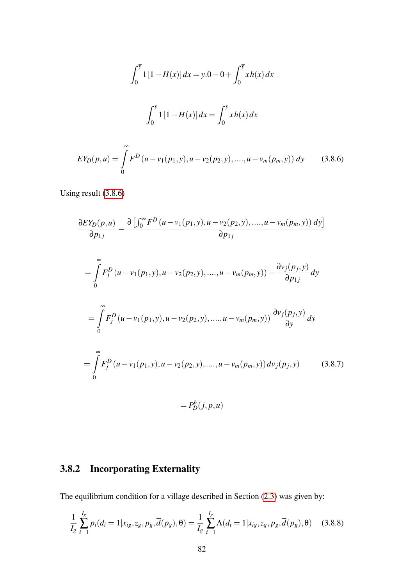$$
\int_0^{\overline{y}} 1 [1 - H(x)] dx = \overline{y} \cdot 0 - 0 + \int_0^{\overline{y}} x h(x) dx
$$

$$
\int_0^{\overline{y}} 1 [1 - H(x)] dx = \int_0^{\overline{y}} x h(x) dx
$$

<span id="page-81-0"></span>
$$
EY_D(p,u) = \int\limits_0^\infty F^D(u - v_1(p_1, y), u - v_2(p_2, y), \dots, u - v_m(p_m, y)) dy
$$
 (3.8.6)

Using result [\(3.8.6\)](#page-81-0)

$$
\frac{\partial EY_D(p, u)}{\partial p_{1j}} = \frac{\partial \left[ \int_0^\infty F^D(u - v_1(p_1, y), u - v_2(p_2, y), \dots, u - v_m(p_m, y) \right] dy}{\partial p_{1j}} \n= \int_0^\infty F_j^D(u - v_1(p_1, y), u - v_2(p_2, y), \dots, u - v_m(p_m, y)) - \frac{\partial v_j(p_j, y)}{\partial p_{1j}} dy \n= \int_0^\infty F_j^D(u - v_1(p_1, y), u - v_2(p_2, y), \dots, u - v_m(p_m, y)) \frac{\partial v_j(p_j, y)}{\partial y} dy \n= \int_0^\infty F_j^D(u - v_1(p_1, y), u - v_2(p_2, y), \dots, u - v_m(p_m, y)) dv_j(p_j, y) \qquad (3.8.7)\n= P_D^h(j, p, u)
$$

## 3.8.2 Incorporating Externality

The equilibrium condition for a village described in Section [\(2.3\)](#page-24-0) was given by:

$$
\frac{1}{I_g} \sum_{i=1}^{I_g} p_i(d_i = 1 | x_{ig}, z_g, p_g, \overline{d}(p_g), \theta) = \frac{1}{I_g} \sum_{i=1}^{I_g} \Lambda(d_i = 1 | x_{ig}, z_g, p_g, \overline{d}(p_g), \theta) \quad (3.8.8)
$$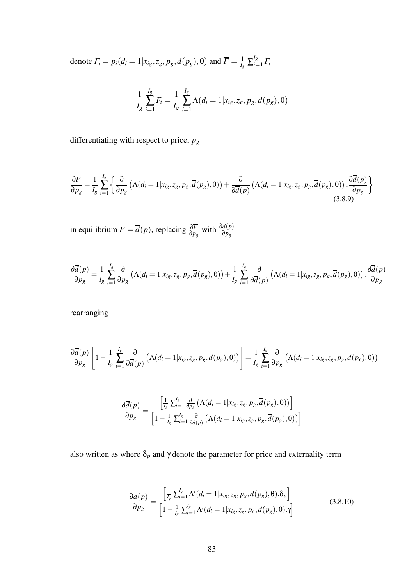denote  $F_i = p_i(d_i = 1 | x_{ig}, z_g, p_g, \overline{d}(p_g), \theta)$  and  $\overline{F} = \frac{1}{L}$  $\frac{1}{I_{g}}\sum_{i=1}^{I_{g}}$  $\prod_{i=1}^{I_g} F_i$ 

$$
\frac{1}{I_g} \sum_{i=1}^{I_g} F_i = \frac{1}{I_g} \sum_{i=1}^{I_g} \Lambda(d_i = 1 | x_{ig}, z_g, p_g, \overline{d}(p_g), \theta)
$$

differentiating with respect to price, *p<sup>g</sup>*

$$
\frac{\partial \overline{F}}{\partial p_g} = \frac{1}{I_g} \sum_{i=1}^{I_g} \left\{ \frac{\partial}{\partial p_g} \left( \Lambda(d_i = 1 | x_{ig}, z_g, p_g, \overline{d}(p_g), \theta) \right) + \frac{\partial}{\partial \overline{d}(p)} \left( \Lambda(d_i = 1 | x_{ig}, z_g, p_g, \overline{d}(p_g), \theta) \right) \cdot \frac{\partial \overline{d}(p)}{\partial p_g} \right\}
$$
(3.8.9)

 $\overline{F} = \overline{d}(p)$ , replacing  $\frac{\partial \overline{F}}{\partial p_g}$  with  $\frac{\partial d(p)}{\partial p_g}$ 

$$
\frac{\partial \overline{d}(p)}{\partial p_g} = \frac{1}{I_g} \sum_{i=1}^{I_g} \frac{\partial}{\partial p_g} \left( \Lambda(d_i = 1 | x_{ig}, z_g, p_g, \overline{d}(p_g), \theta) \right) + \frac{1}{I_g} \sum_{i=1}^{I_g} \frac{\partial}{\partial \overline{d}(p)} \left( \Lambda(d_i = 1 | x_{ig}, z_g, p_g, \overline{d}(p_g), \theta) \right) \cdot \frac{\partial \overline{d}(p)}{\partial p_g}
$$

rearranging

$$
\frac{\partial \overline{d}(p)}{\partial p_g} \left[ 1 - \frac{1}{I_g} \sum_{i=1}^{I_g} \frac{\partial}{\partial \overline{d}(p)} \left( \Lambda(d_i = 1 | x_{ig}, z_g, p_g, \overline{d}(p_g), \theta) \right) \right] = \frac{1}{I_g} \sum_{i=1}^{I_g} \frac{\partial}{\partial p_g} \left( \Lambda(d_i = 1 | x_{ig}, z_g, p_g, \overline{d}(p_g), \theta) \right)
$$

$$
\frac{\partial \overline{d}(p)}{\partial p_g} = \frac{\left[\frac{1}{I_g} \sum_{i=1}^{I_g} \frac{\partial}{\partial p_g} \left( \Lambda(d_i = 1 | x_{ig}, z_g, p_g, \overline{d}(p_g), \theta) \right)\right]}{\left[1 - \frac{1}{I_g} \sum_{i=1}^{I_g} \frac{\partial}{\partial \overline{d}(p)} \left( \Lambda(d_i = 1 | x_{ig}, z_g, p_g, \overline{d}(p_g), \theta) \right)\right]}
$$

also written as where  $\delta_p$  and  $\gamma$  denote the parameter for price and externality term

$$
\frac{\partial \overline{d}(p)}{\partial p_g} = \frac{\left[\frac{1}{I_g} \sum_{i=1}^{I_g} \Lambda'(d_i = 1 | x_{ig}, z_g, p_g, \overline{d}(p_g), \theta) . \delta_p\right]}{\left[1 - \frac{1}{I_g} \sum_{i=1}^{I_g} \Lambda'(d_i = 1 | x_{ig}, z_g, p_g, \overline{d}(p_g), \theta) . \gamma\right]}
$$
(3.8.10)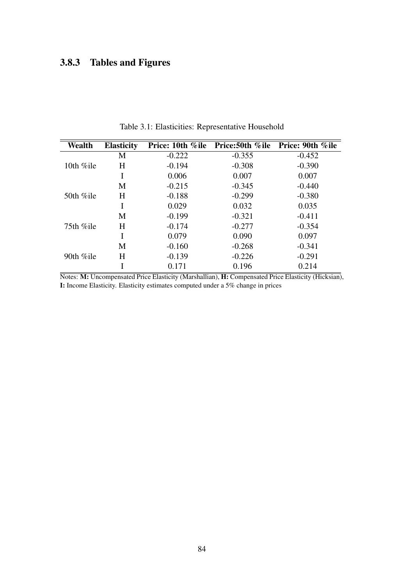## 3.8.3 Tables and Figures

<span id="page-83-0"></span>

| Wealth        | <b>Elasticity</b> |          | Price: 10th %ile Price:50th %ile | Price: 90th %ile |
|---------------|-------------------|----------|----------------------------------|------------------|
|               | M                 | $-0.222$ | $-0.355$                         | $-0.452$         |
| 10th %ile     | H                 | $-0.194$ | $-0.308$                         | $-0.390$         |
|               | I                 | 0.006    | 0.007                            | 0.007            |
|               | M                 | $-0.215$ | $-0.345$                         | $-0.440$         |
| 50th $\%$ ile | H                 | $-0.188$ | $-0.299$                         | $-0.380$         |
|               | Ι                 | 0.029    | 0.032                            | 0.035            |
|               | M                 | $-0.199$ | $-0.321$                         | $-0.411$         |
| 75th $\%$ ile | H                 | $-0.174$ | $-0.277$                         | $-0.354$         |
|               |                   | 0.079    | 0.090                            | 0.097            |
|               | M                 | $-0.160$ | $-0.268$                         | $-0.341$         |
| 90th $\%$ ile | H                 | $-0.139$ | $-0.226$                         | $-0.291$         |
|               |                   | 0.171    | 0.196                            | 0.214            |

Table 3.1: Elasticities: Representative Household

Notes: M: Uncompensated Price Elasticity (Marshallian), H: Compensated Price Elasticity (Hicksian), I: Income Elasticity. Elasticity estimates computed under a 5% change in prices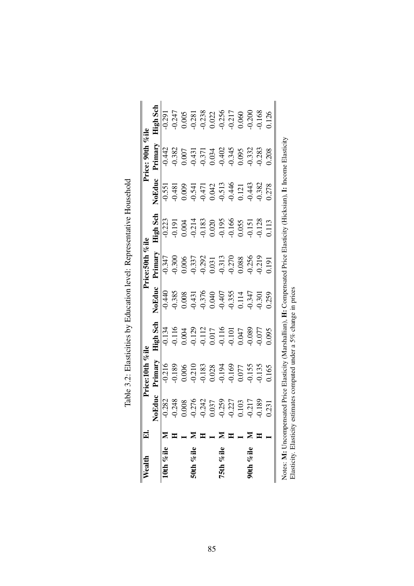<span id="page-84-0"></span>

| Wealth         | $\mathbf{F}$ |                            | Price:10th %ile                                                                                                    |                                                                                                                                                                                                                                                                                               |                                                      | Price:50th %ile                                                                              |                                                                                                                          |                                                                             | Price: 90th %ile                                                                |                                                                                                |
|----------------|--------------|----------------------------|--------------------------------------------------------------------------------------------------------------------|-----------------------------------------------------------------------------------------------------------------------------------------------------------------------------------------------------------------------------------------------------------------------------------------------|------------------------------------------------------|----------------------------------------------------------------------------------------------|--------------------------------------------------------------------------------------------------------------------------|-----------------------------------------------------------------------------|---------------------------------------------------------------------------------|------------------------------------------------------------------------------------------------|
|                |              | Educ<br>$\bar{\mathbf{z}}$ | Primary                                                                                                            | <b>High Sch</b>                                                                                                                                                                                                                                                                               | NoEduc                                               | Primary                                                                                      | High Sch                                                                                                                 | NoEduc                                                                      | Primary                                                                         | <b>High Sch</b>                                                                                |
| 10th % ile $M$ |              | 282                        | $-0.216$                                                                                                           | 0.134                                                                                                                                                                                                                                                                                         | $-0.440$                                             | $-0.347$                                                                                     | $-0.223$                                                                                                                 | $-0.551$                                                                    | $-0.442$                                                                        | $-0.291$                                                                                       |
|                |              | 248                        | 0.189                                                                                                              |                                                                                                                                                                                                                                                                                               |                                                      | 0.300                                                                                        |                                                                                                                          |                                                                             | 0.382                                                                           |                                                                                                |
|                |              | 008                        |                                                                                                                    |                                                                                                                                                                                                                                                                                               | $-0.385$<br>0.008                                    |                                                                                              |                                                                                                                          | 0.009                                                                       |                                                                                 |                                                                                                |
| 50th %ile      |              | .276                       |                                                                                                                    |                                                                                                                                                                                                                                                                                               |                                                      | $\begin{array}{l} 0.006 \\ -0.337 \\ 0.292 \\ 0.031 \\ -0.313 \\ 0.270 \\ 0.088 \end{array}$ |                                                                                                                          |                                                                             | $0.007$<br>$-0.431$<br>$-0.371$<br>$-0.034$<br>$-0.402$<br>$-0.345$<br>$-0.345$ |                                                                                                |
|                |              | .242                       |                                                                                                                    |                                                                                                                                                                                                                                                                                               |                                                      |                                                                                              |                                                                                                                          |                                                                             |                                                                                 |                                                                                                |
|                |              | 037                        |                                                                                                                    |                                                                                                                                                                                                                                                                                               |                                                      |                                                                                              |                                                                                                                          |                                                                             |                                                                                 |                                                                                                |
| 75th %ile      |              | .259                       |                                                                                                                    |                                                                                                                                                                                                                                                                                               |                                                      |                                                                                              |                                                                                                                          |                                                                             |                                                                                 |                                                                                                |
|                |              | .227                       |                                                                                                                    |                                                                                                                                                                                                                                                                                               |                                                      |                                                                                              |                                                                                                                          |                                                                             |                                                                                 |                                                                                                |
|                |              | 103                        | $\begin{array}{c} 0.006 \\ -0.210 \\ -0.183 \\ 0.028 \\ -0.194 \\ 0.077 \\ 0.077 \\ 0.077 \\ 0.077 \\ \end{array}$ | $\begin{array}{l} 0.116 \\ 0.004 \\ 0.129 \\ 0.111 \\ 0.017 \\ 0.017 \\ 0.007 \\ 0.047 \\ 0.0047 \\ 0.0047 \\ 0.0047 \\ 0.0047 \\ 0.0047 \\ 0.0047 \\ 0.0047 \\ 0.0047 \\ 0.0047 \\ 0.0047 \\ 0.0047 \\ 0.0047 \\ 0.0047 \\ 0.0047 \\ 0.0047 \\ 0.0047 \\ 0.0047 \\ 0.0047 \\ 0.0047 \\ 0.00$ | -0.431<br>-0.376<br>0.040<br>0.407<br>0.355<br>0.347 |                                                                                              | 0.191<br>0.004<br>0.214<br>0.218<br>0.020<br>0.055<br>0.055<br>0.055                                                     | $-0.541$<br>$-0.471$<br>$0.042$<br>$0.513$<br>$0.446$<br>$0.121$<br>$0.121$ |                                                                                 | $0.247$<br>$0.005$<br>$0.281$<br>$0.238$<br>$0.022$<br>$0.025$<br>$0.05$<br>$0.000$<br>$0.000$ |
| 90th %ile      |              | 217                        |                                                                                                                    |                                                                                                                                                                                                                                                                                               |                                                      | 0.256                                                                                        |                                                                                                                          |                                                                             | 0.332                                                                           |                                                                                                |
|                |              | .189                       | 0.135                                                                                                              | 0.077                                                                                                                                                                                                                                                                                         | 0.301                                                | 0.219                                                                                        |                                                                                                                          | 0.382                                                                       | 0.283                                                                           | 0.168                                                                                          |
|                |              | .231                       | 1165                                                                                                               | 1.095                                                                                                                                                                                                                                                                                         | 0.259                                                | 1.191                                                                                        | 1.113                                                                                                                    | 0.278                                                                       | 0.208                                                                           | 0.126                                                                                          |
|                |              |                            |                                                                                                                    |                                                                                                                                                                                                                                                                                               |                                                      |                                                                                              | Notes: M: Uncompensated Price Elasticity (Marshallian), H: Compensated Price Elasticity (Hicksian), I: Income Elasticity |                                                                             |                                                                                 |                                                                                                |
|                |              |                            |                                                                                                                    |                                                                                                                                                                                                                                                                                               |                                                      |                                                                                              |                                                                                                                          |                                                                             |                                                                                 |                                                                                                |
|                |              |                            |                                                                                                                    | Elasticity. Elasticity estimates computed under a 5% change in prices                                                                                                                                                                                                                         |                                                      |                                                                                              |                                                                                                                          |                                                                             |                                                                                 |                                                                                                |

| 2.921                                                                                  |
|----------------------------------------------------------------------------------------|
|                                                                                        |
|                                                                                        |
|                                                                                        |
|                                                                                        |
|                                                                                        |
|                                                                                        |
|                                                                                        |
|                                                                                        |
|                                                                                        |
|                                                                                        |
| こうこう                                                                                   |
|                                                                                        |
|                                                                                        |
|                                                                                        |
|                                                                                        |
|                                                                                        |
|                                                                                        |
|                                                                                        |
|                                                                                        |
| Table 3.0: Flasticities by Education level: Representative Househo!"<br>11.11.11.11.11 |
|                                                                                        |
|                                                                                        |
|                                                                                        |
|                                                                                        |
|                                                                                        |
|                                                                                        |
|                                                                                        |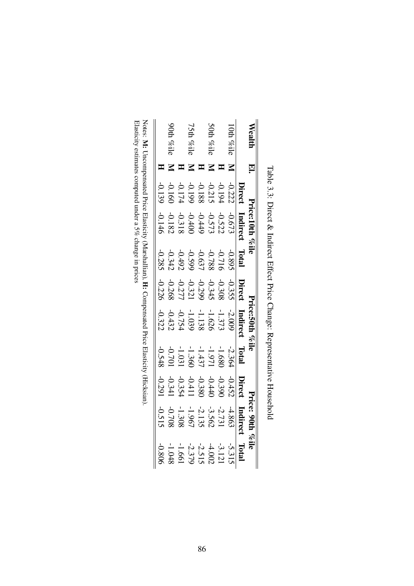|             |                                                                                                     | ce:10th % il                                                                                                   |                                                                                                                                                                                                                                                                                                                                    |                                                           |                                                                                                             |                                                                                  |                                                                          | ice: 90th<br>$\log$ ile                                                                              |                                                                                  |
|-------------|-----------------------------------------------------------------------------------------------------|----------------------------------------------------------------------------------------------------------------|------------------------------------------------------------------------------------------------------------------------------------------------------------------------------------------------------------------------------------------------------------------------------------------------------------------------------------|-----------------------------------------------------------|-------------------------------------------------------------------------------------------------------------|----------------------------------------------------------------------------------|--------------------------------------------------------------------------|------------------------------------------------------------------------------------------------------|----------------------------------------------------------------------------------|
|             | Direct                                                                                              | Indirect                                                                                                       | Total                                                                                                                                                                                                                                                                                                                              |                                                           | Indirect                                                                                                    | Lotal                                                                            |                                                                          | Indirec                                                                                              | Total                                                                            |
| 0th $\%$ il |                                                                                                     |                                                                                                                |                                                                                                                                                                                                                                                                                                                                    |                                                           |                                                                                                             |                                                                                  |                                                                          |                                                                                                      |                                                                                  |
|             |                                                                                                     |                                                                                                                |                                                                                                                                                                                                                                                                                                                                    |                                                           |                                                                                                             |                                                                                  |                                                                          |                                                                                                      |                                                                                  |
| Wil         |                                                                                                     |                                                                                                                |                                                                                                                                                                                                                                                                                                                                    |                                                           |                                                                                                             |                                                                                  |                                                                          |                                                                                                      |                                                                                  |
|             |                                                                                                     |                                                                                                                |                                                                                                                                                                                                                                                                                                                                    |                                                           |                                                                                                             |                                                                                  |                                                                          |                                                                                                      |                                                                                  |
| ÇĘ<br>li%   | $\begin{array}{r} -0.222 \\ -0.2194 \\ -0.199 \\ -0.199 \\ -0.1174 \\ -0.199 \\ -0.139 \end{array}$ | $\begin{array}{r} -0.673 \\ -0.522 \\ -0.572 \\ -0.499 \\ -0.182 \\ -0.144 \\ -0.144 \\ -0.144 \\ \end{array}$ | $\begin{array}{r} -0.895 \\ -0.788 \\ -0.788 \\ -0.997 \\ -0.342 \\ -0.285 \\ -0.285 \\ -0.285 \\ -0.285 \\ -0.285 \\ -0.285 \\ -0.285 \\ -0.285 \\ -0.285 \\ -0.285 \\ -0.285 \\ -0.285 \\ -0.285 \\ -0.285 \\ -0.285 \\ -0.285 \\ -0.285 \\ -0.285 \\ -0.285 \\ -0.285 \\ -0.285 \\ -0.285 \\ -0.285 \\ -0.285 \\ -0.285 \\ -0.$ | <b>Direct</b><br>355234398<br>3934321<br>-0.226<br>-0.226 | $\begin{array}{r} -2.009 \\ -1.373 \\ -1.138 \\ -0.754 \\ -0.754 \\ -0.432 \\ -0.322 \\ -0.322 \end{array}$ | $-2.364$<br>$-1.971$<br>$-1.971$<br>$-1.971$<br>$-1.971$<br>$-0.701$<br>$-0.548$ | Direct<br>0.390<br>0.390<br>0.380<br>0.391<br>-0.391<br>-0.291<br>-0.291 | $\begin{array}{c} 44.863 \\ 4.7731 \\ -1.960 \\ -0.708 \\ -0.708 \\ -0.515 \\ -0.515 \\ \end{array}$ | $-5.315$<br>$-3.121$<br>$-4.515$<br>$-1.661$<br>$-1.048$<br>$-1.048$<br>$-1.048$ |
|             |                                                                                                     |                                                                                                                |                                                                                                                                                                                                                                                                                                                                    |                                                           |                                                                                                             |                                                                                  |                                                                          |                                                                                                      |                                                                                  |
| Wil         |                                                                                                     |                                                                                                                |                                                                                                                                                                                                                                                                                                                                    |                                                           |                                                                                                             |                                                                                  |                                                                          |                                                                                                      |                                                                                  |
|             |                                                                                                     |                                                                                                                |                                                                                                                                                                                                                                                                                                                                    |                                                           |                                                                                                             |                                                                                  |                                                                          |                                                                                                      |                                                                                  |

Table 3.3: Direct & Indirect Effect Price Change: Representative Household Table 3.3: Direct & Indirect Effect Price Change: Representative Household

<span id="page-85-0"></span>Notes: M: Uncompensated Price Elasticity (Marshallian), H: Compensated Price Elasticity (Hicksian). Elasticity estimates computed under a 5% change in prices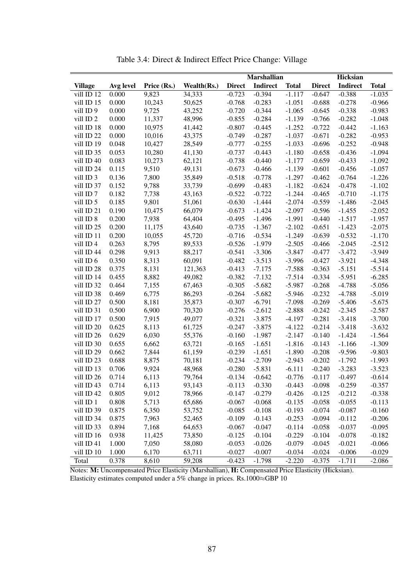|                      |           |             |             |               | <b>Marshallian</b> |              |               | <b>Hicksian</b> |              |
|----------------------|-----------|-------------|-------------|---------------|--------------------|--------------|---------------|-----------------|--------------|
| <b>Village</b>       | Avg level | Price (Rs.) | Wealth(Rs.) | <b>Direct</b> | Indirect           | <b>Total</b> | <b>Direct</b> | Indirect        | <b>Total</b> |
| $vill$ ID $12$       | 0.000     | 9,823       | 34,333      | $-0.723$      | $-0.394$           | $-1.117$     | $-0.647$      | $-0.388$        | $-1.035$     |
| vill ID 15           | 0.000     | 10,243      | 50,625      | $-0.768$      | $-0.283$           | $-1.051$     | $-0.688$      | $-0.278$        | $-0.966$     |
| vill ID <sub>9</sub> | 0.000     | 9,725       | 43,252      | $-0.720$      | $-0.344$           | $-1.065$     | $-0.645$      | $-0.338$        | $-0.983$     |
| vill ID <sub>2</sub> | 0.000     | 11,337      | 48,996      | $-0.855$      | $-0.284$           | $-1.139$     | $-0.766$      | $-0.282$        | $-1.048$     |
| vill ID 18           | 0.000     | 10,975      | 41,442      | $-0.807$      | $-0.445$           | $-1.252$     | $-0.722$      | $-0.442$        | $-1.163$     |
| vill ID 22           | 0.000     | 10,016      | 43,375      | $-0.749$      | $-0.287$           | $-1.037$     | $-0.671$      | $-0.282$        | $-0.953$     |
| vill ID 19           | 0.048     | 10,427      | 28,549      | $-0.777$      | $-0.255$           | $-1.033$     | $-0.696$      | $-0.252$        | $-0.948$     |
| vill ID 35           | 0.053     | 10,280      | 41,130      | $-0.737$      | $-0.443$           | $-1.180$     | $-0.658$      | $-0.436$        | $-1.094$     |
| vill ID 40           | 0.083     | 10,273      | 62,121      | $-0.738$      | $-0.440$           | $-1.177$     | $-0.659$      | $-0.433$        | $-1.092$     |
| vill ID 24           | 0.115     | 9,510       | 49,131      | $-0.673$      | $-0.466$           | $-1.139$     | $-0.601$      | $-0.456$        | $-1.057$     |
| vill ID 3            | 0.136     | 7,800       | 35,849      | $-0.518$      | $-0.778$           | $-1.297$     | $-0.462$      | $-0.764$        | $-1.226$     |
| vill ID 37           | 0.152     | 9,788       | 33,739      | $-0.699$      | $-0.483$           | $-1.182$     | $-0.624$      | $-0.478$        | $-1.102$     |
| vill ID <sub>7</sub> | 0.182     | 7,738       | 43,163      | $-0.522$      | $-0.722$           | $-1.244$     | $-0.465$      | $-0.710$        | $-1.175$     |
| vill ID 5            | 0.185     | 9,801       | 51,061      | $-0.630$      | $-1.444$           | $-2.074$     | $-0.559$      | $-1.486$        | $-2.045$     |
| vill ID 21           | 0.190     | 10,475      | 66,079      | $-0.673$      | $-1.424$           | $-2.097$     | $-0.596$      | $-1.455$        | $-2.052$     |
| vill ID 8            | 0.200     | 7,938       | 64,404      | $-0.495$      | $-1.496$           | $-1.991$     | $-0.440$      | $-1.517$        | $-1.957$     |
| vill ID 25           | 0.200     | 11,175      | 43,640      | $-0.735$      | $-1.367$           | $-2.102$     | $-0.651$      | $-1.423$        | $-2.075$     |
| vill ID 11           | 0.200     | 10,055      | 45,720      | $-0.716$      | $-0.534$           | $-1.249$     | $-0.639$      | $-0.532$        | $-1.170$     |
| vill ID4             | 0.263     | 8,795       | 89,533      | $-0.526$      | $-1.979$           | $-2.505$     | $-0.466$      | $-2.045$        | $-2.512$     |
| vill ID 44           | 0.298     | 9,913       | 88,217      | $-0.541$      | $-3.306$           | $-3.847$     | $-0.477$      | $-3.472$        | $-3.949$     |
| vill ID 6            | 0.350     | 8,313       | 60,091      | $-0.482$      | $-3.513$           | $-3.996$     | $-0.427$      | $-3.921$        | $-4.348$     |
| vill ID 28           | 0.375     | 8,131       | 121,363     | $-0.413$      | $-7.175$           | $-7.588$     | $-0.363$      | $-5.151$        | $-5.514$     |
| vill ID 14           | 0.455     | 8,882       | 49,082      | $-0.382$      | $-7.132$           | $-7.514$     | $-0.334$      | $-5.951$        | $-6.285$     |
| vill ID 32           | 0.464     | 7,155       | 67,463      | $-0.305$      | $-5.682$           | $-5.987$     | $-0.268$      | $-4.788$        | $-5.056$     |
| vill ID 38           | 0.469     | 6,775       | 86,293      | $-0.264$      | $-5.682$           | $-5.946$     | $-0.232$      | $-4.788$        | $-5.019$     |
| vill ID 27           | 0.500     | 8,181       | 35,873      | $-0.307$      | $-6.791$           | $-7.098$     | $-0.269$      | $-5.406$        | $-5.675$     |
| vill ID 31           | 0.500     | 6,900       | 70,320      | $-0.276$      | $-2.612$           | $-2.888$     | $-0.242$      | $-2.345$        | $-2.587$     |
| vill ID 17           | 0.500     | 7,915       | 49,077      | $-0.321$      | $-3.875$           | $-4.197$     | $-0.281$      | $-3.418$        | $-3.700$     |
| vill ID 20           | 0.625     | 8,113       | 61,725      | $-0.247$      | $-3.875$           | $-4.122$     | $-0.214$      | $-3.418$        | $-3.632$     |
| vill ID 26           | 0.629     | 6,030       | 55,376      | $-0.160$      | $-1.987$           | $-2.147$     | $-0.140$      | $-1.424$        | $-1.564$     |
| vill ID 30           | 0.655     | 6,662       | 63,721      | $-0.165$      | $-1.651$           | $-1.816$     | $-0.143$      | $-1.166$        | $-1.309$     |
| vill ID 29           | 0.662     | 7,844       | 61,159      | $-0.239$      | $-1.651$           | $-1.890$     | $-0.208$      | $-9.596$        | $-9.803$     |
| vill ID 23           | 0.688     | 8,875       | 70,181      | $-0.234$      | $-2.709$           | $-2.943$     | $-0.202$      | $-1.792$        | $-1.993$     |
| vill ID 13           | 0.706     | 9,924       | 48,968      | $-0.280$      | $-5.831$           | $-6.111$     | $-0.240$      | $-3.283$        | $-3.523$     |
| vill ID 26           | 0.714     | 6,113       | 79,764      | $-0.134$      | $-0.642$           | $-0.776$     | $-0.117$      | $-0.497$        | $-0.614$     |
| vill ID 43           | 0.714     | 6,113       | 93,143      | $-0.113$      | $-0.330$           | $-0.443$     | $-0.098$      | $-0.259$        | $-0.357$     |
| vill ID 42           | 0.805     | 9,012       | 78,966      | $-0.147$      | $-0.279$           | $-0.426$     | $-0.125$      | $-0.212$        | $-0.338$     |
| vill ID 1            | 0.808     | 5,713       | 65,686      | $-0.067$      | $-0.068$           | $-0.135$     | $-0.058$      | $-0.055$        | $-0.113$     |
| vill ID 39           | 0.875     | 6,350       | 53,752      | $-0.085$      | $-0.108$           | $-0.193$     | $-0.074$      | $-0.087$        | $-0.160$     |
| vill ID 34           | 0.875     | 7,963       | 52,465      | $-0.109$      | $-0.143$           | $-0.253$     | $-0.094$      | $-0.112$        | $-0.206$     |
| vill ID 33           | 0.894     | 7,168       | 64,653      | $-0.067$      | $-0.047$           | $-0.114$     | $-0.058$      | $-0.037$        | $-0.095$     |
| vill ID 16           | 0.938     | 11,425      | 73,850      | $-0.125$      | $-0.104$           | $-0.229$     | $-0.104$      | $-0.078$        | $-0.182$     |
| vill ID 41           | 1.000     | 7,050       | 58,080      | $-0.053$      | $-0.026$           | $-0.079$     | $-0.045$      | $-0.021$        | $-0.066$     |
| vill ID 10           | 1.000     | 6,170       | 63,711      | $-0.027$      | $-0.007$           | $-0.034$     | $-0.024$      | $-0.006$        | $-0.029$     |
| Total                | 0.378     | 8,610       | 59,208      | $-0.423$      | $-1.798$           | $-2.220$     | $-0.375$      | $-1.711$        | $-2.086$     |

Table 3.4: Direct & Indirect Effect Price Change: Village

Notes: M: Uncompensated Price Elasticity (Marshallian), H: Compensated Price Elasticity (Hicksian). Elasticity estimates computed under a 5% change in prices. Rs.1000≈GBP 10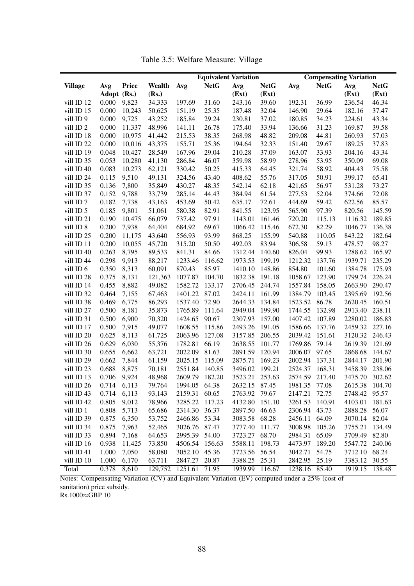<span id="page-87-0"></span>

|                      |             |        |         |               |             | <b>Equivalent Variation</b> |             |               |             | <b>Compensating Variation</b> |             |
|----------------------|-------------|--------|---------|---------------|-------------|-----------------------------|-------------|---------------|-------------|-------------------------------|-------------|
| <b>Village</b>       | Avg         | Price  | Wealth  | Avg           | <b>NetG</b> | Avg                         | <b>NetG</b> | Avg           | <b>NetG</b> | Avg                           | <b>NetG</b> |
|                      | Adopt (Rs.) |        | (Rs.)   |               |             | (Ext)                       | (Ext)       |               |             | (Ext)                         | (Ext)       |
| vill ID 12           | 0.000       | 9,823  | 34,333  | 197.69        | 31.60       | 243.16                      | 39.60       | 192.31        | 36.99       | 236.54                        | 46.34       |
| vill ID 15           | 0.000       | 10,243 | 50,625  | 151.19        | 25.35       | 187.48                      | 32.04       | 146.90        | 29.64       | 182.16                        | 37.47       |
| vill ID 9            | 0.000       | 9,725  | 43,252  | 185.84        | 29.24       | 230.81                      | 37.02       | 180.85        | 34.23       | 224.61                        | 43.34       |
| vill ID <sub>2</sub> | 0.000       | 11,337 | 48,996  | 141.11        | 26.78       | 175.40                      | 33.94       | 136.66        | 31.23       | 169.87                        | 39.58       |
| vill ID 18           | 0.000       | 10,975 | 41,442  | 215.53        | 38.35       | 268.98                      | 48.82       | 209.08        | 44.81       | 260.93                        | 57.03       |
| vill ID 22           | 0.000       | 10,016 | 43,375  | 155.71        | 25.36       | 194.64                      | 32.33       | 151.40        | 29.67       | 189.25                        | 37.83       |
| vill ID 19           | 0.048       | 10,427 | 28,549  | 167.96        | 29.04       | 210.28                      | 37.09       | 163.07        | 33.93       | 204.16                        | 43.34       |
| vill ID 35           | 0.053       | 10,280 | 41,130  | 286.84        | 46.07       | 359.98                      | 58.99       | 278.96        | 53.95       | 350.09                        | 69.08       |
| vill ID 40           | 0.083       | 10,273 | 62,121  | 330.42        | 50.25       | 415.33                      | 64.45       | 321.74        | 58.92       | 404.43                        | 75.58       |
| vill ID 24           | 0.115       | 9,510  | 49,131  | 324.56        | 43.40       | 408.62                      | 55.76       | 317.05        | 50.91       | 399.17                        | 65.41       |
| vill ID 35           | 0.136       | 7,800  | 35,849  | 430.27        | 48.35       | 542.14                      | 62.18       | 421.65        | 56.97       | 531.28                        | 73.27       |
| vill ID 37           | 0.152       | 9,788  | 33,739  | 285.14        | 44.43       | 384.94                      | 61.54       | 277.53        | 52.04       | 374.66                        | 72.08       |
| vill ID <sub>7</sub> | 0.182       | 7,738  | 43,163  | 453.69        | 50.42       | 635.17                      | 72.61       | 444.69        | 59.42       | 622.56                        | 85.57       |
| vill ID 5            | 0.185       | 9,801  | 51,061  | 580.38        | 82.91       | 841.55                      | 123.95      | 565.90        | 97.39       | 820.56                        | 145.59      |
| vill ID 21           | 0.190       | 10,475 | 66,079  | 737.42        | 97.91       | 1143.01                     | 161.46      | 720.20        | 115.13      | 1116.32                       | 189.85      |
| vill ID 8            | 0.200       | 7,938  | 64,404  | 684.92        | 69.67       | 1066.42                     | 115.46      | 672.30        | 82.29       | 1046.77                       | 136.38      |
|                      | 0.200       | 11,175 |         |               |             |                             | 155.99      |               |             | 843.22                        |             |
| vill ID 25           |             |        | 43,640  | 556.93        | 93.99       | 868.25                      |             | 540.88        | 110.05      | 478.57                        | 182.64      |
| vill ID 11           | 0.200       | 10,055 | 45,720  | 315.20        | 50.50       | 492.03                      | 83.94       | 306.58        | 59.13       |                               | 98.27       |
| vill ID 40           | 0.263       | 8,795  | 89,533  | 841.31        | 84.66       | 1312.44                     | 140.60      | 826.04        | 99.93       | 1288.62                       | 165.97      |
| vill ID 44           | 0.298       | 9,913  | 88,217  | 1233.46       | 116.62      | 1973.53                     | 199.19      | 1212.32       | 137.76      | 1939.71                       | 235.29      |
| vill ID 6            | 0.350       | 8,313  | 60,091  | 870.43        | 85.97       | 1410.10                     | 148.86      | 854.80        | 101.60      | 1384.78                       | 175.93      |
| vill ID 28           | 0.375       | 8,131  | 121,363 | 1077.87       | 104.70      | 1832.38                     | 191.18      | 1058.67       | 123.90      | 1799.74                       | 226.24      |
| vill ID 14           | 0.455       | 8,882  | 49,082  | 1582.72       | 133.17      | 2706.45                     | 244.74      | 1557.84       | 158.05      | 2663.90                       | 290.47      |
| vill ID 32           | 0.464       | 7,155  | 67,463  | 1401.22       | 87.02       | 2424.11                     | 161.99      | 1384.79       | 103.45      | 2395.69                       | 192.56      |
| vill ID 38           | 0.469       | 6,775  | 86,293  | 1537.40       | 72.90       | 2644.33                     | 134.84      | 1523.52       | 86.78       | 2620.45                       | 160.51      |
| vill ID 27           | 0.500       | 8,181  | 35,873  | 1765.89       | 111.64      | 2949.04                     | 199.90      | 1744.55       | 132.98      | 2913.40                       | 238.11      |
| vill ID 31           | 0.500       | 6,900  | 70,320  | 1424.65       | 90.67       | 2307.93                     | 157.00      | 1407.42       | 107.89      | 2280.02                       | 186.83      |
| vill ID 17           | 0.500       | 7,915  | 49,077  | 1608.55       | 115.86      | 2493.26                     | 191.05      | 1586.66       | 137.76      | 2459.32                       | 227.16      |
| vill ID 20           | 0.625       | 8,113  | 61,725  | 2063.96       | 127.08      | 3157.85                     | 206.55      | 2039.42       | 151.61      | 3120.32                       | 246.43      |
| vill ID 26           | 0.629       | 6,030  | 55,376  | 1782.81       | 66.19       | 2638.55                     | 101.77      | 1769.86       | 79.14       | 2619.39                       | 121.69      |
| vill ID 30           | 0.655       | 6,662  | 63,721  | 2022.09       | 81.63       | 2891.59                     | 120.94      | 2006.07       | 97.65       | 2868.68                       | 144.67      |
| vill ID 29           | 0.662       | 7,844  | 61,159  | 2025.15       | 115.09      | 2875.71                     | 169.23      | 2002.94       | 137.31      | 2844.17                       | 201.90      |
| vill ID 23           | 0.688       | 8,875  | 70,181  | 2551.84       | 140.85      | 3496.02                     | 199.21      | 2524.37       | 168.31      | 3458.39                       | 238.06      |
| vill ID 13           | 0.706       | 9,924  | 48,968  | 2609.79       | 182.20      | 3523.21                     | 253.63      | 2574.59       | 217.40      | 3475.70                       | 302.62      |
| vill ID 26           | 0.714       | 6,113  | 79,764  | 1994.05 64.38 |             | 2632.15                     | 87.45       | 1981.35 77.08 |             | 2615.38 104.70                |             |
| vill ID 43           | 0.714       | 6,113  | 93,143  | 2159.31       | 60.65       | 2763.92                     | 79.67       | 2147.21       | 72.75       | 2748.42                       | 95.57       |
| vill ID 42           | 0.805       | 9,012  | 78,966  | 3285.22       | 117.23      | 4132.80                     | 151.10      | 3261.53       | 140.91      | 4103.01                       | 181.63      |
| vill ID 1            | 0.808       | 5,713  | 65,686  | 2314.30       | 36.37       | 2897.50 46.63               |             | 2306.94       | 43.73       | 2888.28                       | 56.07       |
| vill ID 39           | 0.875       | 6,350  | 53,752  | 2466.86       | 53.34       | 3083.58 68.28               |             | 2456.11       | 64.09       | 3070.14 82.04                 |             |
| vill ID 34           | 0.875       | 7,963  | 52,465  | 3026.76       | 87.47       | 3777.40                     | 111.77      | 3008.98       | 105.26      | 3755.21                       | 134.49      |
| vill ID 33           | 0.894       | 7,168  | 64,653  | 2995.39 54.00 |             | 3723.27                     | 68.70       | 2984.31       | 65.09       | 3709.49 82.80                 |             |
| vill ID 16           | 0.938       | 11,425 | 73,850  | 4506.54       | 156.63      | 5588.11                     | 198.73      | 4473.97       | 189.20      | 5547.72                       | 240.06      |
| vill ID 41           | 1.000       | 7,050  | 58,080  | 3052.10       | 45.36       | 3723.56                     | 56.54       | 3042.71       | 54.75       | 3712.10 68.24                 |             |
| vill ID 10           | 1.000       | 6,170  | 63,711  | 2847.27       | 20.87       | 3388.25                     | 25.31       | 2842.95       | 25.19       | 3383.12                       | 30.55       |
| Total                | 0.378       | 8,610  | 129,752 | 1251.61       | 71.95       | 1939.99                     | 116.67      | 1238.16 85.40 |             | 1919.15                       | 138.48      |

Table 3.5: Welfare Measure: Village

Notes: Compensating Variation (CV) and Equivalent Variation (EV) computed under a 25% (cost of sanitation) price subsidy.

Rs.1000≈GBP 10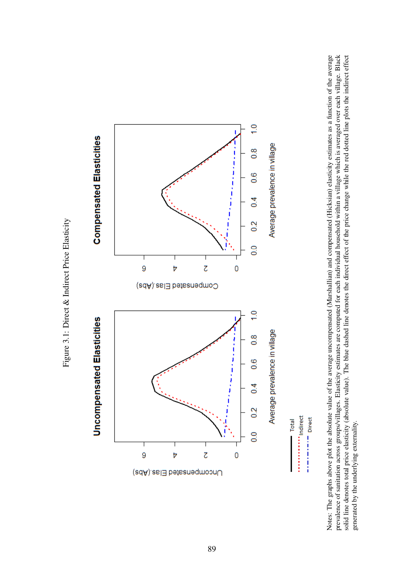

<span id="page-88-0"></span>

Notes: The graphs above plot the absolute value of the average uncompensated (Marshallian) and compensated (Hicksian) elasticity estimates as a function of the average prevalence of sanitation across groups/villages. Elasticity estimates are computed for each individual household within a village which is averaged over each village. Black<br>solid line denotes total price elasticity (absolu prevalence of sanitation across groups/villages. Elasticity estimates are computed for each individual household within a village which is averaged over each village. Black solid line denotes total price elasticity (absolute value). The blue dashed line denotes the direct effect of the price change while the red dotted line plots the indirect effect Notes: The graphs above plot the absolute value of the average uncompensated (Marshallian) and compensated (Hicksian) elasticity estimates as a function of the average generated by the underlying externality. generated by the underlying externality.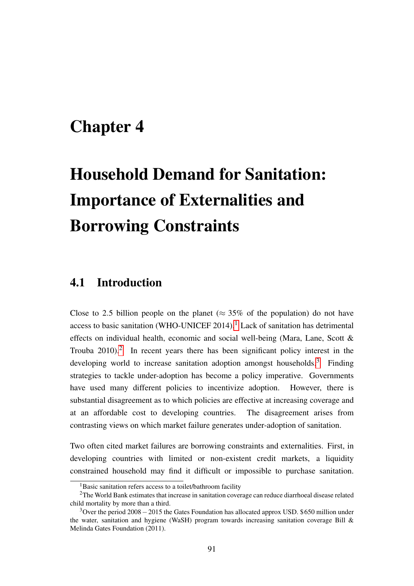## <span id="page-90-0"></span>Chapter 4

# Household Demand for Sanitation: Importance of Externalities and Borrowing Constraints

## 4.1 Introduction

Close to 2.5 billion people on the planet ( $\approx 35\%$  of the population) do not have access to basic sanitation (WHO-UNICEF  $2014$  $2014$  $2014$ ).<sup>1</sup> Lack of sanitation has detrimental effects on individual health, economic and social well-being (Mara, Lane, Scott & Trouba  $2010$  $2010$ .<sup>2</sup> In recent years there has been significant policy interest in the developing world to increase sanitation adoption amongst households.<sup>[3](#page-90-3)</sup> Finding strategies to tackle under-adoption has become a policy imperative. Governments have used many different policies to incentivize adoption. However, there is substantial disagreement as to which policies are effective at increasing coverage and at an affordable cost to developing countries. The disagreement arises from contrasting views on which market failure generates under-adoption of sanitation.

Two often cited market failures are borrowing constraints and externalities. First, in developing countries with limited or non-existent credit markets, a liquidity constrained household may find it difficult or impossible to purchase sanitation.

<span id="page-90-2"></span><span id="page-90-1"></span><sup>&</sup>lt;sup>1</sup>Basic sanitation refers access to a toilet/bathroom facility

<sup>&</sup>lt;sup>2</sup>The World Bank estimates that increase in sanitation coverage can reduce diarrhoeal disease related child mortality by more than a third.

<span id="page-90-3"></span><sup>&</sup>lt;sup>3</sup>Over the period 2008 $-2015$  the Gates Foundation has allocated approx USD. \$650 million under the water, sanitation and hygiene (WaSH) program towards increasing sanitation coverage Bill & Melinda Gates Foundation (2011).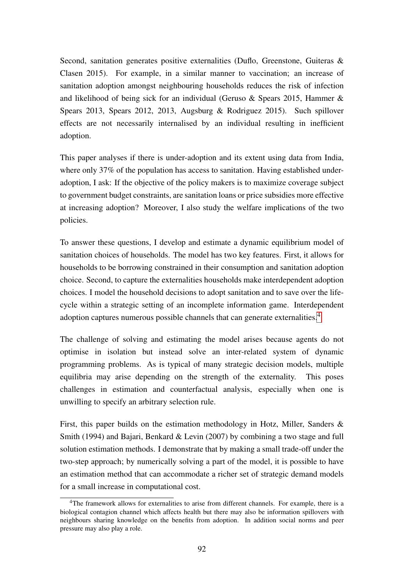Second, sanitation generates positive externalities (Duflo, Greenstone, Guiteras & Clasen 2015). For example, in a similar manner to vaccination; an increase of sanitation adoption amongst neighbouring households reduces the risk of infection and likelihood of being sick for an individual (Geruso & Spears 2015, Hammer & Spears 2013, Spears 2012, 2013, Augsburg & Rodriguez 2015). Such spillover effects are not necessarily internalised by an individual resulting in inefficient adoption.

This paper analyses if there is under-adoption and its extent using data from India, where only 37% of the population has access to sanitation. Having established underadoption, I ask: If the objective of the policy makers is to maximize coverage subject to government budget constraints, are sanitation loans or price subsidies more effective at increasing adoption? Moreover, I also study the welfare implications of the two policies.

To answer these questions, I develop and estimate a dynamic equilibrium model of sanitation choices of households. The model has two key features. First, it allows for households to be borrowing constrained in their consumption and sanitation adoption choice. Second, to capture the externalities households make interdependent adoption choices. I model the household decisions to adopt sanitation and to save over the lifecycle within a strategic setting of an incomplete information game. Interdependent adoption captures numerous possible channels that can generate externalities.[4](#page-91-0)

The challenge of solving and estimating the model arises because agents do not optimise in isolation but instead solve an inter-related system of dynamic programming problems. As is typical of many strategic decision models, multiple equilibria may arise depending on the strength of the externality. This poses challenges in estimation and counterfactual analysis, especially when one is unwilling to specify an arbitrary selection rule.

First, this paper builds on the estimation methodology in Hotz, Miller, Sanders & Smith (1994) and Bajari, Benkard & Levin (2007) by combining a two stage and full solution estimation methods. I demonstrate that by making a small trade-off under the two-step approach; by numerically solving a part of the model, it is possible to have an estimation method that can accommodate a richer set of strategic demand models for a small increase in computational cost.

<span id="page-91-0"></span><sup>&</sup>lt;sup>4</sup>The framework allows for externalities to arise from different channels. For example, there is a biological contagion channel which affects health but there may also be information spillovers with neighbours sharing knowledge on the benefits from adoption. In addition social norms and peer pressure may also play a role.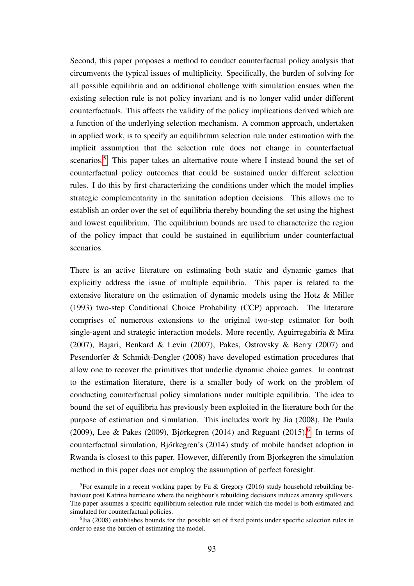Second, this paper proposes a method to conduct counterfactual policy analysis that circumvents the typical issues of multiplicity. Specifically, the burden of solving for all possible equilibria and an additional challenge with simulation ensues when the existing selection rule is not policy invariant and is no longer valid under different counterfactuals. This affects the validity of the policy implications derived which are a function of the underlying selection mechanism. A common approach, undertaken in applied work, is to specify an equilibrium selection rule under estimation with the implicit assumption that the selection rule does not change in counterfactual scenarios.<sup>[5](#page-92-0)</sup> This paper takes an alternative route where I instead bound the set of counterfactual policy outcomes that could be sustained under different selection rules. I do this by first characterizing the conditions under which the model implies strategic complementarity in the sanitation adoption decisions. This allows me to establish an order over the set of equilibria thereby bounding the set using the highest and lowest equilibrium. The equilibrium bounds are used to characterize the region of the policy impact that could be sustained in equilibrium under counterfactual scenarios.

There is an active literature on estimating both static and dynamic games that explicitly address the issue of multiple equilibria. This paper is related to the extensive literature on the estimation of dynamic models using the Hotz & Miller (1993) two-step Conditional Choice Probability (CCP) approach. The literature comprises of numerous extensions to the original two-step estimator for both single-agent and strategic interaction models. More recently, Aguirregabiria & Mira (2007), Bajari, Benkard & Levin (2007), Pakes, Ostrovsky & Berry (2007) and Pesendorfer & Schmidt-Dengler (2008) have developed estimation procedures that allow one to recover the primitives that underlie dynamic choice games. In contrast to the estimation literature, there is a smaller body of work on the problem of conducting counterfactual policy simulations under multiple equilibria. The idea to bound the set of equilibria has previously been exploited in the literature both for the purpose of estimation and simulation. This includes work by Jia (2008), De Paula (2009), Lee & Pakes (2009), Björkegren (2014) and Reguant (2015).<sup>[6](#page-92-1)</sup> In terms of counterfactual simulation, Björkegren's (2014) study of mobile handset adoption in Rwanda is closest to this paper. However, differently from Bjorkegren the simulation method in this paper does not employ the assumption of perfect foresight.

<span id="page-92-0"></span><sup>&</sup>lt;sup>5</sup>For example in a recent working paper by Fu & Gregory (2016) study household rebuilding behaviour post Katrina hurricane where the neighbour's rebuilding decisions induces amenity spillovers. The paper assumes a specific equilibrium selection rule under which the model is both estimated and simulated for counterfactual policies.

<span id="page-92-1"></span><sup>&</sup>lt;sup>6</sup>Jia (2008) establishes bounds for the possible set of fixed points under specific selection rules in order to ease the burden of estimating the model.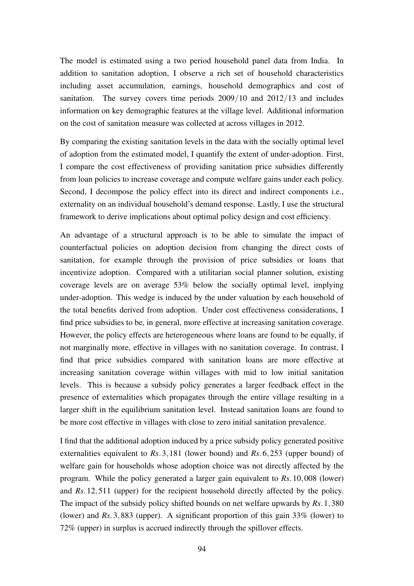The model is estimated using a two period household panel data from India. In addition to sanitation adoption, I observe a rich set of household characteristics including asset accumulation, earnings, household demographics and cost of sanitation. The survey covers time periods 2009/10 and 2012/13 and includes information on key demographic features at the village level. Additional information on the cost of sanitation measure was collected at across villages in 2012.

By comparing the existing sanitation levels in the data with the socially optimal level of adoption from the estimated model, I quantify the extent of under-adoption. First, I compare the cost effectiveness of providing sanitation price subsidies differently from loan policies to increase coverage and compute welfare gains under each policy. Second, I decompose the policy effect into its direct and indirect components i.e., externality on an individual household's demand response. Lastly, I use the structural framework to derive implications about optimal policy design and cost efficiency.

An advantage of a structural approach is to be able to simulate the impact of counterfactual policies on adoption decision from changing the direct costs of sanitation, for example through the provision of price subsidies or loans that incentivize adoption. Compared with a utilitarian social planner solution, existing coverage levels are on average 53% below the socially optimal level, implying under-adoption. This wedge is induced by the under valuation by each household of the total benefits derived from adoption. Under cost effectiveness considerations, I find price subsidies to be, in general, more effective at increasing sanitation coverage. However, the policy effects are heterogeneous where loans are found to be equally, if not marginally more, effective in villages with no sanitation coverage. In contrast, I find that price subsidies compared with sanitation loans are more effective at increasing sanitation coverage within villages with mid to low initial sanitation levels. This is because a subsidy policy generates a larger feedback effect in the presence of externalities which propagates through the entire village resulting in a larger shift in the equilibrium sanitation level. Instead sanitation loans are found to be more cost effective in villages with close to zero initial sanitation prevalence.

I find that the additional adoption induced by a price subsidy policy generated positive externalities equivalent to *Rs*.3,181 (lower bound) and *Rs*.6,253 (upper bound) of welfare gain for households whose adoption choice was not directly affected by the program. While the policy generated a larger gain equivalent to *Rs*.10,008 (lower) and *Rs*.12,511 (upper) for the recipient household directly affected by the policy. The impact of the subsidy policy shifted bounds on net welfare upwards by *Rs*.1,380 (lower) and *Rs*.3,883 (upper). A significant proportion of this gain 33% (lower) to 72% (upper) in surplus is accrued indirectly through the spillover effects.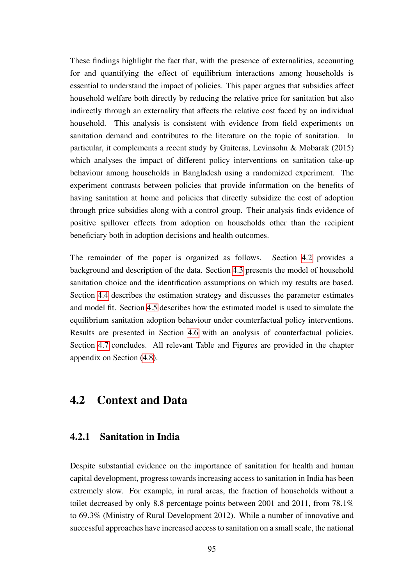These findings highlight the fact that, with the presence of externalities, accounting for and quantifying the effect of equilibrium interactions among households is essential to understand the impact of policies. This paper argues that subsidies affect household welfare both directly by reducing the relative price for sanitation but also indirectly through an externality that affects the relative cost faced by an individual household. This analysis is consistent with evidence from field experiments on sanitation demand and contributes to the literature on the topic of sanitation. In particular, it complements a recent study by Guiteras, Levinsohn & Mobarak (2015) which analyses the impact of different policy interventions on sanitation take-up behaviour among households in Bangladesh using a randomized experiment. The experiment contrasts between policies that provide information on the benefits of having sanitation at home and policies that directly subsidize the cost of adoption through price subsidies along with a control group. Their analysis finds evidence of positive spillover effects from adoption on households other than the recipient beneficiary both in adoption decisions and health outcomes.

The remainder of the paper is organized as follows. Section [4.2](#page-94-0) provides a background and description of the data. Section [4.3](#page-99-0) presents the model of household sanitation choice and the identification assumptions on which my results are based. Section [4.4](#page-111-0) describes the estimation strategy and discusses the parameter estimates and model fit. Section [4.5](#page-118-0) describes how the estimated model is used to simulate the equilibrium sanitation adoption behaviour under counterfactual policy interventions. Results are presented in Section [4.6](#page-124-0) with an analysis of counterfactual policies. Section [4.7](#page-130-0) concludes. All relevant Table and Figures are provided in the chapter appendix on Section [\(4.8\)](#page-131-0).

## <span id="page-94-0"></span>4.2 Context and Data

### 4.2.1 Sanitation in India

Despite substantial evidence on the importance of sanitation for health and human capital development, progress towards increasing access to sanitation in India has been extremely slow. For example, in rural areas, the fraction of households without a toilet decreased by only 8.8 percentage points between 2001 and 2011, from 78.1% to 69.3% (Ministry of Rural Development 2012). While a number of innovative and successful approaches have increased access to sanitation on a small scale, the national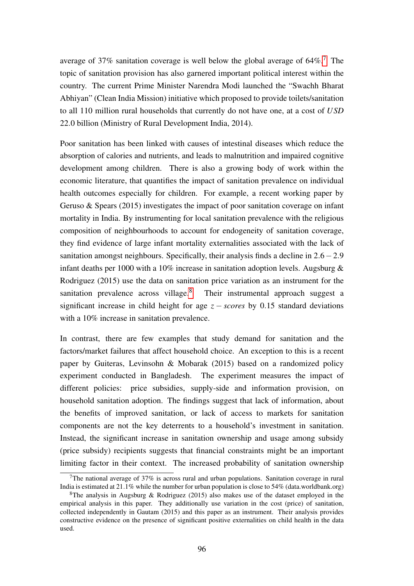average of 3[7](#page-95-0)% sanitation coverage is well below the global average of  $64\%$ <sup>7</sup>. The topic of sanitation provision has also garnered important political interest within the country. The current Prime Minister Narendra Modi launched the "Swachh Bharat Abhiyan" (Clean India Mission) initiative which proposed to provide toilets/sanitation to all 110 million rural households that currently do not have one, at a cost of *USD* 22.0 billion (Ministry of Rural Development India, 2014).

Poor sanitation has been linked with causes of intestinal diseases which reduce the absorption of calories and nutrients, and leads to malnutrition and impaired cognitive development among children. There is also a growing body of work within the economic literature, that quantifies the impact of sanitation prevalence on individual health outcomes especially for children. For example, a recent working paper by Geruso & Spears (2015) investigates the impact of poor sanitation coverage on infant mortality in India. By instrumenting for local sanitation prevalence with the religious composition of neighbourhoods to account for endogeneity of sanitation coverage, they find evidence of large infant mortality externalities associated with the lack of sanitation amongst neighbours. Specifically, their analysis finds a decline in 2.6−2.9 infant deaths per 1000 with a 10% increase in sanitation adoption levels. Augsburg & Rodriguez (2015) use the data on sanitation price variation as an instrument for the sanitation prevalence across village.<sup>[8](#page-95-1)</sup> Their instrumental approach suggest a significant increase in child height for age  $z - scores$  by 0.15 standard deviations with a 10% increase in sanitation prevalence.

In contrast, there are few examples that study demand for sanitation and the factors/market failures that affect household choice. An exception to this is a recent paper by Guiteras, Levinsohn & Mobarak (2015) based on a randomized policy experiment conducted in Bangladesh. The experiment measures the impact of different policies: price subsidies, supply-side and information provision, on household sanitation adoption. The findings suggest that lack of information, about the benefits of improved sanitation, or lack of access to markets for sanitation components are not the key deterrents to a household's investment in sanitation. Instead, the significant increase in sanitation ownership and usage among subsidy (price subsidy) recipients suggests that financial constraints might be an important limiting factor in their context. The increased probability of sanitation ownership

<span id="page-95-0"></span><sup>&</sup>lt;sup>7</sup>The national average of  $37\%$  is across rural and urban populations. Sanitation coverage in rural India is estimated at 21.1% while the number for urban population is close to 54% (data.worldbank.org)

<span id="page-95-1"></span><sup>&</sup>lt;sup>8</sup>The analysis in Augsburg & Rodriguez (2015) also makes use of the dataset employed in the empirical analysis in this paper. They additionally use variation in the cost (price) of sanitation, collected independently in Gautam (2015) and this paper as an instrument. Their analysis provides constructive evidence on the presence of significant positive externalities on child health in the data used.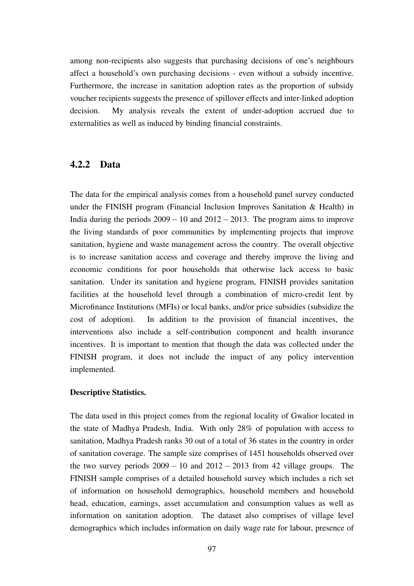among non-recipients also suggests that purchasing decisions of one's neighbours affect a household's own purchasing decisions - even without a subsidy incentive. Furthermore, the increase in sanitation adoption rates as the proportion of subsidy voucher recipients suggests the presence of spillover effects and inter-linked adoption decision. My analysis reveals the extent of under-adoption accrued due to externalities as well as induced by binding financial constraints.

#### 4.2.2 Data

The data for the empirical analysis comes from a household panel survey conducted under the FINISH program (Financial Inclusion Improves Sanitation & Health) in India during the periods  $2009 - 10$  and  $2012 - 2013$ . The program aims to improve the living standards of poor communities by implementing projects that improve sanitation, hygiene and waste management across the country. The overall objective is to increase sanitation access and coverage and thereby improve the living and economic conditions for poor households that otherwise lack access to basic sanitation. Under its sanitation and hygiene program, FINISH provides sanitation facilities at the household level through a combination of micro-credit lent by Microfinance Institutions (MFIs) or local banks, and/or price subsidies (subsidize the cost of adoption). In addition to the provision of financial incentives, the interventions also include a self-contribution component and health insurance incentives. It is important to mention that though the data was collected under the FINISH program, it does not include the impact of any policy intervention implemented.

#### Descriptive Statistics.

The data used in this project comes from the regional locality of Gwalior located in the state of Madhya Pradesh, India. With only 28% of population with access to sanitation, Madhya Pradesh ranks 30 out of a total of 36 states in the country in order of sanitation coverage. The sample size comprises of 1451 households observed over the two survey periods  $2009 - 10$  and  $2012 - 2013$  from 42 village groups. The FINISH sample comprises of a detailed household survey which includes a rich set of information on household demographics, household members and household head, education, earnings, asset accumulation and consumption values as well as information on sanitation adoption. The dataset also comprises of village level demographics which includes information on daily wage rate for labour, presence of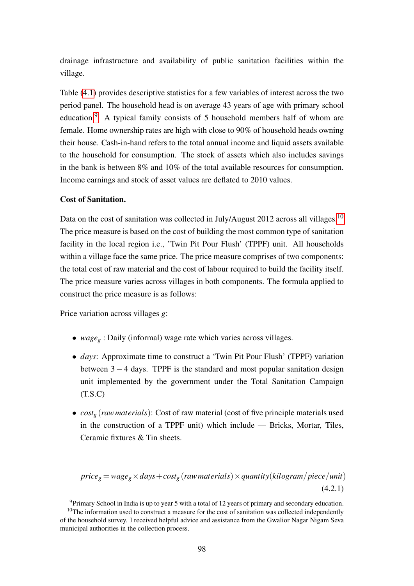drainage infrastructure and availability of public sanitation facilities within the village.

Table [\(4.1\)](#page-149-0) provides descriptive statistics for a few variables of interest across the two period panel. The household head is on average 43 years of age with primary school education.[9](#page-97-0) A typical family consists of 5 household members half of whom are female. Home ownership rates are high with close to 90% of household heads owning their house. Cash-in-hand refers to the total annual income and liquid assets available to the household for consumption. The stock of assets which also includes savings in the bank is between 8% and 10% of the total available resources for consumption. Income earnings and stock of asset values are deflated to 2010 values.

#### Cost of Sanitation.

Data on the cost of sanitation was collected in July/August 2012 across all villages.<sup>[10](#page-97-1)</sup> The price measure is based on the cost of building the most common type of sanitation facility in the local region i.e., 'Twin Pit Pour Flush' (TPPF) unit. All households within a village face the same price. The price measure comprises of two components: the total cost of raw material and the cost of labour required to build the facility itself. The price measure varies across villages in both components. The formula applied to construct the price measure is as follows:

Price variation across villages *g*:

- *wage<sup>g</sup>* : Daily (informal) wage rate which varies across villages.
- *days*: Approximate time to construct a 'Twin Pit Pour Flush' (TPPF) variation between  $3 - 4$  days. TPPF is the standard and most popular sanitation design unit implemented by the government under the Total Sanitation Campaign  $(T.S.C)$
- *cost<sup>g</sup>* (*rawmaterials*): Cost of raw material (cost of five principle materials used in the construction of a TPPF unit) which include — Bricks, Mortar, Tiles, Ceramic fixtures & Tin sheets.

 $price_g = wage_g \times days + cost_g$  (*raw materials*)  $\times$  *quantity*(*kilogram*/*piece*/*unit*) (4.2.1)

<span id="page-97-1"></span><span id="page-97-0"></span> $9$ Primary School in India is up to year 5 with a total of 12 years of primary and secondary education.

 $10$ The information used to construct a measure for the cost of sanitation was collected independently of the household survey. I received helpful advice and assistance from the Gwalior Nagar Nigam Seva municipal authorities in the collection process.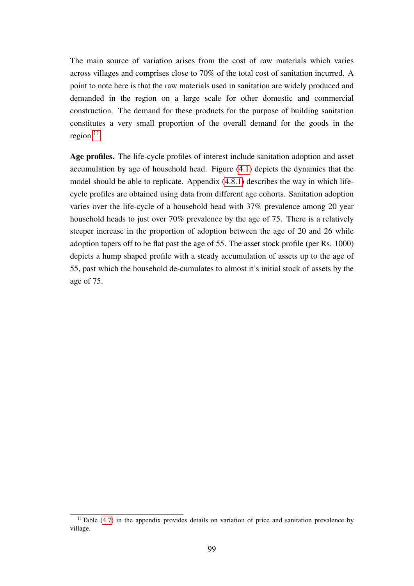The main source of variation arises from the cost of raw materials which varies across villages and comprises close to 70% of the total cost of sanitation incurred. A point to note here is that the raw materials used in sanitation are widely produced and demanded in the region on a large scale for other domestic and commercial construction. The demand for these products for the purpose of building sanitation constitutes a very small proportion of the overall demand for the goods in the region. $11$ 

Age profiles. The life-cycle profiles of interest include sanitation adoption and asset accumulation by age of household head. Figure [\(4.1\)](#page-159-0) depicts the dynamics that the model should be able to replicate. Appendix [\(4.8.1\)](#page-132-0) describes the way in which lifecycle profiles are obtained using data from different age cohorts. Sanitation adoption varies over the life-cycle of a household head with 37% prevalence among 20 year household heads to just over 70% prevalence by the age of 75. There is a relatively steeper increase in the proportion of adoption between the age of 20 and 26 while adoption tapers off to be flat past the age of 55. The asset stock profile (per Rs. 1000) depicts a hump shaped profile with a steady accumulation of assets up to the age of 55, past which the household de-cumulates to almost it's initial stock of assets by the age of 75.

<span id="page-98-0"></span> $11$ Table [\(4.7\)](#page-153-0) in the appendix provides details on variation of price and sanitation prevalence by village.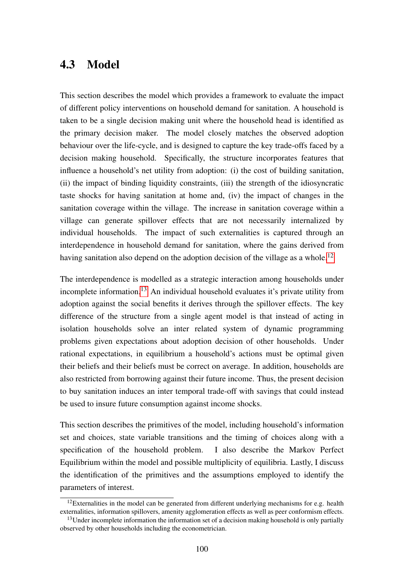## <span id="page-99-0"></span>4.3 Model

This section describes the model which provides a framework to evaluate the impact of different policy interventions on household demand for sanitation. A household is taken to be a single decision making unit where the household head is identified as the primary decision maker. The model closely matches the observed adoption behaviour over the life-cycle, and is designed to capture the key trade-offs faced by a decision making household. Specifically, the structure incorporates features that influence a household's net utility from adoption: (i) the cost of building sanitation, (ii) the impact of binding liquidity constraints, (iii) the strength of the idiosyncratic taste shocks for having sanitation at home and, (iv) the impact of changes in the sanitation coverage within the village. The increase in sanitation coverage within a village can generate spillover effects that are not necessarily internalized by individual households. The impact of such externalities is captured through an interdependence in household demand for sanitation, where the gains derived from having sanitation also depend on the adoption decision of the village as a whole.<sup>[12](#page-99-1)</sup>

The interdependence is modelled as a strategic interaction among households under incomplete information.[13](#page-99-2) An individual household evaluates it's private utility from adoption against the social benefits it derives through the spillover effects. The key difference of the structure from a single agent model is that instead of acting in isolation households solve an inter related system of dynamic programming problems given expectations about adoption decision of other households. Under rational expectations, in equilibrium a household's actions must be optimal given their beliefs and their beliefs must be correct on average. In addition, households are also restricted from borrowing against their future income. Thus, the present decision to buy sanitation induces an inter temporal trade-off with savings that could instead be used to insure future consumption against income shocks.

This section describes the primitives of the model, including household's information set and choices, state variable transitions and the timing of choices along with a specification of the household problem. I also describe the Markov Perfect Equilibrium within the model and possible multiplicity of equilibria. Lastly, I discuss the identification of the primitives and the assumptions employed to identify the parameters of interest.

<span id="page-99-1"></span><sup>&</sup>lt;sup>12</sup>Externalities in the model can be generated from different underlying mechanisms for e.g. health externalities, information spillovers, amenity agglomeration effects as well as peer conformism effects.

<span id="page-99-2"></span> $<sup>13</sup>$ Under incomplete information the information set of a decision making household is only partially</sup> observed by other households including the econometrician.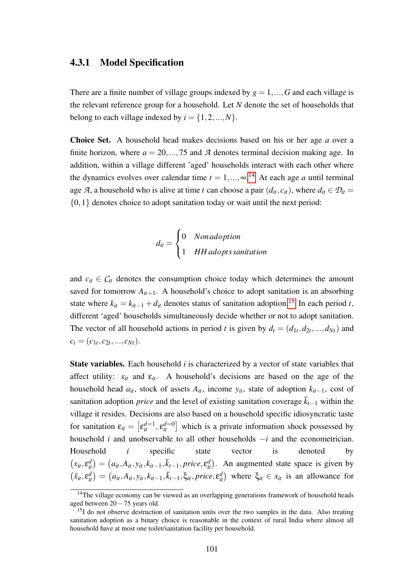#### 4.3.1 Model Specification

There are a finite number of village groups indexed by  $g = 1, ..., G$  and each village is the relevant reference group for a household. Let *N* denote the set of households that belong to each village indexed by  $i = \{1, 2, ..., N\}$ .

Choice Set. A household head makes decisions based on his or her age *a* over a finite horizon, where  $a = 20, \ldots, 75$  and  $\mathcal A$  denotes terminal decision making age. In addition, within a village different 'aged' households interact with each other where the dynamics evolves over calendar time  $t = 1, ..., \infty$ .<sup>[14](#page-100-0)</sup> At each age *a* until terminal age *A*, a household who is alive at time *t* can choose a pair  $(d_{it}, c_{it})$ , where  $d_{it} \in \mathcal{D}_{it}$  $\{0,1\}$  denotes choice to adopt sanitation today or wait until the next period:

$$
d_{it} = \begin{cases} 0 & \text{Non\,,} \\ 1 & \text{HH\,,} \end{cases}
$$

and  $c_{it} \in C_{it}$  denotes the consumption choice today which determines the amount saved for tomorrow  $A_{it+1}$ . A household's choice to adopt sanitation is an absorbing state where  $k_{it} = k_{it-1} + d_{it}$  denotes status of sanitation adoption.<sup>[15](#page-100-1)</sup> In each period *t*, different 'aged' households simultaneously decide whether or not to adopt sanitation. The vector of all household actions in period *t* is given by  $d_t = (d_{1t}, d_{2t}, ..., d_{Nt})$  and  $c_t = (c_{1t}, c_{2t}, ..., c_{Nt}).$ 

State variables. Each household *i* is characterized by a vector of state variables that affect utility:  $x_{it}$  and  $\varepsilon_{it}$ . A household's decisions are based on the age of the household head  $a_{it}$ , stock of assets  $A_{it}$ , income  $y_{it}$ , state of adoption  $k_{it-1}$ , cost of sanitation adoption *price* and the level of existing sanitation coverage  $\bar{k}_{t-1}$  within the village it resides. Decisions are also based on a household specific idiosyncratic taste for sanitation  $\varepsilon_{it} = \left[\varepsilon_{it}^{d=1}, \varepsilon_{it}^{d=0}\right]$  which is a private information shock possessed by household *i* and unobservable to all other households −*i* and the econometrician. Household *i* specific state vector is denoted by  $(x_{it}, \varepsilon_{it}^d) = (a_{it}, A_{it}, y_{it}, k_{it-1}, \overline{k}_{t-1}, price, \varepsilon_{it}^d)$ . An augmented state space is given by  $(\tilde{x}_{it}, \varepsilon_{it}^d) = (a_{it}, A_{it}, y_{it}, k_{it-1}, \overline{k}_{t-1}, \xi_{it}, price, \varepsilon_{it}^d)$  where  $\xi_{it} \in x_{it}$  is an allowance for

<span id="page-100-0"></span><sup>&</sup>lt;sup>14</sup>The village economy can be viewed as an overlapping generations framework of household heads aged between 20−75 years old.

<span id="page-100-1"></span> $15I$  do not observe destruction of sanitation units over the two samples in the data. Also treating sanitation adoption as a binary choice is reasonable in the context of rural India where almost all household have at most one toilet/sanitation facility per household.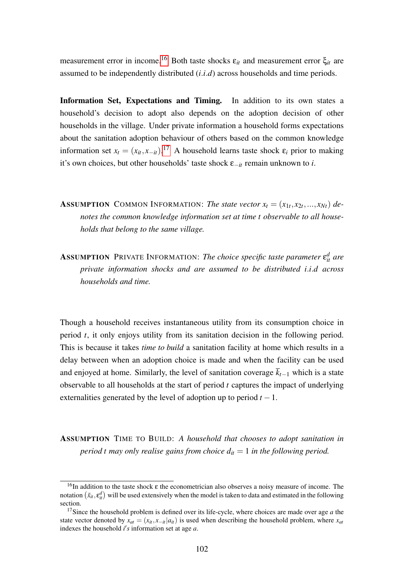measurement error in income.<sup>[16](#page-101-0)</sup> Both taste shocks  $ε<sub>it</sub>$  and measurement error  $ξ<sub>it</sub>$  are assumed to be independently distributed (*i*.*i*.*d*) across households and time periods.

Information Set, Expectations and Timing. In addition to its own states a household's decision to adopt also depends on the adoption decision of other households in the village. Under private information a household forms expectations about the sanitation adoption behaviour of others based on the common knowledge information set  $x_t = (x_{it}, x_{-it})$ .<sup>[17](#page-101-1)</sup> A household learns taste shock  $\varepsilon_i$  prior to making it's own choices, but other households' taste shock ε−*it* remain unknown to *i*.

- **ASSUMPTION** COMMON INFORMATION: The state vector  $x_t = (x_{1t}, x_{2t}, ..., x_{Nt})$  de*notes the common knowledge information set at time t observable to all households that belong to the same village.*
- **ASSUMPTION** PRIVATE INFORMATION: *The choice specific taste parameter*  $\varepsilon_{it}^{d}$  *are private information shocks and are assumed to be distributed i*.*i*.*d across households and time.*

Though a household receives instantaneous utility from its consumption choice in period *t*, it only enjoys utility from its sanitation decision in the following period. This is because it takes *time to build* a sanitation facility at home which results in a delay between when an adoption choice is made and when the facility can be used and enjoyed at home. Similarly, the level of sanitation coverage  $\bar{k}_{t-1}$  which is a state observable to all households at the start of period *t* captures the impact of underlying externalities generated by the level of adoption up to period  $t - 1$ .

ASSUMPTION TIME TO BUILD: *A household that chooses to adopt sanitation in period t may only realise gains from choice*  $d_{it} = 1$  *in the following period.* 

<span id="page-101-0"></span><sup>&</sup>lt;sup>16</sup>In addition to the taste shock ε the econometrician also observes a noisy measure of income. The notation  $(\tilde{x}_u, \varepsilon_u^d)$  will be used extensively when the model is taken to data and estimated in the following section.

<span id="page-101-1"></span><sup>&</sup>lt;sup>17</sup>Since the household problem is defined over its life-cycle, where choices are made over age  $a$  the state vector denoted by  $x_{at} = (x_{it}, x_{-it} | a_{it})$  is used when describing the household problem, where  $x_{at}$ indexes the household  $i's$  information set at age  $a$ .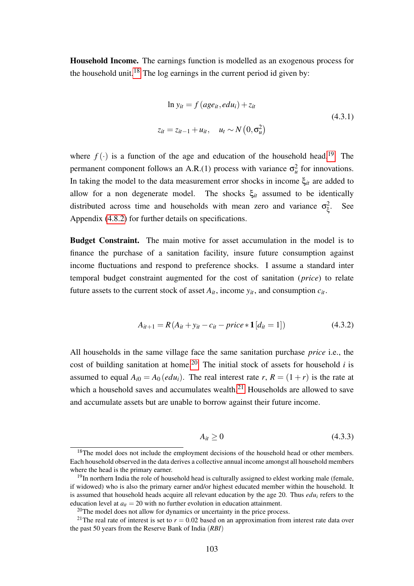Household Income. The earnings function is modelled as an exogenous process for the household unit.<sup>[18](#page-102-0)</sup> The log earnings in the current period id given by:

<span id="page-102-4"></span>
$$
\ln y_{it} = f \left( age_{it}, edu_i \right) + z_{it}
$$
\n
$$
z_{it} = z_{it-1} + u_{it}, \quad u_t \sim N \left( 0, \sigma_u^2 \right)
$$
\n
$$
(4.3.1)
$$

where  $f(\cdot)$  is a function of the age and education of the household head.<sup>[19](#page-102-1)</sup> The permanent component follows an A.R.(1) process with variance  $\sigma_u^2$  for innovations. In taking the model to the data measurement error shocks in income ξ*it* are added to allow for a non degenerate model. The shocks  $\xi_{it}$  assumed to be identically distributed across time and households with mean zero and variance  $\sigma_{\xi}^2$ ξ . See Appendix [\(4.8.2\)](#page-132-1) for further details on specifications.

Budget Constraint. The main motive for asset accumulation in the model is to finance the purchase of a sanitation facility, insure future consumption against income fluctuations and respond to preference shocks. I assume a standard inter temporal budget constraint augmented for the cost of sanitation (*price*) to relate future assets to the current stock of asset  $A_{it}$ , income  $y_{it}$ , and consumption  $c_{it}$ .

<span id="page-102-5"></span>
$$
A_{it+1} = R(A_{it} + y_{it} - c_{it} - price * 1[d_{it} = 1])
$$
\n(4.3.2)

All households in the same village face the same sanitation purchase *price* i.e., the cost of building sanitation at home.<sup>[20](#page-102-2)</sup> The initial stock of assets for household *i* is assumed to equal  $A_{i0} = A_0 (edu_i)$ . The real interest rate *r*,  $R = (1 + r)$  is the rate at which a household saves and accumulates wealth.<sup>[21](#page-102-3)</sup> Households are allowed to save and accumulate assets but are unable to borrow against their future income.

<span id="page-102-6"></span>
$$
A_{it} \ge 0 \tag{4.3.3}
$$

<span id="page-102-0"></span><sup>&</sup>lt;sup>18</sup>The model does not include the employment decisions of the household head or other members. Each household observed in the data derives a collective annual income amongst all household members where the head is the primary earner.

<span id="page-102-1"></span> $19$ In northern India the role of household head is culturally assigned to eldest working male (female, if widowed) who is also the primary earner and/or highest educated member within the household. It is assumed that household heads acquire all relevant education by the age 20. Thus  $edu_i$  refers to the education level at  $a_{it} = 20$  with no further evolution in education attainment.

<span id="page-102-3"></span><span id="page-102-2"></span> $20$ The model does not allow for dynamics or uncertainty in the price process.

<sup>&</sup>lt;sup>21</sup>The real rate of interest is set to  $r = 0.02$  based on an approximation from interest rate data over the past 50 years from the Reserve Bank of India (*RBI*)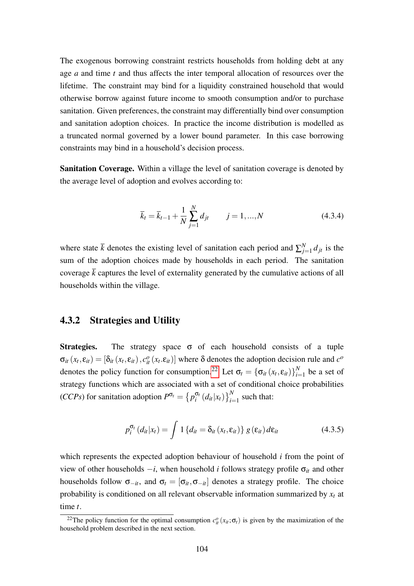The exogenous borrowing constraint restricts households from holding debt at any age *a* and time *t* and thus affects the inter temporal allocation of resources over the lifetime. The constraint may bind for a liquidity constrained household that would otherwise borrow against future income to smooth consumption and/or to purchase sanitation. Given preferences, the constraint may differentially bind over consumption and sanitation adoption choices. In practice the income distribution is modelled as a truncated normal governed by a lower bound parameter. In this case borrowing constraints may bind in a household's decision process.

Sanitation Coverage. Within a village the level of sanitation coverage is denoted by the average level of adoption and evolves according to:

<span id="page-103-1"></span>
$$
\bar{k}_t = \bar{k}_{t-1} + \frac{1}{N} \sum_{j=1}^{N} d_{jt} \qquad j = 1, ..., N \qquad (4.3.4)
$$

where state  $\bar{k}$  denotes the existing level of sanitation each period and  $\sum_{j=1}^{N}$  $\int_{j=1}^{N} d_{jt}$  is the sum of the adoption choices made by households in each period. The sanitation coverage  $\bar{k}$  captures the level of externality generated by the cumulative actions of all households within the village.

#### 4.3.2 Strategies and Utility

**Strategies.** The strategy space  $\sigma$  of each household consists of a tuple  $\sigma_{it}(x_t, \varepsilon_{it}) = [\delta_{it}(x_t, \varepsilon_{it}), c_{it}^o(x_t, \varepsilon_{it})]$  where  $\delta$  denotes the adoption decision rule and  $c^o$ denotes the policy function for consumption.<sup>[22](#page-103-0)</sup> Let  $\sigma_t = {\{\sigma_{it}(x_t, \epsilon_{it})\}}_{i=1}^N$  $\sum_{i=1}^{N}$  be a set of strategy functions which are associated with a set of conditional choice probabilities (*CCPs*) for sanitation adoption  $P^{\sigma_t} = \{p_i^{\sigma_t}\}$  $\int_{i}^{\sigma_t} (d_{it}|x_t) \bigg\}_{i=1}^{N}$  such that:

$$
p_i^{\sigma_t} (d_{it} | x_t) = \int 1 \{ d_{it} = \delta_{it} (x_t, \varepsilon_{it}) \} g(\varepsilon_{it}) d\varepsilon_{it}
$$
 (4.3.5)

which represents the expected adoption behaviour of household *i* from the point of view of other households  $-i$ , when household *i* follows strategy profile  $\sigma_{it}$  and other households follow  $\sigma_{-it}$ , and  $\sigma_t = [\sigma_{it}, \sigma_{-it}]$  denotes a strategy profile. The choice probability is conditioned on all relevant observable information summarized by *x<sup>t</sup>* at time *t*.

<span id="page-103-0"></span><sup>&</sup>lt;sup>22</sup>The policy function for the optimal consumption  $c_{it}^o(x_{it}; \sigma_t)$  is given by the maximization of the household problem described in the next section.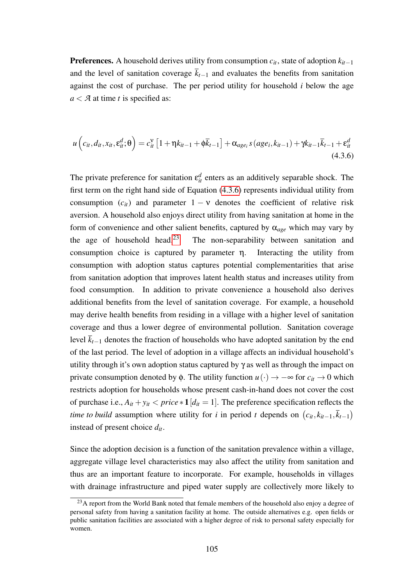**Preferences.** A household derives utility from consumption  $c_{it}$ , state of adoption  $k_{it-1}$ and the level of sanitation coverage  $\bar{k}_{t-1}$  and evaluates the benefits from sanitation against the cost of purchase. The per period utility for household *i* below the age *a* < *A* at time *t* is specified as:

<span id="page-104-0"></span>
$$
u\left(c_{it},d_{it},x_{it},\varepsilon_{it}^d;\Theta\right)=c_{it}^{\vee}\left[1+\eta k_{it-1}+\phi\overline{k}_{t-1}\right]+\alpha_{age_i}s\left(age_i,k_{it-1}\right)+\gamma k_{it-1}\overline{k}_{t-1}+\varepsilon_{it}^d\tag{4.3.6}
$$

The private preference for sanitation  $\varepsilon_{it}^d$  enters as an additively separable shock. The first term on the right hand side of Equation [\(4.3.6\)](#page-104-0) represents individual utility from consumption  $(c_{it})$  and parameter  $1 - v$  denotes the coefficient of relative risk aversion. A household also enjoys direct utility from having sanitation at home in the form of convenience and other salient benefits, captured by α*age* which may vary by the age of household head.<sup>[23](#page-104-1)</sup> The non-separability between sanitation and consumption choice is captured by parameter η. Interacting the utility from consumption with adoption status captures potential complementarities that arise from sanitation adoption that improves latent health status and increases utility from food consumption. In addition to private convenience a household also derives additional benefits from the level of sanitation coverage. For example, a household may derive health benefits from residing in a village with a higher level of sanitation coverage and thus a lower degree of environmental pollution. Sanitation coverage level  $\overline{k}_{t-1}$  denotes the fraction of households who have adopted sanitation by the end of the last period. The level of adoption in a village affects an individual household's utility through it's own adoption status captured by  $\gamma$  as well as through the impact on private consumption denoted by  $\phi$ . The utility function  $u(\cdot) \to -\infty$  for  $c_{it} \to 0$  which restricts adoption for households whose present cash-in-hand does not cover the cost of purchase i.e.,  $A_{it} + y_{it} < price * 1/d_{it} = 1$ . The preference specification reflects the *time to build* assumption where utility for *i* in period *t* depends on  $(c_{it}, k_{it-1}, \overline{k}_{t-1})$ instead of present choice *dit*.

Since the adoption decision is a function of the sanitation prevalence within a village, aggregate village level characteristics may also affect the utility from sanitation and thus are an important feature to incorporate. For example, households in villages with drainage infrastructure and piped water supply are collectively more likely to

<span id="page-104-1"></span> $^{23}$ A report from the World Bank noted that female members of the household also enjoy a degree of personal safety from having a sanitation facility at home. The outside alternatives e.g. open fields or public sanitation facilities are associated with a higher degree of risk to personal safety especially for women.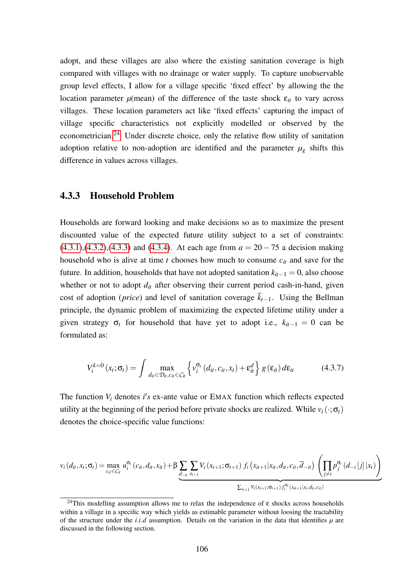adopt, and these villages are also where the existing sanitation coverage is high compared with villages with no drainage or water supply. To capture unobservable group level effects, I allow for a village specific 'fixed effect' by allowing the the location parameter  $\mu$ (mean) of the difference of the taste shock  $\varepsilon$ <sub>*it*</sub> to vary across villages. These location parameters act like 'fixed effects' capturing the impact of village specific characteristics not explicitly modelled or observed by the econometrician.[24](#page-105-0) Under discrete choice, only the relative flow utility of sanitation adoption relative to non-adoption are identified and the parameter  $\mu_{g}$  shifts this difference in values across villages.

#### 4.3.3 Household Problem

Households are forward looking and make decisions so as to maximize the present discounted value of the expected future utility subject to a set of constraints:  $(4.3.1), (4.3.2), (4.3.3)$  $(4.3.1), (4.3.2), (4.3.3)$  $(4.3.1), (4.3.2), (4.3.3)$  $(4.3.1), (4.3.2), (4.3.3)$  $(4.3.1), (4.3.2), (4.3.3)$  and  $(4.3.4)$ . At each age from  $a = 20 - 75$  a decision making household who is alive at time *t* chooses how much to consume *cit* and save for the future. In addition, households that have not adopted sanitation  $k_{it-1} = 0$ , also choose whether or not to adopt  $d_{it}$  after observing their current period cash-in-hand, given cost of adoption (*price*) and level of sanitation coverage  $\overline{k}_{t-1}$ . Using the Bellman principle, the dynamic problem of maximizing the expected lifetime utility under a given strategy  $\sigma_t$  for household that have yet to adopt i.e.,  $k_{it-1} = 0$  can be formulated as:

$$
V_i^{k=0} (x_t; \sigma_t) = \int \max_{d_{it} \in \mathcal{D}_{it}, c_{it} \in \mathcal{C}_{it}} \left\{ v_i^{\sigma_t} (d_{it}, c_{it}, x_t) + \varepsilon_{it}^d \right\} g(\varepsilon_{it}) d\varepsilon_{it}
$$
 (4.3.7)

The function  $V_i$  denotes  $i's$  ex-ante value or EMAX function which reflects expected utility at the beginning of the period before private shocks are realized. While  $v_i(\cdot;\sigma_t)$ denotes the choice-specific value functions:

$$
v_{i}(d_{it}, x_{t}; \sigma_{t}) = \max_{c_{it} \in C_{it}} u_{i}^{\sigma_{t}}(c_{it}, d_{it}, x_{it}) + \beta \underbrace{\sum_{d_{-it}} \sum_{x_{t+1}} V_{i}(x_{t+1}; \sigma_{t+1}) f_{i}(x_{it+1} | x_{it}, d_{it}, c_{it}, \overline{d}_{-it}) \left( \prod_{j \neq i} p_{j}^{\sigma_{t}}(d_{-i}[j] | x_{t}) \right)}_{\sum_{x_{t+1}} V_{i}(x_{t+1}; \sigma_{t+1}) f_{i}^{\sigma_{t}}(x_{it+1} | x_{t}, d_{it}, c_{it})}
$$

<span id="page-105-0"></span><sup>&</sup>lt;sup>24</sup>This modelling assumption allows me to relax the independence of  $\varepsilon$  shocks across households within a village in a specific way which yields as estimable parameter without loosing the tractability of the structure under the *i.i.d* assumption. Details on the variation in the data that identifies  $\mu$  are discussed in the following section.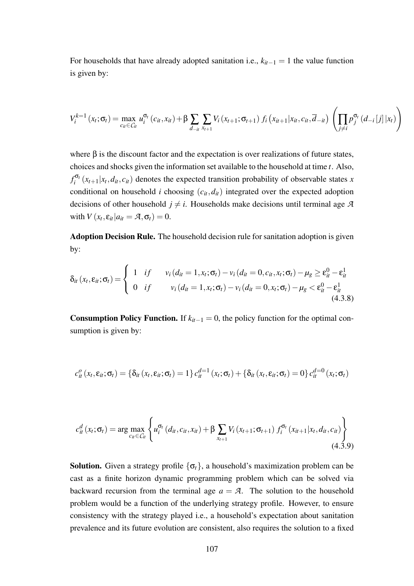For households that have already adopted sanitation i.e.,  $k_{it-1} = 1$  the value function is given by:

$$
V_i^{k=1}(x_t; \sigma_t) = \max_{c_{it} \in C_{it}} u_i^{\sigma_t}(c_{it}, x_{it}) + \beta \sum_{d_{-it}} \sum_{x_{t+1}} V_i(x_{t+1}; \sigma_{t+1}) f_i(x_{it+1} | x_{it}, c_{it}, \overline{d}_{-it}) \left( \prod_{j \neq i} p_j^{\sigma_t}(d_{-i}[j] | x_t) \right)
$$

where  $\beta$  is the discount factor and the expectation is over realizations of future states, choices and shocks given the information set available to the household at time *t*. Also,  $f_i^{\sigma_i}$  $\int_{i}^{\sigma_i} (x_{t+1}|x_t, d_{it}, c_{it})$  denotes the expected transition probability of observable states *x* conditional on household *i* choosing  $(c_{it}, d_{it})$  integrated over the expected adoption decisions of other household  $j \neq i$ . Households make decisions until terminal age *A* with  $V(x_t, \varepsilon_{it} | a_{it} = A, \sigma_t) = 0.$ 

Adoption Decision Rule. The household decision rule for sanitation adoption is given by:

$$
\delta_{it}(x_t, \varepsilon_{it}; \sigma_t) = \begin{cases} 1 & \text{if } v_i(d_{it} = 1, x_t; \sigma_t) - v_i(d_{it} = 0, c_{it}, x_t; \sigma_t) - \mu_g \ge \varepsilon_{it}^0 - \varepsilon_{it}^1 \\ 0 & \text{if } v_i(d_{it} = 1, x_t; \sigma_t) - v_i(d_{it} = 0, x_t; \sigma_t) - \mu_g < \varepsilon_{it}^0 - \varepsilon_{it}^1 \tag{4.3.8}
$$

**Consumption Policy Function.** If  $k_{it-1} = 0$ , the policy function for the optimal consumption is given by:

$$
c_{it}^o(x_t, \varepsilon_{it}; \sigma_t) = \{\delta_{it}(x_t, \varepsilon_{it}; \sigma_t) = 1\} c_{it}^{d=1}(x_t; \sigma_t) + \{\delta_{it}(x_t, \varepsilon_{it}; \sigma_t) = 0\} c_{it}^{d=0}(x_t; \sigma_t)
$$

$$
c_{it}^{d}(x_{t}; \sigma_{t}) = \arg \max_{c_{it} \in C_{it}} \left\{ u_{i}^{\sigma_{t}}(d_{it}, c_{it}, x_{it}) + \beta \sum_{x_{t+1}} V_{i}(x_{t+1}; \sigma_{t+1}) f_{i}^{\sigma_{t}}(x_{it+1}|x_{t}, d_{it}, c_{it}) \right\}
$$
(4.3.9)

**Solution.** Given a strategy profile  $\{\sigma_t\}$ , a household's maximization problem can be cast as a finite horizon dynamic programming problem which can be solved via backward recursion from the terminal age  $a = A$ . The solution to the household problem would be a function of the underlying strategy profile. However, to ensure consistency with the strategy played i.e., a household's expectation about sanitation prevalence and its future evolution are consistent, also requires the solution to a fixed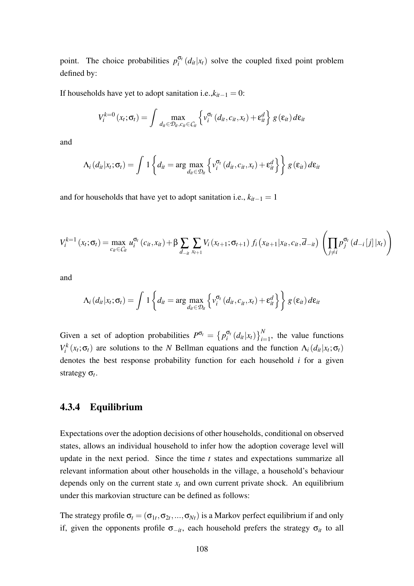point. The choice probabilities  $p_i^{\sigma_i}$  $e_i^{\sigma_t}(d_{it}|x_t)$  solve the coupled fixed point problem defined by:

If households have yet to adopt sanitation i.e., $k_{it-1} = 0$ :

$$
V_i^{k=0}(x_t;\sigma_t)=\int \max_{d_{it}\in \mathcal{D}_{it}, c_{it}\in \mathcal{C}_{it}}\left\{v_i^{\sigma_t}(d_{it}, c_{it}, x_t)+\varepsilon_{it}^d\right\}g(\varepsilon_{it})d\varepsilon_{it}
$$

and

$$
\Lambda_i(d_{it}|x_t;\sigma_t)=\int 1\left\{d_{it}=\arg\max_{d_{it}\in\mathcal{D}_{it}}\left\{\nu_i^{\sigma_t}\left(d_{it},c_{it},x_t\right)+\varepsilon_{it}^d\right\}\right\}g\left(\varepsilon_{it}\right)d\varepsilon_{it}
$$

and for households that have yet to adopt sanitation i.e.,  $k_{it-1} = 1$ 

$$
V_i^{k=1}(x_t; \sigma_t) = \max_{c_{it} \in C_{it}} u_i^{\sigma_t}(c_{it}, x_{it}) + \beta \sum_{d_{-it}} \sum_{x_{t+1}} V_i(x_{t+1}; \sigma_{t+1}) f_i(x_{it+1} | x_{it}, c_{it}, \overline{d}_{-it}) \left( \prod_{j \neq i} p_j^{\sigma_t}(d_{-i}[j] | x_t) \right)
$$

and

$$
\Lambda_i(d_{it}|x_t;\sigma_t)=\int 1\left\{d_{it}=\arg\max_{d_{it}\in\mathcal{D}_{it}}\left\{\nu_i^{\sigma_t}\left(d_{it},c_{it},x_t\right)+\varepsilon_{it}^d\right\}\right\}g\left(\varepsilon_{it}\right)d\varepsilon_{it}
$$

Given a set of adoption probabilities  $P^{\sigma_t} = \{p_i^{\sigma_t}\}$  $\int_{i}^{\sigma} (d_{it}|x_t) \bigg|_{i=1}^{N}$ , the value functions *V*<sup>*k*</sup>( $x_t$ ;  $\sigma_t$ ) are solutions to the *N* Bellman equations and the function  $\Lambda_i(d_{it}|x_t; \sigma_t)$ denotes the best response probability function for each household *i* for a given strategy σ*<sup>t</sup>* .

### 4.3.4 Equilibrium

Expectations over the adoption decisions of other households, conditional on observed states, allows an individual household to infer how the adoption coverage level will update in the next period. Since the time *t* states and expectations summarize all relevant information about other households in the village, a household's behaviour depends only on the current state  $x_t$  and own current private shock. An equilibrium under this markovian structure can be defined as follows:

The strategy profile  $\sigma_t = (\sigma_{1t}, \sigma_{2t}, ..., \sigma_{Nt})$  is a Markov perfect equilibrium if and only if, given the opponents profile  $\sigma_{-it}$ , each household prefers the strategy  $\sigma_{it}$  to all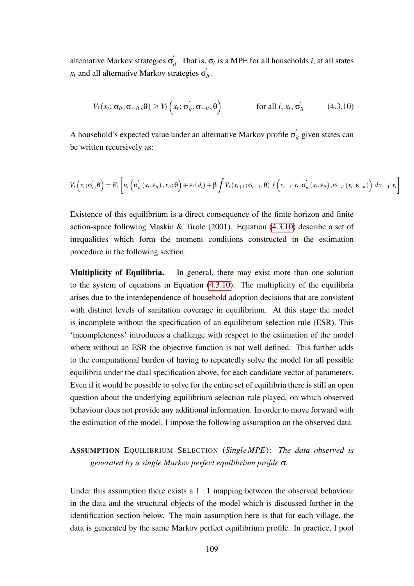alternative Markov strategies  $\sigma'_{it}$ . That is,  $\sigma_t$  is a MPE for all households *i*, at all states  $x_t$  and all alternative Markov strategies  $\sigma'_{it}$ .

<span id="page-108-0"></span>
$$
V_i(x_t; \sigma_{it}, \sigma_{-it}, \theta) \ge V_i\left(x_t; \sigma_{it}', \sigma_{-it}, \theta\right) \qquad \text{for all } i, x_t, \sigma_{it}' \qquad (4.3.10)
$$

A household's expected value under an alternative Markov profile  $\sigma'_{it}$  given states can be written recursively as:

$$
V_{i}\left(x_{t};\sigma'_{t},\theta\right)=E_{\varepsilon}\left[u_{i}\left(\sigma'_{it}\left(x_{t},\varepsilon_{it}\right),x_{it};\theta\right)+\varepsilon_{i}\left(d_{i}\right)+\beta\int V_{i}\left(x_{t+1};\sigma_{t+1},\theta\right)f\left(x_{t+1}|x_{t},\sigma'_{it}\left(x_{t},\varepsilon_{it}\right),\sigma_{-it}\left(x_{t},\varepsilon_{-it}\right)\right)dx_{t+1}|x_{t}\right]
$$

Existence of this equilibrium is a direct consequence of the finite horizon and finite action-space following Maskin & Tirole (2001). Equation [\(4.3.10\)](#page-108-0) describe a set of inequalities which form the moment conditions constructed in the estimation procedure in the following section.

Multiplicity of Equilibria. In general, there may exist more than one solution to the system of equations in Equation [\(4.3.10\)](#page-108-0). The multiplicity of the equilibria arises due to the interdependence of household adoption decisions that are consistent with distinct levels of sanitation coverage in equilibrium. At this stage the model is incomplete without the specification of an equilibrium selection rule (ESR). This 'incompleteness' introduces a challenge with respect to the estimation of the model where without an ESR the objective function is not well defined. This further adds to the computational burden of having to repeatedly solve the model for all possible equilibria under the dual specification above, for each candidate vector of parameters. Even if it would be possible to solve for the entire set of equilibria there is still an open question about the underlying equilibrium selection rule played, on which observed behaviour does not provide any additional information. In order to move forward with the estimation of the model, I impose the following assumption on the observed data.

## ASSUMPTION EQUILIBRIUM SELECTION (*SingleMPE*): *The data observed is generated by a single Markov perfect equilibrium profile* σ*.*

Under this assumption there exists a 1 : 1 mapping between the observed behaviour in the data and the structural objects of the model which is discussed further in the identification section below. The main assumption here is that for each village, the data is generated by the same Markov perfect equilibrium profile. In practice, I pool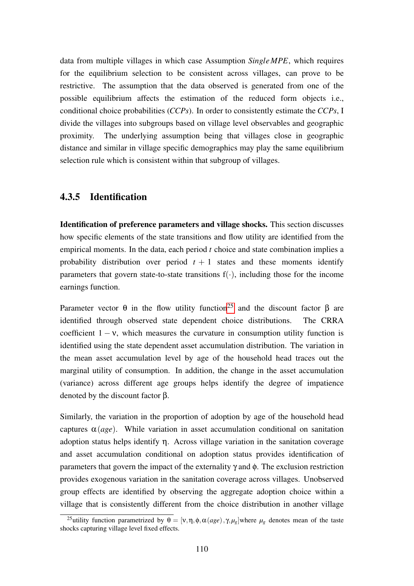data from multiple villages in which case Assumption *SingleMPE*, which requires for the equilibrium selection to be consistent across villages, can prove to be restrictive. The assumption that the data observed is generated from one of the possible equilibrium affects the estimation of the reduced form objects i.e., conditional choice probabilities (*CCPs*). In order to consistently estimate the *CCPs*, I divide the villages into subgroups based on village level observables and geographic proximity. The underlying assumption being that villages close in geographic distance and similar in village specific demographics may play the same equilibrium selection rule which is consistent within that subgroup of villages.

## 4.3.5 Identification

Identification of preference parameters and village shocks. This section discusses how specific elements of the state transitions and flow utility are identified from the empirical moments. In the data, each period *t* choice and state combination implies a probability distribution over period  $t + 1$  states and these moments identify parameters that govern state-to-state transitions  $f(\cdot)$ , including those for the income earnings function.

Parameter vector  $\theta$  in the flow utility function<sup>[25](#page-109-0)</sup> and the discount factor  $\beta$  are identified through observed state dependent choice distributions. The CRRA coefficient  $1 - v$ , which measures the curvature in consumption utility function is identified using the state dependent asset accumulation distribution. The variation in the mean asset accumulation level by age of the household head traces out the marginal utility of consumption. In addition, the change in the asset accumulation (variance) across different age groups helps identify the degree of impatience denoted by the discount factor β.

Similarly, the variation in the proportion of adoption by age of the household head captures  $\alpha(age)$ . While variation in asset accumulation conditional on sanitation adoption status helps identify  $\eta$ . Across village variation in the sanitation coverage and asset accumulation conditional on adoption status provides identification of parameters that govern the impact of the externality γ and φ. The exclusion restriction provides exogenous variation in the sanitation coverage across villages. Unobserved group effects are identified by observing the aggregate adoption choice within a village that is consistently different from the choice distribution in another village

<span id="page-109-0"></span><sup>&</sup>lt;sup>25</sup>utility function parametrized by  $\theta = [v, \eta, \phi, \alpha(age), \gamma, \mu_g]$  where  $\mu_g$  denotes mean of the taste shocks capturing village level fixed effects.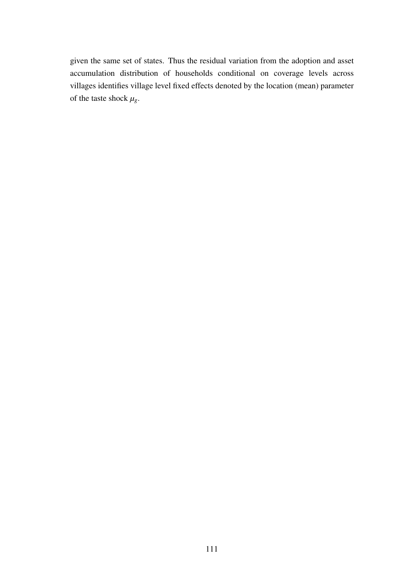given the same set of states. Thus the residual variation from the adoption and asset accumulation distribution of households conditional on coverage levels across villages identifies village level fixed effects denoted by the location (mean) parameter of the taste shock  $\mu_{g}$ .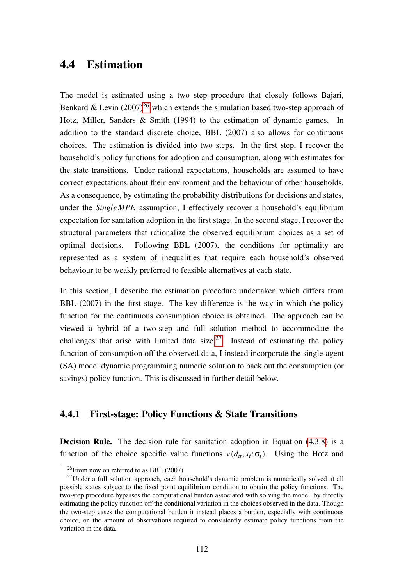# 4.4 Estimation

The model is estimated using a two step procedure that closely follows Bajari, Benkard & Levin  $(2007)^{26}$  $(2007)^{26}$  $(2007)^{26}$  which extends the simulation based two-step approach of Hotz, Miller, Sanders & Smith (1994) to the estimation of dynamic games. In addition to the standard discrete choice, BBL (2007) also allows for continuous choices. The estimation is divided into two steps. In the first step, I recover the household's policy functions for adoption and consumption, along with estimates for the state transitions. Under rational expectations, households are assumed to have correct expectations about their environment and the behaviour of other households. As a consequence, by estimating the probability distributions for decisions and states, under the *SingleMPE* assumption, I effectively recover a household's equilibrium expectation for sanitation adoption in the first stage. In the second stage, I recover the structural parameters that rationalize the observed equilibrium choices as a set of optimal decisions. Following BBL (2007), the conditions for optimality are represented as a system of inequalities that require each household's observed behaviour to be weakly preferred to feasible alternatives at each state.

In this section, I describe the estimation procedure undertaken which differs from BBL (2007) in the first stage. The key difference is the way in which the policy function for the continuous consumption choice is obtained. The approach can be viewed a hybrid of a two-step and full solution method to accommodate the challenges that arise with limited data size.<sup>[27](#page-111-1)</sup> Instead of estimating the policy function of consumption off the observed data, I instead incorporate the single-agent (SA) model dynamic programming numeric solution to back out the consumption (or savings) policy function. This is discussed in further detail below.

## 4.4.1 First-stage: Policy Functions & State Transitions

Decision Rule. The decision rule for sanitation adoption in Equation [\(4.3.8\)](#page-106-0) is a function of the choice specific value functions  $v(d_{it}, x_t; \sigma_t)$ . Using the Hotz and

<span id="page-111-1"></span><span id="page-111-0"></span> $^{26}$ From now on referred to as BBL (2007)

 $27$ Under a full solution approach, each household's dynamic problem is numerically solved at all possible states subject to the fixed point equilibrium condition to obtain the policy functions. The two-step procedure bypasses the computational burden associated with solving the model, by directly estimating the policy function off the conditional variation in the choices observed in the data. Though the two-step eases the computational burden it instead places a burden, especially with continuous choice, on the amount of observations required to consistently estimate policy functions from the variation in the data.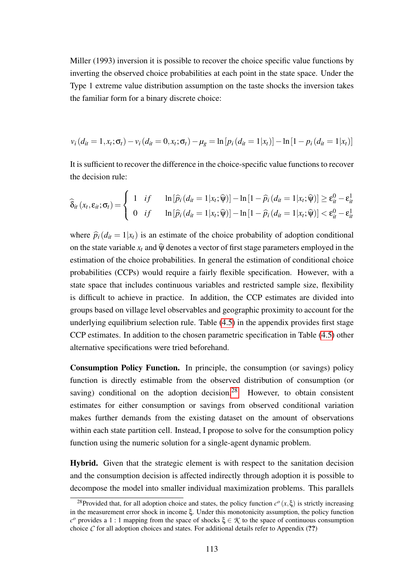Miller (1993) inversion it is possible to recover the choice specific value functions by inverting the observed choice probabilities at each point in the state space. Under the Type 1 extreme value distribution assumption on the taste shocks the inversion takes the familiar form for a binary discrete choice:

$$
v_i(d_{it} = 1, x_t; \sigma_t) - v_i(d_{it} = 0, x_t; \sigma_t) - \mu_g = \ln[p_i(d_{it} = 1 | x_t)] - \ln[1 - p_i(d_{it} = 1 | x_t)]
$$

It is sufficient to recover the difference in the choice-specific value functions to recover the decision rule:

$$
\widehat{\delta}_{it}(x_t, \varepsilon_{it}; \sigma_t) = \begin{cases} 1 & \text{if } \quad \ln[\widehat{p}_i(d_{it} = 1 | x_t; \widehat{\psi})] - \ln[1 - \widehat{p}_i(d_{it} = 1 | x_t; \widehat{\psi})] \ge \varepsilon_{it}^0 - \varepsilon_{it}^1 \\ 0 & \text{if } \quad \ln[\widehat{p}_i(d_{it} = 1 | x_t; \widehat{\psi})] - \ln[1 - \widehat{p}_i(d_{it} = 1 | x_t; \widehat{\psi})] < \varepsilon_{it}^0 - \varepsilon_{it}^1 \end{cases}
$$

where  $\hat{p}_i(d_{it} = 1|x_i)$  is an estimate of the choice probability of adoption conditional on the state variable  $x_t$  and  $\hat{y}$  denotes a vector of first stage parameters employed in the estimation of the choice probabilities. In general the estimation of conditional choice probabilities (CCPs) would require a fairly flexible specification. However, with a state space that includes continuous variables and restricted sample size, flexibility is difficult to achieve in practice. In addition, the CCP estimates are divided into groups based on village level observables and geographic proximity to account for the underlying equilibrium selection rule. Table [\(4.5\)](#page-151-0) in the appendix provides first stage CCP estimates. In addition to the chosen parametric specification in Table [\(4.5\)](#page-151-0) other alternative specifications were tried beforehand.

Consumption Policy Function. In principle, the consumption (or savings) policy function is directly estimable from the observed distribution of consumption (or saving) conditional on the adoption decision.<sup>[28](#page-112-0)</sup> However, to obtain consistent estimates for either consumption or savings from observed conditional variation makes further demands from the existing dataset on the amount of observations within each state partition cell. Instead, I propose to solve for the consumption policy function using the numeric solution for a single-agent dynamic problem.

Hybrid. Given that the strategic element is with respect to the sanitation decision and the consumption decision is affected indirectly through adoption it is possible to decompose the model into smaller individual maximization problems. This parallels

<span id="page-112-0"></span><sup>&</sup>lt;sup>28</sup>Provided that, for all adoption choice and states, the policy function  $c^{\circ}(x,\xi)$  is strictly increasing in the measurement error shock in income ξ. Under this monotonicity assumption, the policy function  *provides a 1 : 1 mapping from the space of shocks ξ ∈ <i>K* to the space of continuous consumption choice  $\mathcal C$  for all adoption choices and states. For additional details refer to Appendix (??)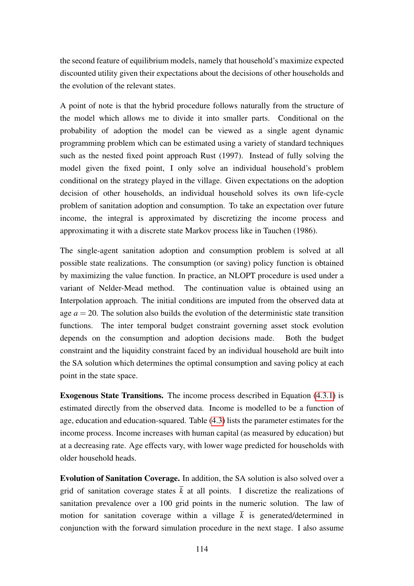the second feature of equilibrium models, namely that household's maximize expected discounted utility given their expectations about the decisions of other households and the evolution of the relevant states.

A point of note is that the hybrid procedure follows naturally from the structure of the model which allows me to divide it into smaller parts. Conditional on the probability of adoption the model can be viewed as a single agent dynamic programming problem which can be estimated using a variety of standard techniques such as the nested fixed point approach Rust (1997). Instead of fully solving the model given the fixed point, I only solve an individual household's problem conditional on the strategy played in the village. Given expectations on the adoption decision of other households, an individual household solves its own life-cycle problem of sanitation adoption and consumption. To take an expectation over future income, the integral is approximated by discretizing the income process and approximating it with a discrete state Markov process like in Tauchen (1986).

The single-agent sanitation adoption and consumption problem is solved at all possible state realizations. The consumption (or saving) policy function is obtained by maximizing the value function. In practice, an NLOPT procedure is used under a variant of Nelder-Mead method. The continuation value is obtained using an Interpolation approach. The initial conditions are imputed from the observed data at age  $a = 20$ . The solution also builds the evolution of the deterministic state transition functions. The inter temporal budget constraint governing asset stock evolution depends on the consumption and adoption decisions made. Both the budget constraint and the liquidity constraint faced by an individual household are built into the SA solution which determines the optimal consumption and saving policy at each point in the state space.

Exogenous State Transitions. The income process described in Equation [\(4.3.1\)](#page-102-0) is estimated directly from the observed data. Income is modelled to be a function of age, education and education-squared. Table [\(4.3\)](#page-150-0) lists the parameter estimates for the income process. Income increases with human capital (as measured by education) but at a decreasing rate. Age effects vary, with lower wage predicted for households with older household heads.

Evolution of Sanitation Coverage. In addition, the SA solution is also solved over a grid of sanitation coverage states  $\overline{k}$  at all points. I discretize the realizations of sanitation prevalence over a 100 grid points in the numeric solution. The law of motion for sanitation coverage within a village  $\overline{k}$  is generated/determined in conjunction with the forward simulation procedure in the next stage. I also assume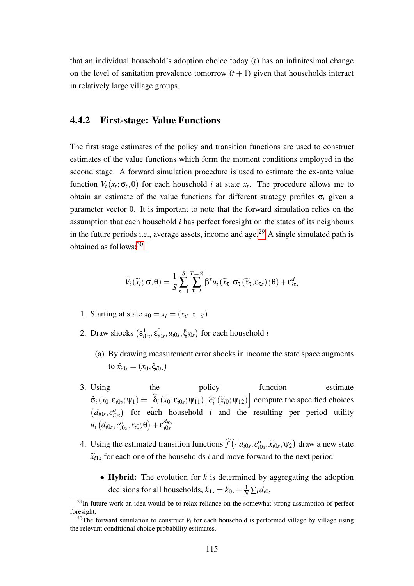that an individual household's adoption choice today (*t*) has an infinitesimal change on the level of sanitation prevalence tomorrow  $(t + 1)$  given that households interact in relatively large village groups.

### <span id="page-114-2"></span>4.4.2 First-stage: Value Functions

The first stage estimates of the policy and transition functions are used to construct estimates of the value functions which form the moment conditions employed in the second stage. A forward simulation procedure is used to estimate the ex-ante value function  $V_i(x_t; \sigma_t, \theta)$  for each household *i* at state  $x_t$ . The procedure allows me to obtain an estimate of the value functions for different strategy profiles  $\sigma_t$  given a parameter vector θ. It is important to note that the forward simulation relies on the assumption that each household *i* has perfect foresight on the states of its neighbours in the future periods i.e., average assets, income and age.<sup>[29](#page-114-0)</sup> A single simulated path is obtained as follows:[30](#page-114-1)

$$
\widehat{V}_{i}(\widetilde{x}_{t}; \sigma, \theta) = \frac{1}{S} \sum_{s=1}^{S} \sum_{\tau=t}^{T=\mathcal{A}} \beta^{\tau} u_{i}(\widetilde{x}_{\tau}, \sigma_{\tau}(\widetilde{x}_{\tau}, \varepsilon_{\tau s}); \theta) + \varepsilon_{i \tau s}^{d}
$$

- 1. Starting at state  $x_0 = x_t = (x_{it}, x_{-it})$
- 2. Draw shocks  $(\epsilon_{i0s}^1, \epsilon_{i0s}^0, u_{i0s}, \xi_{i0s})$  for each household *i* 
	- (a) By drawing measurement error shocks in income the state space augments to  $\widetilde{x}_{i0s} = (x_0, \xi_{i0s})$
- 3. Using the policy function estimate  $\hat{\sigma}_i(\tilde{x}_0, \varepsilon_{i0s}; \psi_1) = \left[ \hat{\delta}_i(\tilde{x}_0, \varepsilon_{i0s}; \psi_{11}), \hat{c}_i^o(\tilde{x}_{i0}; \psi_{12}) \right]$  compute the specified choices  $(d_{i0s}, c_{i0}^o)$  $\frac{\partial}{\partial s}$  for each household *i* and the resulting per period utility  $u_i$   $(d_{i0s}, c_{i0}^o)$  $\left( \begin{matrix} c_{i0s} \,, x_{i0}; \Theta \end{matrix} \right) + \epsilon_{i0s}^{d_{i0s}}$ *i*0*s*
- 4. Using the estimated transition functions  $\hat{f}(\cdot|d_{i0s}, c_{i0}^o)$  $\left(\frac{\partial}{\partial s}, \widetilde{x}_{i0s}, \Psi_2\right)$  draw a new state  $\widetilde{x}_{i1s}$  for each one of the households *i* and move forward to the next period
	- Hybrid: The evolution for  $\bar{k}$  is determined by aggregating the adoption decisions for all households,  $\bar{k}_{1s} = \bar{k}_{0s} + \frac{1}{N} \sum_{i} d_{i0s}$

<span id="page-114-0"></span> $^{29}$ In future work an idea would be to relax reliance on the somewhat strong assumption of perfect foresight.

<span id="page-114-1"></span><sup>&</sup>lt;sup>30</sup>The forward simulation to construct  $V_i$  for each household is performed village by village using the relevant conditional choice probability estimates.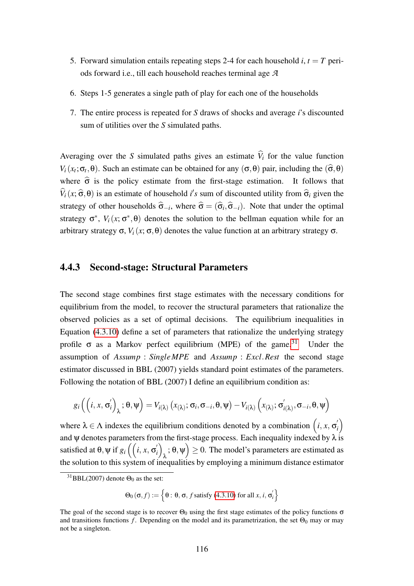- 5. Forward simulation entails repeating steps 2-4 for each household  $i, t = T$  periods forward i.e., till each household reaches terminal age *A*
- 6. Steps 1-5 generates a single path of play for each one of the households
- 7. The entire process is repeated for *S* draws of shocks and average *i*'s discounted sum of utilities over the *S* simulated paths.

Averaging over the *S* simulated paths gives an estimate  $\hat{V}_i$  for the value function *V*<sub>*i*</sub>( $x_t$ ;  $\sigma_t$ , $\theta$ ). Such an estimate can be obtained for any ( $\sigma$ , $\theta$ ) pair, including the ( $\hat{\sigma}$ , $\theta$ ) where  $\hat{\sigma}$  is the policy estimate from the first-stage estimation. It follows that  $\hat{V}_i(x; \hat{\sigma}, \theta)$  is an estimate of household *i*'s sum of discounted utility from  $\hat{\sigma}_i$  given the strategy of other households  $\hat{\sigma}_{-i}$ , where  $\hat{\sigma} = (\hat{\sigma}_i, \hat{\sigma}_{-i})$ . Note that under the optimal strategy  $\sigma^*$ ,  $V_i(x; \sigma^*, \theta)$  denotes the solution to the bellman equation while for an arbitrary strategy σ,  $V_i(x; \sigma, \theta)$  denotes the value function at an arbitrary strategy σ.

## <span id="page-115-1"></span>4.4.3 Second-stage: Structural Parameters

The second stage combines first stage estimates with the necessary conditions for equilibrium from the model, to recover the structural parameters that rationalize the observed policies as a set of optimal decisions. The equilibrium inequalities in Equation [\(4.3.10\)](#page-108-0) define a set of parameters that rationalize the underlying strategy profile  $\sigma$  as a Markov perfect equilibrium (MPE) of the game.<sup>[31](#page-115-0)</sup> Under the assumption of *Assump* : *SingleMPE* and *Assump* : *Excl*.*Rest* the second stage estimator discussed in BBL (2007) yields standard point estimates of the parameters. Following the notation of BBL (2007) I define an equilibrium condition as:

$$
g_i\left(\left(i, x, \sigma'_i\right)_{\lambda}; \theta, \psi\right) = V_{i(\lambda)}\left(x_{(\lambda)}; \sigma_i, \sigma_{-i}, \theta, \psi\right) - V_{i(\lambda)}\left(x_{(\lambda)}; \sigma'_{i(\lambda)}, \sigma_{-i}, \theta, \psi\right)
$$

where  $\lambda \in \Lambda$  indexes the equilibrium conditions denoted by a combination  $(i, x, \sigma)$ *i* and  $\psi$  denotes parameters from the first-stage process. Each inequality indexed by  $\lambda$  is satisfied at  $\theta$ ,  $\psi$  if  $g_i$   $\Big($   $\Big(i, x, \sigma'_i\Big)$ *i*)  $\lambda$ ;  $\theta$ ,  $\Psi$ )  $\geq$  0. The model's parameters are estimated as the solution to this system of inequalities by employing a minimum distance estimator

 $\Theta_0(\sigma, f) := \left\{ \Theta : \Theta, \sigma, f \text{ satisfy (4.3.10) for all } x, i, \sigma \right\}$  $\Theta_0(\sigma, f) := \left\{ \Theta : \Theta, \sigma, f \text{ satisfy (4.3.10) for all } x, i, \sigma \right\}$  $\Theta_0(\sigma, f) := \left\{ \Theta : \Theta, \sigma, f \text{ satisfy (4.3.10) for all } x, i, \sigma \right\}$  $\binom{i}{i}$ 

<span id="page-115-0"></span> ${}^{31}$ BBL(2007) denote  $\Theta_0$  as the set:

The goal of the second stage is to recover  $\Theta_0$  using the first stage estimates of the policy functions  $\sigma$ and transitions functions *f*. Depending on the model and its parametrization, the set  $\Theta_0$  may or may not be a singleton.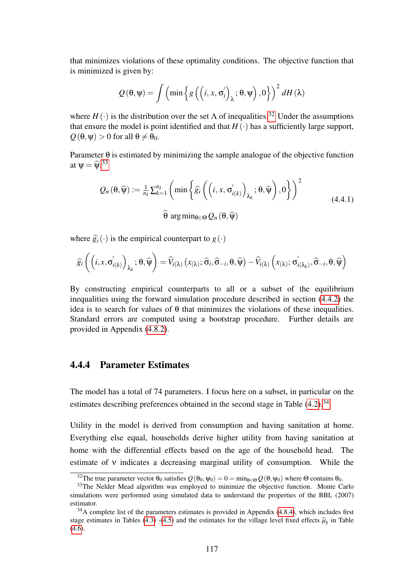that minimizes violations of these optimality conditions. The objective function that is minimized is given by:

$$
Q(\theta, \psi) = \int \left( \min \left\{ g\left( \left( i, x, \sigma'_i \right)_\lambda; \theta, \psi \right), 0 \right\} \right)^2 dH(\lambda)
$$

where  $H(\cdot)$  is the distribution over the set  $\Lambda$  of inequalities.<sup>[32](#page-116-0)</sup> Under the assumptions that ensure the model is point identified and that  $H(\cdot)$  has a sufficiently large support,  $Q(\theta, \Psi) > 0$  for all  $\theta \neq \theta_0$ .

Parameter  $\theta$  is estimated by minimizing the sample analogue of the objective function at  $\psi = \widehat{\psi}$ .<sup>[33](#page-116-1)</sup>

$$
Q_n(\theta, \widehat{\psi}) := \frac{1}{n_l} \sum_{k=1}^{n_l} \left( \min \left\{ \widehat{g}_i \left( \left( i, x, \sigma'_{i(k)} \right)_{\lambda_k}; \theta, \widehat{\psi} \right), 0 \right\} \right)^2
$$
  

$$
\widehat{\theta} \arg \min_{\theta \in \Theta} Q_n(\theta, \widehat{\psi})
$$
 (4.4.1)

where  $\hat{g}_i(\cdot)$  is the empirical counterpart to  $g(\cdot)$ 

$$
\widehat{g}_{i}\left(\left(i, x, \sigma'_{i(k)}\right)_{\lambda_{k}}; \theta, \widehat{\psi}\right) = \widehat{V}_{i(\lambda)}\left(x_{(\lambda)}; \widehat{\sigma}_{i}, \widehat{\sigma}_{-i}, \theta, \widehat{\psi}\right) - \widehat{V}_{i(\lambda)}\left(x_{(\lambda)}; \sigma'_{i(\lambda_{k})}, \widehat{\sigma}_{-i}, \theta, \widehat{\psi}\right)
$$

By constructing empirical counterparts to all or a subset of the equilibrium inequalities using the forward simulation procedure described in section [\(4.4.2\)](#page-114-2) the idea is to search for values of  $\theta$  that minimizes the violations of these inequalities. Standard errors are computed using a bootstrap procedure. Further details are provided in Appendix [\(4.8.2\)](#page-132-0).

## 4.4.4 Parameter Estimates

The model has a total of 74 parameters. I focus here on a subset, in particular on the estimates describing preferences obtained in the second stage in Table  $(4.2)$ .<sup>[34](#page-116-2)</sup>

Utility in the model is derived from consumption and having sanitation at home. Everything else equal, households derive higher utility from having sanitation at home with the differential effects based on the age of the household head. The estimate of ν indicates a decreasing marginal utility of consumption. While the

<span id="page-116-1"></span><span id="page-116-0"></span><sup>&</sup>lt;sup>32</sup>The true parameter vector  $\theta_0$  satisfies  $Q(\theta_0, \Psi_0) = 0 = \min_{\theta \in \Theta} Q(\theta, \Psi_0)$  where  $\Theta$  contains  $\theta_0$ .

<sup>&</sup>lt;sup>33</sup>The Nelder Mead algorithm was employed to minimize the objective function. Monte Carlo simulations were performed using simulated data to understand the properties of the BBL (2007) estimator.

<span id="page-116-2"></span> $34A$  complete list of the parameters estimates is provided in Appendix [\(4.8.4\)](#page-149-0), which includes first stage estimates in Tables [\(4.3\)](#page-150-0) -[\(4.5\)](#page-151-0) and the estimates for the village level fixed effects  $\hat{\mu}_g$  in Table  $(4.6).$  $(4.6).$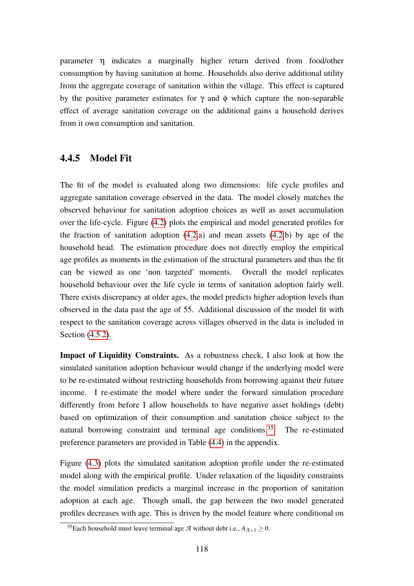parameter η indicates a marginally higher return derived from food/other consumption by having sanitation at home. Households also derive additional utility from the aggregate coverage of sanitation within the village. This effect is captured by the positive parameter estimates for  $\gamma$  and  $\phi$  which capture the non-separable effect of average sanitation coverage on the additional gains a household derives from it own consumption and sanitation.

### 4.4.5 Model Fit

The fit of the model is evaluated along two dimensions: life cycle profiles and aggregate sanitation coverage observed in the data. The model closely matches the observed behaviour for sanitation adoption choices as well as asset accumulation over the life-cycle. Figure [\(4.2\)](#page-160-0) plots the empirical and model generated profiles for the fraction of sanitation adoption [\(4.2.](#page-160-0)a) and mean assets [\(4.2.](#page-160-0)b) by age of the household head. The estimation procedure does not directly employ the empirical age profiles as moments in the estimation of the structural parameters and thus the fit can be viewed as one 'non targeted' moments. Overall the model replicates household behaviour over the life cycle in terms of sanitation adoption fairly well. There exists discrepancy at older ages, the model predicts higher adoption levels than observed in the data past the age of 55. Additional discussion of the model fit with respect to the sanitation coverage across villages observed in the data is included in Section [\(4.5.2\)](#page-120-0).

Impact of Liquidity Constraints. As a robustness check, I also look at how the simulated sanitation adoption behaviour would change if the underlying model were to be re-estimated without restricting households from borrowing against their future income. I re-estimate the model where under the forward simulation procedure differently from before I allow households to have negative asset holdings (debt) based on optimization of their consumption and sanitation choice subject to the natural borrowing constraint and terminal age conditions.<sup>[35](#page-117-0)</sup> The re-estimated preference parameters are provided in Table [\(4.4\)](#page-150-2) in the appendix.

Figure [\(4.3\)](#page-160-1) plots the simulated sanitation adoption profile under the re-estimated model along with the empirical profile. Under relaxation of the liquidity constraints the model simulation predicts a marginal increase in the proportion of sanitation adoption at each age. Though small, the gap between the two model generated profiles decreases with age. This is driven by the model feature where conditional on

<span id="page-117-0"></span><sup>&</sup>lt;sup>35</sup>Each household must leave terminal age  $\mathcal A$  without debt i.e.,  $A_{\mathcal A+1} \geq 0$ .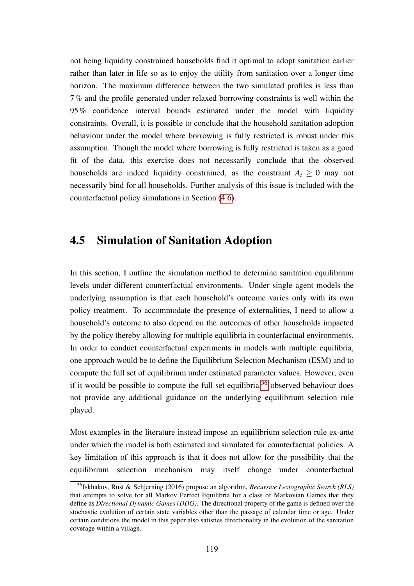not being liquidity constrained households find it optimal to adopt sanitation earlier rather than later in life so as to enjoy the utility from sanitation over a longer time horizon. The maximum difference between the two simulated profiles is less than 7% and the profile generated under relaxed borrowing constraints is well within the 95% confidence interval bounds estimated under the model with liquidity constraints. Overall, it is possible to conclude that the household sanitation adoption behaviour under the model where borrowing is fully restricted is robust under this assumption. Though the model where borrowing is fully restricted is taken as a good fit of the data, this exercise does not necessarily conclude that the observed households are indeed liquidity constrained, as the constraint  $A_t \geq 0$  may not necessarily bind for all households. Further analysis of this issue is included with the counterfactual policy simulations in Section [\(4.6\)](#page-124-0).

# 4.5 Simulation of Sanitation Adoption

In this section, I outline the simulation method to determine sanitation equilibrium levels under different counterfactual environments. Under single agent models the underlying assumption is that each household's outcome varies only with its own policy treatment. To accommodate the presence of externalities, I need to allow a household's outcome to also depend on the outcomes of other households impacted by the policy thereby allowing for multiple equilibria in counterfactual environments. In order to conduct counterfactual experiments in models with multiple equilibria, one approach would be to define the Equilibrium Selection Mechanism (ESM) and to compute the full set of equilibrium under estimated parameter values. However, even if it would be possible to compute the full set equilibria,  $36$  observed behaviour does not provide any additional guidance on the underlying equilibrium selection rule played.

Most examples in the literature instead impose an equilibrium selection rule ex-ante under which the model is both estimated and simulated for counterfactual policies. A key limitation of this approach is that it does not allow for the possibility that the equilibrium selection mechanism may itself change under counterfactual

<span id="page-118-0"></span><sup>36</sup>Iskhakov, Rust & Schjerning (2016) propose an algorithm, *Recursive Lexiographic Search (RLS)* that attempts to solve for all Markov Perfect Equilibria for a class of Markovian Games that they define as *Directional Dynamic Games (DDG)*. The directional property of the game is defined over the stochastic evolution of certain state variables other than the passage of calendar time or age. Under certain conditions the model in this paper also satisfies directionality in the evolution of the sanitation coverage within a village.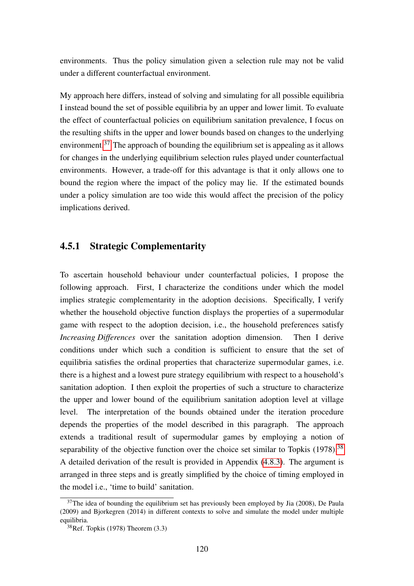environments. Thus the policy simulation given a selection rule may not be valid under a different counterfactual environment.

My approach here differs, instead of solving and simulating for all possible equilibria I instead bound the set of possible equilibria by an upper and lower limit. To evaluate the effect of counterfactual policies on equilibrium sanitation prevalence, I focus on the resulting shifts in the upper and lower bounds based on changes to the underlying environment.[37](#page-119-0) The approach of bounding the equilibrium set is appealing as it allows for changes in the underlying equilibrium selection rules played under counterfactual environments. However, a trade-off for this advantage is that it only allows one to bound the region where the impact of the policy may lie. If the estimated bounds under a policy simulation are too wide this would affect the precision of the policy implications derived.

#### 4.5.1 Strategic Complementarity

To ascertain household behaviour under counterfactual policies, I propose the following approach. First, I characterize the conditions under which the model implies strategic complementarity in the adoption decisions. Specifically, I verify whether the household objective function displays the properties of a supermodular game with respect to the adoption decision, i.e., the household preferences satisfy *Increasing Differences* over the sanitation adoption dimension. Then I derive conditions under which such a condition is sufficient to ensure that the set of equilibria satisfies the ordinal properties that characterize supermodular games, i.e. there is a highest and a lowest pure strategy equilibrium with respect to a household's sanitation adoption. I then exploit the properties of such a structure to characterize the upper and lower bound of the equilibrium sanitation adoption level at village level. The interpretation of the bounds obtained under the iteration procedure depends the properties of the model described in this paragraph. The approach extends a traditional result of supermodular games by employing a notion of separability of the objective function over the choice set similar to Topkis  $(1978)^{38}$  $(1978)^{38}$  $(1978)^{38}$ A detailed derivation of the result is provided in Appendix [\(4.8.3\)](#page-134-0). The argument is arranged in three steps and is greatly simplified by the choice of timing employed in the model i.e., 'time to build' sanitation.

<span id="page-119-0"></span> $37$ The idea of bounding the equilibrium set has previously been employed by Jia (2008), De Paula (2009) and Bjorkegren (2014) in different contexts to solve and simulate the model under multiple equilibria.

<span id="page-119-1"></span> $38$ Ref. Topkis (1978) Theorem (3.3)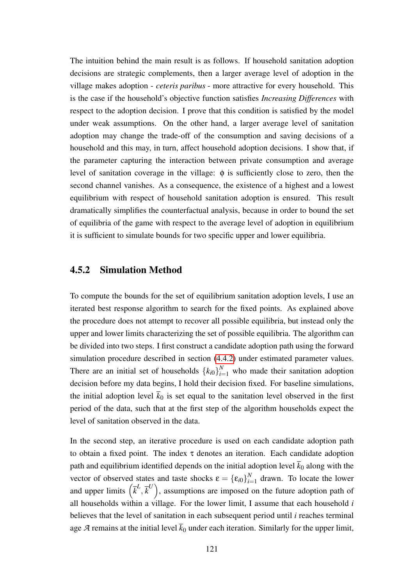The intuition behind the main result is as follows. If household sanitation adoption decisions are strategic complements, then a larger average level of adoption in the village makes adoption - *ceteris paribus* - more attractive for every household. This is the case if the household's objective function satisfies *Increasing Differences* with respect to the adoption decision. I prove that this condition is satisfied by the model under weak assumptions. On the other hand, a larger average level of sanitation adoption may change the trade-off of the consumption and saving decisions of a household and this may, in turn, affect household adoption decisions. I show that, if the parameter capturing the interaction between private consumption and average level of sanitation coverage in the village: φ is sufficiently close to zero, then the second channel vanishes. As a consequence, the existence of a highest and a lowest equilibrium with respect of household sanitation adoption is ensured. This result dramatically simplifies the counterfactual analysis, because in order to bound the set of equilibria of the game with respect to the average level of adoption in equilibrium it is sufficient to simulate bounds for two specific upper and lower equilibria.

#### <span id="page-120-0"></span>4.5.2 Simulation Method

To compute the bounds for the set of equilibrium sanitation adoption levels, I use an iterated best response algorithm to search for the fixed points. As explained above the procedure does not attempt to recover all possible equilibria, but instead only the upper and lower limits characterizing the set of possible equilibria. The algorithm can be divided into two steps. I first construct a candidate adoption path using the forward simulation procedure described in section [\(4.4.2\)](#page-114-2) under estimated parameter values. There are an initial set of households  ${k_{i0}}_{i=1}^{N}$  who made their sanitation adoption decision before my data begins, I hold their decision fixed. For baseline simulations, the initial adoption level  $\bar{k}_0$  is set equal to the sanitation level observed in the first period of the data, such that at the first step of the algorithm households expect the level of sanitation observed in the data.

In the second step, an iterative procedure is used on each candidate adoption path to obtain a fixed point. The index  $\tau$  denotes an iteration. Each candidate adoption path and equilibrium identified depends on the initial adoption level  $\bar{k}_0$  along with the vector of observed states and taste shocks  $\boldsymbol{\epsilon} = {\{\epsilon_{i0}\}}_{i=1}^{N}$  $\sum_{i=1}^{N}$  drawn. To locate the lower and upper limits  $(\bar{k}^L, \bar{k}^U)$ , assumptions are imposed on the future adoption path of all households within a village. For the lower limit, I assume that each household *i* believes that the level of sanitation in each subsequent period until *i* reaches terminal age *A* remains at the initial level  $\bar{k}_0$  under each iteration. Similarly for the upper limit,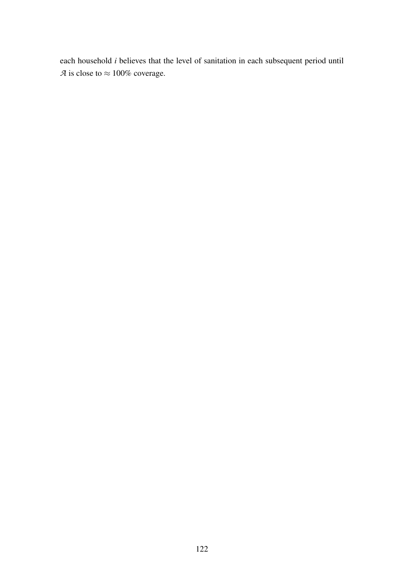each household *i* believes that the level of sanitation in each subsequent period until *A* is close to  $\approx 100\%$  coverage.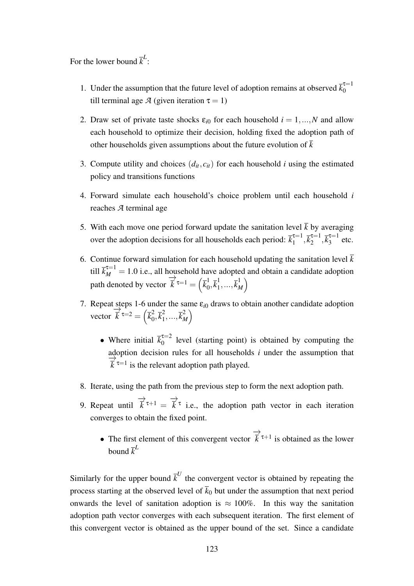For the lower bound  $\bar{k}^L$ :

- 1. Under the assumption that the future level of adoption remains at observed  $\bar{k}_0^{\tau=1}$  $\theta$ till terminal age *A* (given iteration  $\tau = 1$ )
- 2. Draw set of private taste shocks  $\varepsilon_{i0}$  for each household  $i = 1,...,N$  and allow each household to optimize their decision, holding fixed the adoption path of other households given assumptions about the future evolution of  $\overline{k}$
- 3. Compute utility and choices  $(d_{it}, c_{it})$  for each household *i* using the estimated policy and transitions functions
- 4. Forward simulate each household's choice problem until each household *i* reaches *A* terminal age
- 5. With each move one period forward update the sanitation level  $\bar{k}$  by averaging over the adoption decisions for all households each period:  $\overline{k}_1^{\tau=1}$  $\bar{k}_1^{\tau=1}, \bar{k}_2^{\tau=1}$  $\bar{k}_2^{-1}, \bar{k}_3^{\tau=1}$  $\frac{1}{3}$  etc.
- 6. Continue forward simulation for each household updating the sanitation level  $\bar{k}$ till  $\bar{k}_{M}^{\tau=1} = 1.0$  i.e., all household have adopted and obtain a candidate adoption path denoted by vector −→  $\overline{\vec{k}}^{\,\tau=1}=\left(\overline{k}_0^1\right)$  $\frac{1}{0}, \overline{k}^{1}_{1}$  $\frac{1}{1},...,\overline{k}_M^1$  $\binom{1}{M}$
- 7. Repeat steps 1-6 under the same  $\varepsilon_{i0}$  draws to obtain another candidate adoption vector  $\stackrel{\cdot}{\Rightarrow}$  $\overrightarrow{\overline{k}}$ τ $=$ 2  $=$   $\left(\overline{k}_{0}^{2}\right)$  $\sqrt{2}$ ,  $\sqrt{k_1^2}$  $\overline{k}_1^2, ..., \overline{k}_M^2$  $\binom{2}{M}$ 
	- Where initial  $\overline{k}_0^{\tau=2}$  $\int_{0}^{\pi/2}$  level (starting point) is obtained by computing the adoption decision rules for all households *i* under the assumption that  $\stackrel{\text{uv}}{\rightarrow}$  $\vec{k}$ <sup> $\tau=1$ </sup> is the relevant adoption path played.
- 8. Iterate, using the path from the previous step to form the next adoption path.
- 9. Repeat until −→  $\vec{k}$ <sup> $\tau+1$ </sup> = −→  $\overline{k}^{\tau}$  i.e., the adoption path vector in each iteration converges to obtain the fixed point.
	- The first element of this convergent vector −→  $\vec{k}$ <sup>τ+1</sup> is obtained as the lower bound  $\bar{k}^L$

Similarly for the upper bound  $\bar{k}^U$  the convergent vector is obtained by repeating the process starting at the observed level of  $\bar{k}_0$  but under the assumption that next period onwards the level of sanitation adoption is  $\approx 100\%$ . In this way the sanitation adoption path vector converges with each subsequent iteration. The first element of this convergent vector is obtained as the upper bound of the set. Since a candidate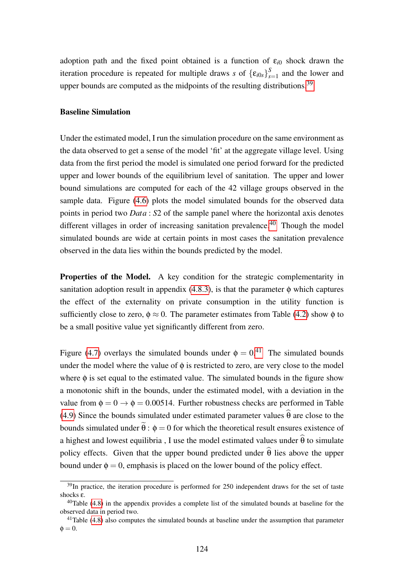adoption path and the fixed point obtained is a function of  $\varepsilon_{i0}$  shock drawn the iteration procedure is repeated for multiple draws *s* of  ${\{\epsilon_{i0s}\}}_s^S$  $s_{s=1}^{\infty}$  and the lower and upper bounds are computed as the midpoints of the resulting distributions.<sup>[39](#page-123-0)</sup>

#### Baseline Simulation

Under the estimated model, I run the simulation procedure on the same environment as the data observed to get a sense of the model 'fit' at the aggregate village level. Using data from the first period the model is simulated one period forward for the predicted upper and lower bounds of the equilibrium level of sanitation. The upper and lower bound simulations are computed for each of the 42 village groups observed in the sample data. Figure [\(4.6\)](#page-162-0) plots the model simulated bounds for the observed data points in period two *Data* : *S*2 of the sample panel where the horizontal axis denotes different villages in order of increasing sanitation prevalence.<sup>[40](#page-123-1)</sup> Though the model simulated bounds are wide at certain points in most cases the sanitation prevalence observed in the data lies within the bounds predicted by the model.

**Properties of the Model.** A key condition for the strategic complementarity in sanitation adoption result in appendix  $(4.8.3)$ , is that the parameter  $\phi$  which captures the effect of the externality on private consumption in the utility function is sufficiently close to zero,  $\phi \approx 0$ . The parameter estimates from Table [\(4.2\)](#page-150-1) show  $\phi$  to be a small positive value yet significantly different from zero.

Figure [\(4.7\)](#page-162-1) overlays the simulated bounds under  $\phi = 0.41$  $\phi = 0.41$  The simulated bounds under the model where the value of  $\phi$  is restricted to zero, are very close to the model where  $\phi$  is set equal to the estimated value. The simulated bounds in the figure show a monotonic shift in the bounds, under the estimated model, with a deviation in the value from  $\phi = 0 \rightarrow \phi = 0.00514$ . Further robustness checks are performed in Table [\(4.9\)](#page-155-0) Since the bounds simulated under estimated parameter values  $\hat{\theta}$  are close to the bounds simulated under  $\tilde{\theta}$ :  $\phi = 0$  for which the theoretical result ensures existence of a highest and lowest equilibria , I use the model estimated values under  $\hat{\theta}$  to simulate policy effects. Given that the upper bound predicted under  $\hat{\theta}$  lies above the upper bound under  $\phi = 0$ , emphasis is placed on the lower bound of the policy effect.

<span id="page-123-0"></span> $39$ In practice, the iteration procedure is performed for 250 independent draws for the set of taste shocks ε.

<span id="page-123-1"></span> $40$ Table [\(4.8\)](#page-154-0) in the appendix provides a complete list of the simulated bounds at baseline for the observed data in period two.

<span id="page-123-2"></span> $41$ Table [\(4.8\)](#page-154-0) also computes the simulated bounds at baseline under the assumption that parameter  $\phi = 0.$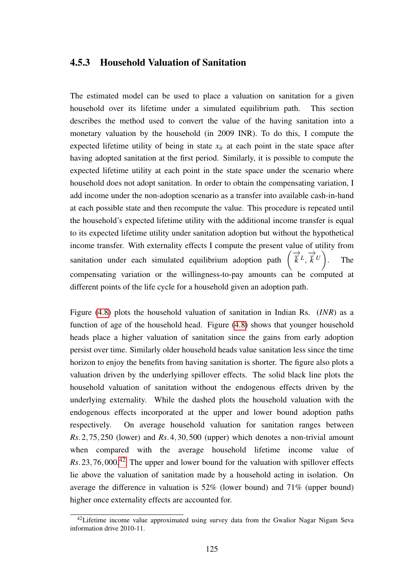#### 4.5.3 Household Valuation of Sanitation

The estimated model can be used to place a valuation on sanitation for a given household over its lifetime under a simulated equilibrium path. This section describes the method used to convert the value of the having sanitation into a monetary valuation by the household (in 2009 INR). To do this, I compute the expected lifetime utility of being in state  $x<sub>it</sub>$  at each point in the state space after having adopted sanitation at the first period. Similarly, it is possible to compute the expected lifetime utility at each point in the state space under the scenario where household does not adopt sanitation. In order to obtain the compensating variation, I add income under the non-adoption scenario as a transfer into available cash-in-hand at each possible state and then recompute the value. This procedure is repeated until the household's expected lifetime utility with the additional income transfer is equal to its expected lifetime utility under sanitation adoption but without the hypothetical income transfer. With externality effects I compute the present value of utility from sanitation under each simulated equilibrium adoption path  $\left(\overrightarrow{k}L\right)$ −→  $\overrightarrow{k}$ *U*) . The compensating variation or the willingness-to-pay amounts can be computed at different points of the life cycle for a household given an adoption path.

Figure [\(4.8\)](#page-163-0) plots the household valuation of sanitation in Indian Rs. (*INR*) as a function of age of the household head. Figure [\(4.8\)](#page-163-0) shows that younger household heads place a higher valuation of sanitation since the gains from early adoption persist over time. Similarly older household heads value sanitation less since the time horizon to enjoy the benefits from having sanitation is shorter. The figure also plots a valuation driven by the underlying spillover effects. The solid black line plots the household valuation of sanitation without the endogenous effects driven by the underlying externality. While the dashed plots the household valuation with the endogenous effects incorporated at the upper and lower bound adoption paths respectively. On average household valuation for sanitation ranges between *Rs*.2,75,250 (lower) and *Rs*.4,30,500 (upper) which denotes a non-trivial amount when compared with the average household lifetime income value of *Rs*.23,76,000.[42](#page-124-1) The upper and lower bound for the valuation with spillover effects lie above the valuation of sanitation made by a household acting in isolation. On average the difference in valuation is 52% (lower bound) and 71% (upper bound) higher once externality effects are accounted for.

<span id="page-124-1"></span><span id="page-124-0"></span><sup>&</sup>lt;sup>42</sup>Lifetime income value approximated using survey data from the Gwalior Nagar Nigam Seva information drive 2010-11.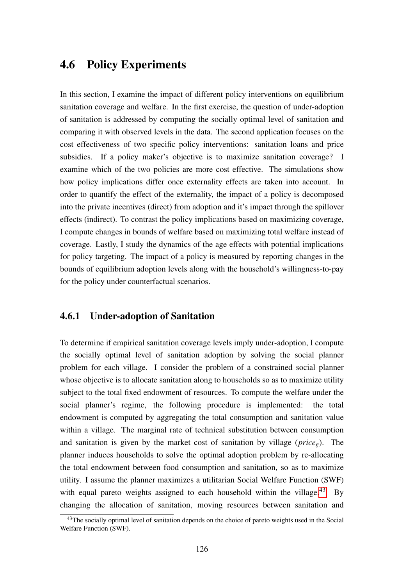# 4.6 Policy Experiments

In this section, I examine the impact of different policy interventions on equilibrium sanitation coverage and welfare. In the first exercise, the question of under-adoption of sanitation is addressed by computing the socially optimal level of sanitation and comparing it with observed levels in the data. The second application focuses on the cost effectiveness of two specific policy interventions: sanitation loans and price subsidies. If a policy maker's objective is to maximize sanitation coverage? I examine which of the two policies are more cost effective. The simulations show how policy implications differ once externality effects are taken into account. In order to quantify the effect of the externality, the impact of a policy is decomposed into the private incentives (direct) from adoption and it's impact through the spillover effects (indirect). To contrast the policy implications based on maximizing coverage, I compute changes in bounds of welfare based on maximizing total welfare instead of coverage. Lastly, I study the dynamics of the age effects with potential implications for policy targeting. The impact of a policy is measured by reporting changes in the bounds of equilibrium adoption levels along with the household's willingness-to-pay for the policy under counterfactual scenarios.

## 4.6.1 Under-adoption of Sanitation

To determine if empirical sanitation coverage levels imply under-adoption, I compute the socially optimal level of sanitation adoption by solving the social planner problem for each village. I consider the problem of a constrained social planner whose objective is to allocate sanitation along to households so as to maximize utility subject to the total fixed endowment of resources. To compute the welfare under the social planner's regime, the following procedure is implemented: the total endowment is computed by aggregating the total consumption and sanitation value within a village. The marginal rate of technical substitution between consumption and sanitation is given by the market cost of sanitation by village (*priceg*). The planner induces households to solve the optimal adoption problem by re-allocating the total endowment between food consumption and sanitation, so as to maximize utility. I assume the planner maximizes a utilitarian Social Welfare Function (SWF) with equal pareto weights assigned to each household within the village.<sup>[43](#page-125-0)</sup> By changing the allocation of sanitation, moving resources between sanitation and

<span id="page-125-0"></span><sup>&</sup>lt;sup>43</sup>The socially optimal level of sanitation depends on the choice of pareto weights used in the Social Welfare Function (SWF).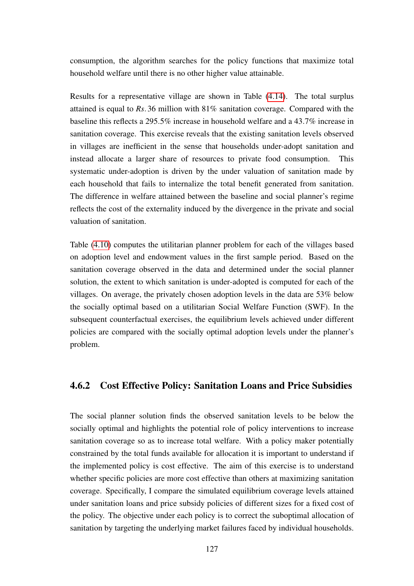consumption, the algorithm searches for the policy functions that maximize total household welfare until there is no other higher value attainable.

Results for a representative village are shown in Table [\(4.14\)](#page-159-0). The total surplus attained is equal to *Rs*.36 million with 81% sanitation coverage. Compared with the baseline this reflects a 295.5% increase in household welfare and a 43.7% increase in sanitation coverage. This exercise reveals that the existing sanitation levels observed in villages are inefficient in the sense that households under-adopt sanitation and instead allocate a larger share of resources to private food consumption. This systematic under-adoption is driven by the under valuation of sanitation made by each household that fails to internalize the total benefit generated from sanitation. The difference in welfare attained between the baseline and social planner's regime reflects the cost of the externality induced by the divergence in the private and social valuation of sanitation.

Table [\(4.10\)](#page-156-0) computes the utilitarian planner problem for each of the villages based on adoption level and endowment values in the first sample period. Based on the sanitation coverage observed in the data and determined under the social planner solution, the extent to which sanitation is under-adopted is computed for each of the villages. On average, the privately chosen adoption levels in the data are 53% below the socially optimal based on a utilitarian Social Welfare Function (SWF). In the subsequent counterfactual exercises, the equilibrium levels achieved under different policies are compared with the socially optimal adoption levels under the planner's problem.

### 4.6.2 Cost Effective Policy: Sanitation Loans and Price Subsidies

The social planner solution finds the observed sanitation levels to be below the socially optimal and highlights the potential role of policy interventions to increase sanitation coverage so as to increase total welfare. With a policy maker potentially constrained by the total funds available for allocation it is important to understand if the implemented policy is cost effective. The aim of this exercise is to understand whether specific policies are more cost effective than others at maximizing sanitation coverage. Specifically, I compare the simulated equilibrium coverage levels attained under sanitation loans and price subsidy policies of different sizes for a fixed cost of the policy. The objective under each policy is to correct the suboptimal allocation of sanitation by targeting the underlying market failures faced by individual households.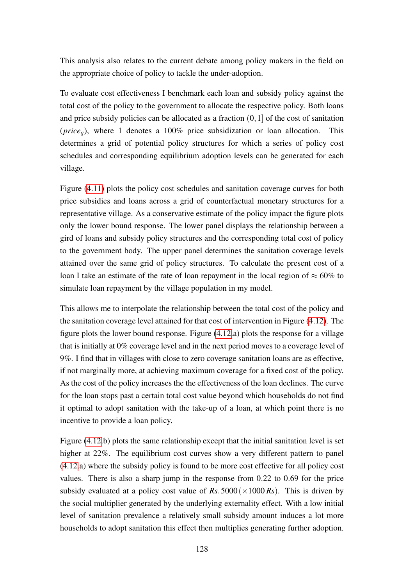This analysis also relates to the current debate among policy makers in the field on the appropriate choice of policy to tackle the under-adoption.

To evaluate cost effectiveness I benchmark each loan and subsidy policy against the total cost of the policy to the government to allocate the respective policy. Both loans and price subsidy policies can be allocated as a fraction  $(0,1]$  of the cost of sanitation (*priceg*), where 1 denotes a 100% price subsidization or loan allocation. This determines a grid of potential policy structures for which a series of policy cost schedules and corresponding equilibrium adoption levels can be generated for each village.

Figure [\(4.11\)](#page-165-0) plots the policy cost schedules and sanitation coverage curves for both price subsidies and loans across a grid of counterfactual monetary structures for a representative village. As a conservative estimate of the policy impact the figure plots only the lower bound response. The lower panel displays the relationship between a gird of loans and subsidy policy structures and the corresponding total cost of policy to the government body. The upper panel determines the sanitation coverage levels attained over the same grid of policy structures. To calculate the present cost of a loan I take an estimate of the rate of loan repayment in the local region of  $\approx 60\%$  to simulate loan repayment by the village population in my model.

This allows me to interpolate the relationship between the total cost of the policy and the sanitation coverage level attained for that cost of intervention in Figure [\(4.12\)](#page-166-0). The figure plots the lower bound response. Figure [\(4.12.](#page-166-0)a) plots the response for a village that is initially at 0% coverage level and in the next period moves to a coverage level of 9%. I find that in villages with close to zero coverage sanitation loans are as effective, if not marginally more, at achieving maximum coverage for a fixed cost of the policy. As the cost of the policy increases the the effectiveness of the loan declines. The curve for the loan stops past a certain total cost value beyond which households do not find it optimal to adopt sanitation with the take-up of a loan, at which point there is no incentive to provide a loan policy.

Figure [\(4.12.](#page-166-0)b) plots the same relationship except that the initial sanitation level is set higher at 22%. The equilibrium cost curves show a very different pattern to panel [\(4.12.](#page-166-0)a) where the subsidy policy is found to be more cost effective for all policy cost values. There is also a sharp jump in the response from 0.22 to 0.69 for the price subsidy evaluated at a policy cost value of  $Rs.5000(\times1000\,Rs)$ . This is driven by the social multiplier generated by the underlying externality effect. With a low initial level of sanitation prevalence a relatively small subsidy amount induces a lot more households to adopt sanitation this effect then multiplies generating further adoption.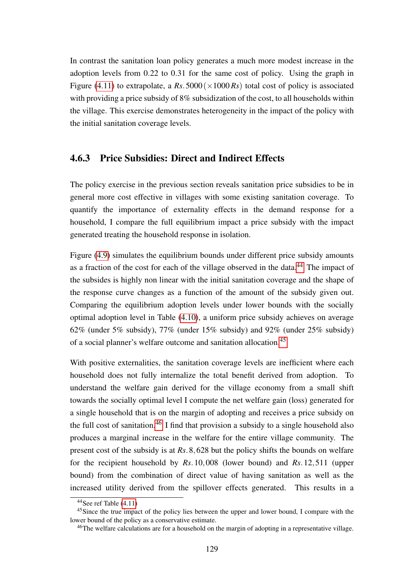In contrast the sanitation loan policy generates a much more modest increase in the adoption levels from 0.22 to 0.31 for the same cost of policy. Using the graph in Figure [\(4.11\)](#page-165-0) to extrapolate, a  $Rs.5000(\times1000\,Rs)$  total cost of policy is associated with providing a price subsidy of 8% subsidization of the cost, to all households within the village. This exercise demonstrates heterogeneity in the impact of the policy with the initial sanitation coverage levels.

### 4.6.3 Price Subsidies: Direct and Indirect Effects

The policy exercise in the previous section reveals sanitation price subsidies to be in general more cost effective in villages with some existing sanitation coverage. To quantify the importance of externality effects in the demand response for a household, I compare the full equilibrium impact a price subsidy with the impact generated treating the household response in isolation.

Figure [\(4.9\)](#page-163-1) simulates the equilibrium bounds under different price subsidy amounts as a fraction of the cost for each of the village observed in the data.<sup>[44](#page-128-0)</sup> The impact of the subsides is highly non linear with the initial sanitation coverage and the shape of the response curve changes as a function of the amount of the subsidy given out. Comparing the equilibrium adoption levels under lower bounds with the socially optimal adoption level in Table [\(4.10\)](#page-156-0), a uniform price subsidy achieves on average 62% (under 5% subsidy), 77% (under 15% subsidy) and 92% (under 25% subsidy) of a social planner's welfare outcome and sanitation allocation.[45](#page-128-1)

With positive externalities, the sanitation coverage levels are inefficient where each household does not fully internalize the total benefit derived from adoption. To understand the welfare gain derived for the village economy from a small shift towards the socially optimal level I compute the net welfare gain (loss) generated for a single household that is on the margin of adopting and receives a price subsidy on the full cost of sanitation.<sup>[46](#page-128-2)</sup> I find that provision a subsidy to a single household also produces a marginal increase in the welfare for the entire village community. The present cost of the subsidy is at *Rs*.8,628 but the policy shifts the bounds on welfare for the recipient household by *Rs*.10,008 (lower bound) and *Rs*.12,511 (upper bound) from the combination of direct value of having sanitation as well as the increased utility derived from the spillover effects generated. This results in a

<span id="page-128-1"></span><span id="page-128-0"></span> $44$ See ref Table [\(4.11\)](#page-157-0)

<sup>&</sup>lt;sup>45</sup>Since the true impact of the policy lies between the upper and lower bound, I compare with the lower bound of the policy as a conservative estimate.

<span id="page-128-2"></span><sup>46</sup>The welfare calculations are for a household on the margin of adopting in a representative village.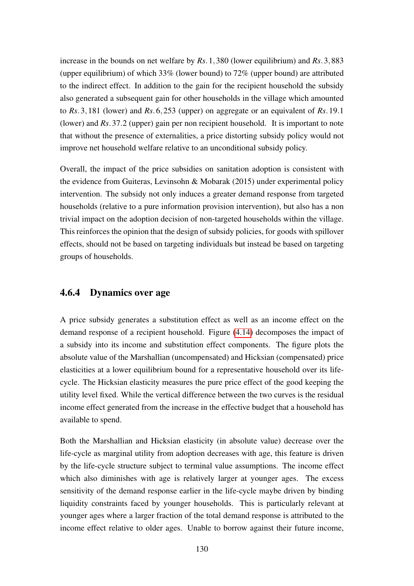increase in the bounds on net welfare by *Rs*.1,380 (lower equilibrium) and *Rs*.3,883 (upper equilibrium) of which 33% (lower bound) to 72% (upper bound) are attributed to the indirect effect. In addition to the gain for the recipient household the subsidy also generated a subsequent gain for other households in the village which amounted to *Rs*.3,181 (lower) and *Rs*.6,253 (upper) on aggregate or an equivalent of *Rs*.19.1 (lower) and *Rs*.37.2 (upper) gain per non recipient household. It is important to note that without the presence of externalities, a price distorting subsidy policy would not improve net household welfare relative to an unconditional subsidy policy.

Overall, the impact of the price subsidies on sanitation adoption is consistent with the evidence from Guiteras, Levinsohn & Mobarak (2015) under experimental policy intervention. The subsidy not only induces a greater demand response from targeted households (relative to a pure information provision intervention), but also has a non trivial impact on the adoption decision of non-targeted households within the village. This reinforces the opinion that the design of subsidy policies, for goods with spillover effects, should not be based on targeting individuals but instead be based on targeting groups of households.

## 4.6.4 Dynamics over age

A price subsidy generates a substitution effect as well as an income effect on the demand response of a recipient household. Figure [\(4.14\)](#page-167-0) decomposes the impact of a subsidy into its income and substitution effect components. The figure plots the absolute value of the Marshallian (uncompensated) and Hicksian (compensated) price elasticities at a lower equilibrium bound for a representative household over its lifecycle. The Hicksian elasticity measures the pure price effect of the good keeping the utility level fixed. While the vertical difference between the two curves is the residual income effect generated from the increase in the effective budget that a household has available to spend.

Both the Marshallian and Hicksian elasticity (in absolute value) decrease over the life-cycle as marginal utility from adoption decreases with age, this feature is driven by the life-cycle structure subject to terminal value assumptions. The income effect which also diminishes with age is relatively larger at younger ages. The excess sensitivity of the demand response earlier in the life-cycle maybe driven by binding liquidity constraints faced by younger households. This is particularly relevant at younger ages where a larger fraction of the total demand response is attributed to the income effect relative to older ages. Unable to borrow against their future income,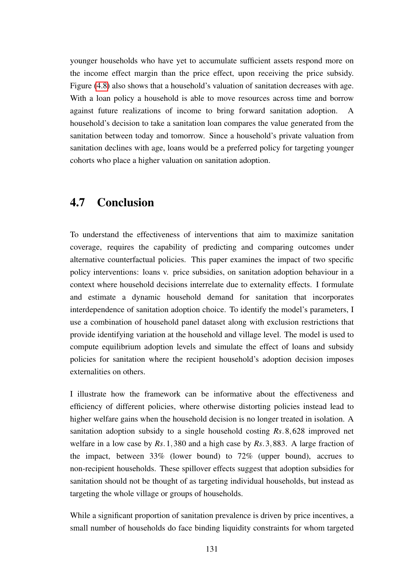younger households who have yet to accumulate sufficient assets respond more on the income effect margin than the price effect, upon receiving the price subsidy. Figure [\(4.8\)](#page-163-0) also shows that a household's valuation of sanitation decreases with age. With a loan policy a household is able to move resources across time and borrow against future realizations of income to bring forward sanitation adoption. A household's decision to take a sanitation loan compares the value generated from the sanitation between today and tomorrow. Since a household's private valuation from sanitation declines with age, loans would be a preferred policy for targeting younger cohorts who place a higher valuation on sanitation adoption.

# 4.7 Conclusion

To understand the effectiveness of interventions that aim to maximize sanitation coverage, requires the capability of predicting and comparing outcomes under alternative counterfactual policies. This paper examines the impact of two specific policy interventions: loans v. price subsidies, on sanitation adoption behaviour in a context where household decisions interrelate due to externality effects. I formulate and estimate a dynamic household demand for sanitation that incorporates interdependence of sanitation adoption choice. To identify the model's parameters, I use a combination of household panel dataset along with exclusion restrictions that provide identifying variation at the household and village level. The model is used to compute equilibrium adoption levels and simulate the effect of loans and subsidy policies for sanitation where the recipient household's adoption decision imposes externalities on others.

I illustrate how the framework can be informative about the effectiveness and efficiency of different policies, where otherwise distorting policies instead lead to higher welfare gains when the household decision is no longer treated in isolation. A sanitation adoption subsidy to a single household costing *Rs*.8,628 improved net welfare in a low case by *Rs*.1,380 and a high case by *Rs*.3,883. A large fraction of the impact, between 33% (lower bound) to 72% (upper bound), accrues to non-recipient households. These spillover effects suggest that adoption subsidies for sanitation should not be thought of as targeting individual households, but instead as targeting the whole village or groups of households.

While a significant proportion of sanitation prevalence is driven by price incentives, a small number of households do face binding liquidity constraints for whom targeted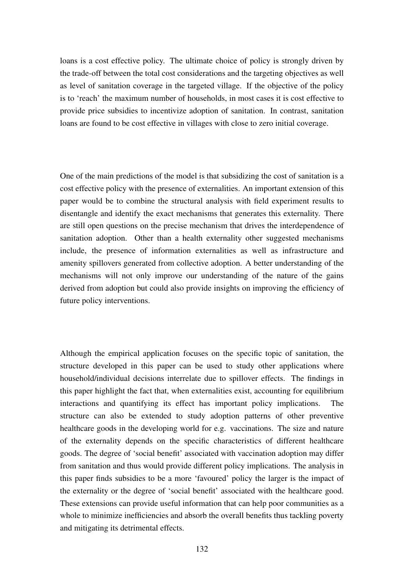loans is a cost effective policy. The ultimate choice of policy is strongly driven by the trade-off between the total cost considerations and the targeting objectives as well as level of sanitation coverage in the targeted village. If the objective of the policy is to 'reach' the maximum number of households, in most cases it is cost effective to provide price subsidies to incentivize adoption of sanitation. In contrast, sanitation loans are found to be cost effective in villages with close to zero initial coverage.

One of the main predictions of the model is that subsidizing the cost of sanitation is a cost effective policy with the presence of externalities. An important extension of this paper would be to combine the structural analysis with field experiment results to disentangle and identify the exact mechanisms that generates this externality. There are still open questions on the precise mechanism that drives the interdependence of sanitation adoption. Other than a health externality other suggested mechanisms include, the presence of information externalities as well as infrastructure and amenity spillovers generated from collective adoption. A better understanding of the mechanisms will not only improve our understanding of the nature of the gains derived from adoption but could also provide insights on improving the efficiency of future policy interventions.

Although the empirical application focuses on the specific topic of sanitation, the structure developed in this paper can be used to study other applications where household/individual decisions interrelate due to spillover effects. The findings in this paper highlight the fact that, when externalities exist, accounting for equilibrium interactions and quantifying its effect has important policy implications. The structure can also be extended to study adoption patterns of other preventive healthcare goods in the developing world for e.g. vaccinations. The size and nature of the externality depends on the specific characteristics of different healthcare goods. The degree of 'social benefit' associated with vaccination adoption may differ from sanitation and thus would provide different policy implications. The analysis in this paper finds subsidies to be a more 'favoured' policy the larger is the impact of the externality or the degree of 'social benefit' associated with the healthcare good. These extensions can provide useful information that can help poor communities as a whole to minimize inefficiencies and absorb the overall benefits thus tackling poverty and mitigating its detrimental effects.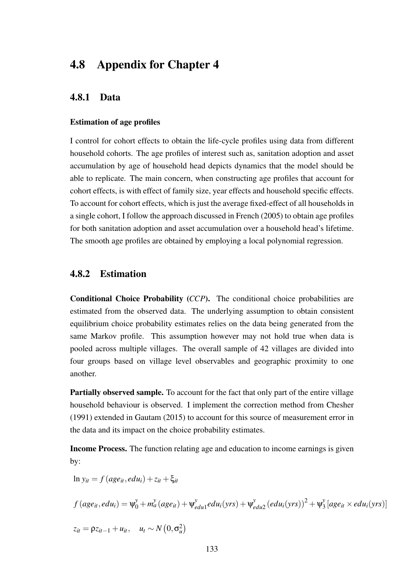# 4.8 Appendix for Chapter 4

## 4.8.1 Data

#### Estimation of age profiles

I control for cohort effects to obtain the life-cycle profiles using data from different household cohorts. The age profiles of interest such as, sanitation adoption and asset accumulation by age of household head depicts dynamics that the model should be able to replicate. The main concern, when constructing age profiles that account for cohort effects, is with effect of family size, year effects and household specific effects. To account for cohort effects, which is just the average fixed-effect of all households in a single cohort, I follow the approach discussed in French (2005) to obtain age profiles for both sanitation adoption and asset accumulation over a household head's lifetime. The smooth age profiles are obtained by employing a local polynomial regression.

### <span id="page-132-0"></span>4.8.2 Estimation

Conditional Choice Probability (*CCP*). The conditional choice probabilities are estimated from the observed data. The underlying assumption to obtain consistent equilibrium choice probability estimates relies on the data being generated from the same Markov profile. This assumption however may not hold true when data is pooled across multiple villages. The overall sample of 42 villages are divided into four groups based on village level observables and geographic proximity to one another.

Partially observed sample. To account for the fact that only part of the entire village household behaviour is observed. I implement the correction method from Chesher (1991) extended in Gautam (2015) to account for this source of measurement error in the data and its impact on the choice probability estimates.

Income Process. The function relating age and education to income earnings is given by:

$$
\ln y_{it} = f \left( age_{it}, edu_i \right) + z_{it} + \xi_{it}
$$
\n
$$
f \left( age_{it}, edu_i \right) = \psi_0^{\gamma} + m_a^{\gamma} \left( age_{it} \right) + \psi_{edu1}^{\gamma} edu_i(yrs) + \psi_{edu2}^{\gamma} \left( edu_i(yrs) \right)^2 + \psi_3^{\gamma} \left[ age_{it} \times edu_i(yrs) \right]
$$
\n
$$
z_{it} = \rho z_{it-1} + u_{it}, \quad u_t \sim N \left( 0, \sigma_u^2 \right)
$$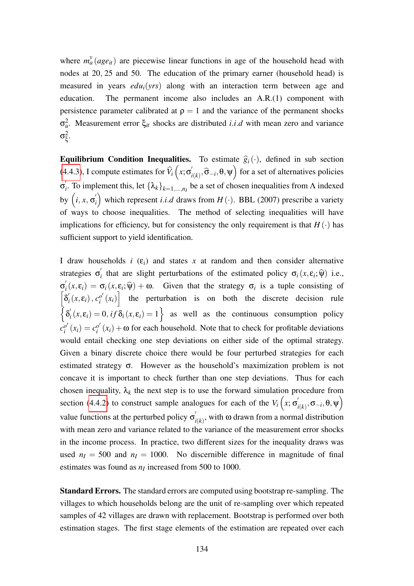where  $m_a^y(age_{it})$  are piecewise linear functions in age of the household head with nodes at 20, 25 and 50. The education of the primary earner (household head) is measured in years *edui*(*yrs*) along with an interaction term between age and education. The permanent income also includes an A.R.(1) component with persistence parameter calibrated at  $\rho = 1$  and the variance of the permanent shocks  $σ<sub>u</sub><sup>2</sup>$ . Measurement error  $ξ<sub>it</sub>$  shocks are distributed *i.i.d* with mean zero and variance  $\sigma_{\varepsilon}^2$ ξ .

**Equilibrium Condition Inequalities.** To estimate  $\hat{g}_i(\cdot)$ , defined in sub section [\(4.4.3\)](#page-115-1), I compute estimates for  $\hat{V}_i(x; \sigma'_i)$  $\int_{i(k)}^{\prime}$ ,  $\widehat{\sigma}_{-i}$ ,  $\theta$ ,  $\psi$  for a set of alternatives policies  $\sigma_i^{'}$ *i* . To implement this, let {λ*k*}*k*=1,...,*n<sup>I</sup>* be a set of chosen inequalities from Λ indexed by  $(i, x, \sigma'_i)$  $\binom{n}{i}$  which represent *i.i.d* draws from  $H(\cdot)$ . BBL (2007) prescribe a variety of ways to choose inequalities. The method of selecting inequalities will have implications for efficiency, but for consistency the only requirement is that  $H(\cdot)$  has sufficient support to yield identification.

I draw households  $i$  ( $\varepsilon$ *i*) and states *x* at random and then consider alternative strategies  $\sigma_i'$ *i* that are slight perturbations of the estimated policy  $\sigma_i(x, \varepsilon_i; \hat{\psi})$  i.e.,  $\sigma_i^{'}$  $\mathcal{F}_i(x, \varepsilon_i) = \sigma_i(x, \varepsilon_i; \hat{\psi}) + \omega$ . Given that the strategy  $\sigma_i$  is a tuple consisting of  $\lceil \delta_i' \rceil$  $\int_i' (x, \varepsilon_i)$ ,  $c_i^{o'}$  $\begin{bmatrix} a' \\ b' \end{bmatrix}$  the perturbation is on both the discrete decision rule  $\left\{ \delta_{i}^{'}\right\}$  $\mathcal{L}_i(x, \varepsilon_i) = 0$ , *if*  $\delta_i(x, \varepsilon_i) = 1$  as well as the continuous consumption policy  $c_i^{o'}$  $c_i^{o'}(x_i) = c_i^{o'}$  $\alpha_i^{\prime\prime}(x_i)$  + ω for each household. Note that to check for profitable deviations would entail checking one step deviations on either side of the optimal strategy. Given a binary discrete choice there would be four perturbed strategies for each estimated strategy  $\sigma$ . However as the household's maximization problem is not concave it is important to check further than one step deviations. Thus for each chosen inequality,  $\lambda_k$  the next step is to use the forward simulation procedure from section [\(4.4.2\)](#page-114-2) to construct sample analogues for each of the  $V_i(x; \sigma)$  $\int_{i(k)}', \sigma_{-i}, \theta, \psi\Big)$ value functions at the perturbed policy  $\sigma'$  $f_{i(k)}$ , with  $\omega$  drawn from a normal distribution with mean zero and variance related to the variance of the measurement error shocks in the income process. In practice, two different sizes for the inequality draws was used  $n_I = 500$  and  $n_I = 1000$ . No discernible difference in magnitude of final estimates was found as  $n_I$  increased from 500 to 1000.

Standard Errors. The standard errors are computed using bootstrap re-sampling. The villages to which households belong are the unit of re-sampling over which repeated samples of 42 villages are drawn with replacement. Bootstrap is performed over both estimation stages. The first stage elements of the estimation are repeated over each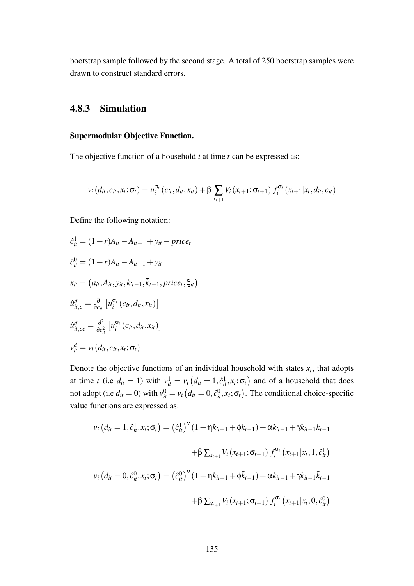<span id="page-134-0"></span>bootstrap sample followed by the second stage. A total of 250 bootstrap samples were drawn to construct standard errors.

#### 4.8.3 Simulation

#### Supermodular Objective Function.

The objective function of a household *i* at time *t* can be expressed as:

$$
v_i(d_{it}, c_{it}, x_t; \sigma_t) = u_i^{\sigma_t}(c_{it}, d_{it}, x_{it}) + \beta \sum_{x_{t+1}} V_i(x_{t+1}; \sigma_{t+1}) f_i^{\sigma_t}(x_{t+1} | x_t, d_{it}, c_{it})
$$

Define the following notation:

$$
\hat{c}_{it}^{1} = (1+r)A_{it} - A_{it+1} + y_{it} - price_{t}
$$
\n
$$
\hat{c}_{it}^{0} = (1+r)A_{it} - A_{it+1} + y_{it}
$$
\n
$$
x_{it} = (a_{it}, A_{it}, y_{it}, k_{it-1}, \overline{k}_{t-1}, price_{t}, \xi_{it})
$$
\n
$$
\hat{u}_{it,c}^{d} = \frac{\partial}{\partial c_{it}} \left[ u_{i}^{\sigma_{t}} \left( c_{it}, d_{it}, x_{it} \right) \right]
$$
\n
$$
\hat{u}_{it,cc}^{d} = \frac{\partial^{2}}{\partial c_{it}^{2}} \left[ u_{i}^{\sigma_{t}} \left( c_{it}, d_{it}, x_{it} \right) \right]
$$
\n
$$
v_{it}^{d} = v_{i} \left( d_{it}, c_{it}, x_{t}; \sigma_{t} \right)
$$

Denote the objective functions of an individual household with states  $x_t$ , that adopts at time *t* (i.e  $d_{it} = 1$ ) with  $v_{it}^1 = v_i (d_{it} = 1, \hat{c}_{it}^1, x_t; \sigma_t)$  and of a household that does not adopt (i.e  $d_{it} = 0$ ) with  $v_{it}^0 = v_i (d_{it} = 0, \hat{c}_{it}^0, x_t; \sigma_t)$ . The conditional choice-specific value functions are expressed as:

$$
v_i (d_{it} = 1, \hat{c}_{it}^1, x_t; \sigma_t) = (\hat{c}_{it}^1)^{\mathbf{v}} (1 + \eta k_{it-1} + \phi \bar{k}_{t-1}) + \alpha k_{it-1} + \gamma k_{it-1} \bar{k}_{t-1}
$$
  
+ 
$$
\beta \sum_{x_{t+1}} V_i (x_{t+1}; \sigma_{t+1}) f_i^{\sigma_t} (x_{t+1} | x_t, 1, \hat{c}_{it}^1)
$$
  

$$
v_i (d_{it} = 0, \hat{c}_{it}^0, x_t; \sigma_t) = (\hat{c}_{it}^0)^{\mathbf{v}} (1 + \eta k_{it-1} + \phi \bar{k}_{t-1}) + \alpha k_{it-1} + \gamma k_{it-1} \bar{k}_{t-1}
$$
  
+ 
$$
\beta \sum_{x_{t+1}} V_i (x_{t+1}; \sigma_{t+1}) f_i^{\sigma_t} (x_{t+1} | x_t, 0, \hat{c}_{it}^0)
$$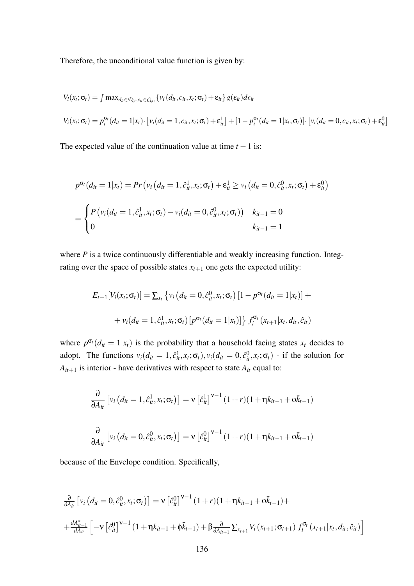Therefore, the unconditional value function is given by:

$$
V_i(x_t; \sigma_t) = \int \max_{d_{it} \in \mathcal{D}_{i,t}, c_{it} \in C_{i,t}}, \{v_i(d_{it}, c_{it}, x_t; \sigma_t) + \varepsilon_{it}\} g(\varepsilon_{it}) d\epsilon_{it}
$$
  

$$
V_i(x_t; \sigma_t) = p_i^{\sigma_t}(d_{it} = 1 | x_t) \cdot [v_i(d_{it} = 1, c_{it}, x_t; \sigma_t) + \varepsilon_{it}^1] + [1 - p_i^{\sigma_t}(d_{it} = 1 | x_t, \sigma_t)] \cdot [v_i(d_{it} = 0, c_{it}, x_t; \sigma_t) + \varepsilon_{it}^0]
$$

The expected value of the continuation value at time  $t - 1$  is:

$$
p^{\sigma_t}(d_{it} = 1 | x_t) = Pr(v_i (d_{it} = 1, \hat{c}_{it}^1, x_t; \sigma_t) + \varepsilon_{it}^1 \ge v_i (d_{it} = 0, \hat{c}_{it}^0, x_t; \sigma_t) + \varepsilon_{it}^0)
$$
  
= 
$$
\begin{cases} P(v_i(d_{it} = 1, \hat{c}_{it}^1, x_t; \sigma_t) - v_i(d_{it} = 0, \hat{c}_{it}^0, x_t; \sigma_t)) & k_{it-1} = 0 \\ 0 & k_{it-1} = 1 \end{cases}
$$

where *P* is a twice continuously differentiable and weakly increasing function. Integrating over the space of possible states  $x_{t+1}$  one gets the expected utility:

$$
E_{t-1}[V_i(x_t; \sigma_t)] = \sum_{x_t} \left\{ v_i \left( d_{it} = 0, \hat{c}_{it}^0, x_t; \sigma_t \right) \left[ 1 - p^{\sigma_t} (d_{it} = 1 | x_t) \right] + \right.
$$
  
+ 
$$
v_i (d_{it} = 1, \hat{c}_{it}^1, x_t; \sigma_t) \left[ p^{\sigma_t} (d_{it} = 1 | x_t) \right] \left\} f_i^{\sigma_t} (x_{t+1} | x_t, d_{it}, \hat{c}_{it})
$$

where  $p^{\sigma_t}(d_{it} = 1 | x_t)$  is the probability that a household facing states  $x_t$  decides to adopt. The functions  $v_i(d_{it} = 1, \hat{c}_{it}^1, x_t; \sigma_t)$ ,  $v_i(d_{it} = 0, \hat{c}_{it}^0, x_t; \sigma_t)$  - if the solution for  $A_{it+1}$  is interior - have derivatives with respect to state  $A_{it}$  equal to:

$$
\frac{\partial}{\partial A_{it}} \left[ v_i \left( d_{it} = 1, \hat{c}_{it}^1, x_t; \sigma_t \right) \right] = v \left[ \hat{c}_{it}^1 \right]^{\nu - 1} (1 + r)(1 + \eta k_{it-1} + \phi \bar{k}_{t-1})
$$
\n
$$
\frac{\partial}{\partial A_{it}} \left[ v_i \left( d_{it} = 0, \hat{c}_{it}^0, x_t; \sigma_t \right) \right] = v \left[ \hat{c}_{it}^0 \right]^{\nu - 1} (1 + r)(1 + \eta k_{it-1} + \phi \bar{k}_{t-1})
$$

because of the Envelope condition. Specifically,

$$
\frac{\partial}{\partial A_{it}} \left[ v_i \left( d_{it} = 0, \hat{c}_{it}^0, x_t; \sigma_t \right) \right] = v \left[ \hat{c}_{it}^0 \right]^{\nu - 1} (1 + r)(1 + \eta k_{it-1} + \phi \bar{k}_{t-1}) + \n+ \frac{d A_{it+1}^*}{d A_{it}} \left[ -v \left[ \hat{c}_{it}^0 \right]^{\nu - 1} (1 + \eta k_{it-1} + \phi \bar{k}_{t-1}) + \beta \frac{\partial}{\partial A_{it+1}} \sum_{x_{t+1}} V_i \left( x_{t+1}; \sigma_{t+1} \right) f_i^{\sigma_t} \left( x_{t+1} | x_t, d_{it}, \hat{c}_{it} \right) \right]
$$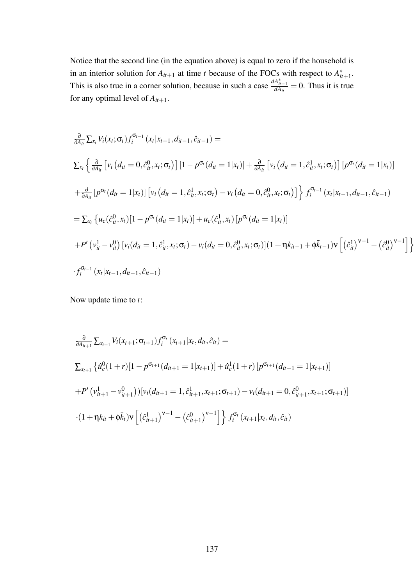Notice that the second line (in the equation above) is equal to zero if the household is in an interior solution for  $A_{it+1}$  at time *t* because of the FOCs with respect to  $A_{it}^*$ \*<br> $it+1$ <sup>.</sup> This is also true in a corner solution, because in such a case  $\frac{dA_{it+1}^*}{dA_{it}} = 0$ . Thus it is true for any optimal level of *Ait*+1.

$$
\frac{\partial}{\partial A_{ii}} \sum_{x_l} V_i(x_l; \sigma_l) f_i^{\sigma_{t-1}}(x_l | x_{t-1}, d_{it-1}, \hat{c}_{it-1}) =
$$
\n
$$
\sum_{x_l} \left\{ \frac{\partial}{\partial A_{ii}} \left[ v_i (d_{it} = 0, \hat{c}_{it}^0, x_t; \sigma_t) \right] \left[ 1 - p^{\sigma_t} (d_{it} = 1 | x_t) \right] + \frac{\partial}{\partial A_{ii}} \left[ v_i (d_{it} = 1, \hat{c}_{it}^1, x_t; \sigma_t) \right] \left[ p^{\sigma_t} (d_{it} = 1 | x_t) \right]
$$
\n
$$
+ \frac{\partial}{\partial A_{ii}} \left[ p^{\sigma_t} (d_{it} = 1 | x_t) \right] \left[ v_i (d_{it} = 1, \hat{c}_{it}^1, x_t; \sigma_t) - v_i (d_{it} = 0, \hat{c}_{it}^0, x_t; \sigma_t) \right] \right\} f_i^{\sigma_{t-1}}(x_t | x_{t-1}, d_{it-1}, \hat{c}_{it-1})
$$
\n
$$
= \sum_{x_l} \left\{ u_c(\hat{c}_{it}^0, x_t) \left[ 1 - p^{\sigma_t} (d_{it} = 1 | x_t) \right] + u_c(\hat{c}_{it}^1, x_t) \left[ p^{\sigma_t} (d_{it} = 1 | x_t) \right]
$$
\n
$$
+ P' \left( v_{it}^1 - v_{it}^0 \right) \left[ v_i (d_{it} = 1, \hat{c}_{it}^1, x_t; \sigma_t) - v_i (d_{it} = 0, \hat{c}_{it}^0, x_t; \sigma_t) \right] \left( 1 + \eta k_{it-1} + \phi \bar{k}_{t-1} \right) v \left[ \left( \hat{c}_{it}^1 \right)^{v-1} - \left( \hat{c}_{it}^0 \right)^{v-1} \right] \right\}
$$
\n
$$
\cdot f_i^{\sigma_{t-1}}(x_t | x_{t-1}, d_{it-1}, \hat{c}_{it-1})
$$

Now update time to *t*:

$$
\frac{\partial}{\partial A_{it+1}} \sum_{x_{t+1}} V_i(x_{t+1}; \sigma_{t+1}) f_i^{\sigma_t}(x_{t+1}|x_t, d_{it}, \hat{c}_{it}) =
$$
\n
$$
\sum_{x_{t+1}} \left\{ \hat{u}_c^0(1+r)[1 - p^{\sigma_{t+1}}(d_{it+1} = 1|x_{t+1})] + \hat{u}_c^1(1+r)[p^{\sigma_{t+1}}(d_{it+1} = 1|x_{t+1})] +
$$
\n
$$
+ P'\left(v_{it+1}^1 - v_{it+1}^0\right)\right| v_i(d_{it+1} = 1, \hat{c}_{it+1}^1, x_{t+1}; \sigma_{t+1}) - v_i(d_{it+1} = 0, \hat{c}_{it+1}^0, x_{t+1}; \sigma_{t+1})]
$$
\n
$$
\cdot (1 + \eta k_{it} + \phi \bar{k}_t) v \left[ \left(\hat{c}_{it+1}^1\right)^{v-1} - \left(\hat{c}_{it+1}^0\right)^{v-1} \right] \right\} f_i^{\sigma_t}(x_{t+1}|x_t, d_{it}, \hat{c}_{it})
$$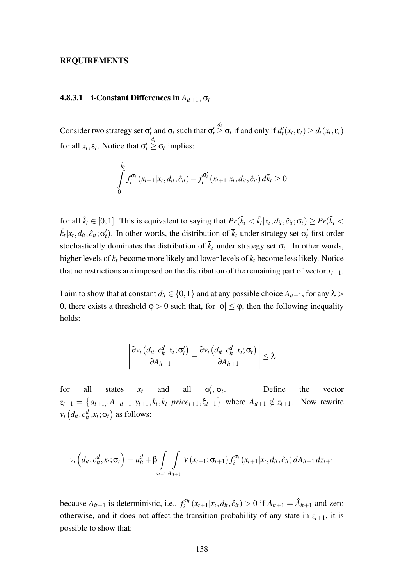#### REQUIREMENTS

#### **4.8.3.1** i-Constant Differences in  $A_{it+1}$ ,  $\sigma_t$

Consider two strategy set  $\sigma'_t$  and  $\sigma_t$  such that  $\sigma'_t$  $\leq \sigma_t$  if and only if  $d'_t(x_t, \varepsilon_t) \geq d_t(x_t, \varepsilon_t)$ for all  $x_t$ ,  $\varepsilon_t$ . Notice that  $\sigma'_t$  $\stackrel{d_t}{\geq}$  σ<sub>*t*</sub> implies:

$$
\int_{0}^{\hat{k}_{t}} f_{i}^{\sigma_{t}}(x_{t+1}|x_{t}, d_{it}, \hat{c}_{it}) - f_{i}^{\sigma_{t}'}(x_{t+1}|x_{t}, d_{it}, \hat{c}_{it}) d\bar{k}_{t} \geq 0
$$

for all  $\hat{k}_t \in [0,1]$ . This is equivalent to saying that  $Pr(\bar{k}_t < \hat{k}_t | x_t, d_{it}, \hat{c}_{it}; \sigma_t) \geq Pr(\bar{k}_t <$  $\hat{k}_t | x_t, d_{it}, \hat{c}_{it}$ ; $\sigma'_t$ ). In other words, the distribution of  $\bar{k}_t$  under strategy set  $\sigma'_t$  first order stochastically dominates the distribution of  $k_t$  under strategy set  $\sigma_t$ . In other words, higher levels of  $\bar{k}_t$  become more likely and lower levels of  $\bar{k}_t$  become less likely. Notice that no restrictions are imposed on the distribution of the remaining part of vector  $x_{t+1}$ .

I aim to show that at constant  $d_i \in \{0, 1\}$  and at any possible choice  $A_{i}$ <sub>*i*+1</sub>, for any  $\lambda$  > 0, there exists a threshold  $\varphi > 0$  such that, for  $|\varphi| \leq \varphi$ , then the following inequality holds:

$$
\left|\frac{\partial v_i\left(d_{it}, c_{it}^d, x_t; \sigma_t'\right)}{\partial A_{it+1}} - \frac{\partial v_i\left(d_{it}, c_{it}^d, x_t; \sigma_t\right)}{\partial A_{it+1}}\right| \leq \lambda
$$

for all states  $x_t$  and all  $\sigma'_t, \sigma_t$ . Define the vector  $z_{t+1} = \{a_{t+1,}, A_{-it+1}, y_{t+1}, k_t, \overline{k}_t, price_{t+1}, \xi_{t+1}\}$  where  $A_{it+1} \notin z_{t+1}$ . Now rewrite  $v_i(d_{it}, c_{it}^d, x_t; \sigma_t)$  as follows:

$$
v_i\left(d_{it}, c_{it}^d, x_t; \sigma_t\right) = u_{it}^d + \beta \int\limits_{z_{t+1}A_{it+1}} \int V(x_{t+1}; \sigma_{t+1}) f_i^{\sigma_t}(x_{t+1}|x_t, d_{it}, \hat{c}_{it}) dA_{it+1} dz_{t+1}
$$

because  $A_{it+1}$  is deterministic, i.e.,  $f_i^{\sigma_i}$  $\int_{i}^{\sigma} G_t (x_{t+1}|x_t, d_{it}, \hat{c}_{it}) > 0$  if  $A_{it+1} = \hat{A}_{it+1}$  and zero otherwise, and it does not affect the transition probability of any state in  $z_{t+1}$ , it is possible to show that: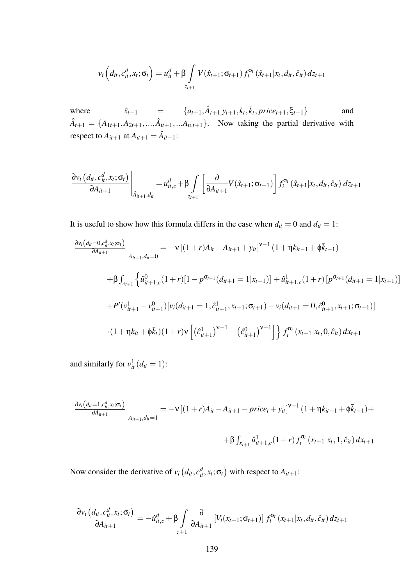$$
v_i ig( d_{it}, c_{it}^d, x_t; \sigma_t \big) = u_{it}^d + \beta \int \limits_{z_{t+1}} V(\hat{x}_{t+1}; \sigma_{t+1}) f_i^{\sigma_t}(\hat{x}_{t+1} | x_t, d_{it}, \hat{c}_{it}) dz_{t+1}
$$

where  $\hat{x}_{t+1} = \{a_{t+1}, \hat{A}_{t+1}, y_{t+1}, k_t, \overline{k}_t, price_{t+1}, \xi_{t+1}\}$  and  $\hat{A}_{t+1} = \{A_{1t+1}, A_{2t+1},..., \hat{A}_{it+1},...A_{n,t+1}\}$ . Now taking the partial derivative with respect to  $A_{it+1}$  at  $A_{it+1} = \hat{A}_{it+1}$ :

$$
\left. \frac{\partial v_i \left( d_{it}, c_{it}^d, x_t; \sigma_t \right)}{\partial A_{it+1}} \right|_{\hat{A}_{it+1}, d_{it}} = u_{it,c}^d + \beta \int \left[ \frac{\partial}{\partial A_{it+1}} V(\hat{x}_{t+1}; \sigma_{t+1}) \right] f_i^{\sigma_t} \left( \hat{x}_{t+1} | x_t, d_{it}, \hat{c}_{it} \right) dz_{t+1}
$$

It is useful to show how this formula differs in the case when  $d_{it} = 0$  and  $d_{it} = 1$ :

$$
\frac{\partial v_i(d_{it}=0,c_{it}^d,x_t;\sigma_t)}{\partial A_{it+1}}\Big|_{A_{it+1},d_{it}=0} = -\nu \left[ (1+r)A_{it} - A_{it+1} + y_{it} \right]^{\nu-1} (1+\eta k_{it-1} + \phi \bar{k}_{t-1})
$$
\n
$$
+\beta \int_{x_{t+1}} \left\{ \hat{u}_{it+1,c}^0(1+r) \left[1 - p^{\sigma_{t+1}}(d_{it+1}=1|x_{t+1})\right] + \hat{u}_{it+1,c}^1(1+r) \left[ p^{\sigma_{t+1}}(d_{it+1}=1|x_{t+1}) \right] \right.
$$
\n
$$
+P'(v_{it+1}^1 - v_{it+1}^0) \left[ v_i(d_{it+1}=1,\hat{c}_{it+1}^1,x_{t+1};\sigma_{t+1}) - v_i(d_{it+1}=0,\hat{c}_{it+1}^0,x_{t+1};\sigma_{t+1}) \right]
$$
\n
$$
\cdot (1+\eta k_{it} + \phi \bar{k}_t) (1+r)\nu \left[ \left(\hat{c}_{it+1}^1 \right)^{\nu-1} - \left(\hat{c}_{it+1}^0 \right)^{\nu-1} \right] \right\} f_i^{\sigma_t}(x_{t+1}|x_t,0,\hat{c}_{it}) \, dx_{t+1}
$$

and similarly for  $v_{it}^1(d_{it}=1)$ :

$$
\frac{\partial v_i (d_{it} = 1, c_{it}^d, x_t; \sigma_t)}{\partial A_{it+1}}\Big|_{A_{it+1}, d_{it} = 1} = -\nu \left[ (1+r)A_{it} - A_{it+1} - price_t + y_{it} \right]^{\nu-1} (1+\eta k_{it-1} + \phi \bar{k}_{t-1}) +
$$

$$
+ \beta \int_{x_{t+1}} \hat{u}_{it+1,c}^1 (1+r) f_i^{\sigma_t} (x_{t+1} | x_t, 1, \hat{c}_{it}) dx_{t+1}
$$

Now consider the derivative of  $v_i(d_{it}, c_{it}^d, x_t; \sigma_t)$  with respect to  $A_{it+1}$ :

$$
\frac{\partial v_i (d_{it}, c_{it}^d, x_t; \sigma_t)}{\partial A_{it+1}} = -\hat{u}_{it,c}^d + \beta \int_{z+1} \frac{\partial}{\partial A_{it+1}} \left[ V_i(x_{t+1}; \sigma_{t+1}) \right] f_i^{\sigma_t}(x_{t+1}|x_t, d_{it}, \hat{c}_{it}) dz_{t+1}
$$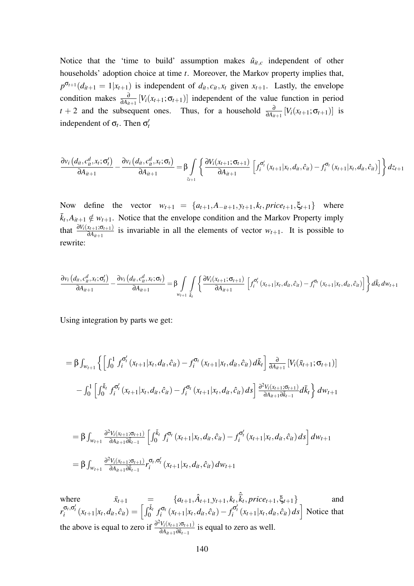Notice that the 'time to build' assumption makes  $\hat{u}_{it,c}$  independent of other households' adoption choice at time *t*. Moreover, the Markov property implies that,  $p^{\sigma_{t+1}}(d_{it+1} = 1 | x_{t+1})$  is independent of  $d_{it}$ ,  $c_{it}$ ,  $x_t$  given  $x_{t+1}$ . Lastly, the envelope condition makes  $\frac{\partial}{\partial A_{it+1}}[V_i(x_{t+1}; \sigma_{t+1})]$  independent of the value function in period *t* + 2 and the subsequent ones. Thus, for a household  $\frac{\partial}{\partial A_{it+1}}[V_i(x_{t+1}; \sigma_{t+1})]$  is independent of  $\sigma_t$ . Then  $\sigma'_t$ 

$$
\frac{\partial v_i (d_{it}, c_{it}^d, x_t; \sigma_t')}{\partial A_{it+1}} - \frac{\partial v_i (d_{it}, c_{it}^d, x_t; \sigma_t)}{\partial A_{it+1}} = \beta \int_{z_{t+1}} \left\{ \frac{\partial V_i (x_{t+1}; \sigma_{t+1})}{\partial A_{it+1}} \left[ f_i^{\sigma_t'} (x_{t+1} | x_t, d_{it}, \hat{c}_{it}) - f_i^{\sigma_t} (x_{t+1} | x_t, d_{it}, \hat{c}_{it}) \right] \right\} dz_{t+1}
$$

Now define the vector  $w_{t+1} = \{a_{t+1}, A_{-it+1}, y_{t+1}, k_t, price_{t+1}, \xi_{t+1}\}\$  where  $\bar{k}_t, A_{it+1} \notin w_{t+1}$ . Notice that the envelope condition and the Markov Property imply that  $\frac{\partial V_i(x_{t+1}; \sigma_{t+1})}{\partial A_{it+1}}$  is invariable in all the elements of vector  $W_{t+1}$ . It is possible to rewrite:

$$
\frac{\partial v_i (d_{it}, c_{it}^d, x_t; \sigma_t')}{\partial A_{it+1}} - \frac{\partial v_i (d_{it}, c_{it}^d, x_t; \sigma_t)}{\partial A_{it+1}} = \beta \int_{w_{t+1}} \int_{\bar{k}_t} \left\{ \frac{\partial V_i (x_{t+1}; \sigma_{t+1})}{\partial A_{it+1}} \left[ f_i^{\sigma_t'} (x_{t+1} | x_t, d_{it}, \hat{c}_{it}) - f_i^{\sigma_t} (x_{t+1} | x_t, d_{it}, \hat{c}_{it}) \right] \right\} d\bar{k}_t dw_{t+1}
$$

Using integration by parts we get:

$$
= \beta \int_{w_{t+1}} \left\{ \left[ \int_0^1 f_i^{\sigma'_t} (x_{t+1} | x_t, d_{it}, \hat{c}_{it}) - f_i^{\sigma_t} (x_{t+1} | x_t, d_{it}, \hat{c}_{it}) d\bar{k}_t \right] \frac{\partial}{\partial A_{it+1}} [V_i(\bar{x}_{t+1}; \sigma_{t+1})] - \int_0^1 \left[ \int_0^{\bar{k}_t} f_i^{\sigma'_t} (x_{t+1} | x_t, d_{it}, \hat{c}_{it}) - f_i^{\sigma_t} (x_{t+1} | x_t, d_{it}, \hat{c}_{it}) ds \right] \frac{\partial^2 V_i(x_{t+1}; \sigma_{t+1})}{\partial A_{it+1} \partial \bar{k}_{t-1}} d\bar{k}_t \right\} dw_{t+1}
$$

$$
= \beta \int_{w_{t+1}} \frac{\partial^2 V_i(x_{t+1}; \sigma_{t+1})}{\partial A_{it+1} \partial \bar{k}_{t-1}} \left[ \int_0^{\bar{k}_t} f_i^{\sigma_t} (x_{t+1} | x_t, d_{it}, \hat{c}_{it}) - f_i^{\sigma'_t} (x_{t+1} | x_t, d_{it}, \hat{c}_{it}) ds \right] dw_{t+1}
$$
  

$$
= \beta \int_{w_{t+1}} \frac{\partial^2 V_i(x_{t+1}; \sigma_{t+1})}{\partial A_{it+1} \partial \bar{k}_{t-1}} r_i^{\sigma_t, \sigma'_t} (x_{t+1} | x_t, d_{it}, \hat{c}_{it}) dw_{t+1}
$$

where  $\bar{x}_{t+1} = \{a_{t+1}, \hat{A}_{t+1}, y_{t+1}, k_t, \hat{k}_t, price_{t+1}, \xi_{t+1}\}$  and  $r_i^{\sigma_t, \sigma'_t}(x_{t+1}|x_t, d_{it}, \hat{c}_{it}) = \left[\int_0^{\bar{k}_t} f_i^{\sigma_t} \right]$  $f_i^{\sigma_t}(x_{t+1}|x_t, d_{it}, \hat{c}_{it}) - f_i^{\sigma'_t}(x_{t+1}|x_t, d_{it}, \hat{c}_{it}) ds$  Notice that the above is equal to zero if  $\frac{\partial^2 V_i(x_{t+1}; \sigma_{t+1})}{\partial \sigma_{t}}$  $\frac{V_i(x_{t+1},G_{t+1})}{\partial A_{it+1}\partial \bar{k}_{t-1}}$  is equal to zero as well.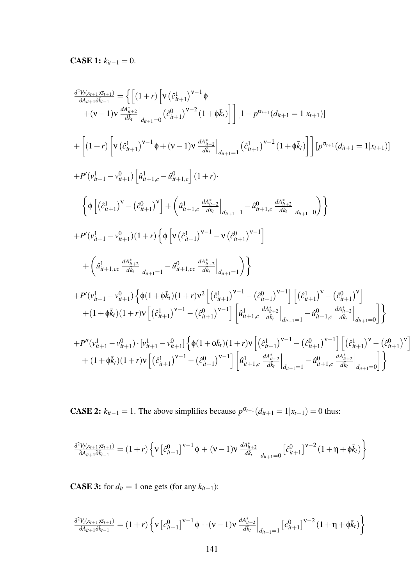**CASE 1:**  $k_{it-1} = 0$ .

$$
\frac{\partial^2 V_{(\bar{x}_{t+1},\bar{Q}_{t+1})}}{\partial A_{n+1}\partial \bar{x}_{t-1}} = \left\{ \left[ (1+r) \left[ v \left( \hat{c}_{n+1}^1 \right)^{v-1} \phi \right. \\ \left. + (v-1) v \frac{d A_{n+2}^*}{d \bar{k}_t} \right|_{d_{n+1}=0} (\hat{c}_{n+1}^0)^{v-2} (1+\phi \bar{k}_t) \right] \right] \left[ 1 - p^{\sigma_{t+1}} (d_{n+1} = 1 | x_{t+1}) \right] \\ + \left[ (1+r) \left[ v \left( \hat{c}_{n+1}^1 \right)^{v-1} \phi + (v-1) v \frac{d A_{n+2}^*}{d \bar{k}_t} \right|_{d_{n+1}=1} (\hat{c}_{n+1}^1)^{v-2} (1+\phi \bar{k}_t) \right] \right] \left[ p^{\sigma_{t+1}} (d_{n+1}=1 | x_{t+1}) \right] \\ + P'(v_{n+1}^1 - v_{n+1}^0) \left[ \hat{a}_{n+1,c}^1 - \hat{a}_{n+1,c}^0 \right] (1+r) \\ + \left( \phi \left[ (\hat{c}_{n+1}^1)^v - (\hat{c}_{n+1}^0)^v \right] + \left( \hat{a}_{n+1,c}^1 \frac{d A_{n+2}^*}{d \bar{k}_t} \right|_{d_{n+1}=1} - \hat{a}_{n+1,c}^0 \frac{d A_{n+2}^*}{d \bar{k}_t} \right|_{d_{n+1}=0} \right) \right\} \\ + P'(v_{n+1}^1 - v_{n+1}^0) (1+r) \left\{ \phi \left[ v \left( \hat{c}_{n+1}^1 \right)^{v-1} - v \left( \hat{c}_{n+1}^0 \right)^{v-1} \right] \\ + \left( \hat{a}_{n+1,cc}^1 \frac{d A_{n+2}^*}{d \bar{k}_t} \right|_{d_{n+1}=1} - \hat{a}_{n+1,cc}^0 \frac{d A_{n+2}^*}{d \bar{k}_t} \right|_{d_{n+1}=1} \right) \right\} \\ + P'(v_{n+1}^1 - v_{n+1}^0) \left\{ \phi (1+\phi \bar{k}_t) (
$$

**CASE 2:**  $k_{it-1} = 1$ . The above simplifies because  $p^{\sigma_{t+1}}(d_{it+1} = 1 | x_{t+1}) = 0$  thus:

$$
\tfrac{\partial^2 V_i(x_{t+1};\sigma_{t+1})}{\partial A_{it+1}\partial \bar{k}_{t-1}} = (1+r)\left\{v\left[\hat{c}_{it+1}^0\right]^{\nu-1}\phi + (v-1)v\left.\tfrac{dA_{it+2}^*}{d\bar{k}_t}\right|_{d_{it+1}=0}\left[\hat{c}_{it+1}^0\right]^{\nu-2}(1+\eta+\phi\bar{k}_t)\right\}
$$

**CASE 3:** for  $d_{it} = 1$  one gets (for any  $k_{it-1}$ ):

$$
\tfrac{\partial^2 V_i(x_{t+1};\sigma_{t+1})}{\partial A_{it+1}\partial \bar{k}_{t-1}} = (1+r)\left\{v\left[c^0_{it+1}\right]^{v-1}\phi+(v-1)v\left.\tfrac{dA_{it+2}^*}{d\bar{k}_t}\right|_{d_{it+1}=1}\left[c^0_{it+1}\right]^{v-2}(1+\eta+\phi\bar{k}_t)\right\}
$$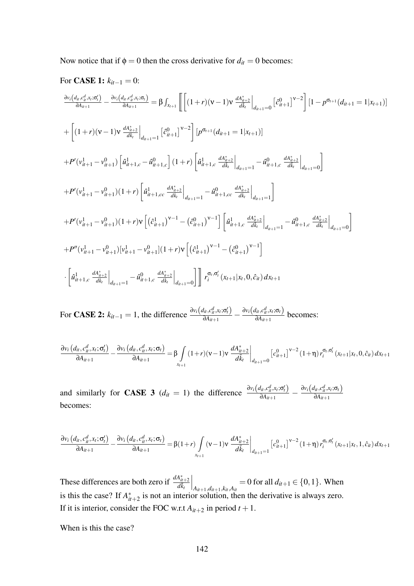Now notice that if  $\phi = 0$  then the cross derivative for  $d_{it} = 0$  becomes:

For **CASE 1:** 
$$
k_{it-1} = 0
$$
:  
\n
$$
\frac{\partial v_i (d_{it}, c_{it}^d, x_i; \sigma'_i)}{\partial A_{it+1}} - \frac{\partial v_i (d_{it}, c_{it}^d, x_i; \sigma_t)}{\partial A_{it+1}} = \beta \int_{x_{t+1}} \left[ \left[ (1+r)(v-1)v \frac{d A_{it+2}^*}{d k_t} \Big|_{d_{it+1}=0} \left[ \hat{c}_{it+1}^0 \right]^{v-2} \right] \left[ 1 - p^{\sigma_{t+1}} (d_{it+1} = 1 | x_{t+1}) \right] \right]
$$
\n
$$
+ \left[ (1+r)(v-1)v \frac{d A_{it+2}^*}{d k_t} \Big|_{d_{it+1}=1} \left[ \hat{c}_{it+1}^0 \right]^{v-2} \right] \left[ p^{\sigma_{t+1}} (d_{it+1}=1 | x_{t+1}) \right]
$$
\n
$$
+ P'(v_{it+1}^1 - v_{it+1}^0) \left[ \hat{u}_{it+1,c}^1 - \hat{u}_{it+1,c}^0 \right] (1+r) \left[ \hat{u}_{it+1,c}^1 - \frac{d A_{it+2}^*}{d k_t} \Big|_{d_{it+1}=1} - \hat{u}_{it+1,c}^0 \frac{d A_{it+2}^*}{d k_t} \Big|_{d_{it+1}=1} \right]
$$
\n
$$
+ P'(v_{it+1}^1 - v_{it+1}^0) (1+r) \left[ \hat{u}_{it+1,c}^1 - \frac{d A_{it+2}^*}{d k_t} \Big|_{d_{it+1}=1} - \hat{u}_{it+1,c}^0 \frac{d A_{it+2}^*}{d k_t} \Big|_{d_{it+1}=1} \right]
$$
\n
$$
+ P'(v_{it+1}^1 - v_{it+1}^0) (1+r) v \left[ (\hat{c}_{it+1}^1)^{v-1} - (\hat{c}_{it+1}^0)^{v-1} \right] \left[ \hat{u}_{it+1,c}^1 - \frac{d A_{it+2}^*}{d k_t} \Big|_{d_{it+1}=1} - \hat{u}_{it+1,c}^0 \frac{d A_{it+2}^*}{d k_t} \Big|_{d_{it+1}=0
$$

For **CASE 2:**  $k_{it-1} = 1$ , the difference  $\frac{\partial v_i(d_i, c_d^d, x_t; \sigma_t')}{\partial d_{it-1}}$  $\frac{d_{it}, c_{it}^d, x_t; \sigma_t'}{\partial A_{it+1}} - \frac{\partial v_i(d_{it}, c_{it}^d, x_t; \sigma_t)}{\partial A_{it+1}}$  $\frac{\partial A_{it+1}}{\partial A_{it+1}}$  becomes:

$$
\frac{\partial v_i (d_{it}, c_{it}^d, x_t; \sigma_t')}{\partial A_{it+1}} - \frac{\partial v_i (d_{it}, c_{it}^d, x_t; \sigma_t)}{\partial A_{it+1}} = \beta \int_{x_{t+1}} (1+r)(v-1)v \left. \frac{dA_{it+2}^*}{d\bar{k}_t} \right|_{d_{it+1}=0} [c_{it+1}^0]^{v-2} (1+\eta) r_i^{\sigma_t, \sigma_t'} (x_{t+1}|x_t, 0, \hat{c}_{it}) dx_{t+1}
$$

and similarly for **CASE 3** (*d<sub>it</sub>* = 1) the difference  $\frac{\partial v_i(d_i, c_d^d, x_t; \sigma_t')}{\partial d_{i+1}}$  $\frac{d_{it}, c_{it}^d, x_t; \sigma_t'}{\partial A_{it+1}} - \frac{\partial v_i(d_{it}, c_{it}^d, x_t; \sigma_t)}{\partial A_{it+1}}$ ∂*Ait*+<sup>1</sup> becomes:

$$
\frac{\partial v_i (d_{it}, c_{it}^d, x_t; \sigma_t')}{\partial A_{it+1}} - \frac{\partial v_i (d_{it}, c_{it}^d, x_t; \sigma_t)}{\partial A_{it+1}} = \beta (1+r) \int_{x_{t+1}} (v-1) v \left. \frac{dA_{it+2}^*}{d\bar{k}_t} \right|_{d_{it+1}=1} [c_{it+1}^0]_{x_t}^{v-2} (1+\eta) r_i^{\sigma_t, \sigma_t'} (x_{t+1} | x_t, 1, \hat{c}_{it}) dx_{t+1}
$$

These differences are both zero if  $\frac{dA_{it+2}^*}{d\bar{k}_t}$  $\Big|_{A_{it+1}, d_{it+1}, k_{it}, A_{it}} = 0$  for all  $d_{it+1} \in \{0, 1\}$ . When is this the case? If  $A_{ii}^*$  $i_{it+2}^*$  is not an interior solution, then the derivative is always zero. If it is interior, consider the FOC w.r.t  $A_{it+2}$  in period  $t + 1$ .

When is this the case?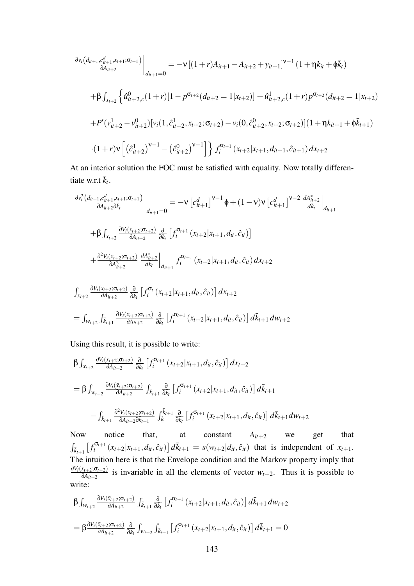$$
\frac{\partial v_i(d_{it+1},c_{it+1}^d,x_{t+1};\sigma_{t+1})}{\partial A_{it+2}}\Big|_{d_{it+1}=0} = -\nu \left[ (1+r)A_{it+1} - A_{it+2} + y_{it+1} \right]^{\nu-1} (1+\eta k_{it} + \phi \bar{k}_t)
$$
\n
$$
+\beta \int_{x_{t+2}} \left\{ \hat{u}_{it+2,c}^0(1+r) \left[1 - p^{\sigma_{t+2}}(d_{it+2} = 1 | x_{t+2})\right] + \hat{u}_{it+2,c}^1(1+r) p^{\sigma_{t+2}}(d_{it+2} = 1 | x_{t+2}) \right\}
$$
\n
$$
+ P'(v_{it+2}^1 - v_{it+2}^0) [v_i(1, \hat{c}_{it+2}^1, x_{t+2}; \sigma_{t+2}) - v_i(0, \hat{c}_{it+2}^0, x_{t+2}; \sigma_{t+2})](1+\eta k_{it+1} + \phi \bar{k}_{t+1})
$$
\n
$$
\cdot (1+r)\nu \left[ \left(\hat{c}_{it+2}^1\right)^{\nu-1} - \left(\hat{c}_{it+2}^0\right)^{\nu-1} \right] \right\} f_i^{\sigma_{t+1}}(x_{t+2}|x_{t+1}, d_{it+1}, \hat{c}_{it+1}) dx_{t+2}
$$

At an interior solution the FOC must be satisfied with equality. Now totally differentiate w.r.t  $\bar{k}_t$ .

$$
\frac{\partial v_{i}^{2}(d_{it+1}, c_{it+1}^{d}, x_{t+1}; \sigma_{t+1})}{\partial A_{it+2} \partial \bar{k}_{t}}\Big|_{d_{it+1}=0} = -\nu \left[c_{it+1}^{d}\right]^{\nu-1} \phi + (1-\nu)\nu \left[c_{it+1}^{d}\right]^{\nu-2} \frac{dA_{it+2}^{*}}{d\bar{k}_{t}}\Big|_{d_{it+1}} \n+ \beta \int_{x_{t+2}} \frac{\partial V_{i}(x_{t+2}; \sigma_{t+2})}{\partial A_{it+2}} \frac{\partial}{\partial \bar{k}_{t}} \left[f_{i}^{\sigma_{t+1}}(x_{t+2}|x_{t+1}, d_{it}, \hat{c}_{it})\right] \n+ \frac{\partial^{2} V_{i}(x_{t+2}; \sigma_{t+2})}{\partial A_{it+2}^{2}} \frac{dA_{it+2}^{*}}{d\bar{k}_{t}}\Big|_{d_{it+1}} f_{i}^{\sigma_{t+1}}(x_{t+2}|x_{t+1}, d_{it}, \hat{c}_{it}) dx_{t+2} \n\int_{x_{t+2}} \frac{\partial V_{i}(x_{t+2}; \sigma_{t+2})}{\partial A_{it+2}} \frac{\partial}{\partial \bar{k}_{t}} \left[f_{i}^{\sigma_{t}}(x_{t+2}|x_{t+1}, d_{it}, \hat{c}_{it})\right] dx_{t+2} \n= \int_{w_{t+2}} \int_{\bar{k}_{t+1}} \frac{\partial V_{i}(x_{t+2}; \sigma_{t+2})}{\partial A_{it+2}} \frac{\partial}{\partial \bar{k}_{t}} \left[f_{i}^{\sigma_{t+1}}(x_{t+2}|x_{t+1}, d_{it}, \hat{c}_{it})\right] d\bar{k}_{t+1} dw_{t+2}
$$

Using this result, it is possible to write:

$$
\beta \int_{x_{t+2}} \frac{\partial V_i(x_{t+2}; \sigma_{t+2})}{\partial A_{it+2}} \frac{\partial}{\partial \bar{k}_t} \left[ f_i^{\sigma_{t+1}}(x_{t+2}|x_{t+1}, d_{it}, \hat{c}_{it}) \right] dx_{t+2}
$$
\n
$$
= \beta \int_{w_{t+2}} \frac{\partial V_i(\bar{x}_{t+2}; \sigma_{t+2})}{\partial A_{it+2}} \int_{\bar{k}_{t+1}} \frac{\partial}{\partial \bar{k}_t} \left[ f_i^{\sigma_{t+1}}(x_{t+2}|x_{t+1}, d_{it}, \hat{c}_{it}) \right] d\bar{k}_{t+1}
$$
\n
$$
- \int_{\bar{k}_{t+1}} \frac{\partial^2 V_i(x_{t+2}; \sigma_{t+2})}{\partial A_{it+2}} \int_{\bar{k}_{t+1}} \frac{\partial}{\partial \bar{k}_t} \left[ f_i^{\sigma_{t+1}}(x_{t+2}|x_{t+1}, d_{it}, \hat{c}_{it}) \right] d\bar{k}_{t+1} dw_{t+2}
$$

Now notice that, at constant  $A_{it+2}$  we get that  $\int_{\bar{k}_{t+1}}$   $\int_{i}^{\sigma_{t+1}}$  $\sum_{i}^{\sigma_{t+1}} (x_{t+2}|x_{t+1}, d_{it}, \hat{c}_{it}) d\bar{k}_{t+1} = s(w_{t+2}|d_{it}, \hat{c}_{it})$  that is independent of  $x_{t+1}$ . The intuition here is that the Envelope condition and the Markov property imply that  $\partial V_i(x_{t+2}; \sigma_{t+2})$  $\frac{\partial X_{t+2} : \mathbf{O}_{t+2}}{\partial A_{it+2}}$  is invariable in all the elements of vector  $W_{t+2}$ . Thus it is possible to write:

$$
\beta \int_{w_{t+2}} \frac{\partial V_i(\bar{x}_{t+2}; \sigma_{t+2})}{\partial A_{it+2}} \int_{\bar{k}_{t+1}} \frac{\partial}{\partial \bar{k}_t} \left[ f_i^{\sigma_{t+1}}(x_{t+2} | x_{t+1}, d_{it}, \hat{c}_{it}) \right] d\bar{k}_{t+1} dw_{t+2}
$$
\n
$$
= \beta \frac{\partial V_i(\bar{x}_{t+2}; \sigma_{t+2})}{\partial A_{it+2}} \frac{\partial}{\partial \bar{k}_t} \int_{w_{t+2}} \int_{\bar{k}_{t+1}} \left[ f_i^{\sigma_{t+1}}(x_{t+2} | x_{t+1}, d_{it}, \hat{c}_{it}) \right] d\bar{k}_{t+1} = 0
$$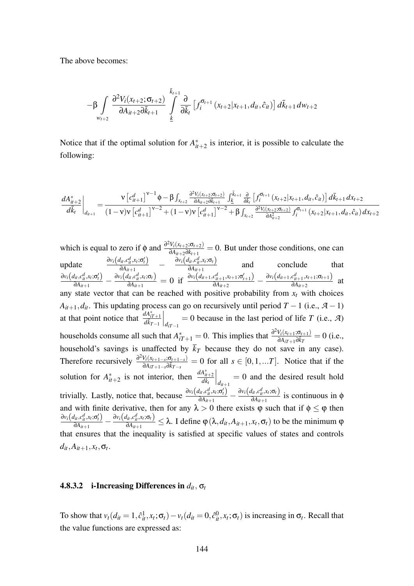The above becomes:

$$
-\beta \int\limits_{w_{t+2}} \frac{\partial^2 V_i(x_{t+2};\sigma_{t+2})}{\partial A_{it+2}\partial \bar{k}_{t+1}} \int\limits_{\underline{k}}^{\bar{k}_{t+1}} \frac{\partial}{\partial \bar{k}_t} \left[ f_i^{\sigma_{t+1}}(x_{t+2}|x_{t+1},d_{it},\hat{c}_{it}) \right] d\bar{k}_{t+1} dw_{t+2}
$$

Notice that if the optimal solution for  $A_{ii}^*$  $i_{t+2}^*$  is interior, it is possible to calculate the following:

$$
\frac{dA_{it+2}^*}{d\bar{k}_t}\bigg|_{d_{it+1}} = \frac{\nu \left[c_{it+1}^d\right]^{\nu-1} \phi - \beta \int_{x_{t+2}} \frac{\partial^2 V_i(x_{t+2}; \sigma_{t+2})}{\partial A_{it+2} \partial \bar{k}_{t+1}} \int_{\underline{k}}^{\bar{k}_{t+1}} \frac{\partial}{\partial \bar{k}_t} \left[ f_i^{\sigma_{t+1}}(x_{t+2}|x_{t+1}, d_{it}, \hat{c}_{it}) \right] d\bar{k}_{t+1} dx_{t+2}}{(1-\nu)\nu \left[c_{it+1}^d\right]^{\nu-2} + (1-\nu)\nu \left[c_{it+1}^d\right]^{\nu-2} + \beta \int_{x_{t+2}} \frac{\partial^2 V_i(x_{t+2}; \sigma_{t+2})}{\partial A_{it+2}^2} f_i^{\sigma_{t+1}}(x_{t+2}|x_{t+1}, d_{it}, \hat{c}_{it}) dx_{t+2}}
$$

which is equal to zero if  $\phi$  and  $\frac{\partial^2 V_i(x_{t+2}; \sigma_{t+2})}{\partial A_{t+2} \partial \bar{k}_{t+1}}$  $\frac{\partial V_i(x_{t+2}; \mathbf{O}_{t+2})}{\partial A_{it+2} \partial \bar{k}_{t+1}} = 0$ . But under those conditions, one can update  $\frac{\partial v_i(d_{it}, c_{it}^d, x_t; \sigma_t')}{\partial A_{i,t+1}}$  $\frac{\partial u_i, c_{it}^d, x_t, \sigma_t'}{\partial A_{it+1}}$  –  $\frac{\partial v_i(d_{it}, c_{it}^d, x_t, \sigma_t)}{\partial A_{it+1}}$  $\frac{\partial u}{\partial A_{it+1}}$  and conclude that  $\partial v_i(d_{it}, c_{it}^d, x_t; \sigma_t^d)$  $\frac{d_{it},c_{it}^d,x_t;\sigma_t'}{\partial A_{it+1}}$  -  $\frac{\partial v_i(d_{it},c_{it}^d,x_t;\sigma_t)}{\partial A_{it+1}}$  $\frac{d_{it},c_{it}^d,x_t;\sigma_t)}{\partial A_{it+1}}=0\,\,\,\text{if}\,\,\,\frac{\partial v_i\big(d_{it+1},c_{it+1}^d,x_{t+1};\sigma_{t+1}^{\prime}\big)}{\partial A_{it+2}}$  $\frac{c_{it+1}^d, x_{t+1}; \sigma'_{t+1})}{\partial A_{it+2}} - \frac{\partial v_i(d_{it+1}, c_{it+1}^d, x_{t+1}; \sigma_{t+1})}{\partial A_{it+2}}$  $\frac{\partial u_{it+1}^{t+1} \cdots \partial u_{t+1}^{t+1}}{\partial A_{it+2}}$  at any state vector that can be reached with positive probability from  $x_t$  with choices  $A_{it+1}, d_{it}$ . This updating process can go on recursively until period *T* − 1 (i.e., *A* − 1) at that point notice that  $\frac{dA_{iT+1}^*}{d\bar{k}_{T-1}}$  $\left| \int_{d_{iT-1}}$  = 0 because in the last period of life *T* (i.e., *A*) households consume all such that  $A_{iT+1}^* = 0$ . This implies that  $\frac{\partial^2 V_i(x_{t+1}; \sigma_{t+1})}{\partial A_{iT+1} \partial \bar{k}_T}$  $\frac{\partial V_i(X_{t+1};\mathbf{O}_{t+1})}{\partial A_{iT+1}\partial \bar{k}_T} = 0$  (i.e., household's savings is unaffected by *k<sup>T</sup>* because they do not save in any case). Therefore recursively  $\frac{\partial^2 V_i(x_{t+1-s}; \sigma_{t+1-s})}{\partial \sigma_{t-s}}$  $\frac{\partial V_i(x_{t+1-s},\Omega_{t+1-s})}{\partial A_{iT+1-s}\partial \overline{k}_{T-s}} = 0$  for all  $s \in [0,1,...T]$ . Notice that if the solution for  $A_{ii}^*$  $\frac{dA_{it+2}^*}{d\bar{k}_t}$  is not interior, then  $\frac{dA_{it+2}^*}{d\bar{k}_t}$  $\Big|_{d_{it+1}}$  $= 0$  and the desired result hold trivially. Lastly, notice that, because  $\frac{\partial v_i(d_i, c_d^d, x_i; \sigma'_i)}{\partial d_i}$  $\frac{d_{it}, c_{it}^d, x_t; \sigma_t'}{\partial A_{it+1}} - \frac{\partial v_i(d_{it}, c_{it}^d, x_t; \sigma_t)}{\partial A_{it+1}}$  $\frac{\partial u_i, v_i, v_i, v_i, v_j}{\partial A_{it+1}}$  is continuous in  $\phi$ and with finite derivative, then for any  $\lambda > 0$  there exists  $\varphi$  such that if  $\varphi \leq \varphi$  then  $∂v_i(d_{it}, c_{it}^d, x_t; σ_t')$  $\frac{d_{it},c_{it}^d,x_t;\sigma_t'}{\partial A_{it+1}} - \frac{\partial v_i\big(d_{it},c_{it}^d,x_t;\sigma_t\big)}{\partial A_{it+1}}$  $\frac{\partial u}{\partial A_{it+1}} \leq \lambda$ . I define  $\varphi(\lambda, d_{it}, A_{it+1}, x_t, \sigma_t)$  to be the minimum  $\varphi$ that ensures that the inequality is satisfied at specific values of states and controls  $d_{it}$ ,  $A_{it+1}$ ,  $x_t$ ,  $\sigma_t$ .

#### 4.8.3.2 i-Increasing Differences in  $d_i$ ,  $\sigma_t$

To show that  $v_t(d_{it} = 1, \hat{c}_{it}^1, x_t; \sigma_t) - v_t(d_{it} = 0, \hat{c}_{it}^0, x_t; \sigma_t)$  is increasing in  $\sigma_t$ . Recall that the value functions are expressed as: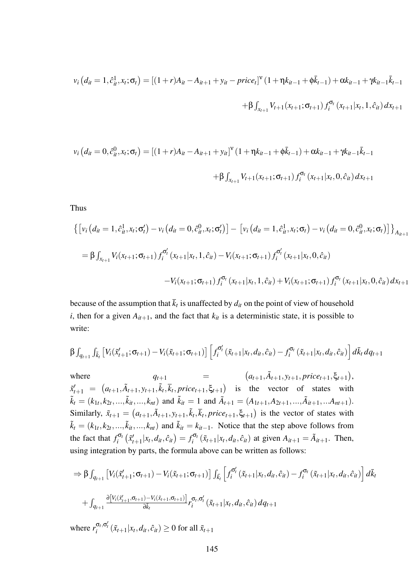$$
v_i (d_{it} = 1, \hat{c}_{it}^1, x_t; \sigma_t) = [(1+r)A_{it} - A_{it+1} + y_{it} - price_t]^{\nu} (1 + \eta k_{it-1} + \phi \bar{k}_{t-1}) + \alpha k_{it-1} + \gamma k_{it-1} \bar{k}_{t-1} + \beta k_{it-1} \bar{k}_{t-1} + \beta k_{it-1} \bar{k}_{t-1} + \beta k_{it-1} \bar{k}_{t-1} + \beta k_{it-1} \bar{k}_{t-1} + \beta k_{it-1} \bar{k}_{t-1} + \beta k_{it-1} \bar{k}_{t-1} + \beta k_{it-1} \bar{k}_{t-1} + \beta k_{it-1} \bar{k}_{t-1} + \beta k_{it-1} \bar{k}_{t-1} + \beta k_{it-1} \bar{k}_{t-1} + \beta k_{it-1} \bar{k}_{t-1} + \beta k_{it-1} \bar{k}_{t-1} + \beta k_{it-1} \bar{k}_{t-1} + \beta k_{it-1} \bar{k}_{t-1} + \beta k_{it-1} \bar{k}_{t-1} + \beta k_{it-1} \bar{k}_{t-1} + \beta k_{it-1} \bar{k}_{t-1} + \beta k_{it-1} \bar{k}_{t-1} + \beta k_{it-1} \bar{k}_{t-1} + \beta k_{it-1} \bar{k}_{t-1} + \beta k_{it-1} \bar{k}_{t-1} + \beta k_{it-1} \bar{k}_{t-1} + \beta k_{it-1} \bar{k}_{t-1} + \beta k_{it-1} \bar{k}_{t-1} + \gamma k_{it-1} \bar{k}_{t-1} + \gamma k_{it-1} \bar{k}_{t-1} + \gamma k_{it-1} \bar{k}_{t-1} + \gamma k_{it-1} \bar{k}_{t-1} + \gamma k_{it-1} \bar{k}_{t-1} + \beta k_{it-1} \bar{k}_{t-1} + \beta k_{it-1} \bar{k}_{t-1} + \beta k_{it-1} \bar{k}_{t-1} + \beta k_{it-1} \bar{k}_{t-1} + \beta k_{it-1} \bar{k}_{t-1} + \beta k_{it-1} \bar{k}_{t-1} + \beta k_{it-1} \bar{k}_{t-1} + \beta k_{it-1} \bar{k}_{t-1} + \beta k_{it-1} \bar{k}_{t-1} + \beta k_{it-1}
$$

$$
v_i (d_{it} = 0, \hat{c}_{it}^0, x_t; \sigma_t) = [(1+r)A_{it} - A_{it+1} + y_{it}]^{\mathbf{v}} (1 + \eta k_{it-1} + \phi \bar{k}_{t-1}) + \alpha k_{it-1} + \gamma k_{it-1} \bar{k}_{t-1} + \beta \int_{x_{t+1}} V_{t+1}(x_{t+1}; \sigma_{t+1}) f_i^{\sigma_t}(x_{t+1} | x_t, 0, \hat{c}_{it}) dx_{t+1}
$$

Thus

$$
\left\{ \left[ v_i \left( d_{it} = 1, \hat{c}_{it}^1, x_t; \sigma_t' \right) - v_i \left( d_{it} = 0, \hat{c}_{it}^0, x_t; \sigma_t' \right) \right] - \left[ v_i \left( d_{it} = 1, \hat{c}_{it}^1, x_t; \sigma_t \right) - v_i \left( d_{it} = 0, \hat{c}_{it}^0, x_t; \sigma_t \right) \right] \right\}_{A_{it+1}}
$$
\n
$$
= \beta \int_{x_{t+1}} V_i(x_{t+1}; \sigma_{t+1}) f_i^{\sigma_t'}(x_{t+1}|x_t, 1, \hat{c}_{it}) - V_i(x_{t+1}; \sigma_{t+1}) f_i^{\sigma_t'}(x_{t+1}|x_t, 0, \hat{c}_{it})
$$
\n
$$
-V_i(x_{t+1}; \sigma_{t+1}) f_i^{\sigma_t}(x_{t+1}|x_t, 1, \hat{c}_{it}) + V_i(x_{t+1}; \sigma_{t+1}) f_i^{\sigma_t}(x_{t+1}|x_t, 0, \hat{c}_{it}) dx_{t+1}
$$

because of the assumption that  $k_t$  is unaffected by  $d_{it}$  on the point of view of household *i*, then for a given  $A_{it+1}$ , and the fact that  $k_{it}$  is a deterministic state, it is possible to write:

$$
\beta \int_{q_{t+1}} \int_{\bar{k}_t} \left[ V_i(\tilde{x}'_{t+1}; \sigma_{t+1}) - V_i(\tilde{x}_{t+1}; \sigma_{t+1}) \right] \left[ f_i^{\sigma'_t}(\tilde{x}_{t+1} | x_t, d_{it}, \hat{c}_{it}) - f_i^{\sigma_t}(\tilde{x}_{t+1} | x_t, d_{it}, \hat{c}_{it}) \right] d\bar{k}_t dq_{t+1}
$$

where  $q_{t+1}$  =  $(a_{t+1}, \tilde{A}_{t+1}, y_{t+1}, price_{t+1}, \xi_{t+1}),$  $\tilde{x}'_{t+1} = (a_{t+1}, \tilde{A}_{t+1}, y_{t+1}, \tilde{k}_t, \overline{k}_t, price_{t+1}, \xi_{t+1})$  is the vector of states with  $\tilde{k}_t = (k_{1t}, k_{2t}, ..., \tilde{k}_{it}, ..., k_{nt})$  and  $\tilde{k}_{it} = 1$  and  $\tilde{A}_{t+1} = (A_{1t+1}, A_{2t+1}, ..., \tilde{A}_{it+1}, ... A_{nt+1}).$ Similarly,  $\tilde{x}_{t+1} = (a_{t+1}, \tilde{A}_{t+1}, y_{t+1}, \tilde{k}_t, \bar{k}_t, price_{t+1}, \xi_{t+1})$  is the vector of states with  $\tilde{k}_t = (k_{1t}, k_{2t}, \ldots, \tilde{k}_{it}, \ldots, k_{nt})$  and  $\tilde{k}_{it} = k_{it-1}$ . Notice that the step above follows from the fact that  $f_i^{\sigma_i}$  $\int\limits_t^{\cdot\!\mathsf{G}_t}\left(\tilde{x}'_t\right)$  $f'_{t+1}|x_t, d_{it}, \hat{c}_{it}$ ) =  $f_i^{\sigma_i}$  $i^{\sigma}$ <sup>*c*</sup><sub>*i*</sub></sub> ( $\tilde{x}_{t+1}|x_t, d_{it}, \hat{c}_{it}$ ) at given  $A_{it+1} = \tilde{A}_{it+1}$ . Then, using integration by parts, the formula above can be written as follows:

$$
\Rightarrow \beta \int_{q_{t+1}} \left[ V_i(\tilde{x}'_{t+1}; \sigma_{t+1}) - V_i(\tilde{x}_{t+1}; \sigma_{t+1}) \right] \int_{\bar{k}_t} \left[ f_i^{\sigma'_t}(\tilde{x}_{t+1} | x_t, d_{it}, \hat{c}_{it}) - f_i^{\sigma_t}(\tilde{x}_{t+1} | x_t, d_{it}, \hat{c}_{it}) \right] d\bar{k}_t
$$
  
+ 
$$
\int_{q_{t+1}} \frac{\partial [V_i(\tilde{x}'_{t+1}, \sigma_{t+1}) - V_i(\tilde{x}_{t+1}, \sigma_{t+1})]}{\partial \bar{k}_t} r_i^{\sigma_t, \sigma'_t}(\tilde{x}_{t+1} | x_t, d_{it}, \hat{c}_{it}) dq_{t+1}
$$
  
where 
$$
r_i^{\sigma_t, \sigma'_t}(\tilde{x}_{t+1} | x_t, d_{it}, \hat{c}_{it}) \ge 0 \text{ for all } \tilde{x}_{t+1}
$$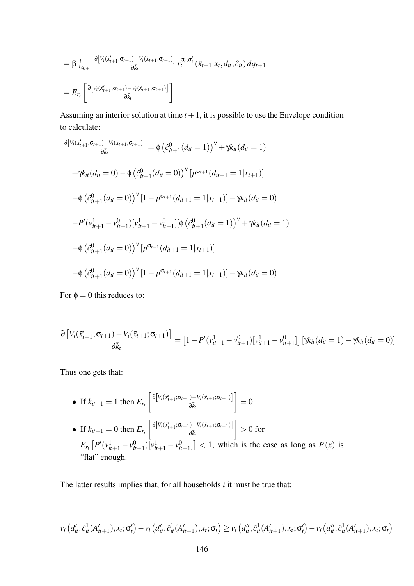$$
= \beta \int_{q_{t+1}} \frac{\partial [V_i(\tilde{x}'_{t+1}, \sigma_{t+1}) - V_i(\tilde{x}_{t+1}, \sigma_{t+1})]}{\partial \bar{k}_t} r_i^{\sigma_t, \sigma'_t}(\tilde{x}_{t+1} | x_t, d_{it}, \hat{c}_{it}) dq_{t+1}
$$
  

$$
= E_{r_t} \left[ \frac{\partial [V_i(\tilde{x}'_{t+1}, \sigma_{t+1}) - V_i(\tilde{x}_{t+1}, \sigma_{t+1})]}{\partial \bar{k}_t} \right]
$$

Assuming an interior solution at time  $t + 1$ , it is possible to use the Envelope condition to calculate:

$$
\frac{\partial [V_i(\tilde{x}'_{t+1}, \sigma_{t+1}) - V_i(\tilde{x}_{t+1}, \sigma_{t+1})]}{\partial \tilde{x}_t} = \phi \left(\hat{c}_{it+1}^0(d_{it} = 1)\right)^{\nu} + \gamma k_{it}(d_{it} = 1)
$$
\n
$$
+ \gamma k_{it}(d_{it} = 0) - \phi \left(\hat{c}_{it+1}^0(d_{it} = 0)\right)^{\nu} [p^{\sigma_{t+1}}(d_{it+1} = 1 | x_{t+1})]
$$
\n
$$
- \phi \left(\hat{c}_{it+1}^0(d_{it} = 0)\right)^{\nu} [1 - p^{\sigma_{t+1}}(d_{it+1} = 1 | x_{t+1})] - \gamma k_{it}(d_{it} = 0)
$$
\n
$$
- P'(v_{it+1}^1 - v_{it+1}^0) [v_{it+1}^1 - v_{it+1}^0] [\phi \left(\hat{c}_{it+1}^0(d_{it} = 1)\right)^{\nu} + \gamma k_{it}(d_{it} = 1)
$$
\n
$$
- \phi \left(\hat{c}_{it+1}^0(d_{it} = 0)\right)^{\nu} [p^{\sigma_{t+1}}(d_{it+1} = 1 | x_{t+1})]
$$
\n
$$
- \phi \left(\hat{c}_{it+1}^0(d_{it} = 0)\right)^{\nu} [1 - p^{\sigma_{t+1}}(d_{it+1} = 1 | x_{t+1})] - \gamma k_{it}(d_{it} = 0)
$$

For  $\phi = 0$  this reduces to:

$$
\frac{\partial \left[ V_i(\tilde{x}'_{t+1}; \sigma_{t+1}) - V_i(\tilde{x}_{t+1}; \sigma_{t+1}) \right]}{\partial \bar{k}_t} = \left[ 1 - P'(v_{it+1}^1 - v_{it+1}^0) [v_{it+1}^1 - v_{it+1}^0] \right] \left[ \gamma k_{it} (d_{it} = 1) - \gamma k_{it} (d_{it} = 0) \right]
$$

Thus one gets that:

• If  $k_{it-1} = 1$  then  $E_{r_t}$  $\left[ \frac{\partial [V_i(\tilde{x}'_{t+1}; \sigma_{t+1}) - V_i(\tilde{x}_{t+1}; \sigma_{t+1})]}{\partial \sigma_{t+1}} \right]$ ∂¯*kt* 1  $= 0$ • If  $k_{it-1} = 0$  then  $E_{r_t}$  $\left[ \partial \left[ V_i(\tilde{x}'_{t+1}; \sigma_{t+1}) - V_i(\tilde{x}_{t+1}; \sigma_{t+1}) \right] \right]$ ∂¯*kt* 1  $> 0$  for  $E_{r_t}\left[P'(v_{it+1}^1 - v_{it+1}^0)\overline{[v_{it+1}^1 - v_{it+1}^0]} \right] < 1$ , which is the case as long as  $P(x)$  is "flat" enough.

The latter results implies that, for all households *i* it must be true that:

$$
v_i\left(d'_{it}, \hat{c}_{it}^1(A'_{it+1}), x_t; \sigma'_t\right) - v_i\left(d'_{it}, \hat{c}_{it}^1(A'_{it+1}), x_t; \sigma_t\right) \geq v_i\left(d''_{it}, \hat{c}_{it}^1(A'_{it+1}), x_t; \sigma'_t\right) - v_i\left(d''_{it}, \hat{c}_{it}^1(A'_{it+1}), x_t; \sigma_t\right)
$$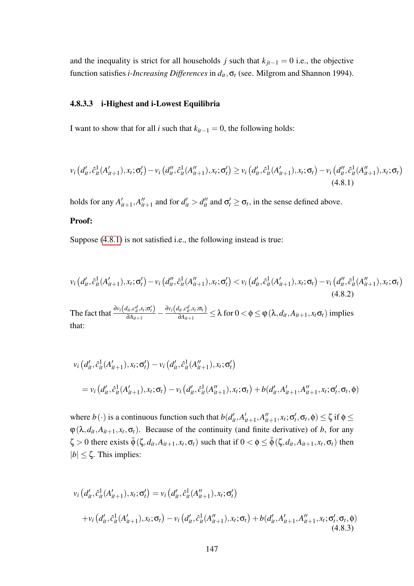and the inequality is strict for all households *j* such that  $k_{jt-1} = 0$  i.e., the objective function satisfies *i-Increasing Differences* in *dit*,σ*<sup>t</sup>* (see. Milgrom and Shannon 1994).

#### 4.8.3.3 i-Highest and i-Lowest Equilibria

I want to show that for all *i* such that  $k_{it-1} = 0$ , the following holds:

<span id="page-146-0"></span>
$$
v_i\left(d'_{it}, \hat{c}^1_{it}(A'_{it+1}), x_t; \sigma'_t\right) - v_i\left(d''_{it}, \hat{c}^1_{it}(A''_{it+1}), x_t; \sigma'_t\right) \geq v_i\left(d'_{it}, \hat{c}^1_{it}(A'_{it+1}), x_t; \sigma_t\right) - v_i\left(d''_{it}, \hat{c}^1_{it}(A''_{it+1}), x_t; \sigma_t\right)
$$
\n(4.8.1)

holds for any  $A_i'$  $\int_{it+1}^{\prime}$ , *A*<sup> $\prime\prime$ </sup>  $\int_{a+1}^{b}$  and for  $d'_{it} > d''_{it}$  and  $\sigma'_{t} \geq \sigma_{t}$ , in the sense defined above.

#### Proof:

Suppose [\(4.8.1\)](#page-146-0) is not satisfied i.e., the following instead is true:

<span id="page-146-2"></span>
$$
v_i\left(d'_{it}, \hat{c}_{it}^1(A'_{it+1}), x_t; \sigma'_t\right) - v_i\left(d''_{it}, \hat{c}_{it}^1(A''_{it+1}), x_t; \sigma'_t\right) < v_i\left(d'_{it}, \hat{c}_{it}^1(A'_{it+1}), x_t; \sigma_t\right) - v_i\left(d''_{it}, \hat{c}_{it}^1(A''_{it+1}), x_t; \sigma_t\right)
$$
\n(4.8.2)

The fact that  $\frac{\partial v_i(d_{it}, c_{it}^d, x_t; \sigma_t')}{\partial A_{i+1}}$  $\frac{d_{it}, c_{it}^d, x_t; \sigma_t'}{\partial A_{it+1}} - \frac{\partial v_i(d_{it}, c_{it}^d, x_t; \sigma_t)}{\partial A_{it+1}}$  $\frac{\partial u}{\partial A_{it+1}} \leq \lambda$  for  $0 < \phi \leq \varphi(\lambda, d_{it}, A_{it+1}, x_t \sigma_t)$  implies that:

$$
v_i (d'_{it}, \hat{c}^1_{it}(A'_{it+1}), x_t; \sigma'_t) - v_i (d'_{it}, \hat{c}^1_{it}(A''_{it+1}), x_t; \sigma'_t)
$$
  
=  $v_i (d'_{it}, \hat{c}^1_{it}(A'_{it+1}), x_t; \sigma_t) - v_i (d'_{it}, \hat{c}^1_{it}(A''_{it+1}), x_t; \sigma_t) + b(d'_{it}, A'_{it+1}, A''_{it+1}, x_t; \sigma'_t, \sigma_t, \phi)$ 

where  $b(\cdot)$  is a continuous function such that  $b(d'_{it}, A'_{it})$  $\frac{d}{dt}$ <sub>it</sub> + 1</sub>, *A*<sup> $\frac{d}{dt}$ </sup>  $\mathcal{L}_{it+1}^{\prime\prime}$ ,  $x_t$ ;  $\sigma_t^{\prime}$ ,  $\sigma_t$ ,  $\phi$ )  $\leq \zeta$  if  $\phi \leq$  $\varphi(\lambda, d_{it}, A_{it+1}, x_t, \sigma_t)$ . Because of the continuity (and finite derivative) of *b*, for any  $\zeta > 0$  there exists  $\bar{\phi}$  ( $\zeta$ ,  $d_{it}$ ,  $A_{it+1}$ ,  $x_t$ ,  $\sigma_t$ ) such that if  $0 < \phi \leq \bar{\phi}$  ( $\zeta$ ,  $d_{it}$ ,  $A_{it+1}$ ,  $x_t$ ,  $\sigma_t$ ) then  $|b| < \zeta$ . This implies:

<span id="page-146-1"></span>
$$
v_i (d'_{it}, \hat{c}^1_{it}(A'_{it+1}), x_t; \sigma'_t) = v_i (d'_{it}, \hat{c}^1_{it}(A''_{it+1}), x_t; \sigma'_t)
$$
  
+ 
$$
v_i (d'_{it}, \hat{c}^1_{it}(A'_{it+1}), x_t; \sigma_t) - v_i (d'_{it}, \hat{c}^1_{it}(A''_{it+1}), x_t; \sigma_t) + b(d'_{it}, A'_{it+1}, A''_{it+1}, x_t; \sigma'_t, \sigma_t, \phi)
$$
  
(4.8.3)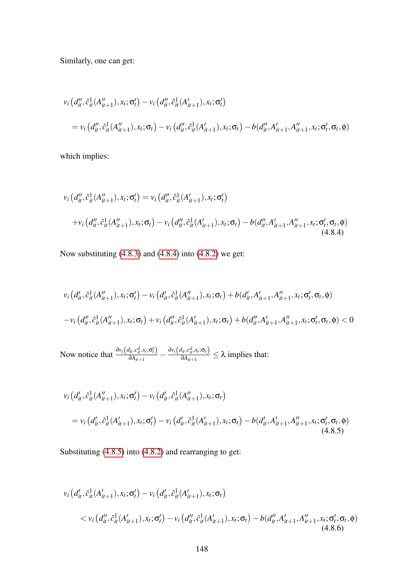Similarly, one can get:

$$
v_i (d''_{it}, \hat{c}^1_{it}(A''_{it+1}), x_t; \sigma'_t) - v_i (d''_{it}, \hat{c}^1_{it}(A'_{it+1}), x_t; \sigma'_t)
$$
  
=  $v_i (d''_{it}, \hat{c}^1_{it}(A''_{it+1}), x_t; \sigma_t) - v_i (d''_{it}, \hat{c}^1_{it}(A'_{it+1}), x_t; \sigma_t) - b(d''_{it}, A'_{it+1}, A''_{it+1}, x_t; \sigma'_t, \sigma_t, \phi)$ 

which implies:

<span id="page-147-0"></span>
$$
v_i (d_{it}'', \hat{c}_{it}^1(A_{it+1}'', \hat{c}_{it}^1(A_{it+1}'', \sigma'_t)) = v_i (d_{it}', \hat{c}_{it}^1(A_{it+1}'), x_t; \sigma'_t)
$$
  
+ 
$$
v_i (d_{it}', \hat{c}_{it}^1(A_{it+1}''), x_t; \sigma_t) - v_i (d_{it}', \hat{c}_{it}^1(A_{it+1}'), x_t; \sigma_t) - b(d_{it}', A_{it+1}', A_{it+1}'', x_t; \sigma'_t, \sigma_t, \phi)
$$
  
(4.8.4)

Now substituting [\(4.8.3\)](#page-146-1) and [\(4.8.4\)](#page-147-0) into [\(4.8.2\)](#page-146-2) we get:

$$
v_i (d'_{it}, \hat{c}^1_{it}(A''_{it+1}), x_t; \sigma'_t) - v_i (d'_{it}, \hat{c}^1_{it}(A''_{it+1}), x_t; \sigma_t) + b(d'_{it}, A'_{it+1}, A''_{it+1}, x_t; \sigma'_t, \sigma_t, \phi)
$$
  

$$
-v_i (d''_{it}, \hat{c}^1_{it}(A''_{it+1}), x_t; \sigma_t) + v_i (d''_{it}, \hat{c}^1_{it}(A'_{it+1}), x_t; \sigma_t) + b(d''_{it}, A'_{it+1}, A''_{it+1}, x_t; \sigma'_t, \sigma_t, \phi) < 0
$$

Now notice that  $\frac{\partial v_i(d_{it}, c_{it}^d, x_t; \sigma_t')}{\partial d_{i,t+1}}$  $\frac{d_{it}, c_{it}^d, x_t; \sigma_t'}{\partial A_{it+1}} - \frac{\partial v_i(d_{it}, c_{it}^d, x_t; \sigma_t)}{\partial A_{it+1}}$  $\frac{\partial u_i, c_i, v_t, o_t}{\partial A_{it+1}} \leq \lambda$  implies that:

<span id="page-147-1"></span>
$$
v_i (d'_{it}, \hat{c}^1_{it}(A''_{it+1}), x_t; \sigma'_t) - v_i (d'_{it}, \hat{c}^1_{it}(A''_{it+1}), x_t; \sigma_t)
$$
  
=  $v_i (d'_{it}, \hat{c}^1_{it}(A'_{it+1}), x_t; \sigma'_t) - v_i (d'_{it}, \hat{c}^1_{it}(A'_{it+1}), x_t; \sigma_t) - b(d'_{it}, A'_{it+1}, A''_{it+1}, x_t; \sigma'_t, \sigma_t, \phi)$   
(4.8.5)

Substituting [\(4.8.5\)](#page-147-1) into [\(4.8.2\)](#page-146-2) and rearranging to get:

<span id="page-147-2"></span>
$$
v_i (d'_{it}, \hat{c}^1_{it}(A'_{it+1}), x_t; \sigma'_t) - v_i (d'_{it}, \hat{c}^1_{it}(A'_{it+1}), x_t; \sigma_t)
$$
  
< 
$$
< v_i (d''_{it}, \hat{c}^1_{it}(A'_{it+1}), x_t; \sigma'_t) - v_i (d''_{it}, \hat{c}^1_{it}(A'_{it+1}), x_t; \sigma_t) - b(d''_{it}, A'_{it+1}, A''_{it+1}, x_t; \sigma'_t, \sigma_t, \phi)
$$
  
(4.8.6)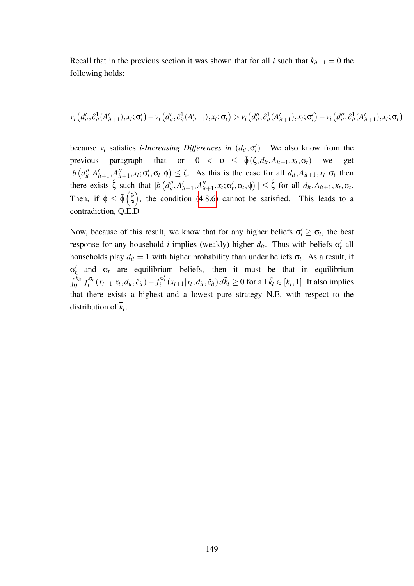Recall that in the previous section it was shown that for all *i* such that  $k_{it-1} = 0$  the following holds:

$$
v_i\left(d'_{it}, \hat{c}_{it}^1(A'_{it+1}), x_t; \sigma'_t\right) - v_i\left(d'_{it}, \hat{c}_{it}^1(A'_{it+1}), x_t; \sigma_t\right) > v_i\left(d''_{it}, \hat{c}_{it}^1(A'_{it+1}), x_t; \sigma'_t\right) - v_i\left(d''_{it}, \hat{c}_{it}^1(A'_{it+1}), x_t; \sigma_t\right)
$$

because  $v_i$  satisfies *i-Increasing Differences in*  $(d_{it}, \sigma_t)$ . We also know from the previous paragraph that or  $0 < \phi \leq \bar{\phi}(\zeta, d_{it}, A_{it+1}, x_t, \sigma_t)$  we get  $|b (d''_{it}, A'_{it})|$  $\hat{a}_{it+1}$ ,  $A_{it}$  $\binom{n}{i}$ ,  $x_t$ ;  $\sigma'_t$ ,  $\sigma_t$ ,  $\phi$ )  $\leq \zeta$ . As this is the case for all  $d_{it}$ ,  $A_{it+1}$ ,  $x_t$ ,  $\sigma_t$  then there exists  $\hat{\zeta}$  such that  $|b(d''_u, A'_i)|$  $\int_{it+1}^{\prime}$ , *A*<sup> $\prime\prime$ </sup>  $\left| \begin{array}{c} u'\\i+1, x_t; \sigma'_t, \sigma_t, \phi \end{array} \right| \leq \hat{\zeta}$  for all  $d_{it}, A_{it+1}, x_t, \sigma_t$ . Then, if  $\phi \leq \bar{\phi}(\hat{\zeta})$ , the condition [\(4.8.6\)](#page-147-2) cannot be satisfied. This leads to a contradiction, Q.E.D

Now, because of this result, we know that for any higher beliefs  $\sigma'_t \geq \sigma_t$ , the best response for any household *i* implies (weakly) higher  $d_{it}$ . Thus with beliefs  $\sigma'_{t}$  all households play  $d_{it} = 1$  with higher probability than under beliefs  $\sigma_t$ . As a result, if  $\sigma'_{t}$  and  $\sigma_{t}$  are equilibrium beliefs, then it must be that in equilibrium  $\int_0^{\hat{k}_{it}} f_i^{\sigma_t}$  $\hat{f}_i^{\sigma_t}(x_{t+1}|x_t, d_{it}, \hat{c}_{it}) - f_i^{\sigma'_t}(x_{t+1}|x_t, d_{it}, \hat{c}_{it}) d\bar{k}_t \ge 0$  for all  $\hat{k}_t \in [\underline{k}_t, 1]$ . It also implies that there exists a highest and a lowest pure strategy N.E. with respect to the distribution of *k<sup>t</sup>* .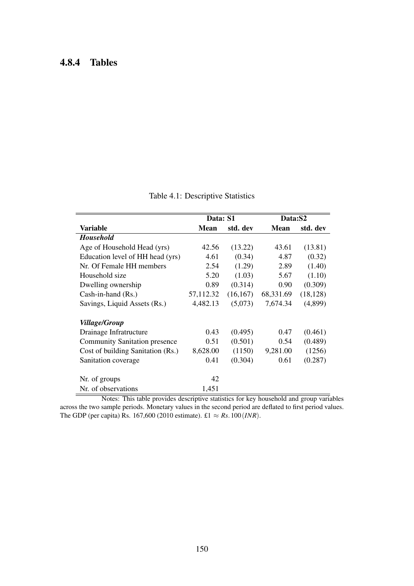## 4.8.4 Tables

|                                      | Data: S1  |           | Data:S2   |           |
|--------------------------------------|-----------|-----------|-----------|-----------|
| <b>Variable</b>                      | Mean      | std. dev  | Mean      | std. dev  |
| <b>Household</b>                     |           |           |           |           |
| Age of Household Head (yrs)          | 42.56     | (13.22)   | 43.61     | (13.81)   |
| Education level of HH head (yrs)     | 4.61      | (0.34)    | 4.87      | (0.32)    |
| Nr. Of Female HH members             | 2.54      | (1.29)    | 2.89      | (1.40)    |
| Household size                       | 5.20      | (1.03)    | 5.67      | (1.10)    |
| Dwelling ownership                   | 0.89      | (0.314)   | 0.90      | (0.309)   |
| Cash-in-hand (Rs.)                   | 57,112.32 | (16, 167) | 68,331.69 | (18, 128) |
| Savings, Liquid Assets (Rs.)         | 4,482.13  | (5,073)   | 7,674.34  | (4,899)   |
| <i><b>Village/Group</b></i>          |           |           |           |           |
| Drainage Infratructure               | 0.43      | (0.495)   | 0.47      | (0.461)   |
| <b>Community Sanitation presence</b> | 0.51      | (0.501)   | 0.54      | (0.489)   |
| Cost of building Sanitation (Rs.)    | 8,628.00  | (1150)    | 9,281.00  | (1256)    |
| Sanitation coverage                  | 0.41      | (0.304)   | 0.61      | (0.287)   |
| Nr. of groups                        | 42        |           |           |           |
| Nr. of observations                  | 1,451     |           |           |           |

Table 4.1: Descriptive Statistics

Notes: This table provides descriptive statistics for key household and group variables across the two sample periods. Monetary values in the second period are deflated to first period values. The GDP (per capita) Rs. 167,600 (2010 estimate). £1  $\approx$  *Rs*. 100 (*INR*).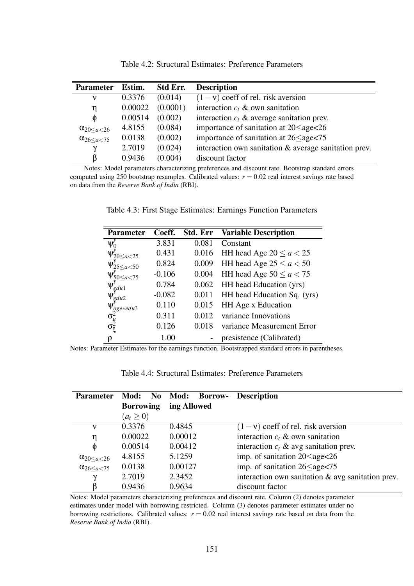| <b>Parameter</b>             | Estim.  | <b>Std Err.</b> | <b>Description</b>                                       |
|------------------------------|---------|-----------------|----------------------------------------------------------|
| ν                            | 0.3376  | (0.014)         | $(1 - v)$ coeff of rel. risk aversion                    |
| η                            | 0.00022 | (0.0001)        | interaction $c_t$ & own sanitation                       |
| $\Phi$                       | 0.00514 | (0.002)         | interaction $c_t$ & average sanitation prev.             |
| $\alpha_{20 \leq a \leq 26}$ | 4.8155  | (0.084)         | importance of sanitation at $20 \leq$ age $\leq$ 26      |
| $\alpha_{26 \leq a < 75}$    | 0.0138  | (0.002)         | importance of sanitation at $26 \leq$ age $<$ 75         |
| $\mathbf v$                  | 2.7019  | (0.024)         | interaction own sanitation $\&$ average sanitation prev. |
|                              | 0.9436  | (0.004)         | discount factor                                          |

Table 4.2: Structural Estimates: Preference Parameters

Notes: Model parameters characterizing preferences and discount rate. Bootstrap standard errors computed using 250 bootstrap resamples. Calibrated values:  $r = 0.02$  real interest savings rate based on data from the *Reserve Bank of India* (RBI).

| <b>Parameter</b>                               | Coeff.   | Std. Err | <b>Variable Description</b> |
|------------------------------------------------|----------|----------|-----------------------------|
| Ψ                                              | 3.831    | 0.081    | Constant                    |
| $\Psi'_{20 \leq a < 25}$                       | 0.431    | 0.016    | HH head Age $20 \le a < 25$ |
| $\Psi_{25 \leq a < 50}$                        | 0.824    | 0.009    | HH head Age $25 \le a < 50$ |
| $\Psi_{50 \leq a < 75}$                        | $-0.106$ | 0.004    | HH head Age $50 \le a < 75$ |
| $\textbf{U}^\prime$<br>$\tau$ <sub>g</sub> dul | 0.784    | 0.062    | HH head Education (yrs)     |
| ₩<br>$\epsilon_{\rm g}$ du2                    | $-0.082$ | 0.011    | HH head Education Sq. (yrs) |
| age*edu3                                       | 0.110    | 0.015    | HH Age x Education          |
| $\sigma_u^2$                                   | 0.311    | 0.012    | variance Innovations        |
| $\sigma_{\tilde{\varepsilon}}$                 | 0.126    | 0.018    | variance Measurement Error  |
| ρ                                              | 1.00     |          | presistence (Calibrated)    |

Notes: Parameter Estimates for the earnings function. Bootstrapped standard errors in parentheses.

| <b>Parameter</b>          | Mod:<br>No       | Mod: Borrow- | <b>Description</b>                                   |
|---------------------------|------------------|--------------|------------------------------------------------------|
|                           | <b>Borrowing</b> | ing Allowed  |                                                      |
|                           | $(a_t \geq 0)$   |              |                                                      |
| ν                         | 0.3376           | 0.4845       | $(1 - v)$ coeff of rel. risk aversion                |
| η                         | 0.00022          | 0.00012      | interaction $c_t$ & own sanitation                   |
| $\Phi$                    | 0.00514          | 0.00412      | interaction $c_t$ & avg sanitation prev.             |
| $\alpha_{20 \leq a < 26}$ | 4.8155           | 5.1259       | imp. of sanitation $20 \leq$ age $<$ 26              |
| $\alpha_{26 \leq a < 75}$ | 0.0138           | 0.00127      | imp. of sanitation $26 \leq$ age $\leq$ 75           |
| $\gamma$                  | 2.7019           | 2.3452       | interaction own sanitation $\&$ avg sanitation prev. |
| ß                         | 0.9436           | 0.9634       | discount factor                                      |

Notes: Model parameters characterizing preferences and discount rate. Column (2) denotes parameter estimates under model with borrowing restricted. Column (3) denotes parameter estimates under no borrowing restrictions. Calibrated values:  $r = 0.02$  real interest savings rate based on data from the *Reserve Bank of India* (RBI).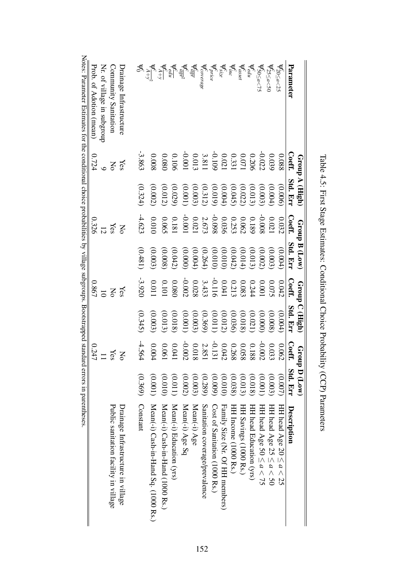|                                                                                     |                                                                                                              | Group A (High)                      |                                                                 | Group B (Low) |                         | Group C (High) | <b>Group</b>   | <b>D</b> (Low) |                                       |
|-------------------------------------------------------------------------------------|--------------------------------------------------------------------------------------------------------------|-------------------------------------|-----------------------------------------------------------------|---------------|-------------------------|----------------|----------------|----------------|---------------------------------------|
| Parameter                                                                           | Coeff.                                                                                                       | Std. Err                            | $\rm Coeff.$                                                    | Std. Err      | $\operatorname{Coeff.}$ | Std. Err       | <b>Coeff.</b>  | Std. Err       | Description                           |
| $\frac{450}{20} \leq a < 25$                                                        | 880.0                                                                                                        | (0.006)                             | 0.032                                                           | (0.004)       | 0.042                   | (0.004)        | 0.062          | (0.007)        | HH head Age $20 \le a < 25$           |
| $\mathsf{\mathcal{V}}_{25 \leq a < 50}$                                             | 0.039                                                                                                        | (0.004)                             | 0.021                                                           | (0.003)       | 0.075                   | (0.008)        | 0.033          | (0.003)        | HH head Age 25 $\le a < 50$           |
| $\sqrt{50} \leq a < 75$                                                             |                                                                                                              | (0.003)                             | -0.008                                                          | (0.002)       | 1000                    | (0.000)        | -0.002         | (0.001)        | HH head Age 50 $\le a < 75$           |
| $\mathbf{\mathsf{v}}_{edu}^c$                                                       |                                                                                                              | (0.013)                             |                                                                 | (0.013)       | 0.244                   | (0.021)        | 0.188          | (0.018)        | HH head Education (yrs)               |
| $\mathbf{V}_{asset}^{c}$                                                            |                                                                                                              |                                     | $\begin{array}{c} 0.189 \\ 0.062 \\ 0.253 \\ 0.036 \end{array}$ | (0.014)       | <b>0.083</b>            | (0.018)        | 0.058          | (0.013)        | HH Savings (1000 Rs.)                 |
| $\mathbf{v}^c_{inc}$                                                                |                                                                                                              | (0.022)                             |                                                                 | (0.042)       | 0.213                   | (0.036)        | 0.268          | (0.038)        | HH Income (1000 Rs.)                  |
| $\mathbf{v}_{size}^c$                                                               |                                                                                                              |                                     |                                                                 | (0.010)       |                         | (0.012)        | 0.042          | (0.010)        | Family Size (Nr. Of HH members)       |
| Verice                                                                              |                                                                                                              | $(0.004)$<br>$(0.019)$<br>$(0.312)$ | 860.0-                                                          | (0.010)       | 10.041                  | (0.011)        | $-0.131$       | (0.000)        | Cost of Sanitation (1000 Rs.)         |
| $\int \! \cos \theta \, d \theta \, e$                                              |                                                                                                              |                                     |                                                                 |               |                         | (0.369)        |                | (0.289)        | Sanitation coverage/prevalence        |
|                                                                                     |                                                                                                              | (0.003)                             | 2.673                                                           | (0.264)       | $3.433$<br>0.028        | (0.003)        | 2.851<br>0.018 | (0.003)        | Mean(-i) Age                          |
| يو تون<br>ماڻو                                                                      | $\begin{array}{r} -0.022 \\ 0.071 \\ 0.071 \\ 0.021 \\ 0.0021 \\ 0.001 \\ -0.0001 \\ -0.0001 \\ \end{array}$ | $(0.001)$                           | $-0.001$                                                        | (0.000)       | -0.002                  | (0.001)        | $-0.002$       | (0.002)        | Mean(-i) Age Sq                       |
|                                                                                     | 0.106                                                                                                        | (0.029)                             | $0.181$<br>0.065                                                | (0.042)       | 0.080                   | (0.018)        | 0.041          | (0.011)        | Mean(-i) Education (yrs)              |
|                                                                                     | 0.080                                                                                                        | (0.012)                             |                                                                 | (0.008)       | 0.101                   | (0.013)        | 0.061          | (0100)         | Mean(-i) Cash-in-Hand (1000 Rs.)      |
| $\begin{array}{c}\n\frac{\sqrt{6}}{4\pi} \\ \frac{\sqrt{4}}{4+\gamma}\n\end{array}$ | 0.008                                                                                                        | (0.002)                             | 01000                                                           | (0.003)       | 110.0                   | (0.003)        | 0.004          | (0.001)        | Mean(-i) Cash-in-Hand Sq. (1000 Rs.)  |
|                                                                                     | $-3.862$                                                                                                     | (0.324)                             | $-4.623$                                                        | (0.481)       | -3.920                  | (0.345)        | $-4.564$       | (0.369)        | Constant                              |
| Drainage Infrastructure                                                             | Yes                                                                                                          |                                     | No                                                              |               | Yes                     |                | No             |                | Drainage Infrastructure in village    |
| Community Sanitation                                                                | $\mathsf{N}^{\mathsf{O}}$                                                                                    |                                     | Yes                                                             |               | Š                       |                | Yes            |                | Public sanitation facility in village |
| Nr. of village in subgroup                                                          |                                                                                                              |                                     |                                                                 |               | $\overline{5}$          |                |                |                |                                       |
| Prob. of Adotion (mean)                                                             | 0.724                                                                                                        |                                     | 0.326                                                           |               | 0.867                   |                | 0.247          |                |                                       |

| .<br>r                                                                                                                                                                                                                                                                 |  |
|------------------------------------------------------------------------------------------------------------------------------------------------------------------------------------------------------------------------------------------------------------------------|--|
| $10001$ and $10001$ and $10001$ and $10001$ and $10001$ and $10001$ and $10001$ and $10001$ and $10001$ and $10001$ and $10001$ and $10001$ and $10001$ and $10001$ and $10001$ and $10001$ and $10001$ and $10001$ and $1000$<br>$\sum_{i=1}^n \sum_{i=1}^n \alpha_i$ |  |
| $\ddot{\cdot}$                                                                                                                                                                                                                                                         |  |
| .<br>נ                                                                                                                                                                                                                                                                 |  |
| $\frac{1}{2}$ $\frac{1}{2}$ $\frac{1}{2}$                                                                                                                                                                                                                              |  |
| 1                                                                                                                                                                                                                                                                      |  |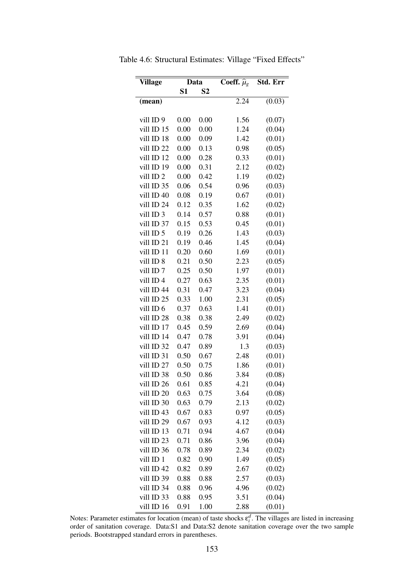| <b>Village</b>       |                | Data           | Coeff. $\hat{\mu}_g$ | Std. Err |
|----------------------|----------------|----------------|----------------------|----------|
|                      | S <sub>1</sub> | S <sub>2</sub> |                      |          |
| (mean)               |                |                | 2.24                 | (0.03)   |
|                      |                |                |                      |          |
| vill ID <sub>9</sub> | 0.00           | 0.00           | 1.56                 | (0.07)   |
| vill ID 15           | 0.00           | 0.00           | 1.24                 | (0.04)   |
| vill ID 18           | 0.00           | 0.09           | 1.42                 | (0.01)   |
| vill ID 22           | 0.00           | 0.13           | 0.98                 | (0.05)   |
| vill ID 12           | 0.00           | 0.28           | 0.33                 | (0.01)   |
| vill ID 19           | 0.00           | 0.31           | 2.12                 | (0.02)   |
| vill ID <sub>2</sub> | 0.00           | 0.42           | 1.19                 | (0.02)   |
| vill ID 35           | 0.06           | 0.54           | 0.96                 | (0.03)   |
| vill ID 40           | 0.08           | 0.19           | 0.67                 | (0.01)   |
| vill ID 24           | 0.12           | 0.35           | 1.62                 | (0.02)   |
| vill ID 3            | 0.14           | 0.57           | 0.88                 | (0.01)   |
| vill ID 37           | 0.15           | 0.53           | 0.45                 | (0.01)   |
| vill ID 5            | 0.19           | 0.26           | 1.43                 | (0.03)   |
| vill ID 21           | 0.19           | 0.46           | 1.45                 | (0.04)   |
| vill ID 11           | 0.20           | 0.60           | 1.69                 | (0.01)   |
| vill ID 8            | 0.21           | 0.50           | 2.23                 | (0.05)   |
| vill ID <sub>7</sub> | 0.25           | 0.50           | 1.97                 | (0.01)   |
| vill ID <sub>4</sub> | 0.27           | 0.63           | 2.35                 | (0.01)   |
| vill ID 44           | 0.31           | 0.47           | 3.23                 | (0.04)   |
| vill ID 25           | 0.33           | 1.00           | 2.31                 | (0.05)   |
| vill ID 6            | 0.37           | 0.63           | 1.41                 | (0.01)   |
| vill ID 28           | 0.38           | 0.38           | 2.49                 | (0.02)   |
| vill ID 17           | 0.45           | 0.59           | 2.69                 | (0.04)   |
| vill ID 14           | 0.47           | 0.78           | 3.91                 | (0.04)   |
| vill ID 32           | 0.47           | 0.89           | 1.3                  | (0.03)   |
| vill ID 31           | 0.50           | 0.67           | 2.48                 | (0.01)   |
| vill ID 27           | 0.50           | 0.75           | 1.86                 | (0.01)   |
| vill ID 38           | 0.50           | 0.86           | 3.84                 | (0.08)   |
| vill ID 26           | 0.61           | 0.85           | 4.21                 | (0.04)   |
| vill ID 20           | 0.63           | 0.75           | 3.64                 | (0.08)   |
| vill ID 30           | 0.63           | 0.79           | 2.13                 | (0.02)   |
| vill ID 43           | 0.67           | 0.83           | 0.97                 | (0.05)   |
| vill ID 29           | 0.67           | 0.93           | 4.12                 | (0.03)   |
| vill ID 13           | 0.71           | 0.94           | 4.67                 | (0.04)   |
| vill ID 23           | 0.71           | 0.86           | 3.96                 | (0.04)   |
| vill ID 36           | 0.78           | 0.89           | 2.34                 | (0.02)   |
| vill ID 1            | 0.82           | 0.90           | 1.49                 | (0.05)   |
| vill ID 42           | 0.82           | 0.89           | 2.67                 | (0.02)   |
| vill ID 39           | 0.88           | 0.88           | 2.57                 | (0.03)   |
| vill ID 34           | 0.88           | 0.96           | 4.96                 | (0.02)   |
| vill ID 33           | 0.88           | 0.95           | 3.51                 | (0.04)   |
| vill ID 16           | 0.91           | 1.00           | 2.88                 | (0.01)   |

Table 4.6: Structural Estimates: Village "Fixed Effects"

Notes: Parameter estimates for location (mean) of taste shocks  $\varepsilon_i^d$ . The villages are listed in increasing order of sanitation coverage. Data:S1 and Data:S2 denote sanitation coverage over the two sample periods. Bootstrapped standard errors in parentheses.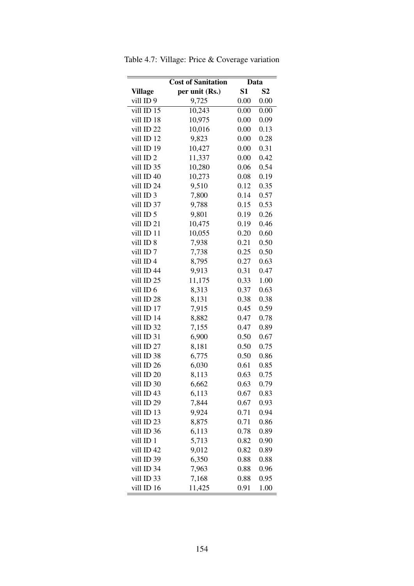|                      | <b>Cost of Sanitation</b> | Data                 |      |  |
|----------------------|---------------------------|----------------------|------|--|
| <b>Village</b>       | per unit (Rs.)            | S1<br>S <sub>2</sub> |      |  |
| vill ID <sub>9</sub> | 9,725                     | 0.00                 | 0.00 |  |
| vill ID 15           | 10,243                    | 0.00                 | 0.00 |  |
| vill ID 18           | 10,975                    | 0.00                 | 0.09 |  |
| vill ID 22           | 10,016                    | 0.00                 | 0.13 |  |
| vill ID 12           | 9,823                     | 0.00                 | 0.28 |  |
| vill ID 19           | 10,427                    | 0.00                 | 0.31 |  |
| vill ID <sub>2</sub> | 11,337                    | 0.00                 | 0.42 |  |
| vill ID 35           | 10,280                    | 0.06                 | 0.54 |  |
| vill ID 40           | 10,273                    | 0.08                 | 0.19 |  |
| vill ID 24           | 9,510                     | 0.12                 | 0.35 |  |
| vill ID 3            | 7,800                     | 0.14                 | 0.57 |  |
| vill ID 37           | 9,788                     | 0.15                 | 0.53 |  |
| vill ID 5            | 9,801                     | 0.19                 | 0.26 |  |
| vill ID 21           | 10,475                    | 0.19                 | 0.46 |  |
| vill ID 11           | 10,055                    | 0.20                 | 0.60 |  |
| vill ID <sub>8</sub> | 7,938                     | 0.21                 | 0.50 |  |
| vill ID <sub>7</sub> | 7,738                     | 0.25                 | 0.50 |  |
| vill ID4             | 8,795                     | 0.27                 | 0.63 |  |
| vill ID 44           | 9,913                     | 0.31                 | 0.47 |  |
| vill ID 25           | 11,175                    | 0.33                 | 1.00 |  |
| vill ID 6            | 8,313                     | 0.37                 | 0.63 |  |
| vill ID 28           | 8,131                     | 0.38                 | 0.38 |  |
| vill ID 17           | 7,915                     | 0.45                 | 0.59 |  |
| vill ID 14           | 8,882                     | 0.47                 | 0.78 |  |
| vill ID 32           | 7,155                     | 0.47                 | 0.89 |  |
| vill ID 31           | 6,900                     | 0.50                 | 0.67 |  |
| vill ID 27           | 8,181                     | 0.50                 | 0.75 |  |
| vill ID 38           | 6,775                     | 0.50                 | 0.86 |  |
| vill ID 26           | 6,030                     | 0.61                 | 0.85 |  |
| vill ID 20           | 8,113                     | 0.63                 | 0.75 |  |
| vill ID 30           | 6,662                     | 0.63                 | 0.79 |  |
| vill ID 43           | 6,113                     | 0.67                 | 0.83 |  |
| vill ID 29           | 7,844                     | 0.67                 | 0.93 |  |
| vill ID 13           | 9,924                     | 0.71                 | 0.94 |  |
| vill ID 23           | 8,875                     | 0.71                 | 0.86 |  |
| vill ID 36           | 6,113                     | 0.78                 | 0.89 |  |
| vill ID 1            | 5,713                     | 0.82                 | 0.90 |  |
| vill ID 42           | 9,012                     | 0.82                 | 0.89 |  |
| vill ID 39           | 6,350                     | 0.88                 | 0.88 |  |
| vill ID 34           | 7,963                     | 0.88                 | 0.96 |  |
| vill ID 33           | 7,168                     | 0.88                 | 0.95 |  |
| vill ID 16           | 11,425                    | 0.91                 | 1.00 |  |

Table 4.7: Village: Price & Coverage variation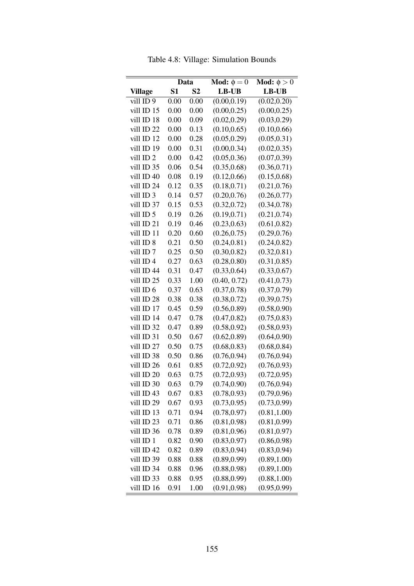|                      | Data           |                | <b>Mod:</b> $\phi = 0$ | Mod: $\phi > 0$ |  |
|----------------------|----------------|----------------|------------------------|-----------------|--|
| <b>Village</b>       | S <sub>1</sub> | S <sub>2</sub> | $LB$ -UB               | LB-UB           |  |
| vill ID <sub>9</sub> | 0.00           | 0.00           | (0.00, 0.19)           | (0.02, 0.20)    |  |
| vill ID 15           | 0.00           | 0.00           | (0.00, 0.25)           | (0.00, 0.25)    |  |
| vill ID 18           | 0.00           | 0.09           | (0.02, 0.29)           | (0.03, 0.29)    |  |
| vill ID 22           | 0.00           | 0.13           | (0.10, 0.65)           | (0.10, 0.66)    |  |
| vill ID 12           | 0.00           | 0.28           | (0.05, 0.29)           | (0.05, 0.31)    |  |
| vill ID 19           | 0.00           | 0.31           | (0.00, 0.34)           | (0.02, 0.35)    |  |
| vill ID <sub>2</sub> | 0.00           | 0.42           | (0.05, 0.36)           | (0.07, 0.39)    |  |
| vill ID 35           | 0.06           | 0.54           | (0.35, 0.68)           | (0.36, 0.71)    |  |
| vill ID 40           | 0.08           | 0.19           | (0.12, 0.66)           | (0.15, 0.68)    |  |
| vill ID 24           | 0.12           | 0.35           | (0.18, 0.71)           | (0.21, 0.76)    |  |
| vill ID 3            | 0.14           | 0.57           | (0.20, 0.76)           | (0.26, 0.77)    |  |
| vill ID 37           | 0.15           | 0.53           | (0.32, 0.72)           | (0.34, 0.78)    |  |
| vill ID 5            | 0.19           | 0.26           | (0.19, 0.71)           | (0.21, 0.74)    |  |
| vill ID 21           | 0.19           | 0.46           | (0.23, 0.63)           | (0.61, 0.82)    |  |
| vill ID 11           | 0.20           | 0.60           | (0.26, 0.75)           | (0.29, 0.76)    |  |
| vill ID 8            | 0.21           | 0.50           | (0.24, 0.81)           | (0.24, 0.82)    |  |
| vill ID <sub>7</sub> | 0.25           | 0.50           | (0.30, 0.82)           | (0.32, 0.81)    |  |
| vill ID <sub>4</sub> | 0.27           | 0.63           | (0.28, 0.80)           | (0.31, 0.85)    |  |
| vill ID 44           | 0.31           | 0.47           | (0.33, 0.64)           | (0.33, 0.67)    |  |
| vill ID 25           | 0.33           | 1.00           | (0.40, 0.72)           | (0.41, 0.73)    |  |
| vill ID 6            | 0.37           | 0.63           | (0.37, 0.78)           | (0.37, 0.79)    |  |
| vill ID 28           | 0.38           | 0.38           | (0.38, 0.72)           | (0.39, 0.75)    |  |
| vill ID 17           | 0.45           | 0.59           | (0.56, 0.89)           | (0.58, 0.90)    |  |
| vill ID 14           | 0.47           | 0.78           | (0.47, 0.82)           | (0.75, 0.83)    |  |
| vill ID 32           | 0.47           | 0.89           | (0.58, 0.92)           | (0.58, 0.93)    |  |
| vill ID 31           | 0.50           | 0.67           | (0.62, 0.89)           | (0.64, 0.90)    |  |
| vill ID 27           | 0.50           | 0.75           | (0.68, 0.83)           | (0.68, 0.84)    |  |
| vill ID 38           | 0.50           | 0.86           | (0.76, 0.94)           | (0.76, 0.94)    |  |
| vill ID 26           | 0.61           | 0.85           | (0.72, 0.92)           | (0.76, 0.93)    |  |
| vill ID 20           | 0.63           | 0.75           | (0.72, 0.93)           | (0.72, 0.95)    |  |
| vill ID 30           | 0.63           | 0.79           | (0.74, 0.90)           | (0.76, 0.94)    |  |
| vill ID 43           | 0.67           | 0.83           | (0.78, 0.93)           | (0.79, 0.96)    |  |
| vill ID 29           | 0.67           | 0.93           | (0.73, 0.95)           | (0.73, 0.99)    |  |
| vill ID 13           | 0.71           | 0.94           | (0.78, 0.97)           | (0.81, 1.00)    |  |
| vill ID 23           | 0.71           | 0.86           | (0.81, 0.98)           | (0.81, 0.99)    |  |
| vill ID 36           | 0.78           | 0.89           | (0.81, 0.96)           | (0.81, 0.97)    |  |
| vill ID 1            | 0.82           | 0.90           | (0.83, 0.97)           | (0.86, 0.98)    |  |
| vill ID 42           | 0.82           | 0.89           | (0.83, 0.94)           | (0.83, 0.94)    |  |
| vill ID 39           | 0.88           | 0.88           | (0.89, 0.99)           | (0.89, 1.00)    |  |
| vill ID 34           | 0.88           | 0.96           | (0.88, 0.98)           | (0.89, 1.00)    |  |
| vill ID 33           | 0.88           | 0.95           | (0.88, 0.99)           | (0.88, 1.00)    |  |
| vill ID 16           | 0.91           | 1.00           | (0.91, 0.98)           | (0.95, 0.99)    |  |

Table 4.8: Village: Simulation Bounds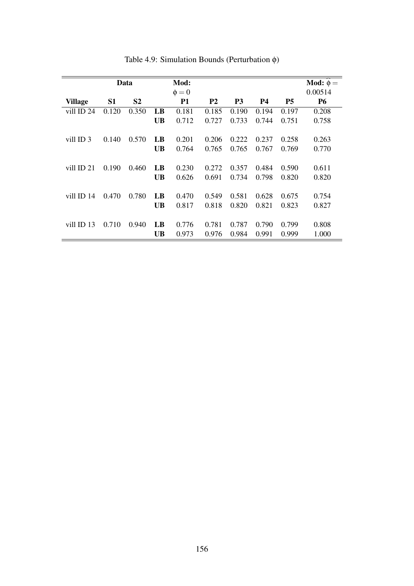|                |                | Data           |           | Mod:       |                |                |           |           | Mod: $\phi =$ |
|----------------|----------------|----------------|-----------|------------|----------------|----------------|-----------|-----------|---------------|
|                |                |                |           | $\phi = 0$ |                |                |           |           | 0.00514       |
| <b>Village</b> | S <sub>1</sub> | S <sub>2</sub> |           | <b>P1</b>  | P <sub>2</sub> | P <sub>3</sub> | <b>P4</b> | <b>P5</b> | <b>P6</b>     |
| vill ID 24     | 0.120          | 0.350          | LB        | 0.181      | 0.185          | 0.190          | 0.194     | 0.197     | 0.208         |
|                |                |                | <b>UB</b> | 0.712      | 0.727          | 0.733          | 0.744     | 0.751     | 0.758         |
|                |                |                |           |            |                |                |           |           |               |
| vill ID 3      | 0.140          | 0.570          | LB        | 0.201      | 0.206          | 0.222          | 0.237     | 0.258     | 0.263         |
|                |                |                | <b>UB</b> | 0.764      | 0.765          | 0.765          | 0.767     | 0.769     | 0.770         |
|                |                |                |           |            |                |                |           |           |               |
| vill ID 21     | 0.190          | 0.460          | LB        | 0.230      | 0.272          | 0.357          | 0.484     | 0.590     | 0.611         |
|                |                |                | <b>UB</b> | 0.626      | 0.691          | 0.734          | 0.798     | 0.820     | 0.820         |
|                |                |                |           |            |                |                |           |           |               |
| vill ID 14     | 0.470          | 0.780          | LB        | 0.470      | 0.549          | 0.581          | 0.628     | 0.675     | 0.754         |
|                |                |                | <b>UB</b> | 0.817      | 0.818          | 0.820          | 0.821     | 0.823     | 0.827         |
|                |                |                |           |            |                |                |           |           |               |
| villID13       | 0.710          | 0.940          | LB        | 0.776      | 0.781          | 0.787          | 0.790     | 0.799     | 0.808         |
|                |                |                | <b>UB</b> | 0.973      | 0.976          | 0.984          | 0.991     | 0.999     | 1.000         |
|                |                |                |           |            |                |                |           |           |               |

Table 4.9: Simulation Bounds (Perturbation φ)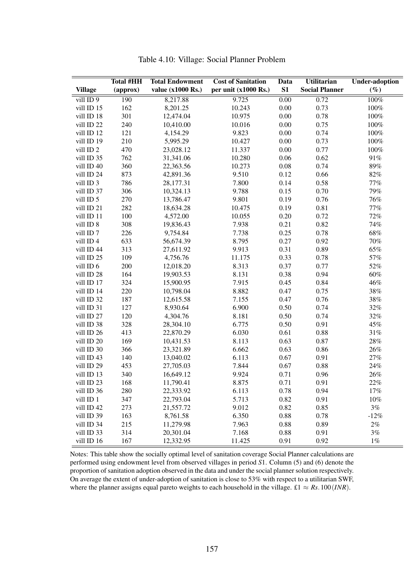|                      | <b>Total #HH</b> | <b>Total Endowment</b> | <b>Cost of Sanitation</b> | Data     | <b>Utilitarian</b>    | <b>Under-adoption</b> |
|----------------------|------------------|------------------------|---------------------------|----------|-----------------------|-----------------------|
| <b>Village</b>       | (approx)         | value (x1000 Rs.)      | per unit (x1000 Rs.)      | S1       | <b>Social Planner</b> | $(\%)$                |
| vill ID 9            | 190              | 8,217.88               | 9.725                     | 0.00     | 0.72                  | 100%                  |
| vill ID 15           | 162              | 8,201.25               | 10.243                    | $0.00\,$ | 0.73                  | $100\%$               |
| vill ID 18           | 301              | 12,474.04              | 10.975                    | 0.00     | 0.78                  | $100\%$               |
| vill ID 22           | 240              | 10,410.00              | 10.016                    | 0.00     | 0.75                  | $100\%$               |
| vill ID 12           | 121              | 4,154.29               | 9.823                     | 0.00     | 0.74                  | $100\%$               |
| vill ID 19           | 210              | 5,995.29               | 10.427                    | 0.00     | 0.73                  | 100%                  |
| vill ID <sub>2</sub> | 470              | 23,028.12              | 11.337                    | 0.00     | 0.77                  | 100%                  |
| vill ID 35           | 762              | 31,341.06              | 10.280                    | 0.06     | 0.62                  | 91%                   |
| vill ID 40           | 360              | 22,363.56              | 10.273                    | 0.08     | 0.74                  | $89\%$                |
| vill ID 24           | 873              | 42,891.36              | 9.510                     | 0.12     | 0.66                  | 82%                   |
| vill ID 3            | 786              | 28,177.31              | 7.800                     | 0.14     | 0.58                  | $77\%$                |
| vill ID 37           | 306              | 10,324.13              | 9.788                     | 0.15     | 0.70                  | 79%                   |
| vill ID 5            | 270              | 13,786.47              | 9.801                     | 0.19     | 0.76                  | 76%                   |
| vill ID 21           | 282              | 18,634.28              | 10.475                    | 0.19     | 0.81                  | $77\%$                |
| vill ID 11           | 100              | 4,572.00               | 10.055                    | 0.20     | 0.72                  | 72%                   |
| vill ID 8            | 308              | 19,836.43              | 7.938                     | 0.21     | 0.82                  | 74%                   |
| vill ID 7            | 226              | 9,754.84               | 7.738                     | 0.25     | 0.78                  | 68%                   |
| vill ID 4            | 633              | 56,674.39              | 8.795                     | 0.27     | 0.92                  | $70\%$                |
| vill ID 44           | 313              | 27,611.92              | 9.913                     | 0.31     | 0.89                  | 65%                   |
| vill ID 25           | 109              | 4,756.76               | 11.175                    | 0.33     | 0.78                  | 57%                   |
| vill ID 6            | 200              | 12,018.20              | 8.313                     | 0.37     | 0.77                  | 52%                   |
| vill ID 28           | 164              | 19,903.53              | 8.131                     | 0.38     | 0.94                  | $60\%$                |
| vill ID 17           | 324              | 15,900.95              | 7.915                     | 0.45     | 0.84                  | 46%                   |
| vill ID 14           | 220              | 10,798.04              | 8.882                     | 0.47     | 0.75                  | 38%                   |
| vill ID 32           | 187              | 12,615.58              | 7.155                     | 0.47     | 0.76                  | 38%                   |
| vill ID 31           | 127              | 8,930.64               | 6.900                     | 0.50     | 0.74                  | 32%                   |
| vill ID 27           | 120              | 4,304.76               | 8.181                     | 0.50     | 0.74                  | 32%                   |
| vill ID 38           | 328              | 28,304.10              | 6.775                     | 0.50     | 0.91                  | 45%                   |
| vill ID 26           | 413              | 22,870.29              | 6.030                     | 0.61     | 0.88                  | $31\%$                |
| vill ID 20           | 169              | 10,431.53              | 8.113                     | 0.63     | 0.87                  | $28\%$                |
| vill ID 30           | 366              | 23,321.89              | 6.662                     | 0.63     | 0.86                  | 26%                   |
| vill ID 43           | 140              | 13,040.02              | 6.113                     | 0.67     | 0.91                  | $27\%$                |
| vill ID 29           | 453              | 27,705.03              | 7.844                     | 0.67     | 0.88                  | 24%                   |
| vill ID 13           | 340              | 16,649.12              | 9.924                     | 0.71     | 0.96                  | 26%                   |
| vill ID 23           | 168              | 11,790.41              | 8.875                     | 0.71     | 0.91                  | 22%                   |
| vill ID 36           | 280              | 22,333.92              | 6.113                     | 0.78     | 0.94                  | $17\%$                |
| vill ID 1            | 347              | 22,793.04              | 5.713                     | 0.82     | 0.91                  | $10\%$                |
| vill ID 42           | 273              | 21,557.72              | 9.012                     | 0.82     | 0.85                  | 3%                    |
| vill ID 39           | 163              | 8,761.58               | 6.350                     | 0.88     | 0.78                  | $-12%$                |
| vill ID 34           | 215              | 11,279.98              | 7.963                     | 0.88     | 0.89                  | $2\%$                 |
| vill ID 33           | 314              | 20,301.04              | 7.168                     | 0.88     | 0.91                  | 3%                    |
| vill ID 16           | 167              | 12,332.95              | 11.425                    | 0.91     | 0.92                  | $1\%$                 |

Table 4.10: Village: Social Planner Problem

Notes: This table show the socially optimal level of sanitation coverage Social Planner calculations are performed using endowment level from observed villages in period *S*1. Column (5) and (6) denote the proportion of sanitation adoption observed in the data and under the social planner solution respectively. On average the extent of under-adoption of sanitation is close to 53% with respect to a utilitarian SWF, where the planner assigns equal pareto weights to each household in the village. £1  $\approx$  *Rs*.100(*INR*).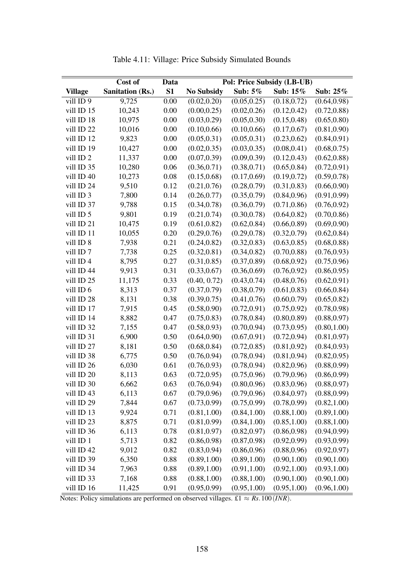|                      | Cost of<br>Data         |      | Pol: Price Subsidy (LB-UB) |              |              |              |
|----------------------|-------------------------|------|----------------------------|--------------|--------------|--------------|
| <b>Village</b>       | <b>Sanitation (Rs.)</b> | S1   | <b>No Subsidy</b>          | Sub: 5%      | Sub: 15%     | Sub: 25%     |
| vill ID 9            | 9,725                   | 0.00 | (0.02, 0.20)               | (0.05, 0.25) | (0.18, 0.72) | (0.64, 0.98) |
| vill ID 15           | 10,243                  | 0.00 | (0.00, 0.25)               | (0.02, 0.26) | (0.12, 0.42) | (0.72, 0.88) |
| vill ID 18           | 10,975                  | 0.00 | (0.03, 0.29)               | (0.05, 0.30) | (0.15, 0.48) | (0.65, 0.80) |
| vill ID 22           | 10,016                  | 0.00 | (0.10, 0.66)               | (0.10, 0.66) | (0.17, 0.67) | (0.81, 0.90) |
| vill ID 12           | 9,823                   | 0.00 | (0.05, 0.31)               | (0.05, 0.31) | (0.23, 0.62) | (0.84, 0.91) |
| vill ID 19           | 10,427                  | 0.00 | (0.02, 0.35)               | (0.03, 0.35) | (0.08, 0.41) | (0.68, 0.75) |
| vill ID <sub>2</sub> | 11,337                  | 0.00 | (0.07, 0.39)               | (0.09, 0.39) | (0.12, 0.43) | (0.62, 0.88) |
| vill ID 35           | 10,280                  | 0.06 | (0.36, 0.71)               | (0.38, 0.71) | (0.65, 0.84) | (0.72, 0.91) |
| vill ID 40           | 10,273                  | 0.08 | (0.15, 0.68)               | (0.17, 0.69) | (0.19, 0.72) | (0.59, 0.78) |
| vill ID 24           | 9,510                   | 0.12 | (0.21, 0.76)               | (0.28, 0.79) | (0.31, 0.83) | (0.66, 0.90) |
| vill ID 3            | 7,800                   | 0.14 | (0.26, 0.77)               | (0.35, 0.79) | (0.84, 0.96) | (0.91, 0.99) |
| vill ID 37           | 9,788                   | 0.15 | (0.34, 0.78)               | (0.36, 0.79) | (0.71, 0.86) | (0.76, 0.92) |
| vill ID 5            | 9,801                   | 0.19 | (0.21, 0.74)               | (0.30, 0.78) | (0.64, 0.82) | (0.70, 0.86) |
| vill ID 21           | 10,475                  | 0.19 | (0.61, 0.82)               | (0.62, 0.84) | (0.66, 0.89) | (0.69, 0.90) |
| vill ID 11           | 10,055                  | 0.20 | (0.29, 0.76)               | (0.29, 0.78) | (0.32, 0.79) | (0.62, 0.84) |
| vill ID 8            | 7,938                   | 0.21 | (0.24, 0.82)               | (0.32, 0.83) | (0.63, 0.85) | (0.68, 0.88) |
| vill ID <sub>7</sub> | 7,738                   | 0.25 | (0.32, 0.81)               | (0.34, 0.82) | (0.70, 0.88) | (0.76, 0.93) |
| vill ID 4            | 8,795                   | 0.27 | (0.31, 0.85)               | (0.37, 0.89) | (0.68, 0.92) | (0.75, 0.96) |
| vill ID 44           | 9,913                   | 0.31 | (0.33, 0.67)               | (0.36, 0.69) | (0.76, 0.92) | (0.86, 0.95) |
| vill ID 25           | 11,175                  | 0.33 | (0.40, 0.72)               | (0.43, 0.74) | (0.48, 0.76) | (0.62, 0.91) |
| vill ID 6            | 8,313                   | 0.37 | (0.37, 0.79)               | (0.38, 0.79) | (0.61, 0.83) | (0.66, 0.84) |
| vill ID 28           | 8,131                   | 0.38 | (0.39, 0.75)               | (0.41, 0.76) | (0.60, 0.79) | (0.65, 0.82) |
| vill ID 17           | 7,915                   | 0.45 | (0.58, 0.90)               | (0.72, 0.91) | (0.75, 0.92) | (0.78, 0.98) |
| vill ID 14           | 8,882                   | 0.47 | (0.75, 0.83)               | (0.78, 0.84) | (0.80, 0.89) | (0.88, 0.97) |
| vill ID 32           | 7,155                   | 0.47 | (0.58, 0.93)               | (0.70, 0.94) | (0.73, 0.95) | (0.80, 1.00) |
| vill ID 31           | 6,900                   | 0.50 | (0.64, 0.90)               | (0.67, 0.91) | (0.72, 0.94) | (0.81, 0.97) |
| vill ID 27           | 8,181                   | 0.50 | (0.68, 0.84)               | (0.72, 0.85) | (0.81, 0.92) | (0.84, 0.93) |
| vill ID 38           | 6,775                   | 0.50 | (0.76, 0.94)               | (0.78, 0.94) | (0.81, 0.94) | (0.82, 0.95) |
| vill ID 26           | 6,030                   | 0.61 | (0.76, 0.93)               | (0.78, 0.94) | (0.82, 0.96) | (0.88, 0.99) |
| vill ID 20           | 8,113                   | 0.63 | (0.72, 0.95)               | (0.75, 0.96) | (0.79, 0.96) | (0.86, 0.99) |
| vill ID 30           | 6,662                   | 0.63 | (0.76, 0.94)               | (0.80, 0.96) | (0.83, 0.96) | (0.88, 0.97) |
| vill ID 43           | 6,113                   | 0.67 | (0.79, 0.96)               | (0.79, 0.96) | (0.84, 0.97) | (0.88, 0.99) |
| vill ID 29           | 7,844                   | 0.67 | (0.73, 0.99)               | (0.75, 0.99) | (0.78, 0.99) | (0.82, 1.00) |
| vill ID 13           | 9,924                   | 0.71 | (0.81, 1.00)               | (0.84, 1.00) | (0.88, 1.00) | (0.89, 1.00) |
| vill ID 23           | 8,875                   | 0.71 | (0.81, 0.99)               | (0.84, 1.00) | (0.85, 1.00) | (0.88, 1.00) |
| vill ID 36           | 6,113                   | 0.78 | (0.81, 0.97)               | (0.82, 0.97) | (0.86, 0.98) | (0.94, 0.99) |
| vill ID 1            | 5,713                   | 0.82 | (0.86, 0.98)               | (0.87, 0.98) | (0.92, 0.99) | (0.93, 0.99) |
| vill ID 42           | 9,012                   | 0.82 | (0.83, 0.94)               | (0.86, 0.96) | (0.88, 0.96) | (0.92, 0.97) |
| vill ID 39           | 6,350                   | 0.88 | (0.89, 1.00)               | (0.89, 1.00) | (0.90, 1.00) | (0.90, 1.00) |
| vill ID 34           | 7,963                   | 0.88 | (0.89, 1.00)               | (0.91, 1.00) | (0.92, 1.00) | (0.93, 1.00) |
| vill ID 33           | 7,168                   | 0.88 | (0.88, 1.00)               | (0.88, 1.00) | (0.90, 1.00) | (0.90, 1.00) |
| vill ID 16           | 11,425                  | 0.91 | (0.95, 0.99)               | (0.95, 1.00) | (0.95, 1.00) | (0.96, 1.00) |

Table 4.11: Village: Price Subsidy Simulated Bounds

Notes: Policy simulations are performed on observed villages. £1  $\approx$  *Rs*.100(*INR*).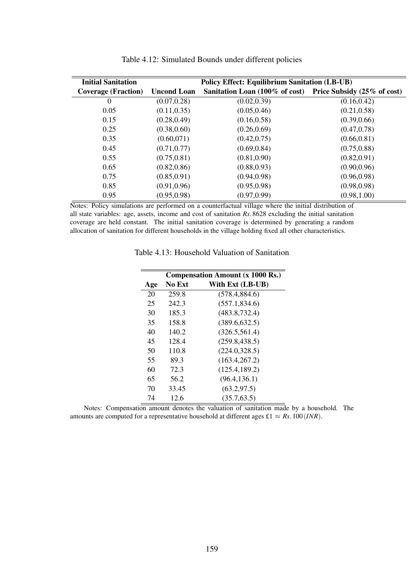| <b>Initial Sanitation</b>  | <b>Policy Effect: Equilibrium Sanitation (LB-UB)</b> |                                                            |              |  |  |
|----------------------------|------------------------------------------------------|------------------------------------------------------------|--------------|--|--|
| <b>Coverage (Fraction)</b> | <b>Uncond Loan</b>                                   | Sanitation Loan (100% of cost) Price Subsidy (25% of cost) |              |  |  |
| 0                          | (0.07, 0.28)                                         | (0.02, 0.39)                                               | (0.16, 0.42) |  |  |
| 0.05                       | (0.11, 0.35)                                         | (0.05, 0.46)                                               | (0.21, 0.58) |  |  |
| 0.15                       | (0.28, 0.49)                                         | (0.16, 0.58)                                               | (0.39, 0.66) |  |  |
| 0.25                       | (0.38, 0.60)                                         | (0.26, 0.69)                                               | (0.47, 0.78) |  |  |
| 0.35                       | (0.60, 071)                                          | (0.42, 0.75)                                               | (0.66, 0.81) |  |  |
| 0.45                       | (0.71, 0.77)                                         | (0.69, 0.84)                                               | (0.75, 0.88) |  |  |
| 0.55                       | (0.75, 0.81)                                         | (0.81, 0.90)                                               | (0.82, 0.91) |  |  |
| 0.65                       | (0.82, 0.86)                                         | (0.88, 0.93)                                               | (0.90, 0.96) |  |  |
| 0.75                       | (0.85, 0.91)                                         | (0.94, 0.98)                                               | (0.96, 0.98) |  |  |
| 0.85                       | (0.91, 0.96)                                         | (0.95, 0.98)                                               | (0.98, 0.98) |  |  |
| 0.95                       | (0.95, 0.98)                                         | (0.97, 0.99)                                               | (0.98, 1.00) |  |  |

Table 4.12: Simulated Bounds under different policies

Notes: Policy simulations are performed on a counterfactual village where the initial distribution of all state variables: age, assets, income and cost of sanitation *Rs*.8628 excluding the initial sanitation coverage are held constant. The initial sanitation coverage is determined by generating a random allocation of sanitation for different households in the village holding fixed all other characteristics.

| <b>Compensation Amount (x 1000 Rs.)</b> |        |                  |  |  |  |
|-----------------------------------------|--------|------------------|--|--|--|
| Age                                     | No Ext | With Ext (LB-UB) |  |  |  |
| 20                                      | 259.8  | (578.4, 884.6)   |  |  |  |
| 25                                      | 242.3  | (557.1, 834.6)   |  |  |  |
| 30                                      | 185.3  | (483.8, 732.4)   |  |  |  |
| 35                                      | 158.8  | (389.6, 632.5)   |  |  |  |
| 40                                      | 140.2  | (326.5, 561.4)   |  |  |  |
| 45                                      | 128.4  | (259.8, 438.5)   |  |  |  |
| 50                                      | 110.8  | (224.0, 328.5)   |  |  |  |
| 55                                      | 89.3   | (163.4, 267.2)   |  |  |  |
| 60                                      | 72.3   | (125.4, 189.2)   |  |  |  |
| 65                                      | 56.2   | (96.4, 136.1)    |  |  |  |
| 70                                      | 33.45  | (63.2, 97.5)     |  |  |  |
| 74                                      | 12.6   | (35.7, 63.5)     |  |  |  |

Table 4.13: Household Valuation of Sanitation

Notes: Compensation amount denotes the valuation of sanitation made by a household. The amounts are computed for a representative household at different ages £1  $\approx$  *Rs*.100(*INR*).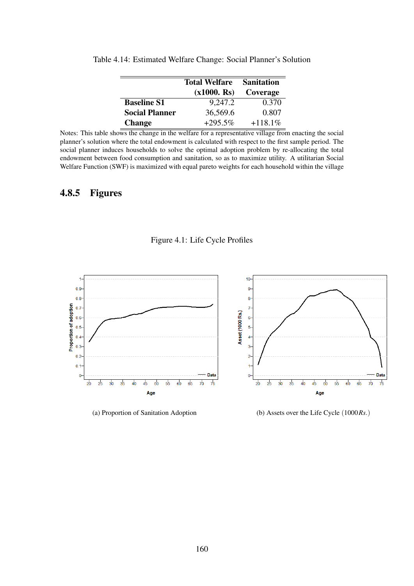|                       | <b>Total Welfare</b><br>(x1000. Rs) | <b>Sanitation</b><br>Coverage |
|-----------------------|-------------------------------------|-------------------------------|
| <b>Baseline S1</b>    | 9,247.2                             | 0.370                         |
| <b>Social Planner</b> | 36,569.6                            | 0.807                         |
| <b>Change</b>         | $+295.5\%$                          | $+118.1%$                     |

Table 4.14: Estimated Welfare Change: Social Planner's Solution

Notes: This table shows the change in the welfare for a representative village from enacting the social planner's solution where the total endowment is calculated with respect to the first sample period. The social planner induces households to solve the optimal adoption problem by re-allocating the total endowment between food consumption and sanitation, so as to maximize utility. A utilitarian Social Welfare Function (SWF) is maximized with equal pareto weights for each household within the village

## 4.8.5 Figures

### Figure 4.1: Life Cycle Profiles



(a) Proportion of Sanitation Adoption (b) Assets over the Life Cycle (1000*Rs*.)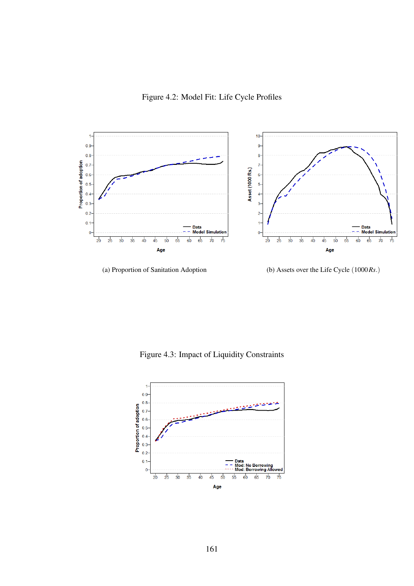Figure 4.2: Model Fit: Life Cycle Profiles



(a) Proportion of Sanitation Adoption (b) Assets over the Life Cycle (1000*Rs*.)

Figure 4.3: Impact of Liquidity Constraints

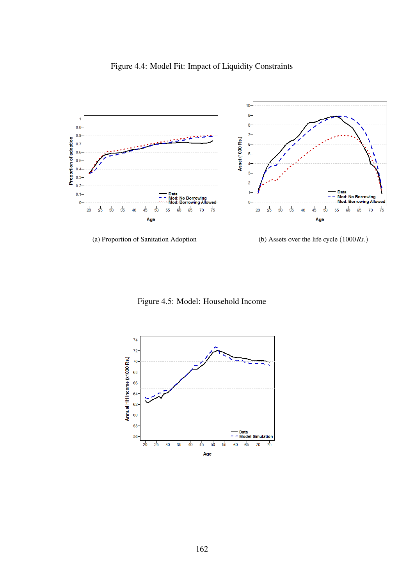

Figure 4.4: Model Fit: Impact of Liquidity Constraints

(a) Proportion of Sanitation Adoption (b) Assets over the life cycle (1000*Rs*.)

Figure 4.5: Model: Household Income

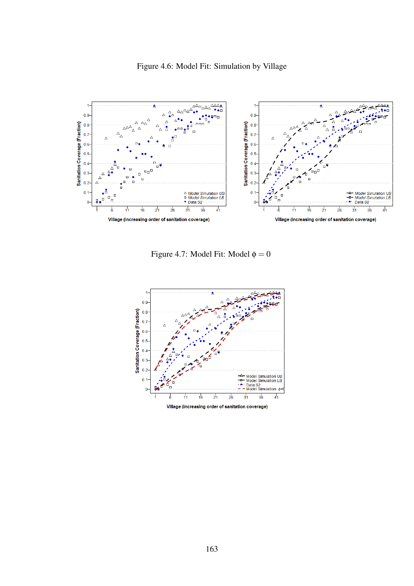

Figure 4.6: Model Fit: Simulation by Village

Figure 4.7: Model Fit: Model  $\phi = 0$ 

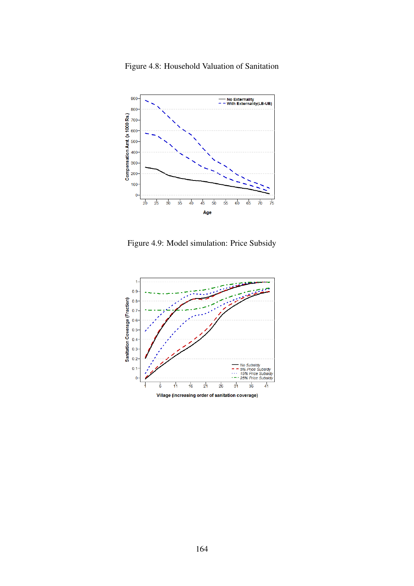

Figure 4.8: Household Valuation of Sanitation

Figure 4.9: Model simulation: Price Subsidy

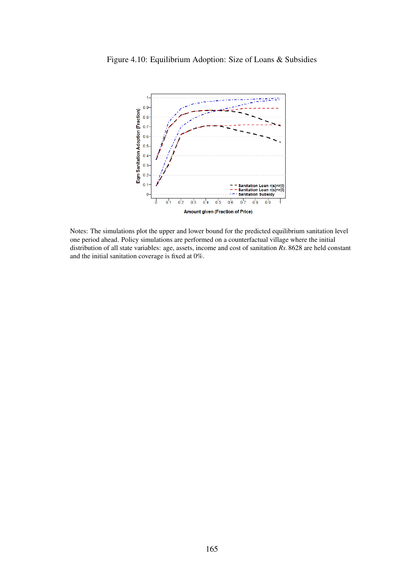

Figure 4.10: Equilibrium Adoption: Size of Loans & Subsidies

Notes: The simulations plot the upper and lower bound for the predicted equilibrium sanitation level one period ahead. Policy simulations are performed on a counterfactual village where the initial distribution of all state variables: age, assets, income and cost of sanitation *Rs*.8628 are held constant and the initial sanitation coverage is fixed at 0%.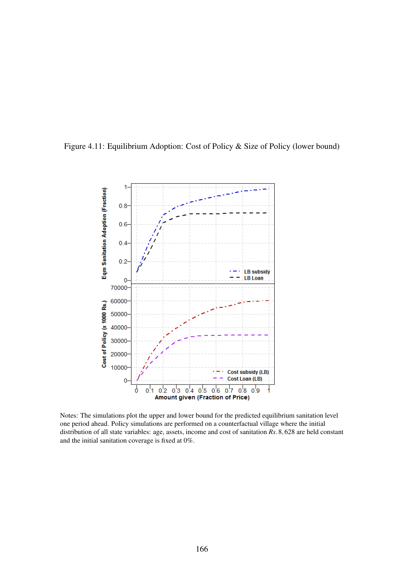



Notes: The simulations plot the upper and lower bound for the predicted equilibrium sanitation level one period ahead. Policy simulations are performed on a counterfactual village where the initial distribution of all state variables: age, assets, income and cost of sanitation *Rs*.8,628 are held constant and the initial sanitation coverage is fixed at 0%.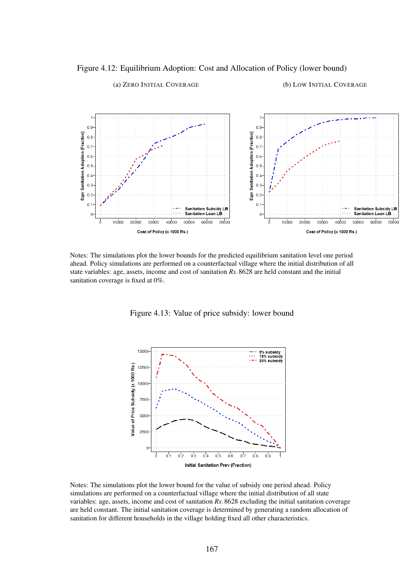



(a) ZERO INITIAL COVERAGE (b) LOW INITIAL COVERAGE

Notes: The simulations plot the lower bounds for the predicted equilibrium sanitation level one period ahead. Policy simulations are performed on a counterfactual village where the initial distribution of all state variables: age, assets, income and cost of sanitation *Rs*.8628 are held constant and the initial sanitation coverage is fixed at 0%.

Figure 4.13: Value of price subsidy: lower bound



Notes: The simulations plot the lower bound for the value of subsidy one period ahead. Policy simulations are performed on a counterfactual village where the initial distribution of all state variables: age, assets, income and cost of sanitation *Rs*.8628 excluding the initial sanitation coverage are held constant. The initial sanitation coverage is determined by generating a random allocation of sanitation for different households in the village holding fixed all other characteristics.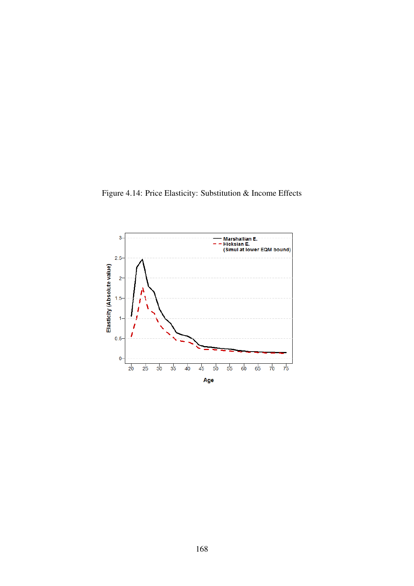Figure 4.14: Price Elasticity: Substitution & Income Effects

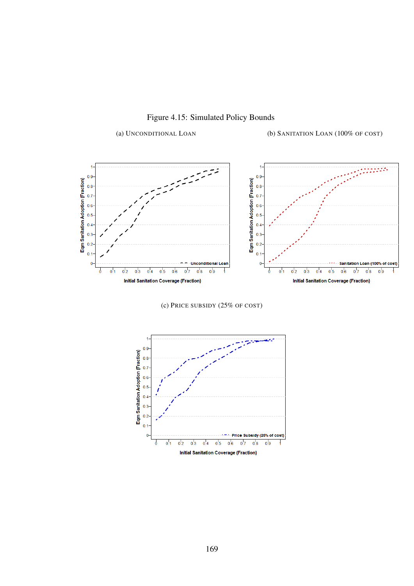

Figure 4.15: Simulated Policy Bounds

(a) UNCONDITIONAL LOAN (b) SANITATION LOAN (100% OF COST)

(c) PRICE SUBSIDY (25% OF COST)

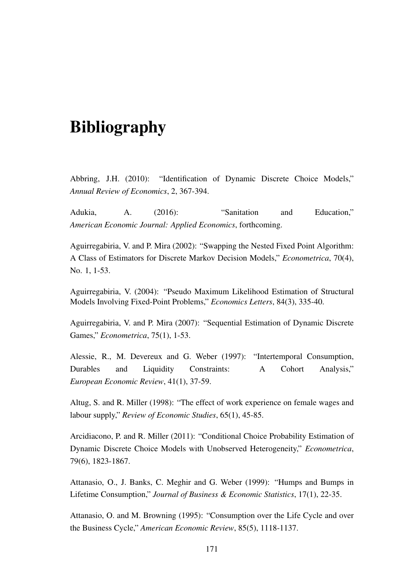# **Bibliography**

Abbring, J.H. (2010): "Identification of Dynamic Discrete Choice Models," *Annual Review of Economics*, 2, 367-394.

Adukia, A. (2016): "Sanitation and Education," *American Economic Journal: Applied Economics*, forthcoming.

Aguirregabiria, V. and P. Mira (2002): "Swapping the Nested Fixed Point Algorithm: A Class of Estimators for Discrete Markov Decision Models," *Econometrica*, 70(4), No. 1, 1-53.

Aguirregabiria, V. (2004): "Pseudo Maximum Likelihood Estimation of Structural Models Involving Fixed-Point Problems," *Economics Letters*, 84(3), 335-40.

Aguirregabiria, V. and P. Mira (2007): "Sequential Estimation of Dynamic Discrete Games," *Econometrica*, 75(1), 1-53.

Alessie, R., M. Devereux and G. Weber (1997): "Intertemporal Consumption, Durables and Liquidity Constraints: A Cohort Analysis," *European Economic Review*, 41(1), 37-59.

Altug, S. and R. Miller (1998): "The effect of work experience on female wages and labour supply," *Review of Economic Studies*, 65(1), 45-85.

Arcidiacono, P. and R. Miller (2011): "Conditional Choice Probability Estimation of Dynamic Discrete Choice Models with Unobserved Heterogeneity," *Econometrica*, 79(6), 1823-1867.

Attanasio, O., J. Banks, C. Meghir and G. Weber (1999): "Humps and Bumps in Lifetime Consumption," *Journal of Business & Economic Statistics*, 17(1), 22-35.

Attanasio, O. and M. Browning (1995): "Consumption over the Life Cycle and over the Business Cycle," *American Economic Review*, 85(5), 1118-1137.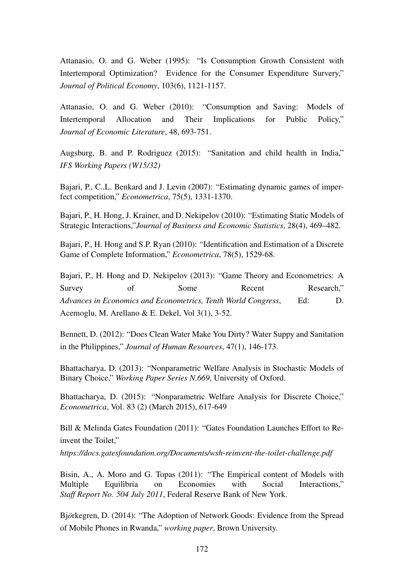Attanasio, O. and G. Weber (1995): "Is Consumption Growth Consistent with Intertemporal Optimization? Evidence for the Consumer Expenditure Survery," *Journal of Political Economy*, 103(6), 1121-1157.

Attanasio, O. and G. Weber (2010): "Consumption and Saving: Models of Intertemporal Allocation and Their Implications for Public Policy," *Journal of Economic Literature*, 48, 693-751.

Augsburg, B. and P. Rodriguez (2015): "Sanitation and child health in India," *IFS Working Papers (W15/32)*

Bajari, P., C..L. Benkard and J. Levin (2007): "Estimating dynamic games of imperfect competition," *Econometrica*, 75(5), 1331-1370.

Bajari, P., H. Hong, J. Krainer, and D. Nekipelov (2010): "Estimating Static Models of Strategic Interactions,"*Journal of Business and Economic Statistics*, 28(4), 469–482.

Bajari, P., H. Hong and S.P. Ryan (2010): "Identification and Estimation of a Discrete Game of Complete Information," *Econometrica*, 78(5), 1529-68.

Bajari, P., H. Hong and D. Nekipelov (2013): "Game Theory and Econometrics: A Survey of Some Recent Research," *Advances in Economics and Econometrics, Tenth World Congress*, Ed: D. Acemoglu, M. Arellano & E. Dekel, Vol 3(1), 3-52.

Bennett, D. (2012): "Does Clean Water Make You Dirty? Water Suppy and Sanitation in the Philippines," *Journal of Human Resources*, 47(1), 146-173.

Bhattacharya, D. (2013): "Nonparametric Welfare Analysis in Stochastic Models of Binary Choice," *Working Paper Series N.669*, University of Oxford.

Bhattacharya, D. (2015): "Nonparametric Welfare Analysis for Discrete Choice," *Econometrica*, Vol. 83 (2) (March 2015), 617-649

Bill & Melinda Gates Foundation (2011): "Gates Foundation Launches Effort to Reinvent the Toilet,"

*https://docs.gatesfoundation.org/Documents/wsh-reinvent-the-toilet-challenge.pdf*

Bisin, A., A. Moro and G. Topas (2011): "The Empirical content of Models with Multiple Equilibria on Economies with Social Interactions," *Staff Report No. 504 July 2011*, Federal Reserve Bank of New York.

Björkegren, D. (2014): "The Adoption of Network Goods: Evidence from the Spread of Mobile Phones in Rwanda," *working paper*, Brown University.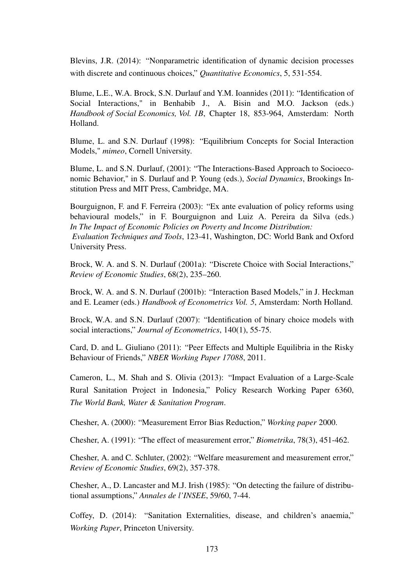Blevins, J.R. (2014): "Nonparametric identification of dynamic decision processes with discrete and continuous choices," *Quantitative Economics*, 5, 531-554.

Blume, L.E., W.A. Brock, S.N. Durlauf and Y.M. Ioannides (2011): "Identification of Social Interactions," in Benhabib J., A. Bisin and M.O. Jackson (eds.) *Handbook of Social Economics, Vol. 1B*, Chapter 18, 853-964, Amsterdam: North Holland.

Blume, L. and S.N. Durlauf (1998): "Equilibrium Concepts for Social Interaction Models," *mimeo*, Cornell University.

Blume, L. and S.N. Durlauf, (2001): "The Interactions-Based Approach to Socioeconomic Behavior," in S. Durlauf and P. Young (eds.), *Social Dynamics*, Brookings Institution Press and MIT Press, Cambridge, MA.

Bourguignon, F. and F. Ferreira (2003): "Ex ante evaluation of policy reforms using behavioural models," in F. Bourguignon and Luiz A. Pereira da Silva (eds.) *In The Impact of Economic Policies on Poverty and Income Distribution: Evaluation Techniques and Tools*, 123-41, Washington, DC: World Bank and Oxford University Press.

Brock, W. A. and S. N. Durlauf (2001a): "Discrete Choice with Social Interactions," *Review of Economic Studies*, 68(2), 235–260.

Brock, W. A. and S. N. Durlauf (2001b): "Interaction Based Models," in J. Heckman and E. Leamer (eds.) *Handbook of Econometrics Vol. 5*, Amsterdam: North Holland.

Brock, W.A. and S.N. Durlauf (2007): "Identification of binary choice models with social interactions," *Journal of Econometrics*, 140(1), 55-75.

Card, D. and L. Giuliano (2011): "Peer Effects and Multiple Equilibria in the Risky Behaviour of Friends," *NBER Working Paper 17088*, 2011.

Cameron, L., M. Shah and S. Olivia (2013): "Impact Evaluation of a Large-Scale Rural Sanitation Project in Indonesia," Policy Research Working Paper 6360, *The World Bank, Water & Sanitation Program*.

Chesher, A. (2000): "Measurement Error Bias Reduction," *Working paper* 2000.

Chesher, A. (1991): "The effect of measurement error," *Biometrika*, 78(3), 451-462.

Chesher, A. and C. Schluter, (2002): "Welfare measurement and measurement error," *Review of Economic Studies*, 69(2), 357-378.

Chesher, A., D. Lancaster and M.J. Irish (1985): "On detecting the failure of distributional assumptions," *Annales de l'INSEE*, 59/60, 7-44.

Coffey, D. (2014): "Sanitation Externalities, disease, and children's anaemia," *Working Paper*, Princeton University.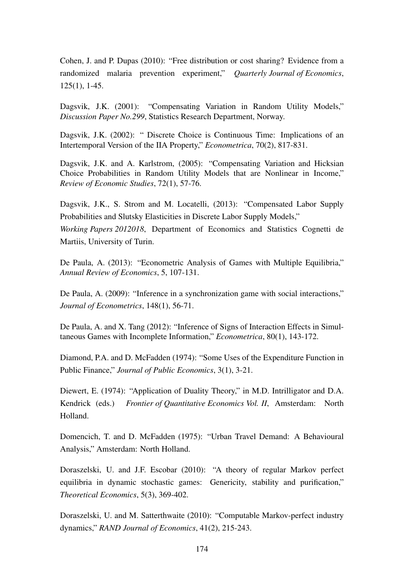Cohen, J. and P. Dupas (2010): "Free distribution or cost sharing? Evidence from a randomized malaria prevention experiment," *Quarterly Journal of Economics*, 125(1), 1-45.

Dagsvik, J.K. (2001): "Compensating Variation in Random Utility Models," *Discussion Paper No.299*, Statistics Research Department, Norway.

Dagsvik, J.K. (2002): " Discrete Choice is Continuous Time: Implications of an Intertemporal Version of the IIA Property," *Econometrica*, 70(2), 817-831.

Dagsvik, J.K. and A. Karlstrom, (2005): "Compensating Variation and Hicksian Choice Probabilities in Random Utility Models that are Nonlinear in Income," *Review of Economic Studies*, 72(1), 57-76.

Dagsvik, J.K., S. Strom and M. Locatelli, (2013): "Compensated Labor Supply Probabilities and Slutsky Elasticities in Discrete Labor Supply Models," *Working Papers 2012018*, Department of Economics and Statistics Cognetti de Martiis, University of Turin.

De Paula, A. (2013): "Econometric Analysis of Games with Multiple Equilibria," *Annual Review of Economics*, 5, 107-131.

De Paula, A. (2009): "Inference in a synchronization game with social interactions," *Journal of Econometrics*, 148(1), 56-71.

De Paula, A. and X. Tang (2012): "Inference of Signs of Interaction Effects in Simultaneous Games with Incomplete Information," *Econometrica*, 80(1), 143-172.

Diamond, P.A. and D. McFadden (1974): "Some Uses of the Expenditure Function in Public Finance," *Journal of Public Economics*, 3(1), 3-21.

Diewert, E. (1974): "Application of Duality Theory," in M.D. Intrilligator and D.A. Kendrick (eds.) *Frontier of Quantitative Economics Vol. II*, Amsterdam: North Holland.

Domencich, T. and D. McFadden (1975): "Urban Travel Demand: A Behavioural Analysis," Amsterdam: North Holland.

Doraszelski, U. and J.F. Escobar (2010): "A theory of regular Markov perfect equilibria in dynamic stochastic games: Genericity, stability and purification," *Theoretical Economics*, 5(3), 369-402.

Doraszelski, U. and M. Satterthwaite (2010): "Computable Markov-perfect industry dynamics," *RAND Journal of Economics*, 41(2), 215-243.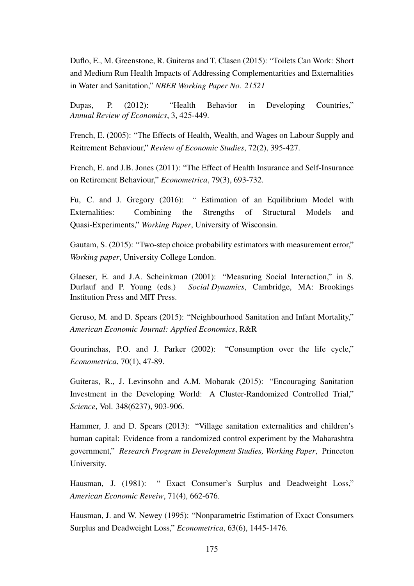Duflo, E., M. Greenstone, R. Guiteras and T. Clasen (2015): "Toilets Can Work: Short and Medium Run Health Impacts of Addressing Complementarities and Externalities in Water and Sanitation," *NBER Working Paper No. 21521*

Dupas, P. (2012): "Health Behavior in Developing Countries," *Annual Review of Economics*, 3, 425-449.

French, E. (2005): "The Effects of Health, Wealth, and Wages on Labour Supply and Reitrement Behaviour," *Review of Economic Studies*, 72(2), 395-427.

French, E. and J.B. Jones (2011): "The Effect of Health Insurance and Self-Insurance on Retirement Behaviour," *Econometrica*, 79(3), 693-732.

Fu, C. and J. Gregory (2016): " Estimation of an Equilibrium Model with Externalities: Combining the Strengths of Structural Models and Quasi-Experiments," *Working Paper*, University of Wisconsin.

Gautam, S. (2015): "Two-step choice probability estimators with measurement error," *Working paper*, University College London.

Glaeser, E. and J.A. Scheinkman (2001): "Measuring Social Interaction," in S. Durlauf and P. Young (eds.) *Social Dynamics*, Cambridge, MA: Brookings Institution Press and MIT Press.

Geruso, M. and D. Spears (2015): "Neighbourhood Sanitation and Infant Mortality," *American Economic Journal: Applied Economics*, R&R

Gourinchas, P.O. and J. Parker (2002): "Consumption over the life cycle," *Econometrica*, 70(1), 47-89.

Guiteras, R., J. Levinsohn and A.M. Mobarak (2015): "Encouraging Sanitation Investment in the Developing World: A Cluster-Randomized Controlled Trial," *Science*, Vol. 348(6237), 903-906.

Hammer, J. and D. Spears (2013): "Village sanitation externalities and children's human capital: Evidence from a randomized control experiment by the Maharashtra government," *Research Program in Development Studies, Working Paper*, Princeton University.

Hausman, J. (1981): " Exact Consumer's Surplus and Deadweight Loss," *American Economic Reveiw*, 71(4), 662-676.

Hausman, J. and W. Newey (1995): "Nonparametric Estimation of Exact Consumers Surplus and Deadweight Loss," *Econometrica*, 63(6), 1445-1476.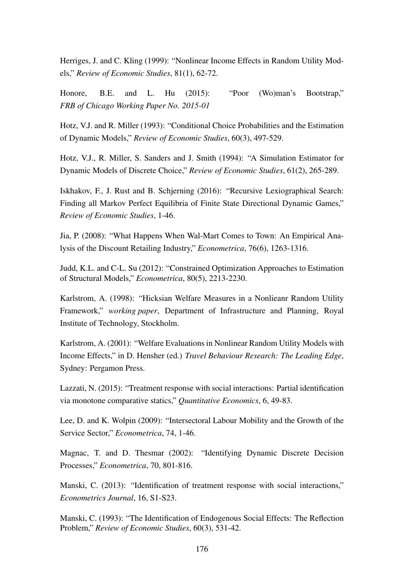Herriges, J. and C. Kling (1999): "Nonlinear Income Effects in Random Utility Models," *Review of Economic Studies*, 81(1), 62-72.

Honore, B.E. and L. Hu (2015): "Poor (Wo)man's Bootstrap," *FRB of Chicago Working Paper No. 2015-01*

Hotz, V.J. and R. Miller (1993): "Conditional Choice Probabilities and the Estimation of Dynamic Models," *Review of Economic Studies*, 60(3), 497-529.

Hotz, V.J., R. Miller, S. Sanders and J. Smith (1994): "A Simulation Estimator for Dynamic Models of Discrete Choice," *Review of Economic Studies*, 61(2), 265-289.

Iskhakov, F., J. Rust and B. Schjerning (2016): "Recursive Lexiographical Search: Finding all Markov Perfect Equilibria of Finite State Directional Dynamic Games," *Review of Economic Studies*, 1-46.

Jia, P. (2008): "What Happens When Wal-Mart Comes to Town: An Empirical Analysis of the Discount Retailing Industry," *Econometrica*, 76(6), 1263-1316.

Judd, K.L. and C-L. Su (2012): "Constrained Optimization Approaches to Estimation of Structural Models," *Econometrica*, 80(5), 2213-2230.

Karlstrom, A. (1998): "Hicksian Welfare Measures in a Nonlieanr Random Utility Framework," *working paper*, Department of Infrastructure and Planning, Royal Institute of Technology, Stockholm.

Karlstrom, A. (2001): "Welfare Evaluations in Nonlinear Random Utility Models with Income Effects," in D. Hensher (ed.) *Travel Behaviour Research: The Leading Edge*, Sydney: Pergamon Press.

Lazzati, N. (2015): "Treatment response with social interactions: Partial identification via monotone comparative statics," *Quantitative Economics*, 6, 49-83.

Lee, D. and K. Wolpin (2009): "Intersectoral Labour Mobility and the Growth of the Service Sector," *Econometrica*, 74, 1-46.

Magnac, T. and D. Thesmar (2002): "Identifying Dynamic Discrete Decision Processes," *Econometrica*, 70, 801-816.

Manski, C. (2013): "Identification of treatment response with social interactions," *Econometrics Journal*, 16, S1-S23.

Manski, C. (1993): "The Identification of Endogenous Social Effects: The Reflection Problem," *Review of Economic Studies*, 60(3), 531-42.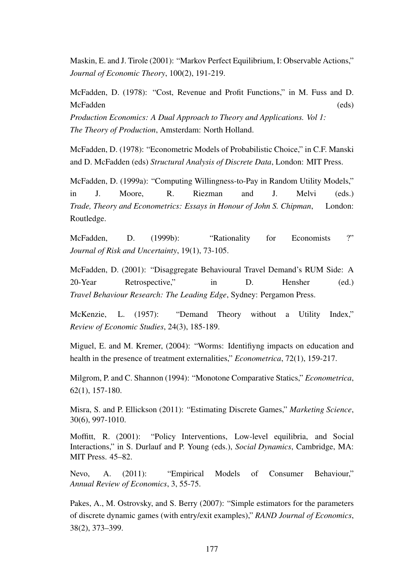Maskin, E. and J. Tirole (2001): "Markov Perfect Equilibrium, I: Observable Actions," *Journal of Economic Theory*, 100(2), 191-219.

McFadden, D. (1978): "Cost, Revenue and Profit Functions," in M. Fuss and D. McFadden (eds) *Production Economics: A Dual Approach to Theory and Applications. Vol 1: The Theory of Production*, Amsterdam: North Holland.

McFadden, D. (1978): "Econometric Models of Probabilistic Choice," in C.F. Manski and D. McFadden (eds) *Structural Analysis of Discrete Data*, London: MIT Press.

McFadden, D. (1999a): "Computing Willingness-to-Pay in Random Utility Models," in J. Moore, R. Riezman and J. Melvi (eds.) *Trade, Theory and Econometrics: Essays in Honour of John S. Chipman*, London: Routledge.

McFadden, D. (1999b): "Rationality for Economists ?" *Journal of Risk and Uncertainty*, 19(1), 73-105.

McFadden, D. (2001): "Disaggregate Behavioural Travel Demand's RUM Side: A 20-Year Retrospective," in D. Hensher (ed.) *Travel Behaviour Research: The Leading Edge*, Sydney: Pergamon Press.

McKenzie, L. (1957): "Demand Theory without a Utility Index," *Review of Economic Studies*, 24(3), 185-189.

Miguel, E. and M. Kremer, (2004): "Worms: Identifiyng impacts on education and health in the presence of treatment externalities," *Econometrica*, 72(1), 159-217.

Milgrom, P. and C. Shannon (1994): "Monotone Comparative Statics," *Econometrica*, 62(1), 157-180.

Misra, S. and P. Ellickson (2011): "Estimating Discrete Games," *Marketing Science*, 30(6), 997-1010.

Moffitt, R. (2001): "Policy Interventions, Low-level equilibria, and Social Interactions," in S. Durlauf and P. Young (eds.), *Social Dynamics*, Cambridge, MA: MIT Press. 45–82.

Nevo, A. (2011): "Empirical Models of Consumer Behaviour," *Annual Review of Economics*, 3, 55-75.

Pakes, A., M. Ostrovsky, and S. Berry (2007): "Simple estimators for the parameters of discrete dynamic games (with entry/exit examples)," *RAND Journal of Economics*, 38(2), 373–399.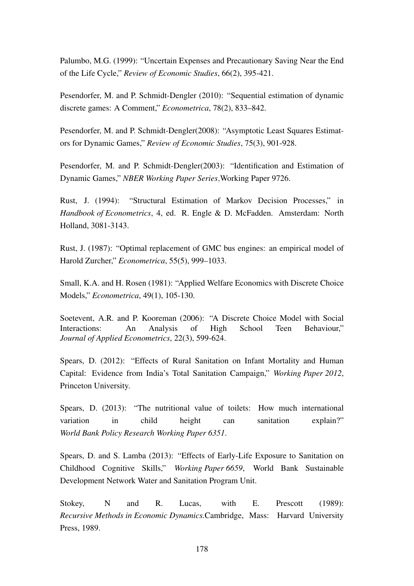Palumbo, M.G. (1999): "Uncertain Expenses and Precautionary Saving Near the End of the Life Cycle," *Review of Economic Studies*, 66(2), 395-421.

Pesendorfer, M. and P. Schmidt-Dengler (2010): "Sequential estimation of dynamic discrete games: A Comment," *Econometrica*, 78(2), 833–842.

Pesendorfer, M. and P. Schmidt-Dengler(2008): "Asymptotic Least Squares Estimators for Dynamic Games," *Review of Economic Studies*, 75(3), 901-928.

Pesendorfer, M. and P. Schmidt-Dengler(2003): "Identification and Estimation of Dynamic Games," *NBER Working Paper Series*,Working Paper 9726.

Rust, J. (1994): "Structural Estimation of Markov Decision Processes," in *Handbook of Econometrics*, 4, ed. R. Engle & D. McFadden. Amsterdam: North Holland, 3081-3143.

Rust, J. (1987): "Optimal replacement of GMC bus engines: an empirical model of Harold Zurcher," *Econometrica*, 55(5), 999–1033.

Small, K.A. and H. Rosen (1981): "Applied Welfare Economics with Discrete Choice Models," *Econometrica*, 49(1), 105-130.

Soetevent, A.R. and P. Kooreman (2006): "A Discrete Choice Model with Social Interactions: An Analysis of High School Teen Behaviour," *Journal of Applied Econometrics*, 22(3), 599-624.

Spears, D. (2012): "Effects of Rural Sanitation on Infant Mortality and Human Capital: Evidence from India's Total Sanitation Campaign," *Working Paper 2012*, Princeton University.

Spears, D. (2013): "The nutritional value of toilets: How much international variation in child height can sanitation explain?" *World Bank Policy Research Working Paper 6351*.

Spears, D. and S. Lamba (2013): "Effects of Early-Life Exposure to Sanitation on Childhood Cognitive Skills," *Working Paper 6659*, World Bank Sustainable Development Network Water and Sanitation Program Unit.

Stokey, N and R. Lucas, with E. Prescott (1989): *Recursive Methods in Economic Dynamics.*Cambridge, Mass: Harvard University Press, 1989.